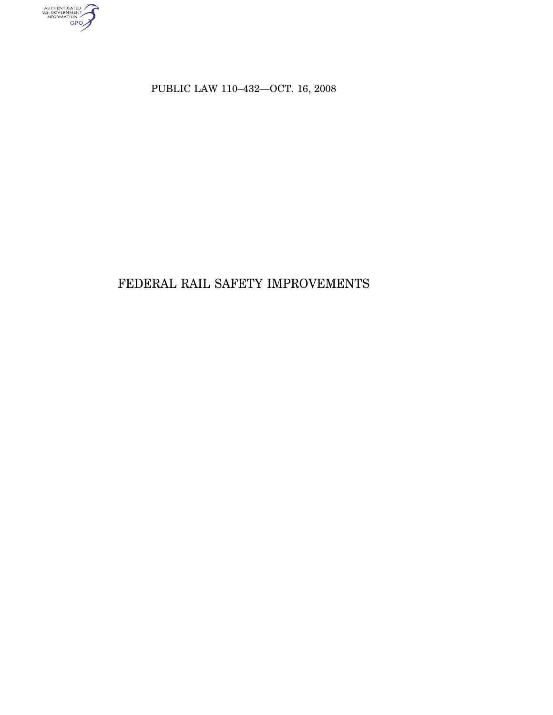AUTHENTICATED

PUBLIC LAW 110–432—OCT. 16, 2008

# FEDERAL RAIL SAFETY IMPROVEMENTS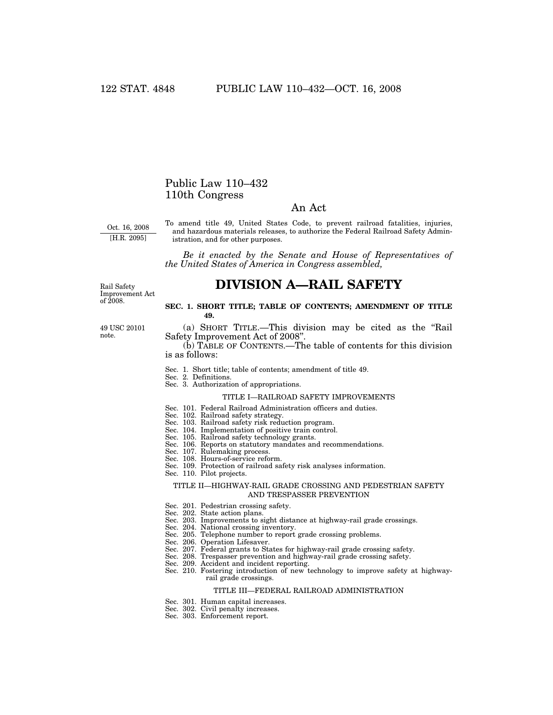## Public Law 110–432 110th Congress

## An Act

Oct. 16, 2008 [H.R. 2095]

To amend title 49, United States Code, to prevent railroad fatalities, injuries, and hazardous materials releases, to authorize the Federal Railroad Safety Administration, and for other purposes.

*Be it enacted by the Senate and House of Representatives of the United States of America in Congress assembled,* 

# **DIVISION A—RAIL SAFETY**

Rail Safety Improvement Act of 2008.

49 USC 20101 note.

#### **SEC. 1. SHORT TITLE; TABLE OF CONTENTS; AMENDMENT OF TITLE 49.**

(a) SHORT TITLE.—This division may be cited as the ''Rail Safety Improvement Act of 2008''.

(b) TABLE OF CONTENTS.—The table of contents for this division is as follows:

- Sec. 1. Short title; table of contents; amendment of title 49.
- Sec. 2. Definitions.
- Sec. 3. Authorization of appropriations.

#### TITLE I—RAILROAD SAFETY IMPROVEMENTS

- Sec. 101. Federal Railroad Administration officers and duties.
- Sec. 102. Railroad safety strategy.
- Sec. 103. Railroad safety risk reduction program.
- Sec. 104. Implementation of positive train control.
- Sec. 105. Railroad safety technology grants.
- Sec. 106. Reports on statutory mandates and recommendations.
- Sec. 107. Rulemaking process.
- Sec. 108. Hours-of-service reform. Sec. 109. Protection of railroad safety risk analyses information.
- Sec. 110. Pilot projects.

#### TITLE II—HIGHWAY-RAIL GRADE CROSSING AND PEDESTRIAN SAFETY AND TRESPASSER PREVENTION

- Sec. 201. Pedestrian crossing safety.
- Sec. 202. State action plans.
- Sec. 203. Improvements to sight distance at highway-rail grade crossings.
- Sec. 204. National crossing inventory.
- Sec. 205. Telephone number to report grade crossing problems.
- Sec. 206. Operation Lifesaver.
- Sec. 207. Federal grants to States for highway-rail grade crossing safety.
- Sec. 208. Trespasser prevention and highway-rail grade crossing safety.
- Sec. 209. Accident and incident reporting.
- Sec. 210. Fostering introduction of new technology to improve safety at highwayrail grade crossings.

#### TITLE III—FEDERAL RAILROAD ADMINISTRATION

- Sec. 301. Human capital increases.
- Sec. 302. Civil penalty increases.
- Sec. 303. Enforcement report.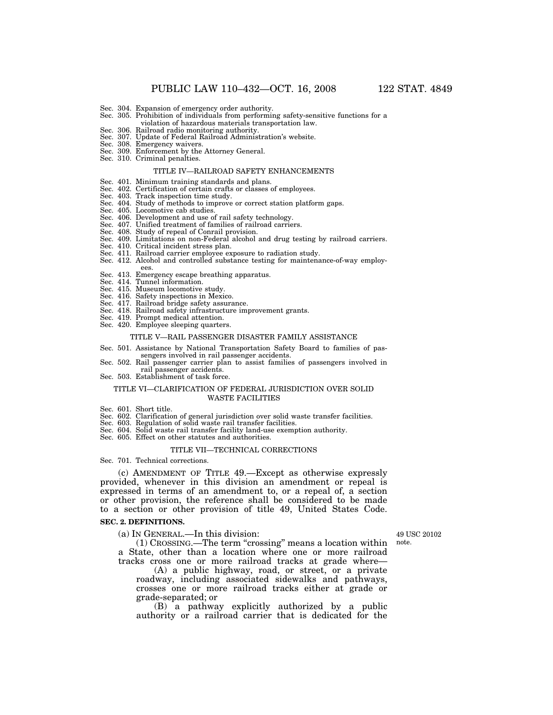- Sec. 305. Prohibition of individuals from performing safety-sensitive functions for a
- violation of hazardous materials transportation law. Sec. 306. Railroad radio monitoring authority.
- Sec. 307. Update of Federal Railroad Administration's website.
- Sec. 308. Emergency waivers.
- Sec. 309. Enforcement by the Attorney General.
- Sec. 310. Criminal penalties.

#### TITLE IV—RAILROAD SAFETY ENHANCEMENTS

- Sec. 401. Minimum training standards and plans.
- Sec. 402. Certification of certain crafts or classes of employees. Sec. 403. Track inspection time study.
- 
- Sec. 404. Study of methods to improve or correct station platform gaps. Sec. 405. Locomotive cab studies.
- 
- 
- Sec. 406. Development and use of rail safety technology. Sec. 407. Unified treatment of families of railroad carriers.
- Sec. 408. Study of repeal of Conrail provision.
- Sec. 409. Limitations on non-Federal alcohol and drug testing by railroad carriers. Sec. 410. Critical incident stress plan.
- 
- 
- Sec. 411. Railroad carrier employee exposure to radiation study. Sec. 412. Alcohol and controlled substance testing for maintenance-of-way employ-
- ees. Sec. 413. Emergency escape breathing apparatus.
- 
- Sec. 414. Tunnel information. Sec. 415. Museum locomotive study.
- 
- Sec. 416. Safety inspections in Mexico. Sec. 417. Railroad bridge safety assurance.
- Sec. 418. Railroad safety infrastructure improvement grants. Sec. 419. Prompt medical attention. Sec. 420. Employee sleeping quarters.
- 
- 

#### TITLE V—RAIL PASSENGER DISASTER FAMILY ASSISTANCE

- Sec. 501. Assistance by National Transportation Safety Board to families of passengers involved in rail passenger accidents.
- Sec. 502. Rail passenger carrier plan to assist families of passengers involved in rail passenger accidents.
- Sec. 503. Establishment of task force.

#### TITLE VI—CLARIFICATION OF FEDERAL JURISDICTION OVER SOLID WASTE FACILITIES

- Sec. 601. Short title.
- Sec. 602. Clarification of general jurisdiction over solid waste transfer facilities.
- Sec. 603. Regulation of solid waste rail transfer facilities.
- Sec. 604. Solid waste rail transfer facility land-use exemption authority.
- Sec. 605. Effect on other statutes and authorities.

#### TITLE VII—TECHNICAL CORRECTIONS

Sec. 701. Technical corrections.

(c) AMENDMENT OF TITLE 49.—Except as otherwise expressly provided, whenever in this division an amendment or repeal is expressed in terms of an amendment to, or a repeal of, a section or other provision, the reference shall be considered to be made to a section or other provision of title 49, United States Code.

### **SEC. 2. DEFINITIONS.**

(a) IN GENERAL.—In this division:

49 USC 20102 note.

(1) CROSSING.—The term ''crossing'' means a location within a State, other than a location where one or more railroad tracks cross one or more railroad tracks at grade where—

(A) a public highway, road, or street, or a private roadway, including associated sidewalks and pathways, crosses one or more railroad tracks either at grade or grade-separated; or

(B) a pathway explicitly authorized by a public authority or a railroad carrier that is dedicated for the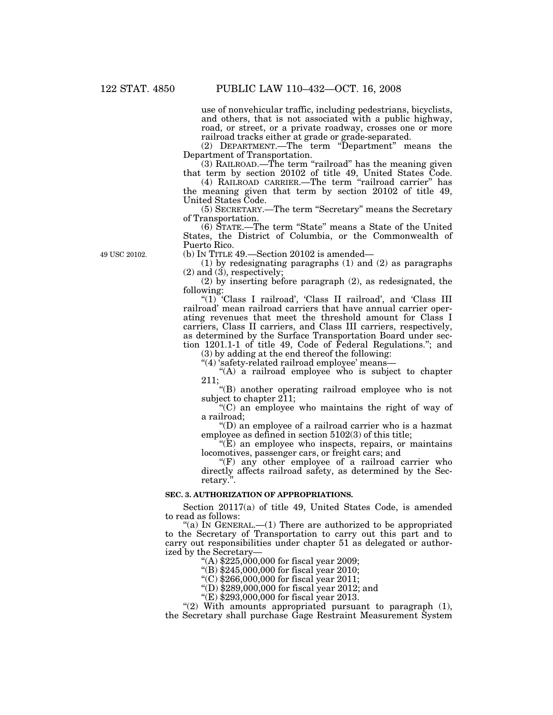use of nonvehicular traffic, including pedestrians, bicyclists, and others, that is not associated with a public highway, road, or street, or a private roadway, crosses one or more railroad tracks either at grade or grade-separated.

(2) DEPARTMENT.—The term "Department" means the Department of Transportation.

 $(3)$  RAILROAD.—The term "railroad" has the meaning given that term by section 20102 of title 49, United States Code.

(4) RAILROAD CARRIER.—The term "railroad carrier" has the meaning given that term by section 20102 of title 49, United States Code.

(5) SECRETARY.—The term ''Secretary'' means the Secretary of Transportation.

(6) STATE.—The term ''State'' means a State of the United States, the District of Columbia, or the Commonwealth of Puerto Rico.

(b) IN TITLE 49.—Section 20102 is amended—

(1) by redesignating paragraphs (1) and (2) as paragraphs  $(2)$  and  $(3)$ , respectively;

(2) by inserting before paragraph (2), as redesignated, the following:

''(1) 'Class I railroad', 'Class II railroad', and 'Class III railroad' mean railroad carriers that have annual carrier operating revenues that meet the threshold amount for Class I carriers, Class II carriers, and Class III carriers, respectively, as determined by the Surface Transportation Board under section 1201.1-1 of title 49, Code of Federal Regulations.''; and

(3) by adding at the end thereof the following:

''(4) 'safety-related railroad employee' means—

''(A) a railroad employee who is subject to chapter 211;

''(B) another operating railroad employee who is not subject to chapter 211;

 $C$ ) an employee who maintains the right of way of a railroad;

''(D) an employee of a railroad carrier who is a hazmat employee as defined in section 5102(3) of this title;

 $E(E)$  an employee who inspects, repairs, or maintains locomotives, passenger cars, or freight cars; and

" $(F)$  any other employee of a railroad carrier who directly affects railroad safety, as determined by the Secretary.''.

## **SEC. 3. AUTHORIZATION OF APPROPRIATIONS.**

Section 20117(a) of title 49, United States Code, is amended to read as follows:

"(a) In GENERAL.— $(1)$  There are authorized to be appropriated to the Secretary of Transportation to carry out this part and to carry out responsibilities under chapter 51 as delegated or authorized by the Secretary—

 $*(A)$  \$225,000,000 for fiscal year 2009;

''(B) \$245,000,000 for fiscal year 2010;

''(C) \$266,000,000 for fiscal year 2011;

"(D)  $$289,000,000$  for fiscal year 2012; and

''(E) \$293,000,000 for fiscal year 2013.

" $(2)$  With amounts appropriated pursuant to paragraph  $(1)$ , the Secretary shall purchase Gage Restraint Measurement System

49 USC 20102.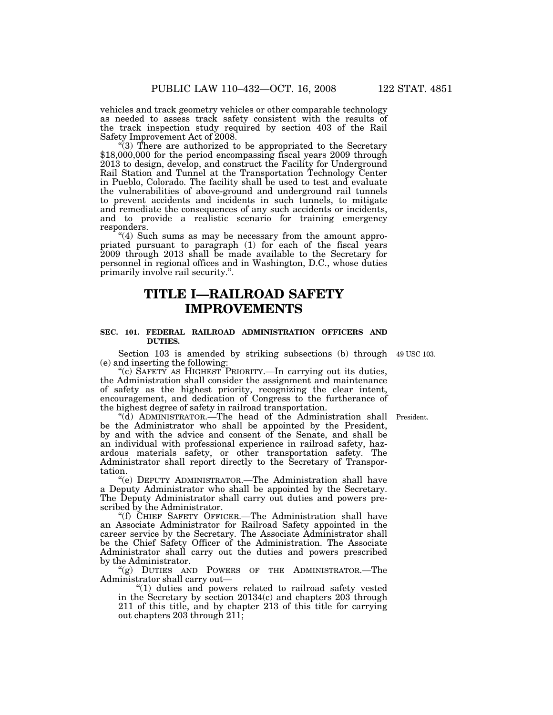vehicles and track geometry vehicles or other comparable technology as needed to assess track safety consistent with the results of the track inspection study required by section 403 of the Rail Safety Improvement Act of 2008.

"(3) There are authorized to be appropriated to the Secretary \$18,000,000 for the period encompassing fiscal years 2009 through 2013 to design, develop, and construct the Facility for Underground Rail Station and Tunnel at the Transportation Technology Center in Pueblo, Colorado. The facility shall be used to test and evaluate the vulnerabilities of above-ground and underground rail tunnels to prevent accidents and incidents in such tunnels, to mitigate and remediate the consequences of any such accidents or incidents, and to provide a realistic scenario for training emergency responders.

"(4) Such sums as may be necessary from the amount appropriated pursuant to paragraph (1) for each of the fiscal years 2009 through 2013 shall be made available to the Secretary for personnel in regional offices and in Washington, D.C., whose duties primarily involve rail security.''.

## **TITLE I—RAILROAD SAFETY IMPROVEMENTS**

### **SEC. 101. FEDERAL RAILROAD ADMINISTRATION OFFICERS AND DUTIES.**

Section 103 is amended by striking subsections (b) through 49 USC 103. (e) and inserting the following:

"(c) SAFETY AS HIGHEST PRIORITY.—In carrying out its duties, the Administration shall consider the assignment and maintenance of safety as the highest priority, recognizing the clear intent, encouragement, and dedication of Congress to the furtherance of the highest degree of safety in railroad transportation.

''(d) ADMINISTRATOR.—The head of the Administration shall President. be the Administrator who shall be appointed by the President, by and with the advice and consent of the Senate, and shall be an individual with professional experience in railroad safety, hazardous materials safety, or other transportation safety. The Administrator shall report directly to the Secretary of Transportation.

''(e) DEPUTY ADMINISTRATOR.—The Administration shall have a Deputy Administrator who shall be appointed by the Secretary. The Deputy Administrator shall carry out duties and powers prescribed by the Administrator.

''(f) CHIEF SAFETY OFFICER.—The Administration shall have an Associate Administrator for Railroad Safety appointed in the career service by the Secretary. The Associate Administrator shall be the Chief Safety Officer of the Administration. The Associate Administrator shall carry out the duties and powers prescribed by the Administrator.

"(g) DUTIES AND POWERS OF THE ADMINISTRATOR.—The Administrator shall carry out—

''(1) duties and powers related to railroad safety vested in the Secretary by section 20134(c) and chapters 203 through 211 of this title, and by chapter 213 of this title for carrying out chapters 203 through 211;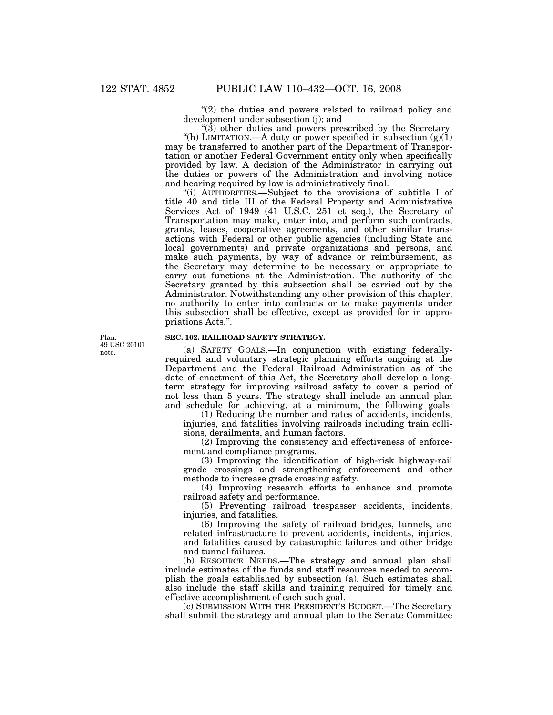"(2) the duties and powers related to railroad policy and development under subsection (j); and

 $\degree$ (3) other duties and powers prescribed by the Secretary. "(h) LIMITATION.—A duty or power specified in subsection  $(g(1))$ may be transferred to another part of the Department of Transportation or another Federal Government entity only when specifically provided by law. A decision of the Administrator in carrying out the duties or powers of the Administration and involving notice and hearing required by law is administratively final.

''(i) AUTHORITIES.—Subject to the provisions of subtitle I of title 40 and title III of the Federal Property and Administrative Services Act of 1949 (41 U.S.C. 251 et seq.), the Secretary of Transportation may make, enter into, and perform such contracts, grants, leases, cooperative agreements, and other similar transactions with Federal or other public agencies (including State and local governments) and private organizations and persons, and make such payments, by way of advance or reimbursement, as the Secretary may determine to be necessary or appropriate to carry out functions at the Administration. The authority of the Secretary granted by this subsection shall be carried out by the Administrator. Notwithstanding any other provision of this chapter, no authority to enter into contracts or to make payments under this subsection shall be effective, except as provided for in appropriations Acts.''.

Plan. 49 USC 20101 note.

## **SEC. 102. RAILROAD SAFETY STRATEGY.**

(a) SAFETY GOALS.—In conjunction with existing federallyrequired and voluntary strategic planning efforts ongoing at the Department and the Federal Railroad Administration as of the date of enactment of this Act, the Secretary shall develop a longterm strategy for improving railroad safety to cover a period of not less than 5 years. The strategy shall include an annual plan and schedule for achieving, at a minimum, the following goals:

(1) Reducing the number and rates of accidents, incidents, injuries, and fatalities involving railroads including train collisions, derailments, and human factors.

(2) Improving the consistency and effectiveness of enforcement and compliance programs.

(3) Improving the identification of high-risk highway-rail grade crossings and strengthening enforcement and other methods to increase grade crossing safety.

(4) Improving research efforts to enhance and promote railroad safety and performance.

(5) Preventing railroad trespasser accidents, incidents, injuries, and fatalities.

(6) Improving the safety of railroad bridges, tunnels, and related infrastructure to prevent accidents, incidents, injuries, and fatalities caused by catastrophic failures and other bridge and tunnel failures.

(b) RESOURCE NEEDS.—The strategy and annual plan shall include estimates of the funds and staff resources needed to accomplish the goals established by subsection (a). Such estimates shall also include the staff skills and training required for timely and effective accomplishment of each such goal.

(c) SUBMISSION WITH THE PRESIDENT'S BUDGET.—The Secretary shall submit the strategy and annual plan to the Senate Committee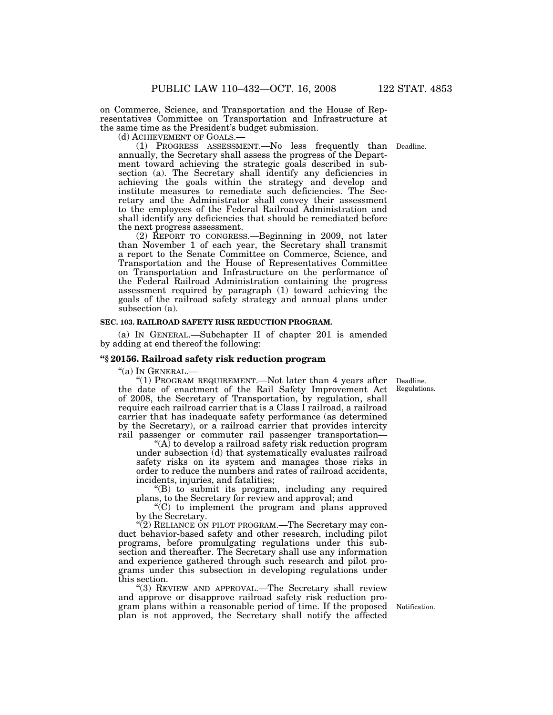on Commerce, Science, and Transportation and the House of Representatives Committee on Transportation and Infrastructure at the same time as the President's budget submission.

(d) ACHIEVEMENT OF GOALS.— (1) PROGRESS ASSESSMENT.—No less frequently than Deadline. annually, the Secretary shall assess the progress of the Department toward achieving the strategic goals described in subsection (a). The Secretary shall identify any deficiencies in achieving the goals within the strategy and develop and institute measures to remediate such deficiencies. The Secretary and the Administrator shall convey their assessment to the employees of the Federal Railroad Administration and shall identify any deficiencies that should be remediated before the next progress assessment.

(2) REPORT TO CONGRESS.—Beginning in 2009, not later than November 1 of each year, the Secretary shall transmit a report to the Senate Committee on Commerce, Science, and Transportation and the House of Representatives Committee on Transportation and Infrastructure on the performance of the Federal Railroad Administration containing the progress assessment required by paragraph (1) toward achieving the goals of the railroad safety strategy and annual plans under subsection (a).

#### **SEC. 103. RAILROAD SAFETY RISK REDUCTION PROGRAM.**

(a) IN GENERAL.—Subchapter II of chapter 201 is amended by adding at end thereof the following:

#### **''§ 20156. Railroad safety risk reduction program**

''(a) IN GENERAL.—

"(1) PROGRAM REQUIREMENT.—Not later than 4 years after the date of enactment of the Rail Safety Improvement Act of 2008, the Secretary of Transportation, by regulation, shall require each railroad carrier that is a Class I railroad, a railroad carrier that has inadequate safety performance (as determined by the Secretary), or a railroad carrier that provides intercity rail passenger or commuter rail passenger transportation—

" $(A)$  to develop a railroad safety risk reduction program under subsection (d) that systematically evaluates railroad safety risks on its system and manages those risks in order to reduce the numbers and rates of railroad accidents, incidents, injuries, and fatalities;

''(B) to submit its program, including any required plans, to the Secretary for review and approval; and

''(C) to implement the program and plans approved by the Secretary.

"(2) RELIANCE ON PILOT PROGRAM.—The Secretary may conduct behavior-based safety and other research, including pilot programs, before promulgating regulations under this subsection and thereafter. The Secretary shall use any information and experience gathered through such research and pilot programs under this subsection in developing regulations under this section.

''(3) REVIEW AND APPROVAL.—The Secretary shall review and approve or disapprove railroad safety risk reduction program plans within a reasonable period of time. If the proposed plan is not approved, the Secretary shall notify the affected

Notification.

Deadline. Regulations.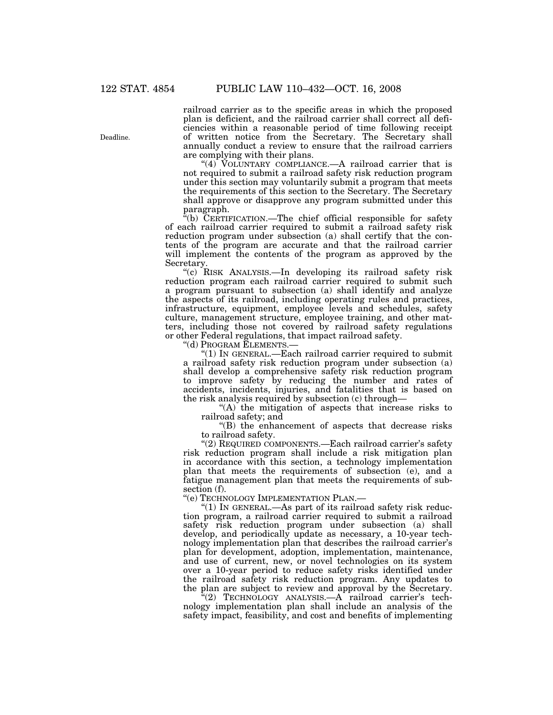railroad carrier as to the specific areas in which the proposed plan is deficient, and the railroad carrier shall correct all deficiencies within a reasonable period of time following receipt of written notice from the Secretary. The Secretary shall annually conduct a review to ensure that the railroad carriers are complying with their plans.

" $(4)$  VOLUNTARY COMPLIANCE.—A railroad carrier that is not required to submit a railroad safety risk reduction program under this section may voluntarily submit a program that meets the requirements of this section to the Secretary. The Secretary shall approve or disapprove any program submitted under this paragraph.

 $i$ <sup>(b)</sup> CERTIFICATION.—The chief official responsible for safety of each railroad carrier required to submit a railroad safety risk reduction program under subsection (a) shall certify that the contents of the program are accurate and that the railroad carrier will implement the contents of the program as approved by the Secretary.

''(c) RISK ANALYSIS.—In developing its railroad safety risk reduction program each railroad carrier required to submit such a program pursuant to subsection (a) shall identify and analyze the aspects of its railroad, including operating rules and practices, infrastructure, equipment, employee levels and schedules, safety culture, management structure, employee training, and other matters, including those not covered by railroad safety regulations or other Federal regulations, that impact railroad safety.

''(d) PROGRAM ELEMENTS.—

''(1) IN GENERAL.—Each railroad carrier required to submit a railroad safety risk reduction program under subsection (a) shall develop a comprehensive safety risk reduction program to improve safety by reducing the number and rates of accidents, incidents, injuries, and fatalities that is based on the risk analysis required by subsection (c) through—

''(A) the mitigation of aspects that increase risks to railroad safety; and

''(B) the enhancement of aspects that decrease risks to railroad safety.

"(2) REQUIRED COMPONENTS.—Each railroad carrier's safety risk reduction program shall include a risk mitigation plan in accordance with this section, a technology implementation plan that meets the requirements of subsection (e), and a fatigue management plan that meets the requirements of subsection (f).

''(e) TECHNOLOGY IMPLEMENTATION PLAN.—

" $(1)$  In GENERAL.—As part of its railroad safety risk reduction program, a railroad carrier required to submit a railroad safety risk reduction program under subsection (a) shall develop, and periodically update as necessary, a 10-year technology implementation plan that describes the railroad carrier's plan for development, adoption, implementation, maintenance, and use of current, new, or novel technologies on its system over a 10-year period to reduce safety risks identified under the railroad safety risk reduction program. Any updates to the plan are subject to review and approval by the Secretary.

''(2) TECHNOLOGY ANALYSIS.—A railroad carrier's technology implementation plan shall include an analysis of the safety impact, feasibility, and cost and benefits of implementing

Deadline.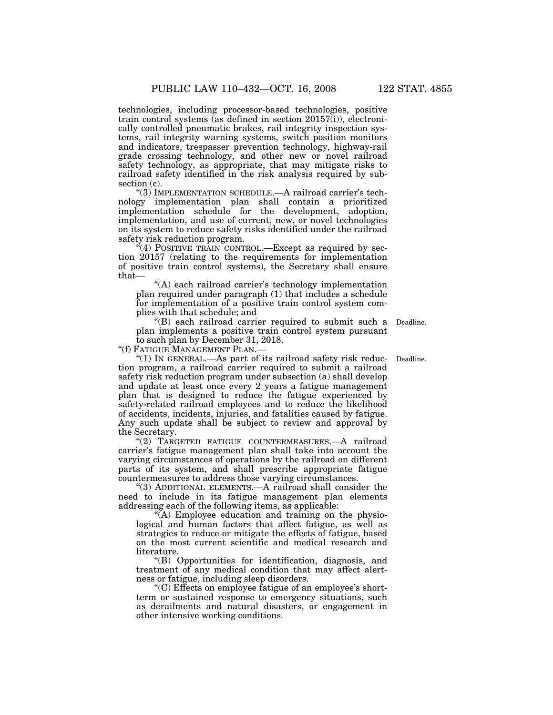technologies, including processor-based technologies, positive train control systems (as defined in section 20157(i)), electronically controlled pneumatic brakes, rail integrity inspection systems, rail integrity warning systems, switch position monitors and indicators, trespasser prevention technology, highway-rail grade crossing technology, and other new or novel railroad safety technology, as appropriate, that may mitigate risks to railroad safety identified in the risk analysis required by subsection (c).

"(3) IMPLEMENTATION SCHEDULE.—A railroad carrier's technology implementation plan shall contain a prioritized implementation schedule for the development, adoption, implementation, and use of current, new, or novel technologies on its system to reduce safety risks identified under the railroad safety risk reduction program.

 $\epsilon$ <sup>2</sup>(4) POSITIVE TRAIN CONTROL.—Except as required by section 20157 (relating to the requirements for implementation of positive train control systems), the Secretary shall ensure that—

"(A) each railroad carrier's technology implementation plan required under paragraph (1) that includes a schedule for implementation of a positive train control system complies with that schedule; and

''(B) each railroad carrier required to submit such a Deadline. plan implements a positive train control system pursuant to such plan by December 31, 2018.

''(f) FATIGUE MANAGEMENT PLAN.—

"(1) In GENERAL.—As part of its railroad safety risk reduction program, a railroad carrier required to submit a railroad safety risk reduction program under subsection (a) shall develop and update at least once every 2 years a fatigue management plan that is designed to reduce the fatigue experienced by safety-related railroad employees and to reduce the likelihood of accidents, incidents, injuries, and fatalities caused by fatigue. Any such update shall be subject to review and approval by the Secretary.

''(2) TARGETED FATIGUE COUNTERMEASURES.—A railroad carrier's fatigue management plan shall take into account the varying circumstances of operations by the railroad on different parts of its system, and shall prescribe appropriate fatigue countermeasures to address those varying circumstances.

"(3) ADDITIONAL ELEMENTS.—A railroad shall consider the need to include in its fatigue management plan elements addressing each of the following items, as applicable:

 $\sqrt{\rm A}$ ) Employee education and training on the physiological and human factors that affect fatigue, as well as strategies to reduce or mitigate the effects of fatigue, based on the most current scientific and medical research and literature.

''(B) Opportunities for identification, diagnosis, and treatment of any medical condition that may affect alertness or fatigue, including sleep disorders.

''(C) Effects on employee fatigue of an employee's shortterm or sustained response to emergency situations, such as derailments and natural disasters, or engagement in other intensive working conditions.

Deadline.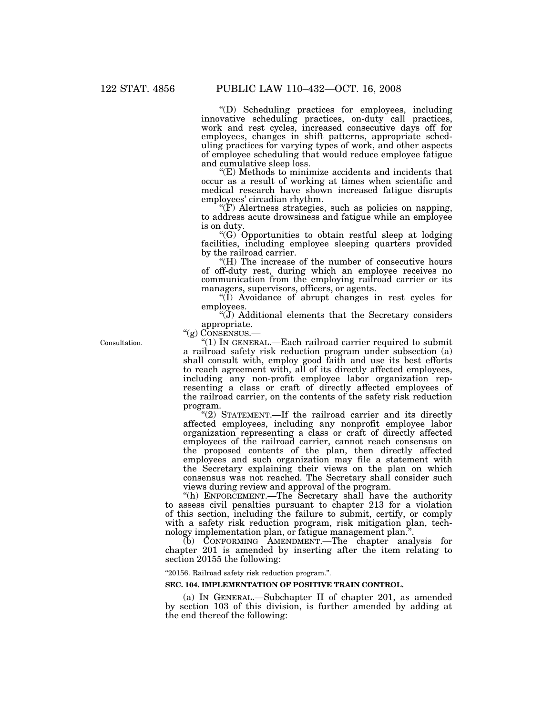''(D) Scheduling practices for employees, including innovative scheduling practices, on-duty call practices, work and rest cycles, increased consecutive days off for employees, changes in shift patterns, appropriate scheduling practices for varying types of work, and other aspects of employee scheduling that would reduce employee fatigue and cumulative sleep loss.

''(E) Methods to minimize accidents and incidents that occur as a result of working at times when scientific and medical research have shown increased fatigue disrupts employees' circadian rhythm.

 $\mathcal{F}(F)$  Alertness strategies, such as policies on napping, to address acute drowsiness and fatigue while an employee is on duty.

 $(G)$  Opportunities to obtain restful sleep at lodging facilities, including employee sleeping quarters provided by the railroad carrier.

''(H) The increase of the number of consecutive hours of off-duty rest, during which an employee receives no communication from the employing railroad carrier or its managers, supervisors, officers, or agents.

''(I) Avoidance of abrupt changes in rest cycles for employees.

''(J) Additional elements that the Secretary considers appropriate.

"(g) CONSENSUS.-

Consultation.

''(1) IN GENERAL.—Each railroad carrier required to submit a railroad safety risk reduction program under subsection (a) shall consult with, employ good faith and use its best efforts to reach agreement with, all of its directly affected employees, including any non-profit employee labor organization representing a class or craft of directly affected employees of the railroad carrier, on the contents of the safety risk reduction program.

"(2) STATEMENT.—If the railroad carrier and its directly affected employees, including any nonprofit employee labor organization representing a class or craft of directly affected employees of the railroad carrier, cannot reach consensus on the proposed contents of the plan, then directly affected employees and such organization may file a statement with the Secretary explaining their views on the plan on which consensus was not reached. The Secretary shall consider such views during review and approval of the program.

''(h) ENFORCEMENT.—The Secretary shall have the authority to assess civil penalties pursuant to chapter 213 for a violation of this section, including the failure to submit, certify, or comply with a safety risk reduction program, risk mitigation plan, technology implementation plan, or fatigue management plan.''.

(b) CONFORMING AMENDMENT.—The chapter analysis for chapter 201 is amended by inserting after the item relating to section 20155 the following:

''20156. Railroad safety risk reduction program.''.

#### **SEC. 104. IMPLEMENTATION OF POSITIVE TRAIN CONTROL.**

(a) IN GENERAL.—Subchapter II of chapter 201, as amended by section 103 of this division, is further amended by adding at the end thereof the following: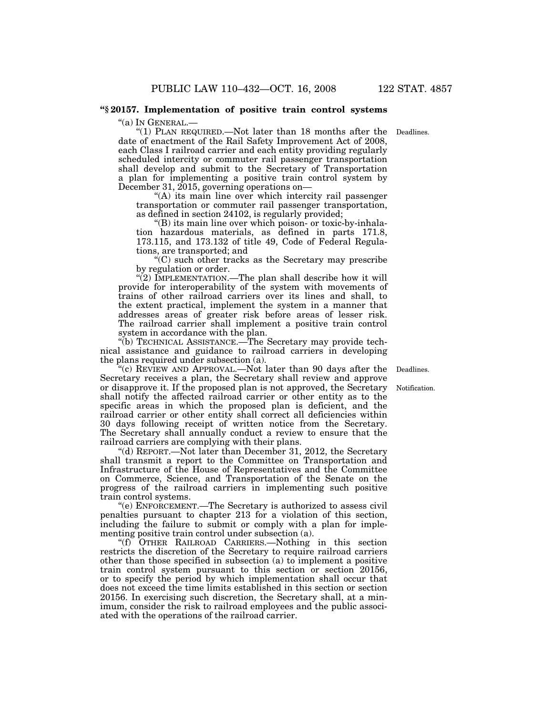#### **''§ 20157. Implementation of positive train control systems**

"(a) In GENERAL.-

"(1) PLAN REQUIRED.—Not later than 18 months after the Deadlines. date of enactment of the Rail Safety Improvement Act of 2008, each Class I railroad carrier and each entity providing regularly scheduled intercity or commuter rail passenger transportation shall develop and submit to the Secretary of Transportation a plan for implementing a positive train control system by December 31, 2015, governing operations on—

"(A) its main line over which intercity rail passenger transportation or commuter rail passenger transportation, as defined in section 24102, is regularly provided;

''(B) its main line over which poison- or toxic-by-inhalation hazardous materials, as defined in parts 171.8, 173.115, and 173.132 of title 49, Code of Federal Regulations, are transported; and

''(C) such other tracks as the Secretary may prescribe by regulation or order.

" $(2)$  IMPLEMENTATION.—The plan shall describe how it will provide for interoperability of the system with movements of trains of other railroad carriers over its lines and shall, to the extent practical, implement the system in a manner that addresses areas of greater risk before areas of lesser risk. The railroad carrier shall implement a positive train control system in accordance with the plan.

''(b) TECHNICAL ASSISTANCE.—The Secretary may provide technical assistance and guidance to railroad carriers in developing the plans required under subsection (a).

''(c) REVIEW AND APPROVAL.—Not later than 90 days after the Secretary receives a plan, the Secretary shall review and approve or disapprove it. If the proposed plan is not approved, the Secretary shall notify the affected railroad carrier or other entity as to the specific areas in which the proposed plan is deficient, and the railroad carrier or other entity shall correct all deficiencies within 30 days following receipt of written notice from the Secretary. The Secretary shall annually conduct a review to ensure that the railroad carriers are complying with their plans.

''(d) REPORT.—Not later than December 31, 2012, the Secretary shall transmit a report to the Committee on Transportation and Infrastructure of the House of Representatives and the Committee on Commerce, Science, and Transportation of the Senate on the progress of the railroad carriers in implementing such positive train control systems.

''(e) ENFORCEMENT.—The Secretary is authorized to assess civil penalties pursuant to chapter 213 for a violation of this section, including the failure to submit or comply with a plan for implementing positive train control under subsection (a).

''(f) OTHER RAILROAD CARRIERS.—Nothing in this section restricts the discretion of the Secretary to require railroad carriers other than those specified in subsection (a) to implement a positive train control system pursuant to this section or section 20156, or to specify the period by which implementation shall occur that does not exceed the time limits established in this section or section 20156. In exercising such discretion, the Secretary shall, at a minimum, consider the risk to railroad employees and the public associated with the operations of the railroad carrier.

Deadlines.

Notification.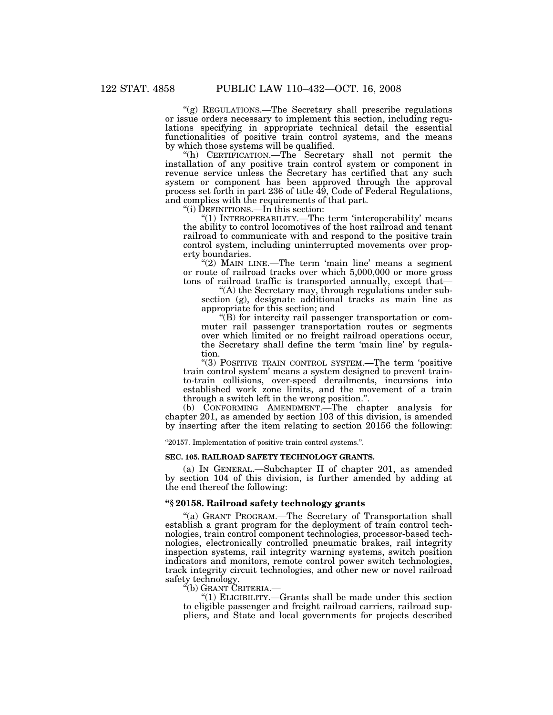''(g) REGULATIONS.—The Secretary shall prescribe regulations or issue orders necessary to implement this section, including regulations specifying in appropriate technical detail the essential functionalities of positive train control systems, and the means by which those systems will be qualified.

''(h) CERTIFICATION.—The Secretary shall not permit the installation of any positive train control system or component in revenue service unless the Secretary has certified that any such system or component has been approved through the approval process set forth in part 236 of title 49, Code of Federal Regulations, and complies with the requirements of that part.

''(i) DEFINITIONS.—In this section:

"(1) INTEROPERABILITY.—The term 'interoperability' means the ability to control locomotives of the host railroad and tenant railroad to communicate with and respond to the positive train control system, including uninterrupted movements over property boundaries.

" $(2)$  MAIN LINE.—The term 'main line' means a segment or route of railroad tracks over which 5,000,000 or more gross tons of railroad traffic is transported annually, except that—

''(A) the Secretary may, through regulations under subsection (g), designate additional tracks as main line as appropriate for this section; and

''(B) for intercity rail passenger transportation or commuter rail passenger transportation routes or segments over which limited or no freight railroad operations occur, the Secretary shall define the term 'main line' by regulation.

"(3) POSITIVE TRAIN CONTROL SYSTEM.—The term 'positive train control system' means a system designed to prevent trainto-train collisions, over-speed derailments, incursions into established work zone limits, and the movement of a train through a switch left in the wrong position.''.

(b) CONFORMING AMENDMENT.—The chapter analysis for chapter 201, as amended by section 103 of this division, is amended by inserting after the item relating to section 20156 the following:

''20157. Implementation of positive train control systems.''.

#### **SEC. 105. RAILROAD SAFETY TECHNOLOGY GRANTS.**

(a) IN GENERAL.—Subchapter II of chapter 201, as amended by section 104 of this division, is further amended by adding at the end thereof the following:

#### **''§ 20158. Railroad safety technology grants**

''(a) GRANT PROGRAM.—The Secretary of Transportation shall establish a grant program for the deployment of train control technologies, train control component technologies, processor-based technologies, electronically controlled pneumatic brakes, rail integrity inspection systems, rail integrity warning systems, switch position indicators and monitors, remote control power switch technologies, track integrity circuit technologies, and other new or novel railroad safety technology.

''(b) GRANT CRITERIA.—

''(1) ELIGIBILITY.—Grants shall be made under this section to eligible passenger and freight railroad carriers, railroad suppliers, and State and local governments for projects described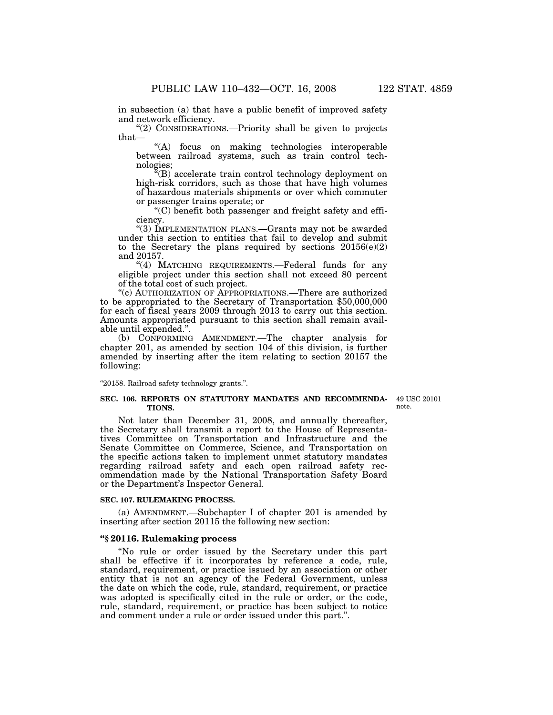in subsection (a) that have a public benefit of improved safety and network efficiency.

''(2) CONSIDERATIONS.—Priority shall be given to projects that—

''(A) focus on making technologies interoperable between railroad systems, such as train control technologies;

''(B) accelerate train control technology deployment on high-risk corridors, such as those that have high volumes of hazardous materials shipments or over which commuter or passenger trains operate; or

''(C) benefit both passenger and freight safety and efficiency.

''(3) IMPLEMENTATION PLANS.—Grants may not be awarded under this section to entities that fail to develop and submit to the Secretary the plans required by sections  $20156(e)(2)$ and 20157.

"(4) MATCHING REQUIREMENTS.—Federal funds for any eligible project under this section shall not exceed 80 percent of the total cost of such project.

''(c) AUTHORIZATION OF APPROPRIATIONS.—There are authorized to be appropriated to the Secretary of Transportation \$50,000,000 for each of fiscal years 2009 through 2013 to carry out this section. Amounts appropriated pursuant to this section shall remain available until expended.''.

(b) CONFORMING AMENDMENT.—The chapter analysis for chapter 201, as amended by section 104 of this division, is further amended by inserting after the item relating to section 20157 the following:

''20158. Railroad safety technology grants.''.

#### **SEC. 106. REPORTS ON STATUTORY MANDATES AND RECOMMENDA-**49 USC 20101 **TIONS.**

note.

Not later than December 31, 2008, and annually thereafter, the Secretary shall transmit a report to the House of Representatives Committee on Transportation and Infrastructure and the Senate Committee on Commerce, Science, and Transportation on the specific actions taken to implement unmet statutory mandates regarding railroad safety and each open railroad safety recommendation made by the National Transportation Safety Board or the Department's Inspector General.

#### **SEC. 107. RULEMAKING PROCESS.**

(a) AMENDMENT.—Subchapter I of chapter 201 is amended by inserting after section 20115 the following new section:

#### **''§ 20116. Rulemaking process**

''No rule or order issued by the Secretary under this part shall be effective if it incorporates by reference a code, rule, standard, requirement, or practice issued by an association or other entity that is not an agency of the Federal Government, unless the date on which the code, rule, standard, requirement, or practice was adopted is specifically cited in the rule or order, or the code, rule, standard, requirement, or practice has been subject to notice and comment under a rule or order issued under this part.''.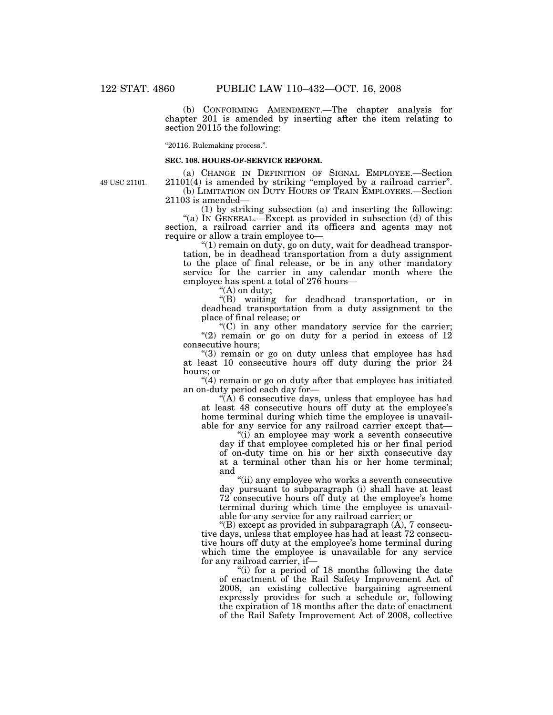(b) CONFORMING AMENDMENT.—The chapter analysis for chapter 201 is amended by inserting after the item relating to section 20115 the following:

''20116. Rulemaking process.''.

#### **SEC. 108. HOURS-OF-SERVICE REFORM.**

49 USC 21101.

(a) CHANGE IN DEFINITION OF SIGNAL EMPLOYEE.—Section 21101(4) is amended by striking ''employed by a railroad carrier''. (b) LIMITATION ON DUTY HOURS OF TRAIN EMPLOYEES.—Section 21103 is amended—

(1) by striking subsection (a) and inserting the following: "(a) IN GENERAL.—Except as provided in subsection (d) of this section, a railroad carrier and its officers and agents may not require or allow a train employee to—

''(1) remain on duty, go on duty, wait for deadhead transportation, be in deadhead transportation from a duty assignment to the place of final release, or be in any other mandatory service for the carrier in any calendar month where the employee has spent a total of 276 hours—

''(A) on duty;

''(B) waiting for deadhead transportation, or in deadhead transportation from a duty assignment to the place of final release; or

 $(C)$  in any other mandatory service for the carrier; " $(2)$  remain or go on duty for a period in excess of 12 consecutive hours;

"(3) remain or go on duty unless that employee has had at least 10 consecutive hours off duty during the prior 24 hours; or

"(4) remain or go on duty after that employee has initiated an on-duty period each day for—

 $\sqrt{\hat{A}}$  6 consecutive days, unless that employee has had at least 48 consecutive hours off duty at the employee's home terminal during which time the employee is unavailable for any service for any railroad carrier except that—

''(i) an employee may work a seventh consecutive day if that employee completed his or her final period of on-duty time on his or her sixth consecutive day at a terminal other than his or her home terminal; and

''(ii) any employee who works a seventh consecutive day pursuant to subparagraph (i) shall have at least 72 consecutive hours off duty at the employee's home terminal during which time the employee is unavailable for any service for any railroad carrier; or

''(B) except as provided in subparagraph (A), 7 consecutive days, unless that employee has had at least 72 consecutive hours off duty at the employee's home terminal during which time the employee is unavailable for any service for any railroad carrier, if—

"(i) for a period of 18 months following the date of enactment of the Rail Safety Improvement Act of 2008, an existing collective bargaining agreement expressly provides for such a schedule or, following the expiration of 18 months after the date of enactment of the Rail Safety Improvement Act of 2008, collective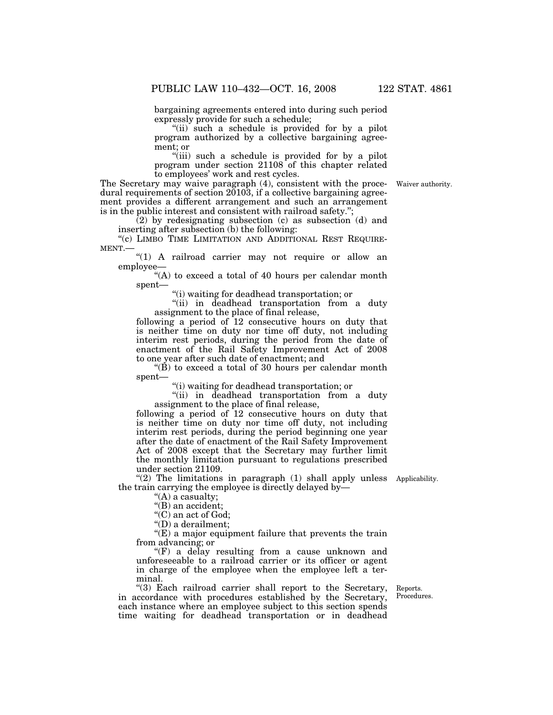bargaining agreements entered into during such period expressly provide for such a schedule;

"(ii) such a schedule is provided for by a pilot program authorized by a collective bargaining agreement; or

"(iii) such a schedule is provided for by a pilot program under section 21108 of this chapter related to employees' work and rest cycles.

The Secretary may waive paragraph (4), consistent with the procedural requirements of section 20103, if a collective bargaining agreement provides a different arrangement and such an arrangement is in the public interest and consistent with railroad safety.'';

 $(2)$  by redesignating subsection  $(c)$  as subsection  $(d)$  and inserting after subsection (b) the following:

"(c) LIMBO TIME LIMITATION AND ADDITIONAL REST REQUIRE-MENT.—

"(1) A railroad carrier may not require or allow an employee—

''(A) to exceed a total of 40 hours per calendar month spent—

''(i) waiting for deadhead transportation; or

''(ii) in deadhead transportation from a duty assignment to the place of final release,

following a period of 12 consecutive hours on duty that is neither time on duty nor time off duty, not including interim rest periods, during the period from the date of enactment of the Rail Safety Improvement Act of 2008 to one year after such date of enactment; and

"(B) to exceed a total of 30 hours per calendar month spent—

''(i) waiting for deadhead transportation; or

''(ii) in deadhead transportation from a duty assignment to the place of final release,

following a period of 12 consecutive hours on duty that is neither time on duty nor time off duty, not including interim rest periods, during the period beginning one year after the date of enactment of the Rail Safety Improvement Act of 2008 except that the Secretary may further limit the monthly limitation pursuant to regulations prescribed under section 21109.

"(2) The limitations in paragraph (1) shall apply unless Applicability. the train carrying the employee is directly delayed by—

"(A) a casualty;

"(B) an accident;

''(C) an act of God;

''(D) a derailment;

''(E) a major equipment failure that prevents the train from advancing; or

''(F) a delay resulting from a cause unknown and unforeseeable to a railroad carrier or its officer or agent in charge of the employee when the employee left a terminal.

''(3) Each railroad carrier shall report to the Secretary, in accordance with procedures established by the Secretary, each instance where an employee subject to this section spends time waiting for deadhead transportation or in deadhead

Reports. Procedures.

Waiver authority.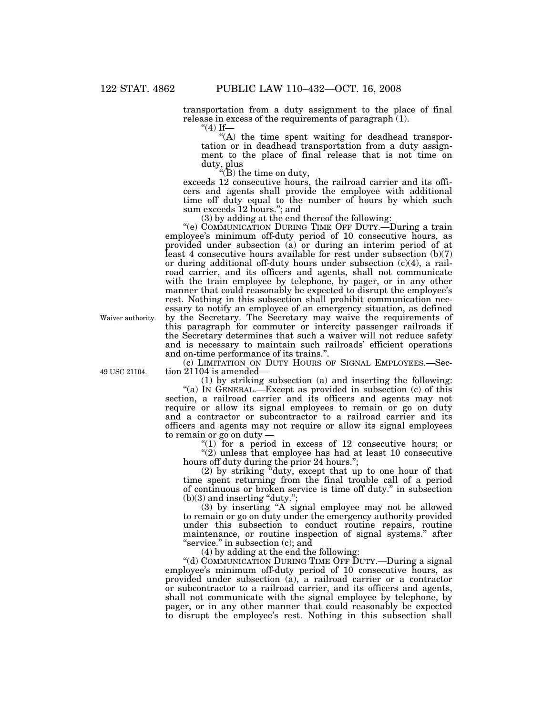transportation from a duty assignment to the place of final release in excess of the requirements of paragraph  $(1)$ .

 $"(4)$  If—

''(A) the time spent waiting for deadhead transportation or in deadhead transportation from a duty assignment to the place of final release that is not time on duty, plus

''(B) the time on duty,

exceeds 12 consecutive hours, the railroad carrier and its officers and agents shall provide the employee with additional time off duty equal to the number of hours by which such sum exceeds 12 hours.''; and

(3) by adding at the end thereof the following:

"(e) COMMUNICATION DURING TIME OFF DUTY.—During a train employee's minimum off-duty period of 10 consecutive hours, as provided under subsection (a) or during an interim period of at least 4 consecutive hours available for rest under subsection (b)(7) or during additional off-duty hours under subsection (c)(4), a railroad carrier, and its officers and agents, shall not communicate with the train employee by telephone, by pager, or in any other manner that could reasonably be expected to disrupt the employee's rest. Nothing in this subsection shall prohibit communication necessary to notify an employee of an emergency situation, as defined by the Secretary. The Secretary may waive the requirements of this paragraph for commuter or intercity passenger railroads if the Secretary determines that such a waiver will not reduce safety and is necessary to maintain such railroads' efficient operations and on-time performance of its trains.''.

(c) LIMITATION ON DUTY HOURS OF SIGNAL EMPLOYEES.—Section 21104 is amended—

(1) by striking subsection (a) and inserting the following:

"(a) IN GENERAL.—Except as provided in subsection (c) of this section, a railroad carrier and its officers and agents may not require or allow its signal employees to remain or go on duty and a contractor or subcontractor to a railroad carrier and its officers and agents may not require or allow its signal employees to remain or go on duty —

" $(1)$  for a period in excess of 12 consecutive hours; or

''(2) unless that employee has had at least 10 consecutive hours off duty during the prior 24 hours.'';

(2) by striking ''duty, except that up to one hour of that time spent returning from the final trouble call of a period of continuous or broken service is time off duty.'' in subsection  $(b)(3)$  and inserting "duty.";

(3) by inserting ''A signal employee may not be allowed to remain or go on duty under the emergency authority provided under this subsection to conduct routine repairs, routine maintenance, or routine inspection of signal systems.'' after "service." in subsection (c); and

(4) by adding at the end the following:

"(d) COMMUNICATION DURING TIME OFF DUTY.—During a signal employee's minimum off-duty period of 10 consecutive hours, as provided under subsection (a), a railroad carrier or a contractor or subcontractor to a railroad carrier, and its officers and agents, shall not communicate with the signal employee by telephone, by pager, or in any other manner that could reasonably be expected to disrupt the employee's rest. Nothing in this subsection shall

Waiver authority.

49 USC 21104.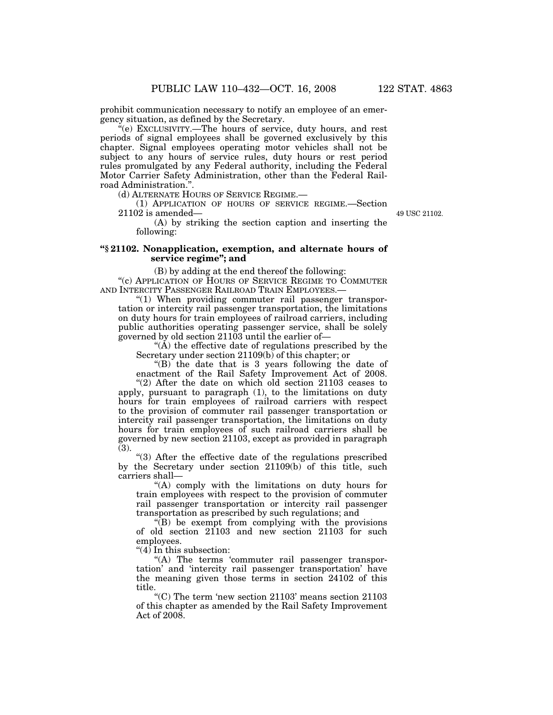prohibit communication necessary to notify an employee of an emergency situation, as defined by the Secretary.

''(e) EXCLUSIVITY.—The hours of service, duty hours, and rest periods of signal employees shall be governed exclusively by this chapter. Signal employees operating motor vehicles shall not be subject to any hours of service rules, duty hours or rest period rules promulgated by any Federal authority, including the Federal Motor Carrier Safety Administration, other than the Federal Railroad Administration.''.

(d) ALTERNATE HOURS OF SERVICE REGIME.—

(1) APPLICATION OF HOURS OF SERVICE REGIME.—Section 21102 is amended—

49 USC 21102.

(A) by striking the section caption and inserting the following:

## **''§ 21102. Nonapplication, exemption, and alternate hours of service regime''; and**

(B) by adding at the end thereof the following:

''(c) APPLICATION OF HOURS OF SERVICE REGIME TO COMMUTER AND INTERCITY PASSENGER RAILROAD TRAIN EMPLOYEES.—

"(1) When providing commuter rail passenger transportation or intercity rail passenger transportation, the limitations on duty hours for train employees of railroad carriers, including public authorities operating passenger service, shall be solely governed by old section 21103 until the earlier of—

 $(A)$  the effective date of regulations prescribed by the Secretary under section 21109(b) of this chapter; or

''(B) the date that is 3 years following the date of enactment of the Rail Safety Improvement Act of 2008.

"(2) After the date on which old section 21103 ceases to apply, pursuant to paragraph (1), to the limitations on duty hours for train employees of railroad carriers with respect to the provision of commuter rail passenger transportation or intercity rail passenger transportation, the limitations on duty hours for train employees of such railroad carriers shall be governed by new section 21103, except as provided in paragraph (3).

''(3) After the effective date of the regulations prescribed by the Secretary under section 21109(b) of this title, such carriers shall—

''(A) comply with the limitations on duty hours for train employees with respect to the provision of commuter rail passenger transportation or intercity rail passenger transportation as prescribed by such regulations; and

"(B) be exempt from complying with the provisions of old section 21103 and new section 21103 for such employees.

" $(4)$  In this subsection:

"(A) The terms 'commuter rail passenger transportation' and 'intercity rail passenger transportation' have the meaning given those terms in section 24102 of this title.

 $C$ ) The term 'new section 21103' means section 21103 of this chapter as amended by the Rail Safety Improvement Act of 2008.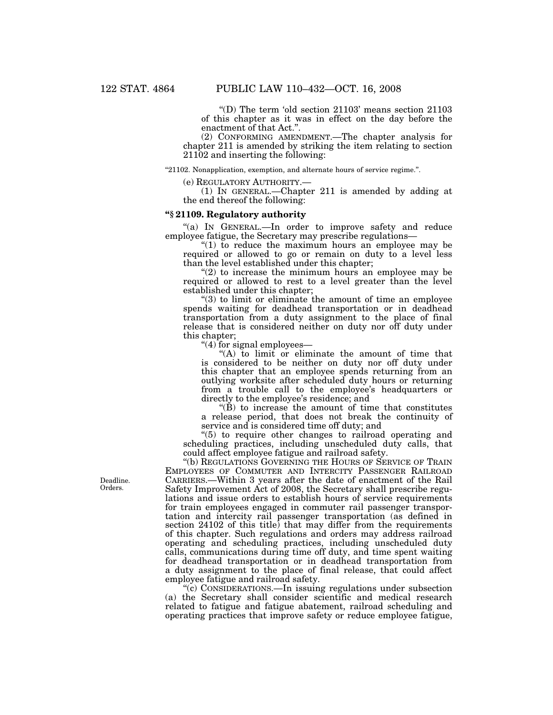"(D) The term 'old section  $21103$ ' means section  $21103$ of this chapter as it was in effect on the day before the enactment of that Act.''.

(2) CONFORMING AMENDMENT.—The chapter analysis for chapter 211 is amended by striking the item relating to section 21102 and inserting the following:

''21102. Nonapplication, exemption, and alternate hours of service regime.''.

(e) REGULATORY AUTHORITY.— (1) IN GENERAL.—Chapter 211 is amended by adding at the end thereof the following:

#### **''§ 21109. Regulatory authority**

"(a) IN GENERAL.—In order to improve safety and reduce employee fatigue, the Secretary may prescribe regulations—

" $(1)$  to reduce the maximum hours an employee may be required or allowed to go or remain on duty to a level less than the level established under this chapter;

" $(2)$  to increase the minimum hours an employee may be required or allowed to rest to a level greater than the level established under this chapter;

''(3) to limit or eliminate the amount of time an employee spends waiting for deadhead transportation or in deadhead transportation from a duty assignment to the place of final release that is considered neither on duty nor off duty under this chapter;

''(4) for signal employees—

"(A) to limit or eliminate the amount of time that is considered to be neither on duty nor off duty under this chapter that an employee spends returning from an outlying worksite after scheduled duty hours or returning from a trouble call to the employee's headquarters or directly to the employee's residence; and

 $\mathrm{H}(\check{B})$  to increase the amount of time that constitutes a release period, that does not break the continuity of service and is considered time off duty; and

''(5) to require other changes to railroad operating and scheduling practices, including unscheduled duty calls, that could affect employee fatigue and railroad safety.

''(b) REGULATIONS GOVERNING THE HOURS OF SERVICE OF TRAIN EMPLOYEES OF COMMUTER AND INTERCITY PASSENGER RAILROAD CARRIERS.—Within 3 years after the date of enactment of the Rail Safety Improvement Act of 2008, the Secretary shall prescribe regulations and issue orders to establish hours of service requirements for train employees engaged in commuter rail passenger transportation and intercity rail passenger transportation (as defined in section 24102 of this title) that may differ from the requirements of this chapter. Such regulations and orders may address railroad operating and scheduling practices, including unscheduled duty calls, communications during time off duty, and time spent waiting for deadhead transportation or in deadhead transportation from a duty assignment to the place of final release, that could affect employee fatigue and railroad safety.

''(c) CONSIDERATIONS.—In issuing regulations under subsection (a) the Secretary shall consider scientific and medical research related to fatigue and fatigue abatement, railroad scheduling and operating practices that improve safety or reduce employee fatigue,

Deadline. Orders.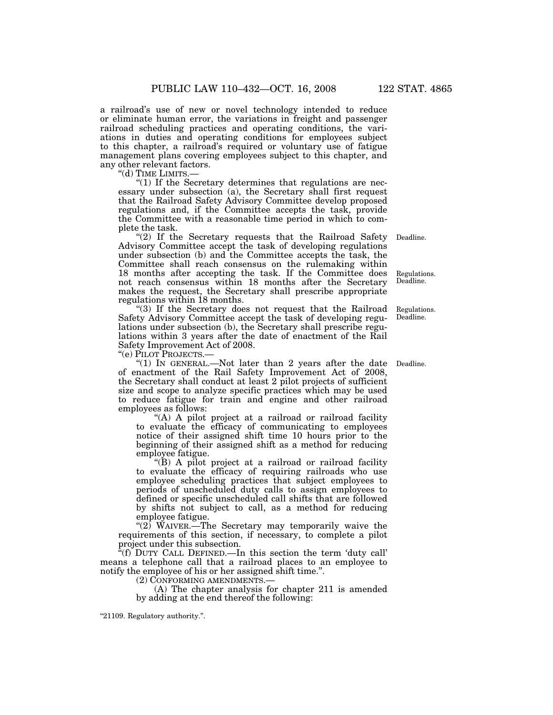a railroad's use of new or novel technology intended to reduce or eliminate human error, the variations in freight and passenger railroad scheduling practices and operating conditions, the variations in duties and operating conditions for employees subject to this chapter, a railroad's required or voluntary use of fatigue management plans covering employees subject to this chapter, and any other relevant factors.

"(d) TIME LIMITS.-

" $(1)$  If the Secretary determines that regulations are necessary under subsection (a), the Secretary shall first request that the Railroad Safety Advisory Committee develop proposed regulations and, if the Committee accepts the task, provide the Committee with a reasonable time period in which to complete the task.

" $(2)$  If the Secretary requests that the Railroad Safety Advisory Committee accept the task of developing regulations under subsection (b) and the Committee accepts the task, the Committee shall reach consensus on the rulemaking within 18 months after accepting the task. If the Committee does not reach consensus within 18 months after the Secretary makes the request, the Secretary shall prescribe appropriate regulations within 18 months. Deadline.

"(3) If the Secretary does not request that the Railroad Safety Advisory Committee accept the task of developing regulations under subsection (b), the Secretary shall prescribe regulations within 3 years after the date of enactment of the Rail Safety Improvement Act of 2008.

''(e) PILOT PROJECTS.—

"(1) In GENERAL.—Not later than 2 years after the date Deadline. of enactment of the Rail Safety Improvement Act of 2008, the Secretary shall conduct at least 2 pilot projects of sufficient size and scope to analyze specific practices which may be used to reduce fatigue for train and engine and other railroad employees as follows:

"(A) A pilot project at a railroad or railroad facility to evaluate the efficacy of communicating to employees notice of their assigned shift time 10 hours prior to the beginning of their assigned shift as a method for reducing employee fatigue.

''(B) A pilot project at a railroad or railroad facility to evaluate the efficacy of requiring railroads who use employee scheduling practices that subject employees to periods of unscheduled duty calls to assign employees to defined or specific unscheduled call shifts that are followed by shifts not subject to call, as a method for reducing employee fatigue.

"(2)  $\text{W}$ AIVER.—The Secretary may temporarily waive the requirements of this section, if necessary, to complete a pilot project under this subsection.

''(f) DUTY CALL DEFINED.—In this section the term 'duty call' means a telephone call that a railroad places to an employee to notify the employee of his or her assigned shift time.''.

 $(A)$  The chapter analysis for chapter 211 is amended by adding at the end thereof the following:

''21109. Regulatory authority.''.

Regulations. Deadline.

Regulations. Deadline.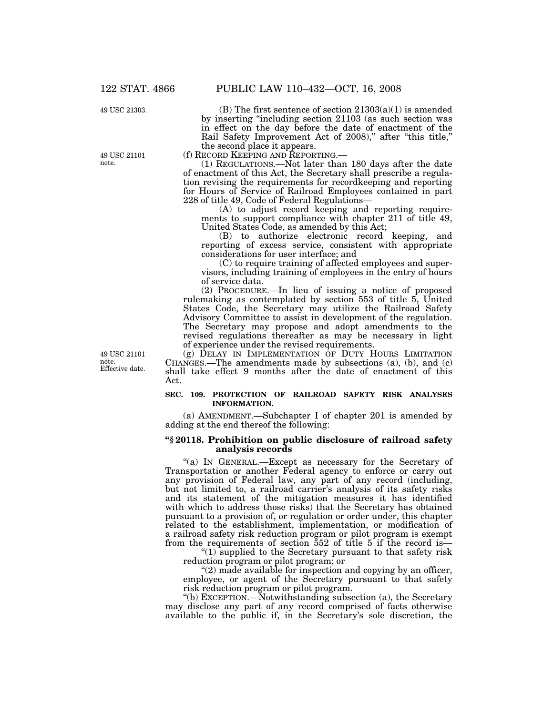49 USC 21303.

49 USC 21101 note.

Effective date. 49 USC 21101 note.

(B) The first sentence of section  $21303(a)(1)$  is amended by inserting ''including section 21103 (as such section was in effect on the day before the date of enactment of the Rail Safety Improvement Act of 2008)," after "this title," the second place it appears.<br>(f) RECORD KEEPING AND REPORTING.

 $(1)$  REGULATIONS.—Not later than 180 days after the date of enactment of this Act, the Secretary shall prescribe a regulation revising the requirements for recordkeeping and reporting for Hours of Service of Railroad Employees contained in part 228 of title 49, Code of Federal Regulations—

(A) to adjust record keeping and reporting requirements to support compliance with chapter 211 of title 49, United States Code, as amended by this Act;

(B) to authorize electronic record keeping, and reporting of excess service, consistent with appropriate considerations for user interface; and

(C) to require training of affected employees and supervisors, including training of employees in the entry of hours of service data.

(2) PROCEDURE.—In lieu of issuing a notice of proposed rulemaking as contemplated by section 553 of title 5, United States Code, the Secretary may utilize the Railroad Safety Advisory Committee to assist in development of the regulation. The Secretary may propose and adopt amendments to the revised regulations thereafter as may be necessary in light of experience under the revised requirements.

(g) DELAY IN IMPLEMENTATION OF DUTY HOURS LIMITATION CHANGES.—The amendments made by subsections (a), (b), and (c) shall take effect 9 months after the date of enactment of this Act.

#### **SEC. 109. PROTECTION OF RAILROAD SAFETY RISK ANALYSES INFORMATION.**

(a) AMENDMENT.—Subchapter I of chapter 201 is amended by adding at the end thereof the following:

#### **''§ 20118. Prohibition on public disclosure of railroad safety analysis records**

''(a) IN GENERAL.—Except as necessary for the Secretary of Transportation or another Federal agency to enforce or carry out any provision of Federal law, any part of any record (including, but not limited to, a railroad carrier's analysis of its safety risks and its statement of the mitigation measures it has identified with which to address those risks) that the Secretary has obtained pursuant to a provision of, or regulation or order under, this chapter related to the establishment, implementation, or modification of a railroad safety risk reduction program or pilot program is exempt from the requirements of section 552 of title 5 if the record is—

" $(1)$  supplied to the Secretary pursuant to that safety risk reduction program or pilot program; or

"(2) made available for inspection and copying by an officer, employee, or agent of the Secretary pursuant to that safety risk reduction program or pilot program.

''(b) EXCEPTION.—Notwithstanding subsection (a), the Secretary may disclose any part of any record comprised of facts otherwise available to the public if, in the Secretary's sole discretion, the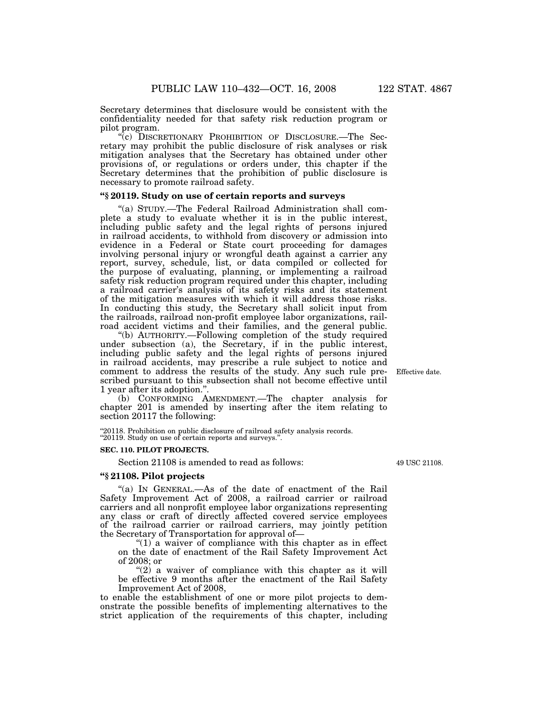Secretary determines that disclosure would be consistent with the confidentiality needed for that safety risk reduction program or pilot program.

(c) DISCRETIONARY PROHIBITION OF DISCLOSURE.—The Secretary may prohibit the public disclosure of risk analyses or risk mitigation analyses that the Secretary has obtained under other provisions of, or regulations or orders under, this chapter if the Secretary determines that the prohibition of public disclosure is necessary to promote railroad safety.

## **''§ 20119. Study on use of certain reports and surveys**

''(a) STUDY.—The Federal Railroad Administration shall complete a study to evaluate whether it is in the public interest, including public safety and the legal rights of persons injured in railroad accidents, to withhold from discovery or admission into evidence in a Federal or State court proceeding for damages involving personal injury or wrongful death against a carrier any report, survey, schedule, list, or data compiled or collected for the purpose of evaluating, planning, or implementing a railroad safety risk reduction program required under this chapter, including a railroad carrier's analysis of its safety risks and its statement of the mitigation measures with which it will address those risks. In conducting this study, the Secretary shall solicit input from the railroads, railroad non-profit employee labor organizations, railroad accident victims and their families, and the general public.

''(b) AUTHORITY.—Following completion of the study required under subsection (a), the Secretary, if in the public interest, including public safety and the legal rights of persons injured in railroad accidents, may prescribe a rule subject to notice and comment to address the results of the study. Any such rule prescribed pursuant to this subsection shall not become effective until 1 year after its adoption.''.

(b) CONFORMING AMENDMENT.—The chapter analysis for chapter 201 is amended by inserting after the item relating to section 20117 the following:

"20118. Prohibition on public disclosure of railroad safety analysis records. ''20119. Study on use of certain reports and surveys.''.

#### **SEC. 110. PILOT PROJECTS.**

Section 21108 is amended to read as follows:

## **''§ 21108. Pilot projects**

"(a) In GENERAL.—As of the date of enactment of the Rail Safety Improvement Act of 2008, a railroad carrier or railroad carriers and all nonprofit employee labor organizations representing any class or craft of directly affected covered service employees of the railroad carrier or railroad carriers, may jointly petition the Secretary of Transportation for approval of—

" $(1)$  a waiver of compliance with this chapter as in effect on the date of enactment of the Rail Safety Improvement Act of 2008; or

" $(2)$  a waiver of compliance with this chapter as it will be effective 9 months after the enactment of the Rail Safety Improvement Act of 2008,

to enable the establishment of one or more pilot projects to demonstrate the possible benefits of implementing alternatives to the strict application of the requirements of this chapter, including

49 USC 21108.

Effective date.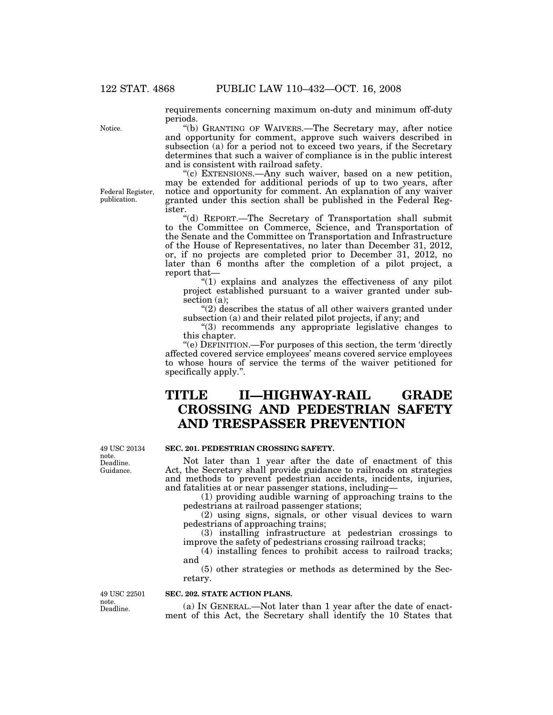requirements concerning maximum on-duty and minimum off-duty periods.

''(b) GRANTING OF WAIVERS.—The Secretary may, after notice and opportunity for comment, approve such waivers described in subsection (a) for a period not to exceed two years, if the Secretary determines that such a waiver of compliance is in the public interest and is consistent with railroad safety.

''(c) EXTENSIONS.—Any such waiver, based on a new petition, may be extended for additional periods of up to two years, after notice and opportunity for comment. An explanation of any waiver granted under this section shall be published in the Federal Register.

''(d) REPORT.—The Secretary of Transportation shall submit to the Committee on Commerce, Science, and Transportation of the Senate and the Committee on Transportation and Infrastructure of the House of Representatives, no later than December 31, 2012, or, if no projects are completed prior to December 31, 2012, no later than 6 months after the completion of a pilot project, a report that—

''(1) explains and analyzes the effectiveness of any pilot project established pursuant to a waiver granted under subsection (a);

"(2) describes the status of all other waivers granted under subsection (a) and their related pilot projects, if any; and

''(3) recommends any appropriate legislative changes to this chapter.

''(e) DEFINITION.—For purposes of this section, the term 'directly affected covered service employees' means covered service employees to whose hours of service the terms of the waiver petitioned for specifically apply.''.

## **TITLE II—HIGHWAY-RAIL GRADE CROSSING AND PEDESTRIAN SAFETY AND TRESPASSER PREVENTION**

Deadline. Guidance. 49 USC 20134 note.

## **SEC. 201. PEDESTRIAN CROSSING SAFETY.**

Not later than 1 year after the date of enactment of this Act, the Secretary shall provide guidance to railroads on strategies and methods to prevent pedestrian accidents, incidents, injuries, and fatalities at or near passenger stations, including—

(1) providing audible warning of approaching trains to the pedestrians at railroad passenger stations;

(2) using signs, signals, or other visual devices to warn pedestrians of approaching trains;

(3) installing infrastructure at pedestrian crossings to improve the safety of pedestrians crossing railroad tracks;

(4) installing fences to prohibit access to railroad tracks; and

(5) other strategies or methods as determined by the Secretary.

Deadline. 49 USC 22501 note.

## **SEC. 202. STATE ACTION PLANS.**

(a) IN GENERAL.—Not later than 1 year after the date of enactment of this Act, the Secretary shall identify the 10 States that

Notice.

Federal Register, publication.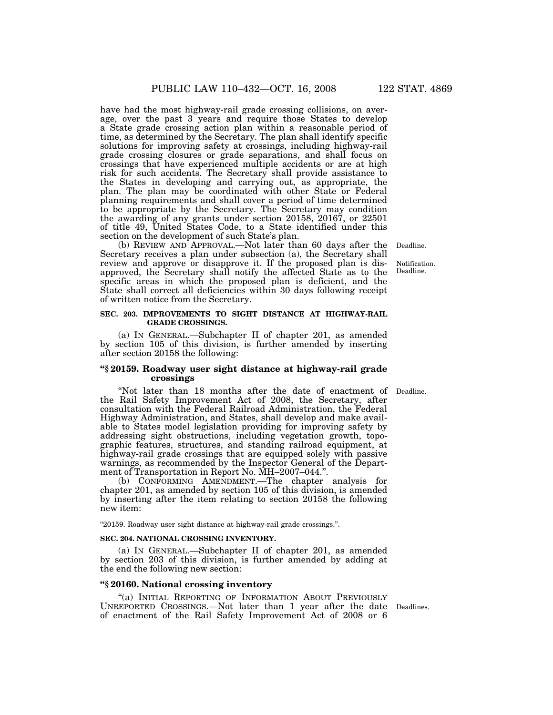have had the most highway-rail grade crossing collisions, on average, over the past 3 years and require those States to develop a State grade crossing action plan within a reasonable period of time, as determined by the Secretary. The plan shall identify specific solutions for improving safety at crossings, including highway-rail grade crossing closures or grade separations, and shall focus on crossings that have experienced multiple accidents or are at high risk for such accidents. The Secretary shall provide assistance to the States in developing and carrying out, as appropriate, the plan. The plan may be coordinated with other State or Federal planning requirements and shall cover a period of time determined to be appropriate by the Secretary. The Secretary may condition the awarding of any grants under section 20158, 20167, or 22501 of title 49, United States Code, to a State identified under this section on the development of such State's plan.

(b) REVIEW AND APPROVAL.—Not later than 60 days after the Secretary receives a plan under subsection (a), the Secretary shall review and approve or disapprove it. If the proposed plan is disapproved, the Secretary shall notify the affected State as to the specific areas in which the proposed plan is deficient, and the State shall correct all deficiencies within 30 days following receipt of written notice from the Secretary. Deadline.

#### **SEC. 203. IMPROVEMENTS TO SIGHT DISTANCE AT HIGHWAY-RAIL GRADE CROSSINGS.**

(a) IN GENERAL.—Subchapter II of chapter 201, as amended by section 105 of this division, is further amended by inserting after section 20158 the following:

#### **''§ 20159. Roadway user sight distance at highway-rail grade crossings**

Deadline.

''Not later than 18 months after the date of enactment of the Rail Safety Improvement Act of 2008, the Secretary, after consultation with the Federal Railroad Administration, the Federal Highway Administration, and States, shall develop and make available to States model legislation providing for improving safety by addressing sight obstructions, including vegetation growth, topographic features, structures, and standing railroad equipment, at highway-rail grade crossings that are equipped solely with passive warnings, as recommended by the Inspector General of the Department of Transportation in Report No. MH-2007-044.".

(b) CONFORMING AMENDMENT.—The chapter analysis for chapter 201, as amended by section 105 of this division, is amended by inserting after the item relating to section 20158 the following new item:

''20159. Roadway user sight distance at highway-rail grade crossings.''.

#### **SEC. 204. NATIONAL CROSSING INVENTORY.**

(a) IN GENERAL.—Subchapter II of chapter 201, as amended by section 203 of this division, is further amended by adding at the end the following new section:

## **''§ 20160. National crossing inventory**

"(a) INITIAL REPORTING OF INFORMATION ABOUT PREVIOUSLY UNREPORTED CROSSINGS.—Not later than 1 year after the date Deadlines. of enactment of the Rail Safety Improvement Act of 2008 or 6

**Notification** Deadline.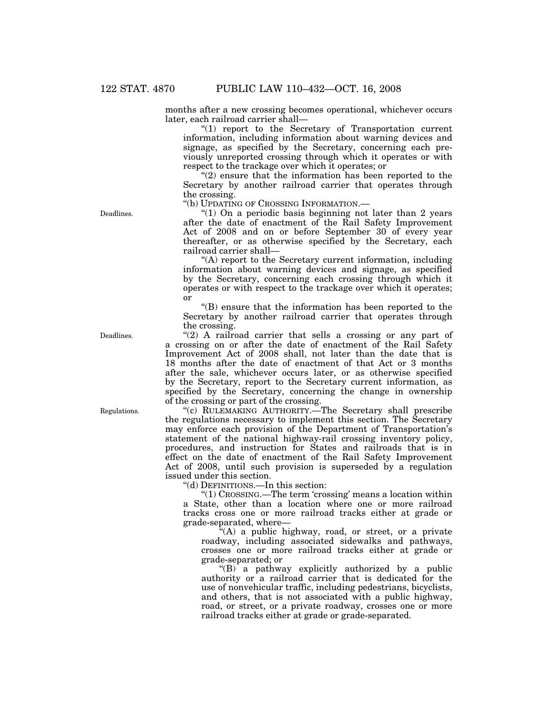months after a new crossing becomes operational, whichever occurs later, each railroad carrier shall—

 $''(1)$  report to the Secretary of Transportation current information, including information about warning devices and signage, as specified by the Secretary, concerning each previously unreported crossing through which it operates or with respect to the trackage over which it operates; or

" $(2)$  ensure that the information has been reported to the Secretary by another railroad carrier that operates through the crossing.

''(b) UPDATING OF CROSSING INFORMATION.—

" $(1)$  On a periodic basis beginning not later than 2 years after the date of enactment of the Rail Safety Improvement Act of 2008 and on or before September 30 of every year thereafter, or as otherwise specified by the Secretary, each railroad carrier shall—

''(A) report to the Secretary current information, including information about warning devices and signage, as specified by the Secretary, concerning each crossing through which it operates or with respect to the trackage over which it operates; or

''(B) ensure that the information has been reported to the Secretary by another railroad carrier that operates through the crossing.

" $(2)$  A railroad carrier that sells a crossing or any part of a crossing on or after the date of enactment of the Rail Safety Improvement Act of 2008 shall, not later than the date that is 18 months after the date of enactment of that Act or 3 months after the sale, whichever occurs later, or as otherwise specified by the Secretary, report to the Secretary current information, as specified by the Secretary, concerning the change in ownership of the crossing or part of the crossing.

''(c) RULEMAKING AUTHORITY.—The Secretary shall prescribe the regulations necessary to implement this section. The Secretary may enforce each provision of the Department of Transportation's statement of the national highway-rail crossing inventory policy, procedures, and instruction for States and railroads that is in effect on the date of enactment of the Rail Safety Improvement Act of 2008, until such provision is superseded by a regulation issued under this section.

''(d) DEFINITIONS.—In this section:

''(1) CROSSING.—The term 'crossing' means a location within a State, other than a location where one or more railroad tracks cross one or more railroad tracks either at grade or grade-separated, where—

"(A) a public highway, road, or street, or a private roadway, including associated sidewalks and pathways, crosses one or more railroad tracks either at grade or grade-separated; or

''(B) a pathway explicitly authorized by a public authority or a railroad carrier that is dedicated for the use of nonvehicular traffic, including pedestrians, bicyclists, and others, that is not associated with a public highway, road, or street, or a private roadway, crosses one or more railroad tracks either at grade or grade-separated.

Deadlines.

Regulations.

Deadlines.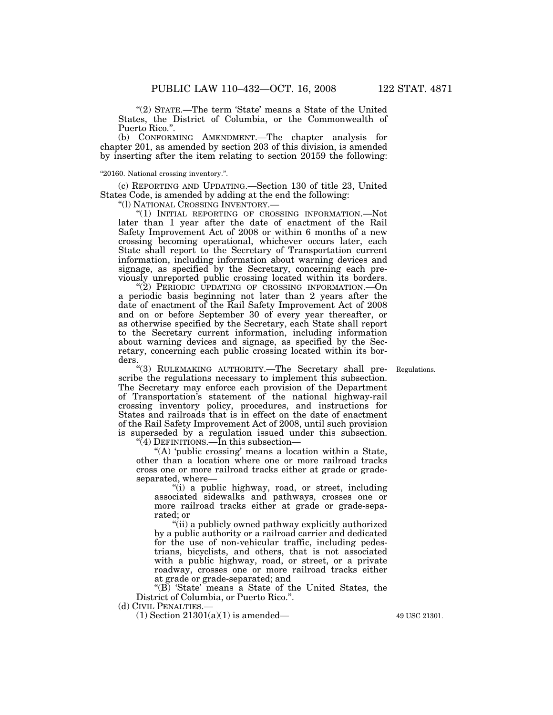"(2) STATE.—The term 'State' means a State of the United States, the District of Columbia, or the Commonwealth of Puerto Rico."

(b) CONFORMING AMENDMENT.—The chapter analysis for chapter 201, as amended by section 203 of this division, is amended by inserting after the item relating to section 20159 the following:

''20160. National crossing inventory.''.

(c) REPORTING AND UPDATING.—Section 130 of title 23, United States Code, is amended by adding at the end the following:

''(l) NATIONAL CROSSING INVENTORY.—

(1) INITIAL REPORTING OF CROSSING INFORMATION.—Not later than 1 year after the date of enactment of the Rail Safety Improvement Act of 2008 or within 6 months of a new crossing becoming operational, whichever occurs later, each State shall report to the Secretary of Transportation current information, including information about warning devices and signage, as specified by the Secretary, concerning each previously unreported public crossing located within its borders.

"(2) PERIODIC UPDATING OF CROSSING INFORMATION. - On a periodic basis beginning not later than 2 years after the date of enactment of the Rail Safety Improvement Act of 2008 and on or before September 30 of every year thereafter, or as otherwise specified by the Secretary, each State shall report to the Secretary current information, including information about warning devices and signage, as specified by the Secretary, concerning each public crossing located within its borders.

Regulations.

"(3) RULEMAKING AUTHORITY.-The Secretary shall prescribe the regulations necessary to implement this subsection. The Secretary may enforce each provision of the Department of Transportation's statement of the national highway-rail crossing inventory policy, procedures, and instructions for States and railroads that is in effect on the date of enactment of the Rail Safety Improvement Act of 2008, until such provision is superseded by a regulation issued under this subsection.

''(4) DEFINITIONS.—In this subsection—

"(A) 'public crossing' means a location within a State, other than a location where one or more railroad tracks cross one or more railroad tracks either at grade or gradeseparated, where—

"(i) a public highway, road, or street, including associated sidewalks and pathways, crosses one or more railroad tracks either at grade or grade-separated; or

"(ii) a publicly owned pathway explicitly authorized by a public authority or a railroad carrier and dedicated for the use of non-vehicular traffic, including pedestrians, bicyclists, and others, that is not associated with a public highway, road, or street, or a private roadway, crosses one or more railroad tracks either at grade or grade-separated; and

"(B) 'State' means a State of the United States, the District of Columbia, or Puerto Rico.''.

(d) CIVIL PENALTIES.—

 $(1)$  Section  $21301(a)(1)$  is amended—  $49$  USC 21301.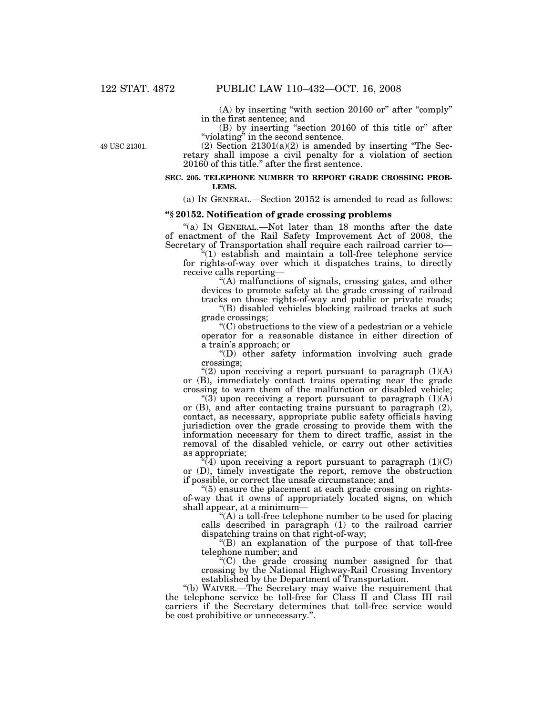(A) by inserting ''with section 20160 or'' after ''comply'' in the first sentence; and

(B) by inserting ''section 20160 of this title or'' after "violating" in the second sentence.

49 USC 21301.

(2) Section  $21301(a)(2)$  is amended by inserting "The Secretary shall impose a civil penalty for a violation of section 20160 of this title.'' after the first sentence.

#### **SEC. 205. TELEPHONE NUMBER TO REPORT GRADE CROSSING PROB-LEMS.**

(a) IN GENERAL.—Section 20152 is amended to read as follows:

#### **''§ 20152. Notification of grade crossing problems**

"(a) IN GENERAL.—Not later than 18 months after the date of enactment of the Rail Safety Improvement Act of 2008, the Secretary of Transportation shall require each railroad carrier to—

''(1) establish and maintain a toll-free telephone service for rights-of-way over which it dispatches trains, to directly receive calls reporting—

''(A) malfunctions of signals, crossing gates, and other devices to promote safety at the grade crossing of railroad tracks on those rights-of-way and public or private roads;

"(B) disabled vehicles blocking railroad tracks at such grade crossings;

 $(C)$  obstructions to the view of a pedestrian or a vehicle operator for a reasonable distance in either direction of a train's approach; or

''(D) other safety information involving such grade crossings;

"(2) upon receiving a report pursuant to paragraph  $(1)(A)$ or (B), immediately contact trains operating near the grade crossing to warn them of the malfunction or disabled vehicle;

" $(3)$  upon receiving a report pursuant to paragraph  $(1)(A)$ or (B), and after contacting trains pursuant to paragraph (2), contact, as necessary, appropriate public safety officials having jurisdiction over the grade crossing to provide them with the information necessary for them to direct traffic, assist in the removal of the disabled vehicle, or carry out other activities as appropriate;

 $\mathcal{H}(4)$  upon receiving a report pursuant to paragraph  $(1)(C)$ or (D), timely investigate the report, remove the obstruction if possible, or correct the unsafe circumstance; and

 $(5)$  ensure the placement at each grade crossing on rightsof-way that it owns of appropriately located signs, on which shall appear, at a minimum—

"(A) a toll-free telephone number to be used for placing calls described in paragraph (1) to the railroad carrier dispatching trains on that right-of-way;

''(B) an explanation of the purpose of that toll-free telephone number; and

''(C) the grade crossing number assigned for that crossing by the National Highway-Rail Crossing Inventory established by the Department of Transportation.

''(b) WAIVER.—The Secretary may waive the requirement that the telephone service be toll-free for Class II and Class III rail carriers if the Secretary determines that toll-free service would be cost prohibitive or unnecessary.''.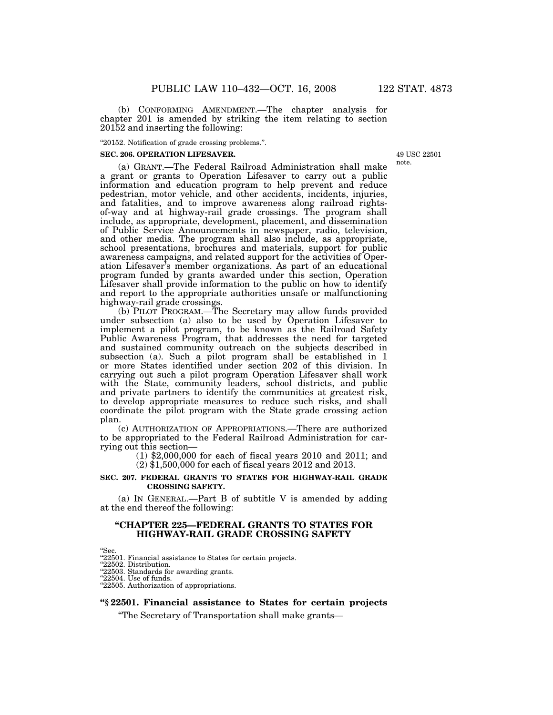(b) CONFORMING AMENDMENT.—The chapter analysis for chapter 201 is amended by striking the item relating to section 20152 and inserting the following:

''20152. Notification of grade crossing problems.''.

#### **SEC. 206. OPERATION LIFESAVER.**

49 USC 22501 note.

(a) GRANT.—The Federal Railroad Administration shall make a grant or grants to Operation Lifesaver to carry out a public information and education program to help prevent and reduce pedestrian, motor vehicle, and other accidents, incidents, injuries, and fatalities, and to improve awareness along railroad rightsof-way and at highway-rail grade crossings. The program shall include, as appropriate, development, placement, and dissemination of Public Service Announcements in newspaper, radio, television, and other media. The program shall also include, as appropriate, school presentations, brochures and materials, support for public awareness campaigns, and related support for the activities of Operation Lifesaver's member organizations. As part of an educational program funded by grants awarded under this section, Operation Lifesaver shall provide information to the public on how to identify and report to the appropriate authorities unsafe or malfunctioning highway-rail grade crossings.

(b) PILOT PROGRAM.—The Secretary may allow funds provided under subsection (a) also to be used by Operation Lifesaver to implement a pilot program, to be known as the Railroad Safety Public Awareness Program, that addresses the need for targeted and sustained community outreach on the subjects described in subsection (a). Such a pilot program shall be established in 1 or more States identified under section 202 of this division. In carrying out such a pilot program Operation Lifesaver shall work with the State, community leaders, school districts, and public and private partners to identify the communities at greatest risk, to develop appropriate measures to reduce such risks, and shall coordinate the pilot program with the State grade crossing action plan.

(c) AUTHORIZATION OF APPROPRIATIONS.—There are authorized to be appropriated to the Federal Railroad Administration for carrying out this section— (1) \$2,000,000 for each of fiscal years 2010 and 2011; and

(2) \$1,500,000 for each of fiscal years 2012 and 2013.

#### **SEC. 207. FEDERAL GRANTS TO STATES FOR HIGHWAY-RAIL GRADE CROSSING SAFETY.**

(a) IN GENERAL.—Part B of subtitle V is amended by adding at the end thereof the following:

## **''CHAPTER 225—FEDERAL GRANTS TO STATES FOR HIGHWAY-RAIL GRADE CROSSING SAFETY**

"Sec.<br>"22501. Financial assistance to States for certain projects.

''22502. Distribution.

''22503. Standards for awarding grants. ''22504. Use of funds.

''22505. Authorization of appropriations.

#### **''§ 22501. Financial assistance to States for certain projects**

''The Secretary of Transportation shall make grants—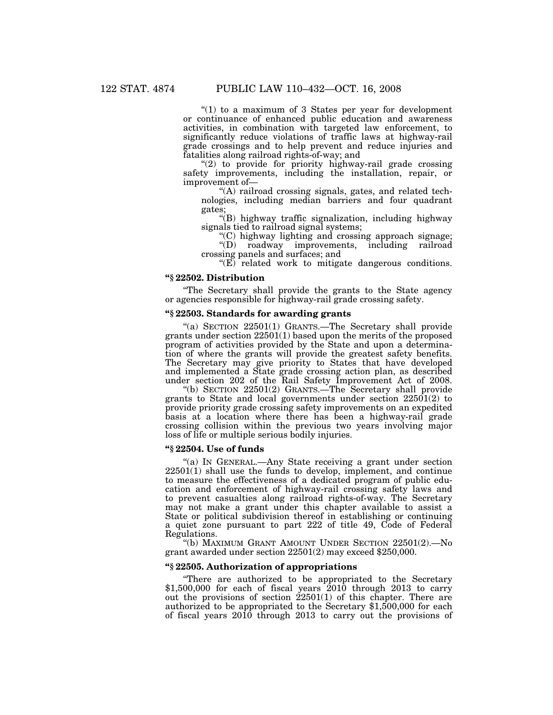" $(1)$  to a maximum of 3 States per year for development or continuance of enhanced public education and awareness activities, in combination with targeted law enforcement, to significantly reduce violations of traffic laws at highway-rail grade crossings and to help prevent and reduce injuries and fatalities along railroad rights-of-way; and

"(2) to provide for priority highway-rail grade crossing safety improvements, including the installation, repair, or improvement of—

''(A) railroad crossing signals, gates, and related technologies, including median barriers and four quadrant gates;

''(B) highway traffic signalization, including highway signals tied to railroad signal systems;

''(C) highway lighting and crossing approach signage; ''(D) roadway improvements, including railroad

crossing panels and surfaces; and " $(E)$  related work to mitigate dangerous conditions.

## **''§ 22502. Distribution**

''The Secretary shall provide the grants to the State agency or agencies responsible for highway-rail grade crossing safety.

## **''§ 22503. Standards for awarding grants**

"(a) SECTION 22501(1) GRANTS.—The Secretary shall provide grants under section 22501(1) based upon the merits of the proposed program of activities provided by the State and upon a determination of where the grants will provide the greatest safety benefits. The Secretary may give priority to States that have developed and implemented a State grade crossing action plan, as described under section 202 of the Rail Safety Improvement Act of 2008.

''(b) SECTION 22501(2) GRANTS.—The Secretary shall provide grants to State and local governments under section 22501(2) to provide priority grade crossing safety improvements on an expedited basis at a location where there has been a highway-rail grade crossing collision within the previous two years involving major loss of life or multiple serious bodily injuries.

## **''§ 22504. Use of funds**

''(a) IN GENERAL.—Any State receiving a grant under section 22501(1) shall use the funds to develop, implement, and continue to measure the effectiveness of a dedicated program of public education and enforcement of highway-rail crossing safety laws and to prevent casualties along railroad rights-of-way. The Secretary may not make a grant under this chapter available to assist a State or political subdivision thereof in establishing or continuing a quiet zone pursuant to part 222 of title 49, Code of Federal Regulations.

''(b) MAXIMUM GRANT AMOUNT UNDER SECTION 22501(2).—No grant awarded under section 22501(2) may exceed \$250,000.

## **''§ 22505. Authorization of appropriations**

''There are authorized to be appropriated to the Secretary \$1,500,000 for each of fiscal years 2010 through 2013 to carry out the provisions of section  $22501(1)$  of this chapter. There are authorized to be appropriated to the Secretary \$1,500,000 for each of fiscal years 2010 through 2013 to carry out the provisions of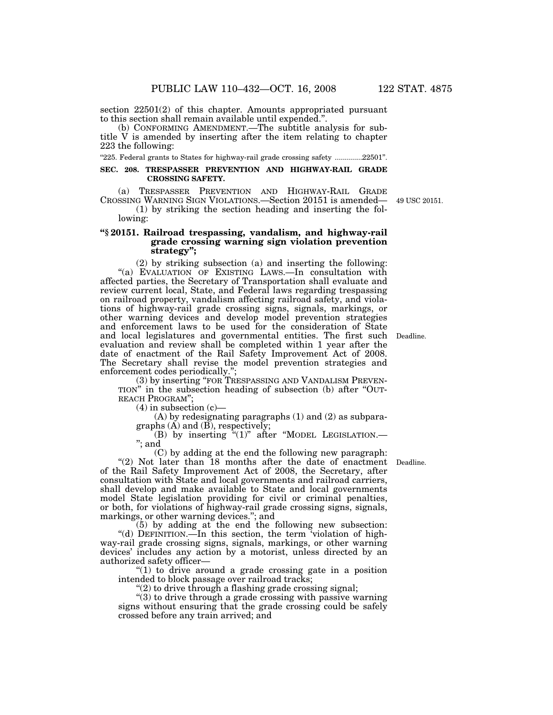section 22501(2) of this chapter. Amounts appropriated pursuant to this section shall remain available until expended.''.

(b) CONFORMING AMENDMENT.—The subtitle analysis for subtitle V is amended by inserting after the item relating to chapter 223 the following:

''225. Federal grants to States for highway-rail grade crossing safety ..............22501''.

### **SEC. 208. TRESPASSER PREVENTION AND HIGHWAY-RAIL GRADE CROSSING SAFETY.**

(a) TRESPASSER PREVENTION AND HIGHWAY-RAIL GRADE CROSSING WARNING SIGN VIOLATIONS.—Section 20151 is amended—

(1) by striking the section heading and inserting the following:

## **''§ 20151. Railroad trespassing, vandalism, and highway-rail grade crossing warning sign violation prevention strategy'';**

(2) by striking subsection (a) and inserting the following: "(a) EVALUATION OF EXISTING LAWS.—In consultation with affected parties, the Secretary of Transportation shall evaluate and review current local, State, and Federal laws regarding trespassing on railroad property, vandalism affecting railroad safety, and violations of highway-rail grade crossing signs, signals, markings, or other warning devices and develop model prevention strategies and enforcement laws to be used for the consideration of State and local legislatures and governmental entities. The first such Deadline. evaluation and review shall be completed within 1 year after the date of enactment of the Rail Safety Improvement Act of 2008. The Secretary shall revise the model prevention strategies and enforcement codes periodically.'';

(3) by inserting ''FOR TRESPASSING AND VANDALISM PREVEN-TION'' in the subsection heading of subsection (b) after ''OUT-REACH PROGRAM'';

 $(4)$  in subsection  $(c)$ —

(A) by redesignating paragraphs (1) and (2) as subparagraphs  $(\overrightarrow{A})$  and  $(\overrightarrow{B})$ , respectively;

(B) by inserting  $\tilde{f}$ (1)" after "MODEL LEGISLATION.— ''; and

(C) by adding at the end the following new paragraph: "(2) Not later than 18 months after the date of enactment Deadline. of the Rail Safety Improvement Act of 2008, the Secretary, after consultation with State and local governments and railroad carriers, shall develop and make available to State and local governments model State legislation providing for civil or criminal penalties, or both, for violations of highway-rail grade crossing signs, signals, markings, or other warning devices.''; and

(5) by adding at the end the following new subsection: "(d) DEFINITION.—In this section, the term violation of highway-rail grade crossing signs, signals, markings, or other warning devices' includes any action by a motorist, unless directed by an authorized safety officer—

''(1) to drive around a grade crossing gate in a position intended to block passage over railroad tracks;

 $''(2)$  to drive through a flashing grade crossing signal;

''(3) to drive through a grade crossing with passive warning signs without ensuring that the grade crossing could be safely crossed before any train arrived; and

49 USC 20151.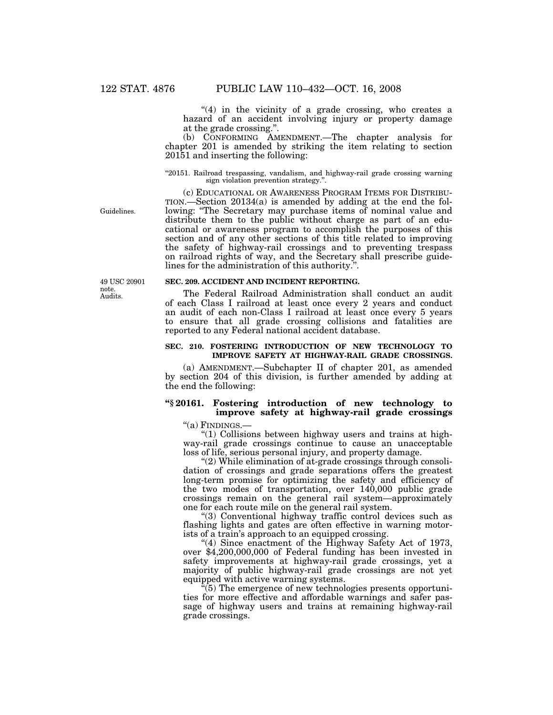" $(4)$  in the vicinity of a grade crossing, who creates a hazard of an accident involving injury or property damage at the grade crossing.''.

(b) CONFORMING AMENDMENT.—The chapter analysis for chapter 201 is amended by striking the item relating to section 20151 and inserting the following:

#### "20151. Railroad trespassing, vandalism, and highway-rail grade crossing warning sign violation prevention strategy."

(c) EDUCATIONAL OR AWARENESS PROGRAM ITEMS FOR DISTRIBU-TION.—Section 20134(a) is amended by adding at the end the following: ''The Secretary may purchase items of nominal value and distribute them to the public without charge as part of an educational or awareness program to accomplish the purposes of this section and of any other sections of this title related to improving the safety of highway-rail crossings and to preventing trespass on railroad rights of way, and the Secretary shall prescribe guidelines for the administration of this authority."

Audits. 49 USC 20901 note.

Guidelines.

#### **SEC. 209. ACCIDENT AND INCIDENT REPORTING.**

The Federal Railroad Administration shall conduct an audit of each Class I railroad at least once every 2 years and conduct an audit of each non-Class I railroad at least once every 5 years to ensure that all grade crossing collisions and fatalities are reported to any Federal national accident database.

#### **SEC. 210. FOSTERING INTRODUCTION OF NEW TECHNOLOGY TO IMPROVE SAFETY AT HIGHWAY-RAIL GRADE CROSSINGS.**

(a) AMENDMENT.—Subchapter II of chapter 201, as amended by section 204 of this division, is further amended by adding at the end the following:

## **''§ 20161. Fostering introduction of new technology to improve safety at highway-rail grade crossings**

''(a) FINDINGS.—

''(1) Collisions between highway users and trains at highway-rail grade crossings continue to cause an unacceptable loss of life, serious personal injury, and property damage.

''(2) While elimination of at-grade crossings through consolidation of crossings and grade separations offers the greatest long-term promise for optimizing the safety and efficiency of the two modes of transportation, over 140,000 public grade crossings remain on the general rail system—approximately one for each route mile on the general rail system.

''(3) Conventional highway traffic control devices such as flashing lights and gates are often effective in warning motorists of a train's approach to an equipped crossing.

"(4) Since enactment of the Highway Safety Act of 1973, over \$4,200,000,000 of Federal funding has been invested in safety improvements at highway-rail grade crossings, yet a majority of public highway-rail grade crossings are not yet equipped with active warning systems.

 $\sqrt[n]{(5)}$  The emergence of new technologies presents opportunities for more effective and affordable warnings and safer passage of highway users and trains at remaining highway-rail grade crossings.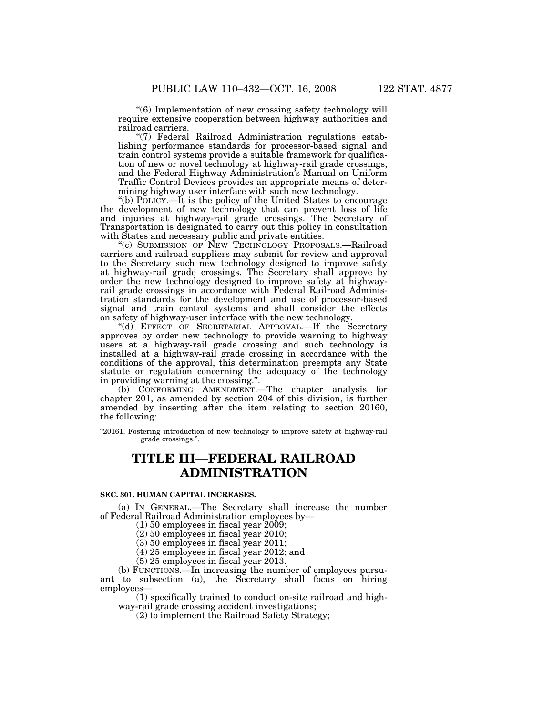''(7) Federal Railroad Administration regulations establishing performance standards for processor-based signal and train control systems provide a suitable framework for qualification of new or novel technology at highway-rail grade crossings, and the Federal Highway Administration's Manual on Uniform Traffic Control Devices provides an appropriate means of determining highway user interface with such new technology.

''(b) POLICY.—It is the policy of the United States to encourage the development of new technology that can prevent loss of life and injuries at highway-rail grade crossings. The Secretary of Transportation is designated to carry out this policy in consultation with States and necessary public and private entities.

"(c) SUBMISSION OF NEW TECHNOLOGY PROPOSALS.-Railroad carriers and railroad suppliers may submit for review and approval to the Secretary such new technology designed to improve safety at highway-rail grade crossings. The Secretary shall approve by order the new technology designed to improve safety at highwayrail grade crossings in accordance with Federal Railroad Administration standards for the development and use of processor-based signal and train control systems and shall consider the effects on safety of highway-user interface with the new technology.

"(d) EFFECT OF SECRETARIAL APPROVAL.—If the Secretary approves by order new technology to provide warning to highway users at a highway-rail grade crossing and such technology is installed at a highway-rail grade crossing in accordance with the conditions of the approval, this determination preempts any State statute or regulation concerning the adequacy of the technology in providing warning at the crossing.''.

(b) CONFORMING AMENDMENT.—The chapter analysis for chapter 201, as amended by section 204 of this division, is further amended by inserting after the item relating to section 20160, the following:

''20161. Fostering introduction of new technology to improve safety at highway-rail grade crossings.''.

## **TITLE III—FEDERAL RAILROAD ADMINISTRATION**

#### **SEC. 301. HUMAN CAPITAL INCREASES.**

(a) IN GENERAL.—The Secretary shall increase the number of Federal Railroad Administration employees by—

(1) 50 employees in fiscal year 2009;

(2) 50 employees in fiscal year 2010;

(3) 50 employees in fiscal year 2011;

(4) 25 employees in fiscal year 2012; and

(5) 25 employees in fiscal year 2013.

(b) FUNCTIONS.—In increasing the number of employees pursuant to subsection (a), the Secretary shall focus on hiring employees—

(1) specifically trained to conduct on-site railroad and highway-rail grade crossing accident investigations;

(2) to implement the Railroad Safety Strategy;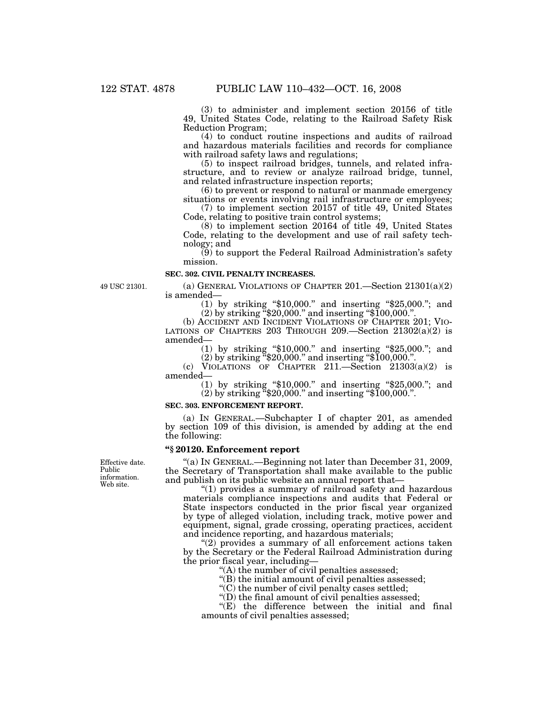(3) to administer and implement section 20156 of title 49, United States Code, relating to the Railroad Safety Risk Reduction Program;

(4) to conduct routine inspections and audits of railroad and hazardous materials facilities and records for compliance with railroad safety laws and regulations;

(5) to inspect railroad bridges, tunnels, and related infrastructure, and to review or analyze railroad bridge, tunnel, and related infrastructure inspection reports;

(6) to prevent or respond to natural or manmade emergency situations or events involving rail infrastructure or employees;

(7) to implement section 20157 of title 49, United States Code, relating to positive train control systems;

 $(8)$  to implement section 20164 of title 49, United States Code, relating to the development and use of rail safety technology; and

 $(9)$  to support the Federal Railroad Administration's safety mission.

## **SEC. 302. CIVIL PENALTY INCREASES.**

49 USC 21301.

(a) GENERAL VIOLATIONS OF CHAPTER 201.—Section 21301(a)(2) is amended—

(1) by striking ''\$10,000.'' and inserting ''\$25,000.''; and  $(2)$  by striking  $\frac{1}{2}20,000$ ." and inserting "\$100,000.".

(b) ACCIDENT AND INCIDENT VIOLATIONS OF CHAPTER 201; VIO- LATIONS OF CHAPTERS 203 THROUGH 209.—Section  $21302(a)(2)$  is amended—

(1) by striking ''\$10,000.'' and inserting ''\$25,000.''; and

 $(2)$  by striking  $\frac{1}{2}20,000$ ." and inserting "\$100,000.".

(c) VIOLATIONS OF CHAPTER  $211$ . Section  $21303(a)(2)$  is amended—

(1) by striking ''\$10,000.'' and inserting ''\$25,000.''; and

 $(2)$  by striking  $420,000$ ." and inserting  $4100,000$ .".

### **SEC. 303. ENFORCEMENT REPORT.**

(a) IN GENERAL.—Subchapter I of chapter 201, as amended by section 109 of this division, is amended by adding at the end the following:

#### **''§ 20120. Enforcement report**

''(a) IN GENERAL.—Beginning not later than December 31, 2009, the Secretary of Transportation shall make available to the public and publish on its public website an annual report that—

''(1) provides a summary of railroad safety and hazardous materials compliance inspections and audits that Federal or State inspectors conducted in the prior fiscal year organized by type of alleged violation, including track, motive power and equipment, signal, grade crossing, operating practices, accident and incidence reporting, and hazardous materials;

"(2) provides a summary of all enforcement actions taken by the Secretary or the Federal Railroad Administration during the prior fiscal year, including—

"(A) the number of civil penalties assessed;

" $(B)$  the initial amount of civil penalties assessed;

 $\mathcal{C}(C)$  the number of civil penalty cases settled;

" $(D)$  the final amount of civil penalties assessed;

"(E) the difference between the initial and final amounts of civil penalties assessed;

Effective date. Public information. Web site.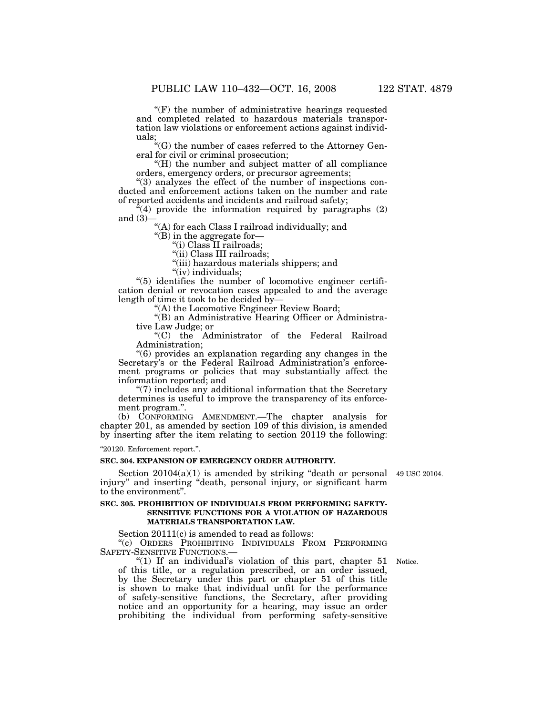$f(F)$  the number of administrative hearings requested and completed related to hazardous materials transportation law violations or enforcement actions against individuals;

 $\mathcal{C}^{\prime\prime}(\mathrm{G})$  the number of cases referred to the Attorney General for civil or criminal prosecution;

''(H) the number and subject matter of all compliance orders, emergency orders, or precursor agreements;

''(3) analyzes the effect of the number of inspections conducted and enforcement actions taken on the number and rate of reported accidents and incidents and railroad safety;

 $\ddot{H}(4)$  provide the information required by paragraphs (2) and  $(3)$ –

"(A) for each Class I railroad individually; and

''(B) in the aggregate for—

''(i) Class II railroads;

"(ii) Class III railroads;

''(iii) hazardous materials shippers; and

"(iv) individuals;

 $(5)$  identifies the number of locomotive engineer certification denial or revocation cases appealed to and the average length of time it took to be decided by—

"(A) the Locomotive Engineer Review Board;

''(B) an Administrative Hearing Officer or Administrative Law Judge; or

''(C) the Administrator of the Federal Railroad Administration;

''(6) provides an explanation regarding any changes in the Secretary's or the Federal Railroad Administration's enforcement programs or policies that may substantially affect the information reported; and

''(7) includes any additional information that the Secretary determines is useful to improve the transparency of its enforcement program.''.

(b) CONFORMING AMENDMENT.—The chapter analysis for chapter 201, as amended by section 109 of this division, is amended by inserting after the item relating to section 20119 the following:

''20120. Enforcement report.''.

## **SEC. 304. EXPANSION OF EMERGENCY ORDER AUTHORITY.**

Section 20104(a)(1) is amended by striking "death or personal 49 USC 20104. injury'' and inserting ''death, personal injury, or significant harm to the environment''.

### **SEC. 305. PROHIBITION OF INDIVIDUALS FROM PERFORMING SAFETY-SENSITIVE FUNCTIONS FOR A VIOLATION OF HAZARDOUS MATERIALS TRANSPORTATION LAW.**

Section 20111(c) is amended to read as follows:

''(c) ORDERS PROHIBITING INDIVIDUALS FROM PERFORMING SAFETY-SENSITIVE FUNCTIONS.

" $(1)$  If an individual's violation of this part, chapter 51 Notice. of this title, or a regulation prescribed, or an order issued, by the Secretary under this part or chapter 51 of this title is shown to make that individual unfit for the performance of safety-sensitive functions, the Secretary, after providing notice and an opportunity for a hearing, may issue an order prohibiting the individual from performing safety-sensitive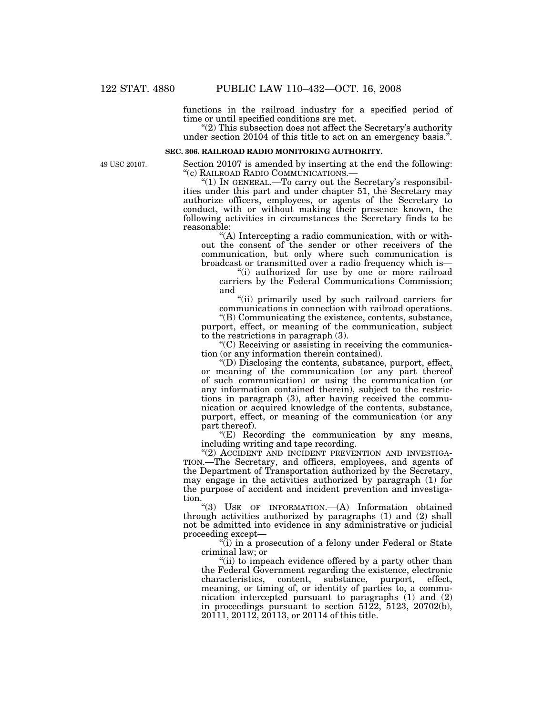functions in the railroad industry for a specified period of time or until specified conditions are met.

"(2) This subsection does not affect the Secretary's authority under section 20104 of this title to act on an emergency basis.''.

## **SEC. 306. RAILROAD RADIO MONITORING AUTHORITY.**

49 USC 20107.

Section 20107 is amended by inserting at the end the following:<br>"(c) RAILROAD RADIO COMMUNICATIONS.—

" $(1)$  In GENERAL.—To carry out the Secretary's responsibilities under this part and under chapter 51, the Secretary may authorize officers, employees, or agents of the Secretary to conduct, with or without making their presence known, the following activities in circumstances the Secretary finds to be reasonable:

''(A) Intercepting a radio communication, with or without the consent of the sender or other receivers of the communication, but only where such communication is broadcast or transmitted over a radio frequency which is—

"(i) authorized for use by one or more railroad carriers by the Federal Communications Commission; and

"(ii) primarily used by such railroad carriers for communications in connection with railroad operations.

''(B) Communicating the existence, contents, substance, purport, effect, or meaning of the communication, subject to the restrictions in paragraph (3).

 $C$ ) Receiving or assisting in receiving the communication (or any information therein contained).

''(D) Disclosing the contents, substance, purport, effect, or meaning of the communication (or any part thereof of such communication) or using the communication (or any information contained therein), subject to the restrictions in paragraph (3), after having received the communication or acquired knowledge of the contents, substance, purport, effect, or meaning of the communication (or any part thereof).

''(E) Recording the communication by any means, including writing and tape recording.

"(2) ACCIDENT AND INCIDENT PREVENTION AND INVESTIGA-TION.—The Secretary, and officers, employees, and agents of the Department of Transportation authorized by the Secretary, may engage in the activities authorized by paragraph (1) for the purpose of accident and incident prevention and investigation.

''(3) USE OF INFORMATION.—(A) Information obtained through activities authorized by paragraphs (1) and (2) shall not be admitted into evidence in any administrative or judicial proceeding except—

"(i) in a prosecution of a felony under Federal or State" criminal law; or

"(ii) to impeach evidence offered by a party other than the Federal Government regarding the existence, electronic characteristics, content, substance, purport, effect, meaning, or timing of, or identity of parties to, a communication intercepted pursuant to paragraphs (1) and (2) in proceedings pursuant to section 5122, 5123, 20702(b), 20111, 20112, 20113, or 20114 of this title.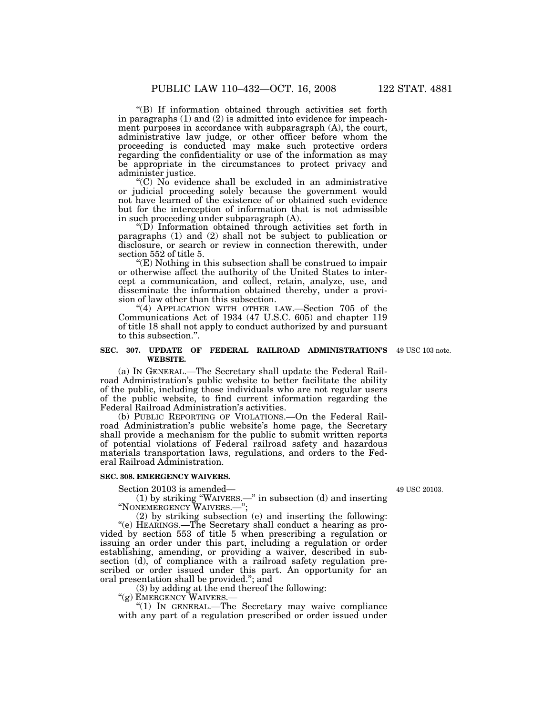''(B) If information obtained through activities set forth in paragraphs (1) and (2) is admitted into evidence for impeachment purposes in accordance with subparagraph  $(A)$ , the court, administrative law judge, or other officer before whom the proceeding is conducted may make such protective orders regarding the confidentiality or use of the information as may be appropriate in the circumstances to protect privacy and administer justice.

''(C) No evidence shall be excluded in an administrative or judicial proceeding solely because the government would not have learned of the existence of or obtained such evidence but for the interception of information that is not admissible in such proceeding under subparagraph (A).

 $\mathrm{``(D)}$  Information obtained through activities set forth in paragraphs (1) and (2) shall not be subject to publication or disclosure, or search or review in connection therewith, under section 552 of title 5.

 $E(E)$  Nothing in this subsection shall be construed to impair or otherwise affect the authority of the United States to intercept a communication, and collect, retain, analyze, use, and disseminate the information obtained thereby, under a provision of law other than this subsection.

"(4) APPLICATION WITH OTHER LAW.—Section 705 of the Communications Act of 1934 (47 U.S.C. 605) and chapter 119 of title 18 shall not apply to conduct authorized by and pursuant to this subsection.''.

#### **SEC. 307. UPDATE OF FEDERAL RAILROAD ADMINISTRATION'S**  49 USC 103 note. **WEBSITE.**

(a) IN GENERAL.—The Secretary shall update the Federal Railroad Administration's public website to better facilitate the ability of the public, including those individuals who are not regular users of the public website, to find current information regarding the Federal Railroad Administration's activities.

(b) PUBLIC REPORTING OF VIOLATIONS.—On the Federal Railroad Administration's public website's home page, the Secretary shall provide a mechanism for the public to submit written reports of potential violations of Federal railroad safety and hazardous materials transportation laws, regulations, and orders to the Federal Railroad Administration.

#### **SEC. 308. EMERGENCY WAIVERS.**

Section 20103 is amended—

(1) by striking ''WAIVERS.—'' in subsection (d) and inserting ''NONEMERGENCY WAIVERS.—'';

(2) by striking subsection (e) and inserting the following: ''(e) HEARINGS.—The Secretary shall conduct a hearing as provided by section 553 of title 5 when prescribing a regulation or issuing an order under this part, including a regulation or order establishing, amending, or providing a waiver, described in subsection (d), of compliance with a railroad safety regulation prescribed or order issued under this part. An opportunity for an oral presentation shall be provided.''; and

(3) by adding at the end thereof the following: " $(g)$  EMERGENCY WAIVERS.—

"(1) IN GENERAL.—The Secretary may waive compliance with any part of a regulation prescribed or order issued under

49 USC 20103.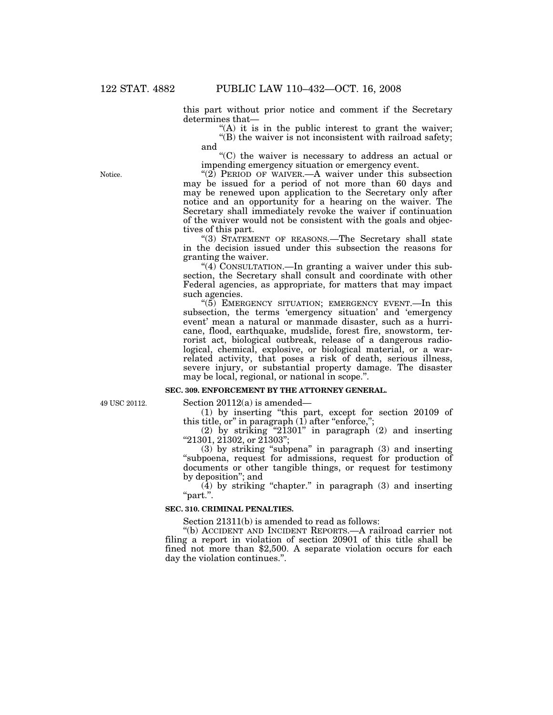this part without prior notice and comment if the Secretary determines that—

 $f(A)$  it is in the public interest to grant the waiver;  $\mathcal{L}(B)$  the waiver is not inconsistent with railroad safety; and

''(C) the waiver is necessary to address an actual or impending emergency situation or emergency event.

" $(2)$  PERIOD OF WAIVER.—A waiver under this subsection may be issued for a period of not more than 60 days and may be renewed upon application to the Secretary only after notice and an opportunity for a hearing on the waiver. The Secretary shall immediately revoke the waiver if continuation of the waiver would not be consistent with the goals and objectives of this part.

"(3) STATEMENT OF REASONS.—The Secretary shall state in the decision issued under this subsection the reasons for granting the waiver.

" $(4)$  CONSULTATION.—In granting a waiver under this subsection, the Secretary shall consult and coordinate with other Federal agencies, as appropriate, for matters that may impact such agencies.

" $(5)$  EMERGENCY SITUATION; EMERGENCY EVENT.—In this subsection, the terms 'emergency situation' and 'emergency event' mean a natural or manmade disaster, such as a hurricane, flood, earthquake, mudslide, forest fire, snowstorm, terrorist act, biological outbreak, release of a dangerous radiological, chemical, explosive, or biological material, or a warrelated activity, that poses a risk of death, serious illness, severe injury, or substantial property damage. The disaster may be local, regional, or national in scope.''.

#### **SEC. 309. ENFORCEMENT BY THE ATTORNEY GENERAL.**

49 USC 20112.

Section 20112(a) is amended—

(1) by inserting ''this part, except for section 20109 of this title, or" in paragraph  $(1)$  after "enforce,";

(2) by striking "21301" in paragraph  $(2)$  and inserting ''21301, 21302, or 21303'';

(3) by striking ''subpena'' in paragraph (3) and inserting ''subpoena, request for admissions, request for production of documents or other tangible things, or request for testimony by deposition''; and

 $(4)$  by striking "chapter." in paragraph  $(3)$  and inserting ''part.''.

#### **SEC. 310. CRIMINAL PENALTIES.**

Section 21311(b) is amended to read as follows:

''(b) ACCIDENT AND INCIDENT REPORTS.—A railroad carrier not filing a report in violation of section 20901 of this title shall be fined not more than \$2,500. A separate violation occurs for each day the violation continues.''.

Notice.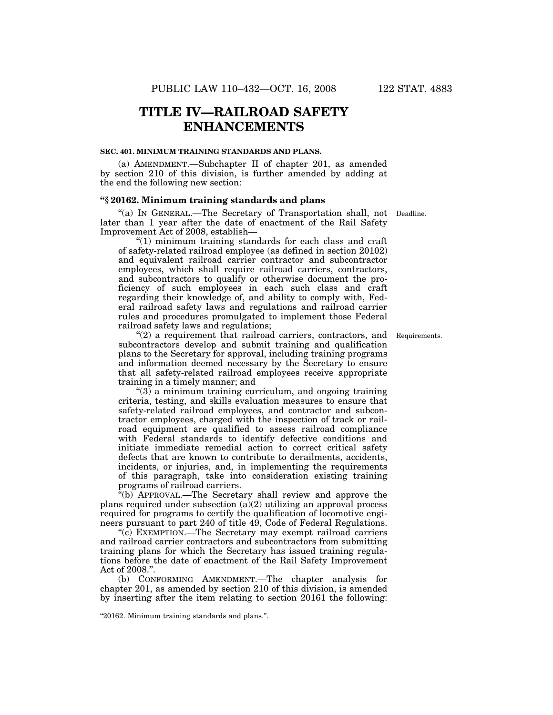## **TITLE IV—RAILROAD SAFETY ENHANCEMENTS**

### **SEC. 401. MINIMUM TRAINING STANDARDS AND PLANS.**

(a) AMENDMENT.—Subchapter II of chapter 201, as amended by section 210 of this division, is further amended by adding at the end the following new section:

### **''§ 20162. Minimum training standards and plans**

"(a) IN GENERAL.—The Secretary of Transportation shall, not Deadline. later than 1 year after the date of enactment of the Rail Safety Improvement Act of 2008, establish—

" $(1)$  minimum training standards for each class and craft of safety-related railroad employee (as defined in section 20102) and equivalent railroad carrier contractor and subcontractor employees, which shall require railroad carriers, contractors, and subcontractors to qualify or otherwise document the proficiency of such employees in each such class and craft regarding their knowledge of, and ability to comply with, Federal railroad safety laws and regulations and railroad carrier rules and procedures promulgated to implement those Federal railroad safety laws and regulations;

 $(2)$  a requirement that railroad carriers, contractors, and Requirements. subcontractors develop and submit training and qualification plans to the Secretary for approval, including training programs and information deemed necessary by the Secretary to ensure that all safety-related railroad employees receive appropriate training in a timely manner; and

 $(3)$  a minimum training curriculum, and ongoing training criteria, testing, and skills evaluation measures to ensure that safety-related railroad employees, and contractor and subcontractor employees, charged with the inspection of track or railroad equipment are qualified to assess railroad compliance with Federal standards to identify defective conditions and initiate immediate remedial action to correct critical safety defects that are known to contribute to derailments, accidents, incidents, or injuries, and, in implementing the requirements of this paragraph, take into consideration existing training programs of railroad carriers.

 $\alpha$ <sup>"(b)</sup> APPROVAL.—The Secretary shall review and approve the plans required under subsection  $(a)(2)$  utilizing an approval process required for programs to certify the qualification of locomotive engineers pursuant to part 240 of title 49, Code of Federal Regulations.

''(c) EXEMPTION.—The Secretary may exempt railroad carriers and railroad carrier contractors and subcontractors from submitting training plans for which the Secretary has issued training regulations before the date of enactment of the Rail Safety Improvement Act of 2008.''.

(b) CONFORMING AMENDMENT.—The chapter analysis for chapter 201, as amended by section 210 of this division, is amended by inserting after the item relating to section 20161 the following:

<sup>&#</sup>x27;'20162. Minimum training standards and plans.''.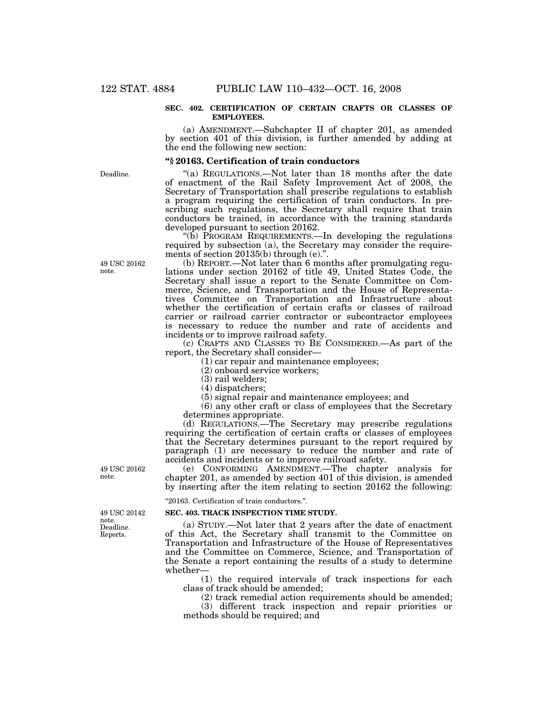#### **SEC. 402. CERTIFICATION OF CERTAIN CRAFTS OR CLASSES OF EMPLOYEES.**

(a) AMENDMENT.—Subchapter II of chapter 201, as amended by section 401 of this division, is further amended by adding at the end the following new section:

#### **''§ 20163. Certification of train conductors**

''(a) REGULATIONS.—Not later than 18 months after the date of enactment of the Rail Safety Improvement Act of 2008, the Secretary of Transportation shall prescribe regulations to establish a program requiring the certification of train conductors. In prescribing such regulations, the Secretary shall require that train conductors be trained, in accordance with the training standards developed pursuant to section 20162.

" $(b)$  PROGRAM REQUIREMENTS.—In developing the regulations required by subsection (a), the Secretary may consider the requirements of section 20135(b) through (e).".

(b) REPORT.—Not later than 6 months after promulgating regulations under section 20162 of title 49, United States Code, the Secretary shall issue a report to the Senate Committee on Commerce, Science, and Transportation and the House of Representatives Committee on Transportation and Infrastructure about whether the certification of certain crafts or classes of railroad carrier or railroad carrier contractor or subcontractor employees is necessary to reduce the number and rate of accidents and incidents or to improve railroad safety.

(c) CRAFTS AND CLASSES TO BE CONSIDERED.—As part of the report, the Secretary shall consider—

(1) car repair and maintenance employees;

(2) onboard service workers;

(3) rail welders;

(4) dispatchers;

(5) signal repair and maintenance employees; and

(6) any other craft or class of employees that the Secretary determines appropriate.

(d) REGULATIONS.—The Secretary may prescribe regulations requiring the certification of certain crafts or classes of employees that the Secretary determines pursuant to the report required by paragraph (1) are necessary to reduce the number and rate of accidents and incidents or to improve railroad safety.

(e) CONFORMING AMENDMENT.—The chapter analysis for chapter 201, as amended by section 401 of this division, is amended by inserting after the item relating to section 20162 the following:

#### ''20163. Certification of train conductors.''.

#### **SEC. 403. TRACK INSPECTION TIME STUDY.**

(a) STUDY.—Not later that 2 years after the date of enactment of this Act, the Secretary shall transmit to the Committee on Transportation and Infrastructure of the House of Representatives and the Committee on Commerce, Science, and Transportation of the Senate a report containing the results of a study to determine whether

(1) the required intervals of track inspections for each class of track should be amended;

(2) track remedial action requirements should be amended;

(3) different track inspection and repair priorities or methods should be required; and

49 USC 20162 note.

Deadline. Reports. 49 USC 20142 note.

Deadline.

49 USC 20162 note.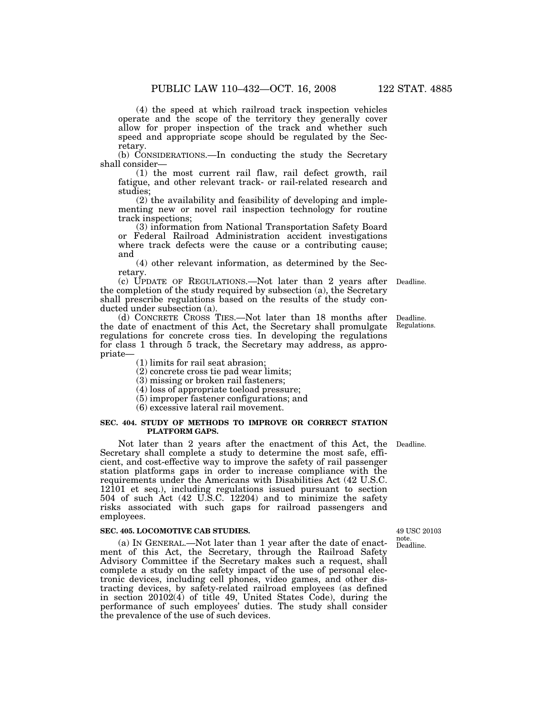(4) the speed at which railroad track inspection vehicles operate and the scope of the territory they generally cover allow for proper inspection of the track and whether such speed and appropriate scope should be regulated by the Secretary.

(b) CONSIDERATIONS.—In conducting the study the Secretary shall consider—

(1) the most current rail flaw, rail defect growth, rail fatigue, and other relevant track- or rail-related research and studies;

(2) the availability and feasibility of developing and implementing new or novel rail inspection technology for routine track inspections;

(3) information from National Transportation Safety Board or Federal Railroad Administration accident investigations where track defects were the cause or a contributing cause; and

(4) other relevant information, as determined by the Secretary.

(c) UPDATE OF REGULATIONS.—Not later than 2 years after Deadline. the completion of the study required by subsection (a), the Secretary shall prescribe regulations based on the results of the study conducted under subsection (a).

(d) CONCRETE CROSS TIES.—Not later than 18 months after the date of enactment of this Act, the Secretary shall promulgate regulations for concrete cross ties. In developing the regulations for class 1 through 5 track, the Secretary may address, as appropriate—

- (1) limits for rail seat abrasion;
- (2) concrete cross tie pad wear limits;
- (3) missing or broken rail fasteners;
- (4) loss of appropriate toeload pressure;
- (5) improper fastener configurations; and
- (6) excessive lateral rail movement.

#### **SEC. 404. STUDY OF METHODS TO IMPROVE OR CORRECT STATION PLATFORM GAPS.**

Not later than 2 years after the enactment of this Act, the Deadline. Secretary shall complete a study to determine the most safe, efficient, and cost-effective way to improve the safety of rail passenger station platforms gaps in order to increase compliance with the requirements under the Americans with Disabilities Act (42 U.S.C. 12101 et seq.), including regulations issued pursuant to section 504 of such Act (42 U.S.C. 12204) and to minimize the safety risks associated with such gaps for railroad passengers and employees.

### **SEC. 405. LOCOMOTIVE CAB STUDIES.**

(a) IN GENERAL.—Not later than 1 year after the date of enactment of this Act, the Secretary, through the Railroad Safety Advisory Committee if the Secretary makes such a request, shall complete a study on the safety impact of the use of personal electronic devices, including cell phones, video games, and other distracting devices, by safety-related railroad employees (as defined in section 20102(4) of title 49, United States Code), during the performance of such employees' duties. The study shall consider the prevalence of the use of such devices.

Deadline. Regulations.

Deadline. 49 USC 20103 note.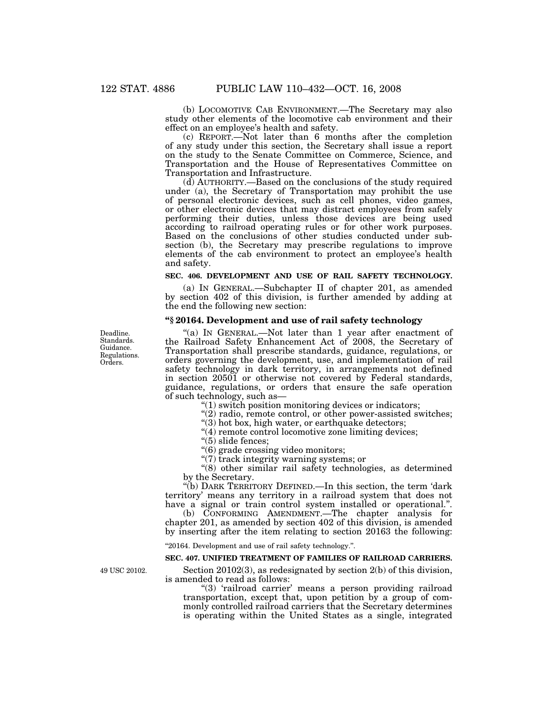(b) LOCOMOTIVE CAB ENVIRONMENT.—The Secretary may also study other elements of the locomotive cab environment and their effect on an employee's health and safety.

(c) REPORT.—Not later than 6 months after the completion of any study under this section, the Secretary shall issue a report on the study to the Senate Committee on Commerce, Science, and Transportation and the House of Representatives Committee on Transportation and Infrastructure.

(d) AUTHORITY.—Based on the conclusions of the study required under (a), the Secretary of Transportation may prohibit the use of personal electronic devices, such as cell phones, video games, or other electronic devices that may distract employees from safely performing their duties, unless those devices are being used according to railroad operating rules or for other work purposes. Based on the conclusions of other studies conducted under subsection (b), the Secretary may prescribe regulations to improve elements of the cab environment to protect an employee's health and safety.

### **SEC. 406. DEVELOPMENT AND USE OF RAIL SAFETY TECHNOLOGY.**

(a) IN GENERAL.—Subchapter II of chapter 201, as amended by section 402 of this division, is further amended by adding at the end the following new section:

#### **''§ 20164. Development and use of rail safety technology**

"(a) IN GENERAL.—Not later than 1 year after enactment of the Railroad Safety Enhancement Act of 2008, the Secretary of Transportation shall prescribe standards, guidance, regulations, or orders governing the development, use, and implementation of rail safety technology in dark territory, in arrangements not defined in section 20501 or otherwise not covered by Federal standards, guidance, regulations, or orders that ensure the safe operation of such technology, such as—

''(1) switch position monitoring devices or indicators;

 $''(2)$  radio, remote control, or other power-assisted switches;

"(3) hot box, high water, or earthquake detectors;

"(4) remote control locomotive zone limiting devices;

 $"(5)$  slide fences;

''(6) grade crossing video monitors;

" $(7)$  track integrity warning systems; or

''(8) other similar rail safety technologies, as determined by the Secretary.

''(b) DARK TERRITORY DEFINED.—In this section, the term 'dark territory' means any territory in a railroad system that does not have a signal or train control system installed or operational.".

(b) CONFORMING AMENDMENT.—The chapter analysis for chapter 201, as amended by section 402 of this division, is amended by inserting after the item relating to section 20163 the following:

''20164. Development and use of rail safety technology.''.

#### **SEC. 407. UNIFIED TREATMENT OF FAMILIES OF RAILROAD CARRIERS.**

49 USC 20102.

Section 20102(3), as redesignated by section 2(b) of this division, is amended to read as follows:

''(3) 'railroad carrier' means a person providing railroad transportation, except that, upon petition by a group of commonly controlled railroad carriers that the Secretary determines is operating within the United States as a single, integrated

Deadline. Standards. Guidance. Regulations. Orders.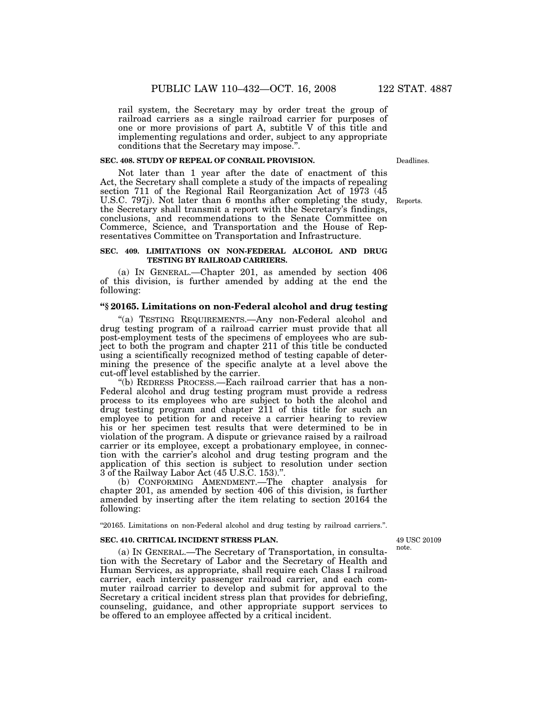rail system, the Secretary may by order treat the group of railroad carriers as a single railroad carrier for purposes of one or more provisions of part A, subtitle V of this title and implementing regulations and order, subject to any appropriate

## conditions that the Secretary may impose.''. **SEC. 408. STUDY OF REPEAL OF CONRAIL PROVISION.**

Deadlines.

Not later than 1 year after the date of enactment of this Act, the Secretary shall complete a study of the impacts of repealing section 711 of the Regional Rail Reorganization Act of 1973 (45 U.S.C. 797j). Not later than 6 months after completing the study, the Secretary shall transmit a report with the Secretary's findings, conclusions, and recommendations to the Senate Committee on Commerce, Science, and Transportation and the House of Representatives Committee on Transportation and Infrastructure.

#### **SEC. 409. LIMITATIONS ON NON-FEDERAL ALCOHOL AND DRUG TESTING BY RAILROAD CARRIERS.**

(a) IN GENERAL.—Chapter 201, as amended by section 406 of this division, is further amended by adding at the end the following:

## **''§ 20165. Limitations on non-Federal alcohol and drug testing**

'(a) TESTING REQUIREMENTS.—Any non-Federal alcohol and drug testing program of a railroad carrier must provide that all post-employment tests of the specimens of employees who are subject to both the program and chapter 211 of this title be conducted using a scientifically recognized method of testing capable of determining the presence of the specific analyte at a level above the cut-off level established by the carrier.

''(b) REDRESS PROCESS.—Each railroad carrier that has a non-Federal alcohol and drug testing program must provide a redress process to its employees who are subject to both the alcohol and drug testing program and chapter 211 of this title for such an employee to petition for and receive a carrier hearing to review his or her specimen test results that were determined to be in violation of the program. A dispute or grievance raised by a railroad carrier or its employee, except a probationary employee, in connection with the carrier's alcohol and drug testing program and the application of this section is subject to resolution under section 3 of the Railway Labor Act (45 U.S.C. 153).''.

(b) CONFORMING AMENDMENT.—The chapter analysis for chapter 201, as amended by section 406 of this division, is further amended by inserting after the item relating to section 20164 the following:

''20165. Limitations on non-Federal alcohol and drug testing by railroad carriers.''.

#### **SEC. 410. CRITICAL INCIDENT STRESS PLAN.**

49 USC 20109 note.

(a) IN GENERAL.—The Secretary of Transportation, in consultation with the Secretary of Labor and the Secretary of Health and Human Services, as appropriate, shall require each Class I railroad carrier, each intercity passenger railroad carrier, and each commuter railroad carrier to develop and submit for approval to the Secretary a critical incident stress plan that provides for debriefing, counseling, guidance, and other appropriate support services to be offered to an employee affected by a critical incident.

Reports.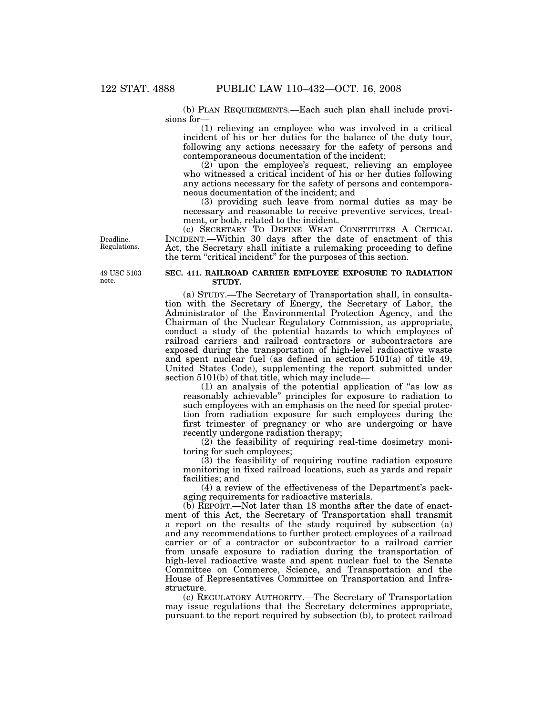(b) PLAN REQUIREMENTS.—Each such plan shall include provisions for—

(1) relieving an employee who was involved in a critical incident of his or her duties for the balance of the duty tour, following any actions necessary for the safety of persons and contemporaneous documentation of the incident;

(2) upon the employee's request, relieving an employee who witnessed a critical incident of his or her duties following any actions necessary for the safety of persons and contemporaneous documentation of the incident; and

(3) providing such leave from normal duties as may be necessary and reasonable to receive preventive services, treatment, or both, related to the incident.

(c) SECRETARY TO DEFINE WHAT CONSTITUTES A CRITICAL INCIDENT.—Within 30 days after the date of enactment of this Act, the Secretary shall initiate a rulemaking proceeding to define the term "critical incident" for the purposes of this section.

Regulations.

Deadline.

49 USC 5103 note.

#### **SEC. 411. RAILROAD CARRIER EMPLOYEE EXPOSURE TO RADIATION STUDY.**

(a) STUDY.—The Secretary of Transportation shall, in consultation with the Secretary of Energy, the Secretary of Labor, the Administrator of the Environmental Protection Agency, and the Chairman of the Nuclear Regulatory Commission, as appropriate, conduct a study of the potential hazards to which employees of railroad carriers and railroad contractors or subcontractors are exposed during the transportation of high-level radioactive waste and spent nuclear fuel (as defined in section 5101(a) of title 49, United States Code), supplementing the report submitted under section 5101(b) of that title, which may include—

(1) an analysis of the potential application of ''as low as reasonably achievable'' principles for exposure to radiation to such employees with an emphasis on the need for special protection from radiation exposure for such employees during the first trimester of pregnancy or who are undergoing or have recently undergone radiation therapy;

(2) the feasibility of requiring real-time dosimetry monitoring for such employees;

(3) the feasibility of requiring routine radiation exposure monitoring in fixed railroad locations, such as yards and repair facilities; and

(4) a review of the effectiveness of the Department's packaging requirements for radioactive materials.

(b) REPORT.—Not later than 18 months after the date of enactment of this Act, the Secretary of Transportation shall transmit a report on the results of the study required by subsection (a) and any recommendations to further protect employees of a railroad carrier or of a contractor or subcontractor to a railroad carrier from unsafe exposure to radiation during the transportation of high-level radioactive waste and spent nuclear fuel to the Senate Committee on Commerce, Science, and Transportation and the House of Representatives Committee on Transportation and Infrastructure.

(c) REGULATORY AUTHORITY.—The Secretary of Transportation may issue regulations that the Secretary determines appropriate, pursuant to the report required by subsection (b), to protect railroad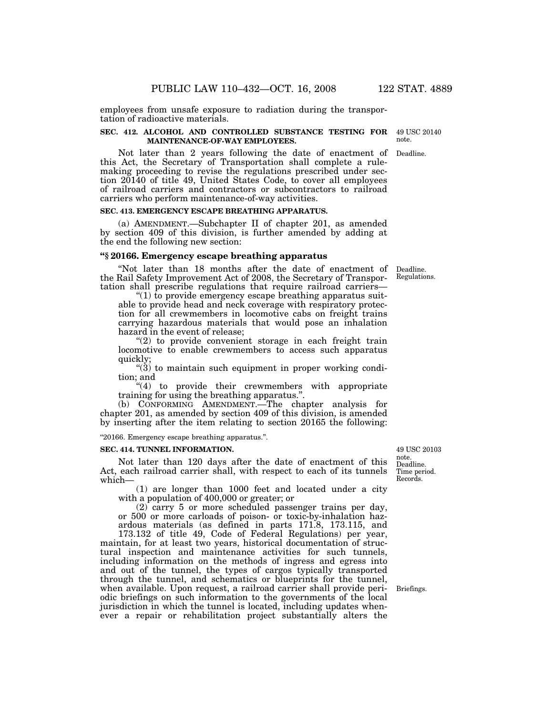employees from unsafe exposure to radiation during the transportation of radioactive materials.

#### **SEC. 412. ALCOHOL AND CONTROLLED SUBSTANCE TESTING FOR**  49 USC 20140 **MAINTENANCE-OF-WAY EMPLOYEES.**  note.

Not later than 2 years following the date of enactment of Deadline. this Act, the Secretary of Transportation shall complete a rulemaking proceeding to revise the regulations prescribed under section 20140 of title 49, United States Code, to cover all employees of railroad carriers and contractors or subcontractors to railroad carriers who perform maintenance-of-way activities.

#### **SEC. 413. EMERGENCY ESCAPE BREATHING APPARATUS.**

(a) AMENDMENT.—Subchapter II of chapter 201, as amended by section 409 of this division, is further amended by adding at the end the following new section:

## **''§ 20166. Emergency escape breathing apparatus**

''Not later than 18 months after the date of enactment of Deadline. the Rail Safety Improvement Act of 2008, the Secretary of Transportation shall prescribe regulations that require railroad carriers—

" $(1)$  to provide emergency escape breathing apparatus suitable to provide head and neck coverage with respiratory protection for all crewmembers in locomotive cabs on freight trains carrying hazardous materials that would pose an inhalation hazard in the event of release;

 $(2)$  to provide convenient storage in each freight train locomotive to enable crewmembers to access such apparatus quickly;

 $(3)$  to maintain such equipment in proper working condition; and

''(4) to provide their crewmembers with appropriate training for using the breathing apparatus.''.

(b) CONFORMING AMENDMENT.—The chapter analysis for chapter 201, as amended by section 409 of this division, is amended by inserting after the item relating to section 20165 the following:

''20166. Emergency escape breathing apparatus.''.

#### **SEC. 414. TUNNEL INFORMATION.**

Not later than 120 days after the date of enactment of this Act, each railroad carrier shall, with respect to each of its tunnels which—

(1) are longer than 1000 feet and located under a city with a population of 400,000 or greater; or

(2) carry 5 or more scheduled passenger trains per day, or 500 or more carloads of poison- or toxic-by-inhalation hazardous materials (as defined in parts 171.8, 173.115, and

173.132 of title 49, Code of Federal Regulations) per year, maintain, for at least two years, historical documentation of structural inspection and maintenance activities for such tunnels, including information on the methods of ingress and egress into and out of the tunnel, the types of cargos typically transported through the tunnel, and schematics or blueprints for the tunnel, when available. Upon request, a railroad carrier shall provide periodic briefings on such information to the governments of the local jurisdiction in which the tunnel is located, including updates whenever a repair or rehabilitation project substantially alters the

Deadline. Time period. Records. 49 USC 20103 note.

Regulations.

Briefings.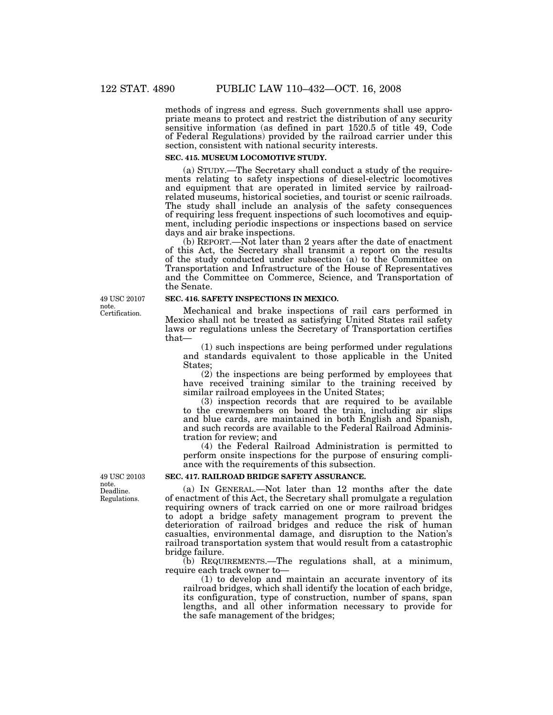methods of ingress and egress. Such governments shall use appropriate means to protect and restrict the distribution of any security sensitive information (as defined in part 1520.5 of title 49, Code of Federal Regulations) provided by the railroad carrier under this section, consistent with national security interests.

#### **SEC. 415. MUSEUM LOCOMOTIVE STUDY.**

(a) STUDY.—The Secretary shall conduct a study of the requirements relating to safety inspections of diesel-electric locomotives and equipment that are operated in limited service by railroadrelated museums, historical societies, and tourist or scenic railroads. The study shall include an analysis of the safety consequences of requiring less frequent inspections of such locomotives and equipment, including periodic inspections or inspections based on service days and air brake inspections.

(b) REPORT.—Not later than 2 years after the date of enactment of this Act, the Secretary shall transmit a report on the results of the study conducted under subsection (a) to the Committee on Transportation and Infrastructure of the House of Representatives and the Committee on Commerce, Science, and Transportation of the Senate.

#### **SEC. 416. SAFETY INSPECTIONS IN MEXICO.**

Mechanical and brake inspections of rail cars performed in Mexico shall not be treated as satisfying United States rail safety laws or regulations unless the Secretary of Transportation certifies that—

(1) such inspections are being performed under regulations and standards equivalent to those applicable in the United States;

(2) the inspections are being performed by employees that have received training similar to the training received by similar railroad employees in the United States;

(3) inspection records that are required to be available to the crewmembers on board the train, including air slips and blue cards, are maintained in both English and Spanish, and such records are available to the Federal Railroad Administration for review; and

(4) the Federal Railroad Administration is permitted to perform onsite inspections for the purpose of ensuring compliance with the requirements of this subsection.

#### **SEC. 417. RAILROAD BRIDGE SAFETY ASSURANCE.**

(a) IN GENERAL.—Not later than 12 months after the date of enactment of this Act, the Secretary shall promulgate a regulation requiring owners of track carried on one or more railroad bridges to adopt a bridge safety management program to prevent the deterioration of railroad bridges and reduce the risk of human casualties, environmental damage, and disruption to the Nation's railroad transportation system that would result from a catastrophic bridge failure.

(b) REQUIREMENTS.—The regulations shall, at a minimum, require each track owner to—

(1) to develop and maintain an accurate inventory of its railroad bridges, which shall identify the location of each bridge, its configuration, type of construction, number of spans, span lengths, and all other information necessary to provide for the safe management of the bridges;

Certification. 49 USC 20107 note.

Deadline. Regulations. 49 USC 20103 note.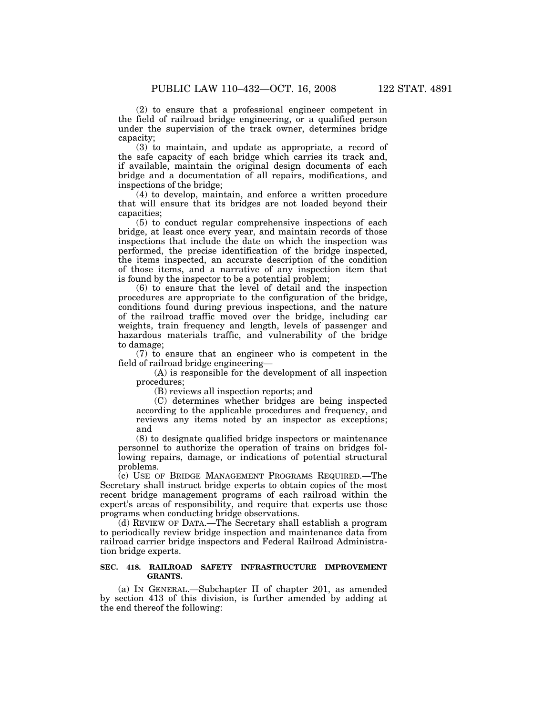(2) to ensure that a professional engineer competent in the field of railroad bridge engineering, or a qualified person under the supervision of the track owner, determines bridge capacity;

(3) to maintain, and update as appropriate, a record of the safe capacity of each bridge which carries its track and, if available, maintain the original design documents of each bridge and a documentation of all repairs, modifications, and inspections of the bridge;

(4) to develop, maintain, and enforce a written procedure that will ensure that its bridges are not loaded beyond their capacities;

(5) to conduct regular comprehensive inspections of each bridge, at least once every year, and maintain records of those inspections that include the date on which the inspection was performed, the precise identification of the bridge inspected, the items inspected, an accurate description of the condition of those items, and a narrative of any inspection item that is found by the inspector to be a potential problem;

(6) to ensure that the level of detail and the inspection procedures are appropriate to the configuration of the bridge, conditions found during previous inspections, and the nature of the railroad traffic moved over the bridge, including car weights, train frequency and length, levels of passenger and hazardous materials traffic, and vulnerability of the bridge to damage;

(7) to ensure that an engineer who is competent in the field of railroad bridge engineering—

(A) is responsible for the development of all inspection procedures;

(B) reviews all inspection reports; and

(C) determines whether bridges are being inspected according to the applicable procedures and frequency, and reviews any items noted by an inspector as exceptions; and

(8) to designate qualified bridge inspectors or maintenance personnel to authorize the operation of trains on bridges following repairs, damage, or indications of potential structural problems.

(c) USE OF BRIDGE MANAGEMENT PROGRAMS REQUIRED.—The Secretary shall instruct bridge experts to obtain copies of the most recent bridge management programs of each railroad within the expert's areas of responsibility, and require that experts use those programs when conducting bridge observations.

(d) REVIEW OF DATA.—The Secretary shall establish a program to periodically review bridge inspection and maintenance data from railroad carrier bridge inspectors and Federal Railroad Administration bridge experts.

### **SEC. 418. RAILROAD SAFETY INFRASTRUCTURE IMPROVEMENT GRANTS.**

(a) IN GENERAL.—Subchapter II of chapter 201, as amended by section 413 of this division, is further amended by adding at the end thereof the following: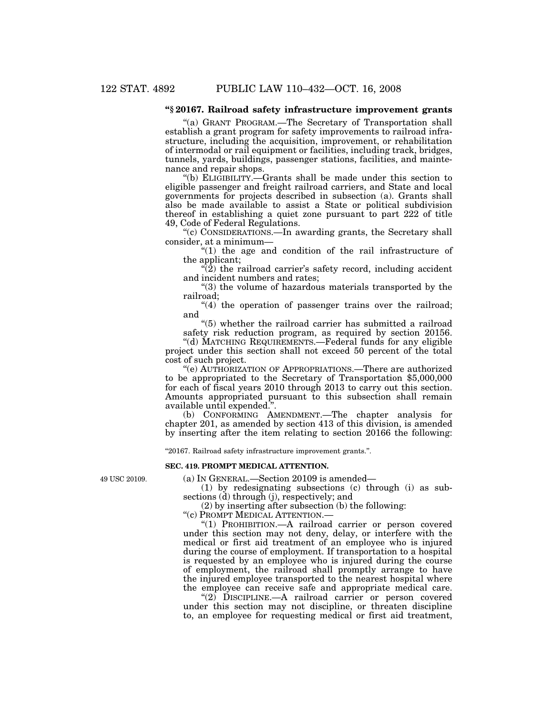### **''§ 20167. Railroad safety infrastructure improvement grants**

''(a) GRANT PROGRAM.—The Secretary of Transportation shall establish a grant program for safety improvements to railroad infrastructure, including the acquisition, improvement, or rehabilitation of intermodal or rail equipment or facilities, including track, bridges, tunnels, yards, buildings, passenger stations, facilities, and maintenance and repair shops.

''(b) ELIGIBILITY.—Grants shall be made under this section to eligible passenger and freight railroad carriers, and State and local governments for projects described in subsection (a). Grants shall also be made available to assist a State or political subdivision thereof in establishing a quiet zone pursuant to part 222 of title 49, Code of Federal Regulations.

"(c) CONSIDERATIONS.—In awarding grants, the Secretary shall consider, at a minimum—

 $f''(1)$  the age and condition of the rail infrastructure of the applicant;

" $(2)$  the railroad carrier's safety record, including accident and incident numbers and rates;

''(3) the volume of hazardous materials transported by the railroad;

 $(4)$  the operation of passenger trains over the railroad; and

''(5) whether the railroad carrier has submitted a railroad safety risk reduction program, as required by section 20156.

''(d) MATCHING REQUIREMENTS.—Federal funds for any eligible project under this section shall not exceed 50 percent of the total cost of such project.

''(e) AUTHORIZATION OF APPROPRIATIONS.—There are authorized to be appropriated to the Secretary of Transportation \$5,000,000 for each of fiscal years 2010 through 2013 to carry out this section. Amounts appropriated pursuant to this subsection shall remain available until expended.''.

(b) CONFORMING AMENDMENT.—The chapter analysis for chapter 201, as amended by section 413 of this division, is amended by inserting after the item relating to section 20166 the following:

''20167. Railroad safety infrastructure improvement grants.''.

#### **SEC. 419. PROMPT MEDICAL ATTENTION.**

49 USC 20109.

(a) IN GENERAL.—Section 20109 is amended—

(1) by redesignating subsections (c) through (i) as subsections (d) through (j), respectively; and

(2) by inserting after subsection (b) the following:

''(c) PROMPT MEDICAL ATTENTION.—

"(1) PROHIBITION. - A railroad carrier or person covered under this section may not deny, delay, or interfere with the medical or first aid treatment of an employee who is injured during the course of employment. If transportation to a hospital is requested by an employee who is injured during the course of employment, the railroad shall promptly arrange to have the injured employee transported to the nearest hospital where the employee can receive safe and appropriate medical care.

 $(2)$  DISCIPLINE.—A railroad carrier or person covered under this section may not discipline, or threaten discipline to, an employee for requesting medical or first aid treatment,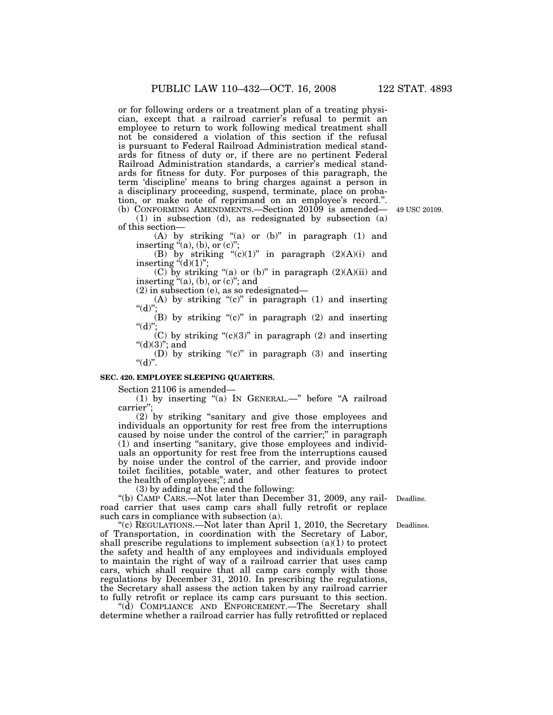or for following orders or a treatment plan of a treating physician, except that a railroad carrier's refusal to permit an employee to return to work following medical treatment shall not be considered a violation of this section if the refusal is pursuant to Federal Railroad Administration medical standards for fitness of duty or, if there are no pertinent Federal Railroad Administration standards, a carrier's medical standards for fitness for duty. For purposes of this paragraph, the term 'discipline' means to bring charges against a person in a disciplinary proceeding, suspend, terminate, place on probation, or make note of reprimand on an employee's record.''. (b) CONFORMING AMENDMENTS.—Section 20109 is amended—

(1) in subsection (d), as redesignated by subsection (a) of this section—

(A) by striking "(a) or  $(b)$ " in paragraph  $(1)$  and inserting  $(a)$ , (b), or (c)";

(B) by striking " $(c)(1)$ " in paragraph  $(2)(A)(i)$  and inserting  $\ddot{d}(d)(1)$ ";

(C) by striking "(a) or (b)" in paragraph  $(2)(A)(ii)$  and inserting  $(a)$ , (b), or (c)"; and

(2) in subsection (e), as so redesignated—

(A) by striking " $(c)$ " in paragraph (1) and inserting " $(d)$ "

 $(B)$  by striking "(c)" in paragraph (2) and inserting " $(d)$ ";

 $(C)$  by striking " $(c)(3)$ " in paragraph  $(2)$  and inserting " $(d)(3)$ "; and

(D) by striking " $(c)$ " in paragraph (3) and inserting " $(d)$ ".

#### **SEC. 420. EMPLOYEE SLEEPING QUARTERS.**

Section 21106 is amended—

(1) by inserting ''(a) IN GENERAL.—'' before ''A railroad carrier'';

(2) by striking ''sanitary and give those employees and individuals an opportunity for rest free from the interruptions caused by noise under the control of the carrier;'' in paragraph (1) and inserting ''sanitary, give those employees and individuals an opportunity for rest free from the interruptions caused by noise under the control of the carrier, and provide indoor toilet facilities, potable water, and other features to protect the health of employees;''; and

(3) by adding at the end the following:

''(b) CAMP CARS.—Not later than December 31, 2009, any railroad carrier that uses camp cars shall fully retrofit or replace such cars in compliance with subsection (a).

"(c) REGULATIONS.—Not later than April 1, 2010, the Secretary of Transportation, in coordination with the Secretary of Labor, shall prescribe regulations to implement subsection  $(a)(1)$  to protect the safety and health of any employees and individuals employed to maintain the right of way of a railroad carrier that uses camp cars, which shall require that all camp cars comply with those regulations by December 31, 2010. In prescribing the regulations, the Secretary shall assess the action taken by any railroad carrier to fully retrofit or replace its camp cars pursuant to this section.

"(d) COMPLIANCE AND ENFORCEMENT.—The Secretary shall determine whether a railroad carrier has fully retrofitted or replaced

Deadline.

Deadlines.

49 USC 20109.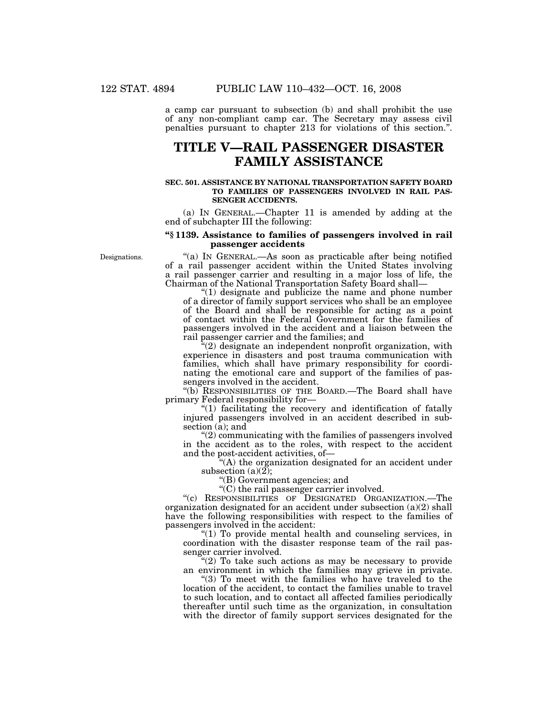a camp car pursuant to subsection (b) and shall prohibit the use of any non-compliant camp car. The Secretary may assess civil penalties pursuant to chapter 213 for violations of this section.''.

## **TITLE V—RAIL PASSENGER DISASTER FAMILY ASSISTANCE**

#### **SEC. 501. ASSISTANCE BY NATIONAL TRANSPORTATION SAFETY BOARD TO FAMILIES OF PASSENGERS INVOLVED IN RAIL PAS-SENGER ACCIDENTS.**

(a) IN GENERAL.—Chapter 11 is amended by adding at the end of subchapter III the following:

#### **''§ 1139. Assistance to families of passengers involved in rail passenger accidents**

Designations.

"(a) IN GENERAL.—As soon as practicable after being notified of a rail passenger accident within the United States involving a rail passenger carrier and resulting in a major loss of life, the Chairman of the National Transportation Safety Board shall—

" $(1)$  designate and publicize the name and phone number of a director of family support services who shall be an employee of the Board and shall be responsible for acting as a point of contact within the Federal Government for the families of passengers involved in the accident and a liaison between the rail passenger carrier and the families; and

''(2) designate an independent nonprofit organization, with experience in disasters and post trauma communication with families, which shall have primary responsibility for coordinating the emotional care and support of the families of passengers involved in the accident.

''(b) RESPONSIBILITIES OF THE BOARD.—The Board shall have primary Federal responsibility for—

''(1) facilitating the recovery and identification of fatally injured passengers involved in an accident described in subsection (a); and

''(2) communicating with the families of passengers involved in the accident as to the roles, with respect to the accident and the post-accident activities, of—

 $(A)$  the organization designated for an accident under subsection  $(a)(2)$ ;

''(B) Government agencies; and

''(C) the rail passenger carrier involved.

''(c) RESPONSIBILITIES OF DESIGNATED ORGANIZATION.—The organization designated for an accident under subsection (a)(2) shall have the following responsibilities with respect to the families of passengers involved in the accident:

''(1) To provide mental health and counseling services, in coordination with the disaster response team of the rail passenger carrier involved.

 $E''(2)$  To take such actions as may be necessary to provide an environment in which the families may grieve in private.

"(3) To meet with the families who have traveled to the location of the accident, to contact the families unable to travel to such location, and to contact all affected families periodically thereafter until such time as the organization, in consultation with the director of family support services designated for the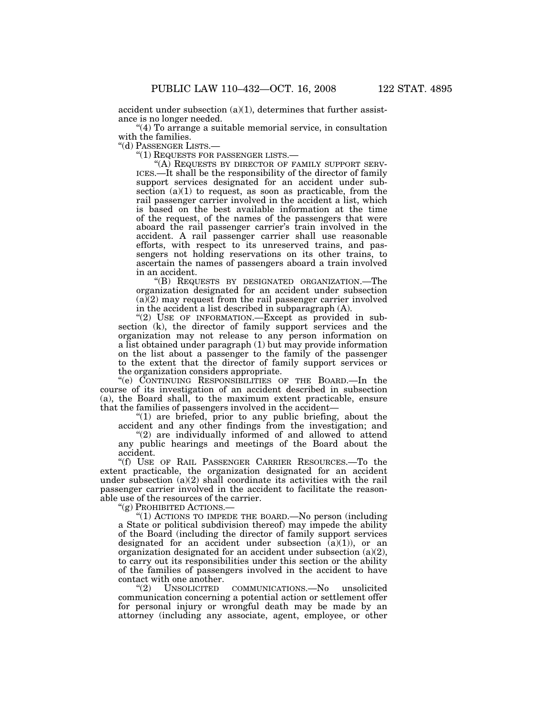accident under subsection  $(a)(1)$ , determines that further assistance is no longer needed.

"(4) To arrange a suitable memorial service, in consultation

with the families.<br>"(d) PASSENGER LISTS.—

''(d) PASSENGER LISTS.— ''(1) REQUESTS FOR PASSENGER LISTS.— ''(A) REQUESTS BY DIRECTOR OF FAMILY SUPPORT SERV- ICES.—It shall be the responsibility of the director of family support services designated for an accident under subsection  $(a)(1)$  to request, as soon as practicable, from the rail passenger carrier involved in the accident a list, which is based on the best available information at the time of the request, of the names of the passengers that were aboard the rail passenger carrier's train involved in the accident. A rail passenger carrier shall use reasonable efforts, with respect to its unreserved trains, and passengers not holding reservations on its other trains, to ascertain the names of passengers aboard a train involved in an accident.

''(B) REQUESTS BY DESIGNATED ORGANIZATION.—The organization designated for an accident under subsection (a)(2) may request from the rail passenger carrier involved in the accident a list described in subparagraph (A).

"(2) USE OF INFORMATION. Except as provided in subsection (k), the director of family support services and the organization may not release to any person information on a list obtained under paragraph (1) but may provide information on the list about a passenger to the family of the passenger to the extent that the director of family support services or the organization considers appropriate.

''(e) CONTINUING RESPONSIBILITIES OF THE BOARD.—In the course of its investigation of an accident described in subsection (a), the Board shall, to the maximum extent practicable, ensure that the families of passengers involved in the accident—

" $(1)$  are briefed, prior to any public briefing, about the accident and any other findings from the investigation; and

''(2) are individually informed of and allowed to attend any public hearings and meetings of the Board about the accident.

''(f) USE OF RAIL PASSENGER CARRIER RESOURCES.—To the extent practicable, the organization designated for an accident under subsection (a)(2) shall coordinate its activities with the rail passenger carrier involved in the accident to facilitate the reasonable use of the resources of the carrier.

''(g) PROHIBITED ACTIONS.—

''(1) ACTIONS TO IMPEDE THE BOARD.—No person (including a State or political subdivision thereof) may impede the ability of the Board (including the director of family support services designated for an accident under subsection  $(a)(1)$ , or an organization designated for an accident under subsection  $(a)(2)$ , to carry out its responsibilities under this section or the ability of the families of passengers involved in the accident to have contact with one another.

''(2) UNSOLICITED COMMUNICATIONS.—No unsolicited communication concerning a potential action or settlement offer for personal injury or wrongful death may be made by an attorney (including any associate, agent, employee, or other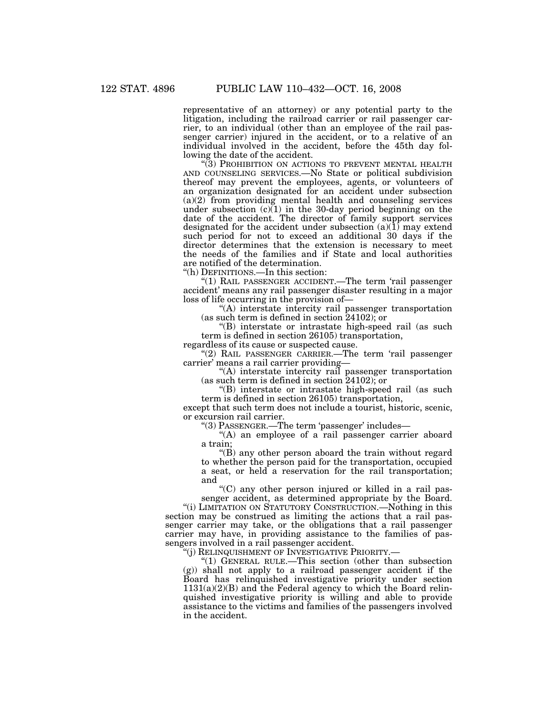representative of an attorney) or any potential party to the litigation, including the railroad carrier or rail passenger carrier, to an individual (other than an employee of the rail passenger carrier) injured in the accident, or to a relative of an individual involved in the accident, before the 45th day following the date of the accident.

"(3) PROHIBITION ON ACTIONS TO PREVENT MENTAL HEALTH AND COUNSELING SERVICES.—No State or political subdivision thereof may prevent the employees, agents, or volunteers of an organization designated for an accident under subsection (a)(2) from providing mental health and counseling services under subsection  $(c)(1)$  in the 30-day period beginning on the date of the accident. The director of family support services designated for the accident under subsection  $(a)(\overline{1})$  may extend such period for not to exceed an additional 30 days if the director determines that the extension is necessary to meet the needs of the families and if State and local authorities are notified of the determination.

''(h) DEFINITIONS.—In this section:

"(1) RAIL PASSENGER ACCIDENT.—The term 'rail passenger accident' means any rail passenger disaster resulting in a major loss of life occurring in the provision of—

''(A) interstate intercity rail passenger transportation (as such term is defined in section 24102); or

''(B) interstate or intrastate high-speed rail (as such term is defined in section 26105) transportation, regardless of its cause or suspected cause.

''(2) RAIL PASSENGER CARRIER.—The term 'rail passenger carrier' means a rail carrier providing—

''(A) interstate intercity rail passenger transportation (as such term is defined in section 24102); or

''(B) interstate or intrastate high-speed rail (as such term is defined in section 26105) transportation,

except that such term does not include a tourist, historic, scenic, or excursion rail carrier.

''(3) PASSENGER.—The term 'passenger' includes—

"(A) an employee of a rail passenger carrier aboard a train;

 $\mathrm{H}(B)$  any other person aboard the train without regard to whether the person paid for the transportation, occupied a seat, or held a reservation for the rail transportation; and

''(C) any other person injured or killed in a rail passenger accident, as determined appropriate by the Board.

''(i) LIMITATION ON STATUTORY CONSTRUCTION.—Nothing in this section may be construed as limiting the actions that a rail passenger carrier may take, or the obligations that a rail passenger carrier may have, in providing assistance to the families of passengers involved in a rail passenger accident.

'(j) RELINQUISHMENT OF INVESTIGATIVE PRIORITY.—

''(1) GENERAL RULE.—This section (other than subsection (g)) shall not apply to a railroad passenger accident if the Board has relinquished investigative priority under section  $1131(a)(2)(B)$  and the Federal agency to which the Board relinquished investigative priority is willing and able to provide assistance to the victims and families of the passengers involved in the accident.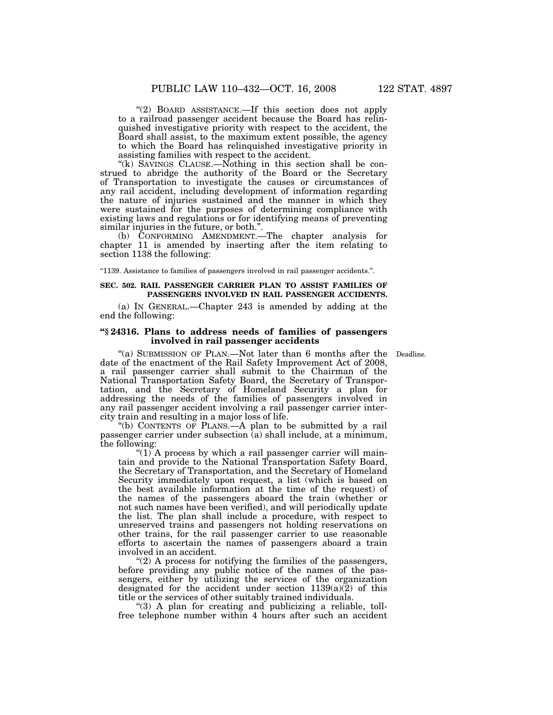"(2) BOARD ASSISTANCE.—If this section does not apply to a railroad passenger accident because the Board has relinquished investigative priority with respect to the accident, the Board shall assist, to the maximum extent possible, the agency to which the Board has relinquished investigative priority in assisting families with respect to the accident.

"(k) SAVINGS CLAUSE.—Nothing in this section shall be construed to abridge the authority of the Board or the Secretary of Transportation to investigate the causes or circumstances of any rail accident, including development of information regarding the nature of injuries sustained and the manner in which they were sustained for the purposes of determining compliance with existing laws and regulations or for identifying means of preventing similar injuries in the future, or both.''.

(b) CONFORMING AMENDMENT.—The chapter analysis for chapter 11 is amended by inserting after the item relating to section 1138 the following:

''1139. Assistance to families of passengers involved in rail passenger accidents.''.

#### **SEC. 502. RAIL PASSENGER CARRIER PLAN TO ASSIST FAMILIES OF PASSENGERS INVOLVED IN RAIL PASSENGER ACCIDENTS.**

(a) IN GENERAL.—Chapter 243 is amended by adding at the end the following:

#### **''§ 24316. Plans to address needs of families of passengers involved in rail passenger accidents**

"(a) SUBMISSION OF PLAN.—Not later than 6 months after the Deadline. date of the enactment of the Rail Safety Improvement Act of 2008, a rail passenger carrier shall submit to the Chairman of the National Transportation Safety Board, the Secretary of Transportation, and the Secretary of Homeland Security a plan for addressing the needs of the families of passengers involved in any rail passenger accident involving a rail passenger carrier intercity train and resulting in a major loss of life.

''(b) CONTENTS OF PLANS.—A plan to be submitted by a rail passenger carrier under subsection (a) shall include, at a minimum, the following:

 $f(1)$  A process by which a rail passenger carrier will maintain and provide to the National Transportation Safety Board, the Secretary of Transportation, and the Secretary of Homeland Security immediately upon request, a list (which is based on the best available information at the time of the request) of the names of the passengers aboard the train (whether or not such names have been verified), and will periodically update the list. The plan shall include a procedure, with respect to unreserved trains and passengers not holding reservations on other trains, for the rail passenger carrier to use reasonable efforts to ascertain the names of passengers aboard a train involved in an accident.

" $(2)$  A process for notifying the families of the passengers, before providing any public notice of the names of the passengers, either by utilizing the services of the organization designated for the accident under section  $1139(a)\overline{2}$  of this title or the services of other suitably trained individuals.

''(3) A plan for creating and publicizing a reliable, tollfree telephone number within 4 hours after such an accident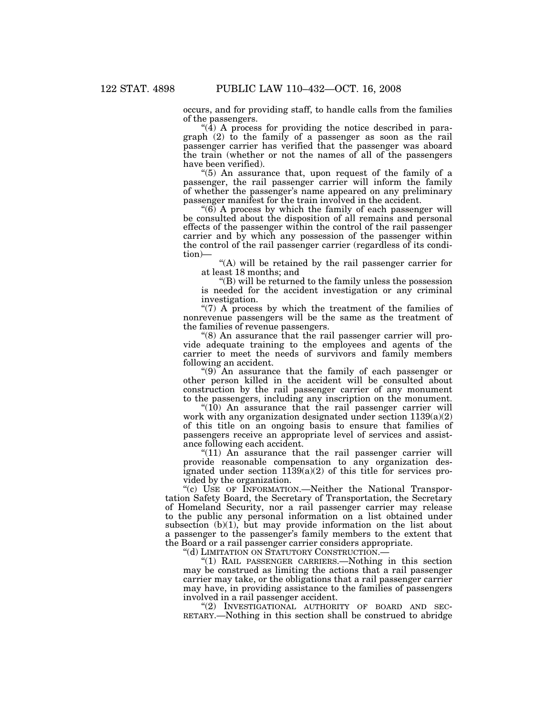occurs, and for providing staff, to handle calls from the families of the passengers.

"( $\bar{4}$ ) A process for providing the notice described in paragraph (2) to the family of a passenger as soon as the rail passenger carrier has verified that the passenger was aboard the train (whether or not the names of all of the passengers have been verified).

''(5) An assurance that, upon request of the family of a passenger, the rail passenger carrier will inform the family of whether the passenger's name appeared on any preliminary passenger manifest for the train involved in the accident.

" $(6)$  A process by which the family of each passenger will be consulted about the disposition of all remains and personal effects of the passenger within the control of the rail passenger carrier and by which any possession of the passenger within the control of the rail passenger carrier (regardless of its condition)—

"(A) will be retained by the rail passenger carrier for at least 18 months; and

''(B) will be returned to the family unless the possession is needed for the accident investigation or any criminal investigation.

"(7) A process by which the treatment of the families of nonrevenue passengers will be the same as the treatment of the families of revenue passengers.

"(8) An assurance that the rail passenger carrier will provide adequate training to the employees and agents of the carrier to meet the needs of survivors and family members following an accident.

 $(9)$  An assurance that the family of each passenger or other person killed in the accident will be consulted about construction by the rail passenger carrier of any monument to the passengers, including any inscription on the monument.

" $(10)$  An assurance that the rail passenger carrier will work with any organization designated under section 1139(a)(2) of this title on an ongoing basis to ensure that families of passengers receive an appropriate level of services and assistance following each accident.

" $(11)$  An assurance that the rail passenger carrier will provide reasonable compensation to any organization designated under section 1139(a)(2) of this title for services provided by the organization.

"(c) USE OF INFORMATION. - Neither the National Transportation Safety Board, the Secretary of Transportation, the Secretary of Homeland Security, nor a rail passenger carrier may release to the public any personal information on a list obtained under subsection  $(b)(1)$ , but may provide information on the list about a passenger to the passenger's family members to the extent that the Board or a rail passenger carrier considers appropriate.

''(d) LIMITATION ON STATUTORY CONSTRUCTION.—

''(1) RAIL PASSENGER CARRIERS.—Nothing in this section may be construed as limiting the actions that a rail passenger carrier may take, or the obligations that a rail passenger carrier may have, in providing assistance to the families of passengers

involved in a rail passenger accident.<br>"(2) INVESTIGATIONAL AUTHORITY OF BOARD AND SEC-RETARY.—Nothing in this section shall be construed to abridge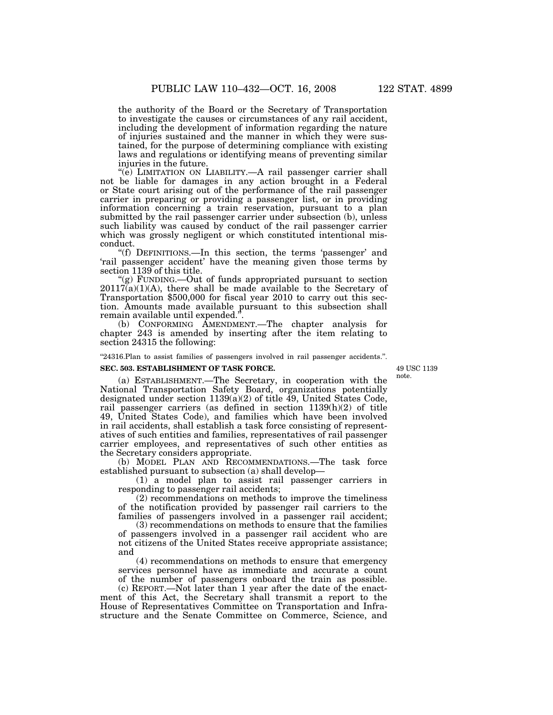the authority of the Board or the Secretary of Transportation to investigate the causes or circumstances of any rail accident, including the development of information regarding the nature of injuries sustained and the manner in which they were sustained, for the purpose of determining compliance with existing laws and regulations or identifying means of preventing similar injuries in the future.

"(e) LIMITATION ON LIABILITY.—A rail passenger carrier shall not be liable for damages in any action brought in a Federal or State court arising out of the performance of the rail passenger carrier in preparing or providing a passenger list, or in providing information concerning a train reservation, pursuant to a plan submitted by the rail passenger carrier under subsection (b), unless such liability was caused by conduct of the rail passenger carrier which was grossly negligent or which constituted intentional misconduct.

''(f) DEFINITIONS.—In this section, the terms 'passenger' and 'rail passenger accident' have the meaning given those terms by section 1139 of this title.

''(g) FUNDING.—Out of funds appropriated pursuant to section  $20117(a)(1)(A)$ , there shall be made available to the Secretary of Transportation \$500,000 for fiscal year 2010 to carry out this section. Amounts made available pursuant to this subsection shall remain available until expended.''.

(b) CONFORMING AMENDMENT.—The chapter analysis for chapter 243 is amended by inserting after the item relating to section 24315 the following:

''24316.Plan to assist families of passengers involved in rail passenger accidents.''.

#### **SEC. 503. ESTABLISHMENT OF TASK FORCE.**

49 USC 1139 note.

(a) ESTABLISHMENT.—The Secretary, in cooperation with the National Transportation Safety Board, organizations potentially designated under section  $1139(a)(2)$  of title 49, United States Code, rail passenger carriers (as defined in section 1139(h)(2) of title 49, United States Code), and families which have been involved in rail accidents, shall establish a task force consisting of representatives of such entities and families, representatives of rail passenger carrier employees, and representatives of such other entities as the Secretary considers appropriate.

(b) MODEL PLAN AND RECOMMENDATIONS.—The task force established pursuant to subsection (a) shall develop—

(1) a model plan to assist rail passenger carriers in responding to passenger rail accidents;

(2) recommendations on methods to improve the timeliness of the notification provided by passenger rail carriers to the families of passengers involved in a passenger rail accident;

(3) recommendations on methods to ensure that the families of passengers involved in a passenger rail accident who are not citizens of the United States receive appropriate assistance; and

(4) recommendations on methods to ensure that emergency services personnel have as immediate and accurate a count of the number of passengers onboard the train as possible.

(c) REPORT.—Not later than 1 year after the date of the enactment of this Act, the Secretary shall transmit a report to the House of Representatives Committee on Transportation and Infrastructure and the Senate Committee on Commerce, Science, and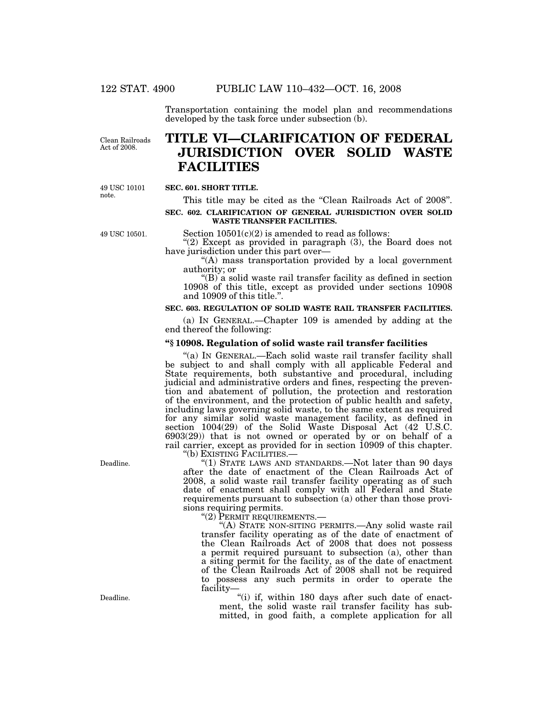Transportation containing the model plan and recommendations developed by the task force under subsection (b).

Clean Railroads Act of 2008.

# **TITLE VI—CLARIFICATION OF FEDERAL JURISDICTION OVER SOLID WASTE FACILITIES**

49 USC 10101 note.

## **SEC. 601. SHORT TITLE.**

This title may be cited as the "Clean Railroads Act of 2008".

### **SEC. 602. CLARIFICATION OF GENERAL JURISDICTION OVER SOLID WASTE TRANSFER FACILITIES.**

49 USC 10501.

Section  $10501(c)(2)$  is amended to read as follows: " $(2)$  Except as provided in paragraph  $(3)$ , the Board does not

have jurisdiction under this part over—

''(A) mass transportation provided by a local government authority; or

''(B) a solid waste rail transfer facility as defined in section 10908 of this title, except as provided under sections 10908 and 10909 of this title.''.

### **SEC. 603. REGULATION OF SOLID WASTE RAIL TRANSFER FACILITIES.**

(a) IN GENERAL.—Chapter 109 is amended by adding at the end thereof the following:

#### **''§ 10908. Regulation of solid waste rail transfer facilities**

"(a) IN GENERAL.—Each solid waste rail transfer facility shall be subject to and shall comply with all applicable Federal and State requirements, both substantive and procedural, including judicial and administrative orders and fines, respecting the prevention and abatement of pollution, the protection and restoration of the environment, and the protection of public health and safety, including laws governing solid waste, to the same extent as required for any similar solid waste management facility, as defined in section 1004(29) of the Solid Waste Disposal Act (42 U.S.C. 6903(29)) that is not owned or operated by or on behalf of a rail carrier, except as provided for in section 10909 of this chapter.<br>"(b) EXISTING FACILITIES.—

''(b) EXISTING FACILITIES.— ''(1) STATE LAWS AND STANDARDS.—Not later than 90 days after the date of enactment of the Clean Railroads Act of 2008, a solid waste rail transfer facility operating as of such date of enactment shall comply with all Federal and State requirements pursuant to subsection (a) other than those provisions requiring permits.<br>
"(2) PERMIT REQUIREMENTS.

"(A) STATE NON-SITING PERMITS.—Any solid waste rail transfer facility operating as of the date of enactment of the Clean Railroads Act of 2008 that does not possess a permit required pursuant to subsection (a), other than a siting permit for the facility, as of the date of enactment of the Clean Railroads Act of 2008 shall not be required to possess any such permits in order to operate the facility—

"(i) if, within 180 days after such date of enactment, the solid waste rail transfer facility has submitted, in good faith, a complete application for all

Deadline.

Deadline.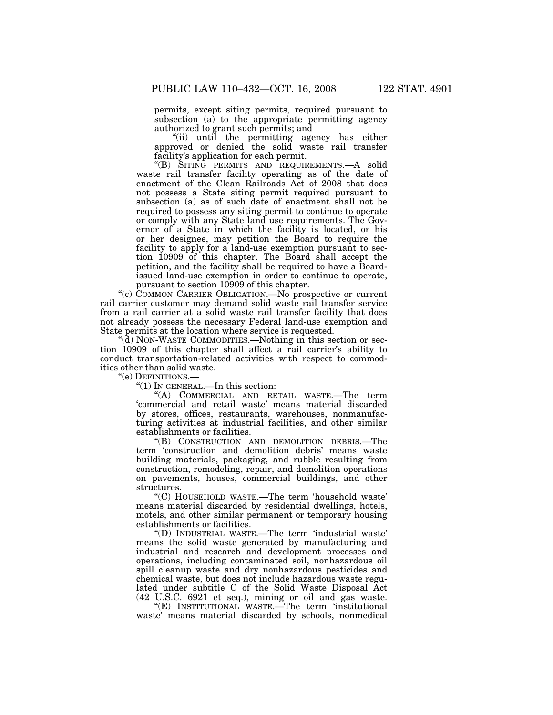permits, except siting permits, required pursuant to subsection (a) to the appropriate permitting agency authorized to grant such permits; and

''(ii) until the permitting agency has either approved or denied the solid waste rail transfer facility's application for each permit.

''(B) SITING PERMITS AND REQUIREMENTS.—A solid waste rail transfer facility operating as of the date of enactment of the Clean Railroads Act of 2008 that does not possess a State siting permit required pursuant to subsection (a) as of such date of enactment shall not be required to possess any siting permit to continue to operate or comply with any State land use requirements. The Governor of a State in which the facility is located, or his or her designee, may petition the Board to require the facility to apply for a land-use exemption pursuant to section 10909 of this chapter. The Board shall accept the petition, and the facility shall be required to have a Boardissued land-use exemption in order to continue to operate, pursuant to section 10909 of this chapter.

"(c) COMMON CARRIER OBLIGATION.—No prospective or current rail carrier customer may demand solid waste rail transfer service from a rail carrier at a solid waste rail transfer facility that does not already possess the necessary Federal land-use exemption and State permits at the location where service is requested.

''(d) NON-WASTE COMMODITIES.—Nothing in this section or section 10909 of this chapter shall affect a rail carrier's ability to conduct transportation-related activities with respect to commodities other than solid waste.

''(e) DEFINITIONS.—

''(1) IN GENERAL.—In this section:

''(A) COMMERCIAL AND RETAIL WASTE.—The term 'commercial and retail waste' means material discarded by stores, offices, restaurants, warehouses, nonmanufacturing activities at industrial facilities, and other similar establishments or facilities.

''(B) CONSTRUCTION AND DEMOLITION DEBRIS.—The term 'construction and demolition debris' means waste building materials, packaging, and rubble resulting from construction, remodeling, repair, and demolition operations on pavements, houses, commercial buildings, and other structures.

''(C) HOUSEHOLD WASTE.—The term 'household waste' means material discarded by residential dwellings, hotels, motels, and other similar permanent or temporary housing establishments or facilities.

''(D) INDUSTRIAL WASTE.—The term 'industrial waste' means the solid waste generated by manufacturing and industrial and research and development processes and operations, including contaminated soil, nonhazardous oil spill cleanup waste and dry nonhazardous pesticides and chemical waste, but does not include hazardous waste regulated under subtitle C of the Solid Waste Disposal Act (42 U.S.C. 6921 et seq.), mining or oil and gas waste.

''(E) INSTITUTIONAL WASTE.—The term 'institutional waste' means material discarded by schools, nonmedical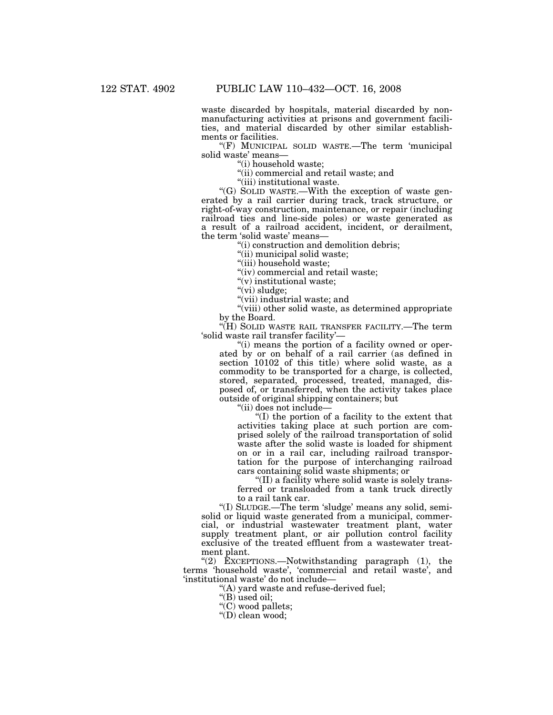waste discarded by hospitals, material discarded by nonmanufacturing activities at prisons and government facilities, and material discarded by other similar establishments or facilities.

''(F) MUNICIPAL SOLID WASTE.—The term 'municipal solid waste' means—

''(i) household waste;

''(ii) commercial and retail waste; and

''(iii) institutional waste.

''(G) SOLID WASTE.—With the exception of waste generated by a rail carrier during track, track structure, or right-of-way construction, maintenance, or repair (including railroad ties and line-side poles) or waste generated as a result of a railroad accident, incident, or derailment, the term 'solid waste' means—

''(i) construction and demolition debris;

"(ii) municipal solid waste;

''(iii) household waste;

"(iv) commercial and retail waste;

''(v) institutional waste;

"(vi) sludge;

''(vii) industrial waste; and

''(viii) other solid waste, as determined appropriate by the Board.

''(H) SOLID WASTE RAIL TRANSFER FACILITY.—The term 'solid waste rail transfer facility'—

"(i) means the portion of a facility owned or operated by or on behalf of a rail carrier (as defined in section 10102 of this title) where solid waste, as a commodity to be transported for a charge, is collected, stored, separated, processed, treated, managed, disposed of, or transferred, when the activity takes place outside of original shipping containers; but

''(ii) does not include—

''(I) the portion of a facility to the extent that activities taking place at such portion are comprised solely of the railroad transportation of solid waste after the solid waste is loaded for shipment on or in a rail car, including railroad transportation for the purpose of interchanging railroad cars containing solid waste shipments; or

"(II) a facility where solid waste is solely transferred or transloaded from a tank truck directly to a rail tank car.

''(I) SLUDGE.—The term 'sludge' means any solid, semisolid or liquid waste generated from a municipal, commercial, or industrial wastewater treatment plant, water supply treatment plant, or air pollution control facility exclusive of the treated effluent from a wastewater treatment plant.

"(2)  $\text{ExCEPTIONS.}$ -Notwithstanding paragraph (1), the terms 'household waste', 'commercial and retail waste', and 'institutional waste' do not include—

''(A) yard waste and refuse-derived fuel;

"(B) used oil;

"(C) wood pallets;

''(D) clean wood;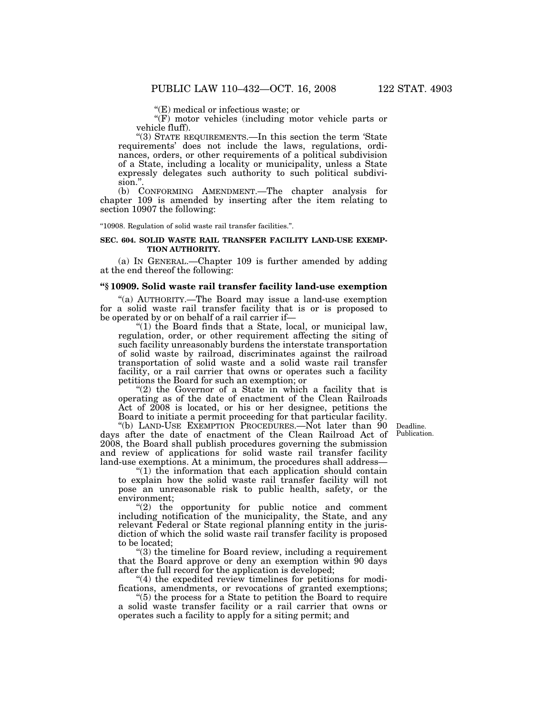''(E) medical or infectious waste; or

''(F) motor vehicles (including motor vehicle parts or vehicle fluff).

''(3) STATE REQUIREMENTS.—In this section the term 'State requirements' does not include the laws, regulations, ordinances, orders, or other requirements of a political subdivision of a State, including a locality or municipality, unless a State expressly delegates such authority to such political subdivision.''.

(b) CONFORMING AMENDMENT.—The chapter analysis for chapter 109 is amended by inserting after the item relating to section 10907 the following:

''10908. Regulation of solid waste rail transfer facilities.''.

#### **SEC. 604. SOLID WASTE RAIL TRANSFER FACILITY LAND-USE EXEMP-TION AUTHORITY.**

(a) IN GENERAL.—Chapter 109 is further amended by adding at the end thereof the following:

## **''§ 10909. Solid waste rail transfer facility land-use exemption**

''(a) AUTHORITY.—The Board may issue a land-use exemption for a solid waste rail transfer facility that is or is proposed to be operated by or on behalf of a rail carrier if—

" $(1)$  the Board finds that a State, local, or municipal law, regulation, order, or other requirement affecting the siting of such facility unreasonably burdens the interstate transportation of solid waste by railroad, discriminates against the railroad transportation of solid waste and a solid waste rail transfer facility, or a rail carrier that owns or operates such a facility petitions the Board for such an exemption; or

" $(2)$  the Governor of a State in which a facility that is operating as of the date of enactment of the Clean Railroads Act of  $2008$  is located, or his or her designee, petitions the Board to initiate a permit proceeding for that particular facility.

> Deadline. Publication.

"(b) LAND-USE EXEMPTION PROCEDURES.—Not later than 90 days after the date of enactment of the Clean Railroad Act of 2008, the Board shall publish procedures governing the submission and review of applications for solid waste rail transfer facility land-use exemptions. At a minimum, the procedures shall address—

''(1) the information that each application should contain to explain how the solid waste rail transfer facility will not pose an unreasonable risk to public health, safety, or the environment;

 $(2)$  the opportunity for public notice and comment including notification of the municipality, the State, and any relevant Federal or State regional planning entity in the jurisdiction of which the solid waste rail transfer facility is proposed to be located;

''(3) the timeline for Board review, including a requirement that the Board approve or deny an exemption within 90 days after the full record for the application is developed;

''(4) the expedited review timelines for petitions for modifications, amendments, or revocations of granted exemptions;

''(5) the process for a State to petition the Board to require a solid waste transfer facility or a rail carrier that owns or operates such a facility to apply for a siting permit; and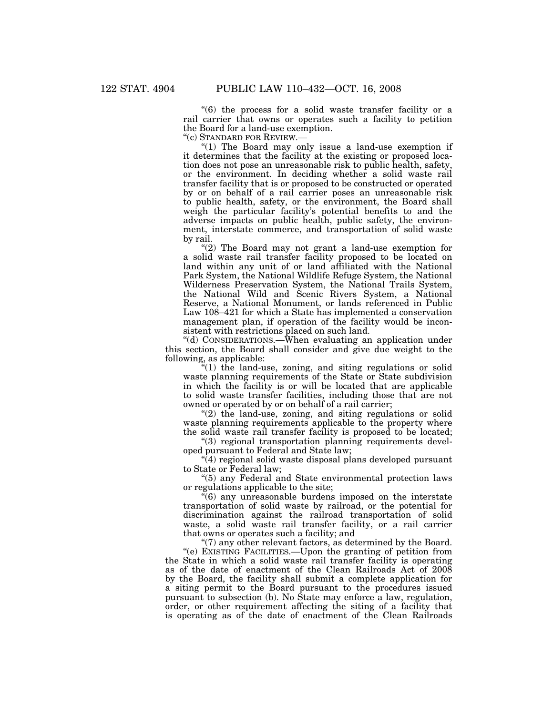''(6) the process for a solid waste transfer facility or a rail carrier that owns or operates such a facility to petition the Board for a land-use exemption.

''(c) STANDARD FOR REVIEW.—

"(1) The Board may only issue a land-use exemption if it determines that the facility at the existing or proposed location does not pose an unreasonable risk to public health, safety, or the environment. In deciding whether a solid waste rail transfer facility that is or proposed to be constructed or operated by or on behalf of a rail carrier poses an unreasonable risk to public health, safety, or the environment, the Board shall weigh the particular facility's potential benefits to and the adverse impacts on public health, public safety, the environment, interstate commerce, and transportation of solid waste by rail.

''(2) The Board may not grant a land-use exemption for a solid waste rail transfer facility proposed to be located on land within any unit of or land affiliated with the National Park System, the National Wildlife Refuge System, the National Wilderness Preservation System, the National Trails System, the National Wild and Scenic Rivers System, a National Reserve, a National Monument, or lands referenced in Public Law 108–421 for which a State has implemented a conservation management plan, if operation of the facility would be inconsistent with restrictions placed on such land.

''(d) CONSIDERATIONS.—When evaluating an application under this section, the Board shall consider and give due weight to the following, as applicable:

" $(1)$  the land-use, zoning, and siting regulations or solid waste planning requirements of the State or State subdivision in which the facility is or will be located that are applicable to solid waste transfer facilities, including those that are not owned or operated by or on behalf of a rail carrier;

 $(2)$  the land-use, zoning, and siting regulations or solid waste planning requirements applicable to the property where the solid waste rail transfer facility is proposed to be located;

''(3) regional transportation planning requirements developed pursuant to Federal and State law;

''(4) regional solid waste disposal plans developed pursuant to State or Federal law;

''(5) any Federal and State environmental protection laws or regulations applicable to the site;

''(6) any unreasonable burdens imposed on the interstate transportation of solid waste by railroad, or the potential for discrimination against the railroad transportation of solid waste, a solid waste rail transfer facility, or a rail carrier that owns or operates such a facility; and

" $(7)$  any other relevant factors, as determined by the Board. ''(e) EXISTING FACILITIES.—Upon the granting of petition from the State in which a solid waste rail transfer facility is operating as of the date of enactment of the Clean Railroads Act of 2008 by the Board, the facility shall submit a complete application for a siting permit to the Board pursuant to the procedures issued pursuant to subsection (b). No State may enforce a law, regulation, order, or other requirement affecting the siting of a facility that is operating as of the date of enactment of the Clean Railroads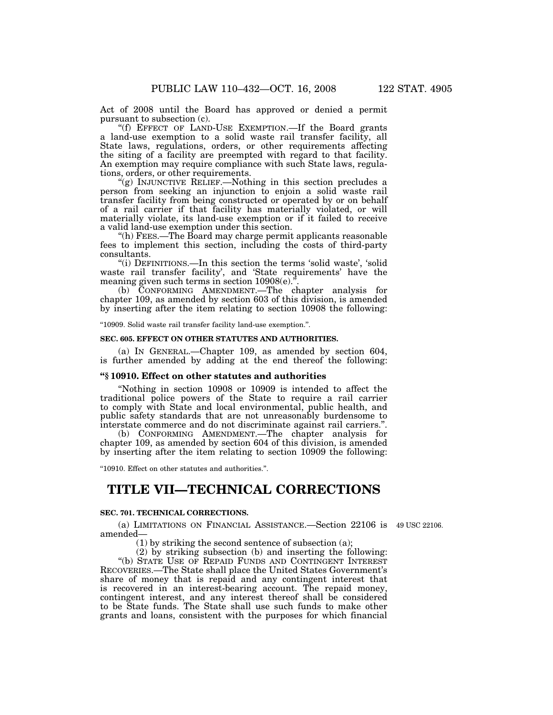Act of 2008 until the Board has approved or denied a permit pursuant to subsection (c).

''(f) EFFECT OF LAND-USE EXEMPTION.—If the Board grants a land-use exemption to a solid waste rail transfer facility, all State laws, regulations, orders, or other requirements affecting the siting of a facility are preempted with regard to that facility. An exemption may require compliance with such State laws, regulations, orders, or other requirements.

''(g) INJUNCTIVE RELIEF.—Nothing in this section precludes a person from seeking an injunction to enjoin a solid waste rail transfer facility from being constructed or operated by or on behalf of a rail carrier if that facility has materially violated, or will materially violate, its land-use exemption or if it failed to receive a valid land-use exemption under this section.

''(h) FEES.—The Board may charge permit applicants reasonable fees to implement this section, including the costs of third-party consultants.

''(i) DEFINITIONS.—In this section the terms 'solid waste', 'solid waste rail transfer facility', and 'State requirements' have the meaning given such terms in section 10908(e).''.

(b) CONFORMING AMENDMENT.—The chapter analysis for chapter 109, as amended by section 603 of this division, is amended by inserting after the item relating to section 10908 the following:

''10909. Solid waste rail transfer facility land-use exemption.''.

### **SEC. 605. EFFECT ON OTHER STATUTES AND AUTHORITIES.**

(a) IN GENERAL.—Chapter 109, as amended by section 604, is further amended by adding at the end thereof the following:

#### **''§ 10910. Effect on other statutes and authorities**

''Nothing in section 10908 or 10909 is intended to affect the traditional police powers of the State to require a rail carrier to comply with State and local environmental, public health, and public safety standards that are not unreasonably burdensome to interstate commerce and do not discriminate against rail carriers.''.

(b) CONFORMING AMENDMENT.—The chapter analysis for chapter 109, as amended by section 604 of this division, is amended by inserting after the item relating to section 10909 the following:

''10910. Effect on other statutes and authorities.''.

## **TITLE VII—TECHNICAL CORRECTIONS**

### **SEC. 701. TECHNICAL CORRECTIONS.**

(a) LIMITATIONS ON FINANCIAL ASSISTANCE.—Section 22106 is 49 USC 22106. amended—

(1) by striking the second sentence of subsection (a);

(2) by striking subsection (b) and inserting the following:

''(b) STATE USE OF REPAID FUNDS AND CONTINGENT INTEREST RECOVERIES.—The State shall place the United States Government's share of money that is repaid and any contingent interest that is recovered in an interest-bearing account. The repaid money, contingent interest, and any interest thereof shall be considered to be State funds. The State shall use such funds to make other grants and loans, consistent with the purposes for which financial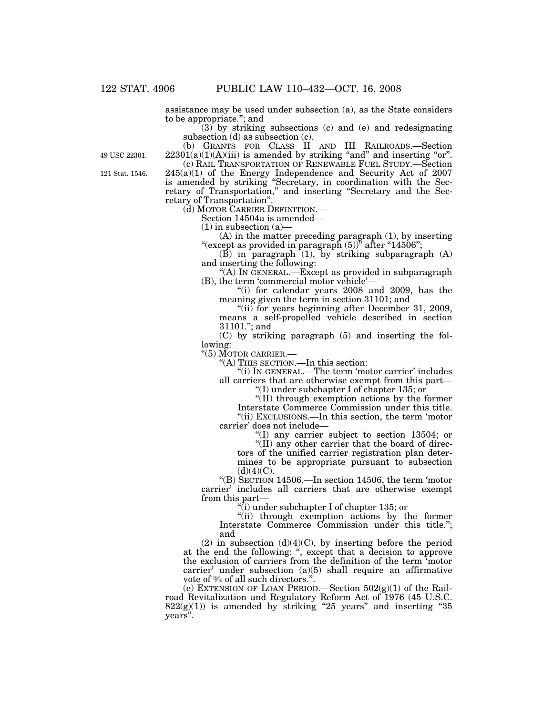assistance may be used under subsection (a), as the State considers to be appropriate.''; and

 $(3)$  by striking subsections (c) and (e) and redesignating subsection (d) as subsection (c).

(b) GRANTS FOR CLASS II AND III RAILROADS.—Section  $22301(a)(1)(A)(iii)$  is amended by striking "and" and inserting "or".

49 USC 22301.

121 Stat. 1546.

(c) RAIL TRANSPORTATION OF RENEWABLE FUEL STUDY.—Section 245(a)(1) of the Energy Independence and Security Act of 2007 is amended by striking ''Secretary, in coordination with the Secretary of Transportation,'' and inserting ''Secretary and the Secretary of Transportation''.

(d) MOTOR CARRIER DEFINITION.— Section 14504a is amended—

 $(1)$  in subsection  $(a)$ 

(A) in the matter preceding paragraph (1), by inserting "(except as provided in paragraph  $(5)$ <sup>"</sup> after "14506";

 $(B)$  in paragraph  $(1)$ , by striking subparagraph  $(A)$ and inserting the following:

"(A) IN GENERAL.—Except as provided in subparagraph (B), the term 'commercial motor vehicle'—

''(i) for calendar years 2008 and 2009, has the meaning given the term in section 31101; and

"(ii) for years beginning after December 31, 2009, means a self-propelled vehicle described in section 31101.''; and

(C) by striking paragraph (5) and inserting the following:

''(5) MOTOR CARRIER.—

''(A) THIS SECTION.—In this section:

"(i) IN GENERAL.—The term 'motor carrier' includes all carriers that are otherwise exempt from this part—

''(I) under subchapter I of chapter 135; or

''(II) through exemption actions by the former Interstate Commerce Commission under this title.

''(ii) EXCLUSIONS.—In this section, the term 'motor carrier' does not include—

''(I) any carrier subject to section 13504; or

"(II) any other carrier that the board of directors of the unified carrier registration plan determines to be appropriate pursuant to subsection  $(d)(4)(C)$ .

''(B) SECTION 14506.—In section 14506, the term 'motor carrier' includes all carriers that are otherwise exempt from this part—

''(i) under subchapter I of chapter 135; or

''(ii) through exemption actions by the former Interstate Commerce Commission under this title.''; and

 $(2)$  in subsection  $(d)(4)(C)$ , by inserting before the period at the end the following: '', except that a decision to approve the exclusion of carriers from the definition of the term 'motor carrier' under subsection (a)(5) shall require an affirmative vote of  $\frac{3}{4}$  of all such directors.".

(e) EXTENSION OF LOAN PERIOD.—Section  $502(g)(1)$  of the Railroad Revitalization and Regulatory Reform Act of 1976 (45 U.S.C.  $822(g)(1)$ ) is amended by striking "25 years" and inserting "35 years''.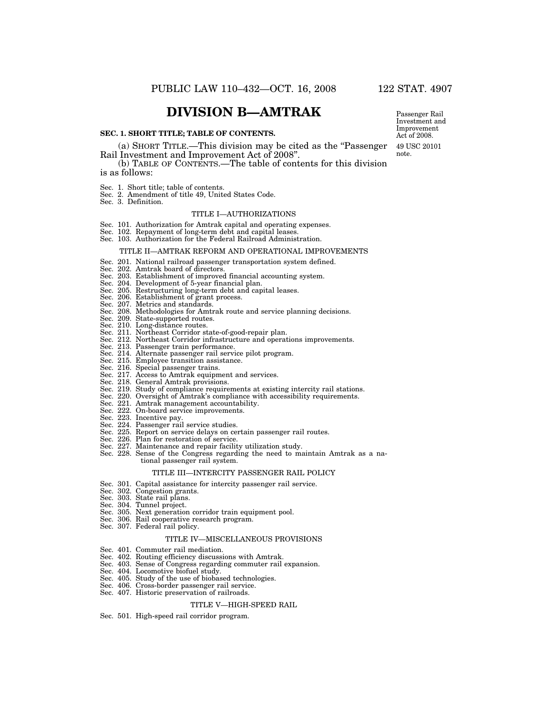## **DIVISION B—AMTRAK**

#### **SEC. 1. SHORT TITLE; TABLE OF CONTENTS.**

#### (a) SHORT TITLE.—This division may be cited as the ''Passenger Rail Investment and Improvement Act of 2008''. note.

(b) TABLE OF CONTENTS.—The table of contents for this division is as follows:

- 
- Sec. 1. Short title; table of contents. Sec. 2. Amendment of title 49, United States Code.
- Sec. 3. Definition.

#### TITLE I—AUTHORIZATIONS

- Sec. 101. Authorization for Amtrak capital and operating expenses. Sec. 102. Repayment of long-term debt and capital leases.
- 
- Sec. 103. Authorization for the Federal Railroad Administration.

#### TITLE II—AMTRAK REFORM AND OPERATIONAL IMPROVEMENTS

#### Sec. 201. National railroad passenger transportation system defined.

- Sec. 202. Amtrak board of directors.
- Sec. 203. Establishment of improved financial accounting system.
- Sec. 204. Development of 5-year financial plan.
- Sec. 205. Restructuring long-term debt and capital leases.
- Sec. 206. Establishment of grant process. Sec. 207. Metrics and standards.
- 
- Sec. 208. Methodologies for Amtrak route and service planning decisions.
- Sec. 209. State-supported routes.
- Sec. 210. Long-distance routes.
- Sec. 211. Northeast Corridor state-of-good-repair plan. Sec. 212. Northeast Corridor infrastructure and operations improvements. Sec. 213. Passenger train performance.
- 
- 
- Sec. 214. Alternate passenger rail service pilot program. Sec. 215. Employee transition assistance.
- 
- Sec. 216. Special passenger trains. Sec. 217. Access to Amtrak equipment and services.
- 
- Sec. 218. General Amtrak provisions. Sec. 219. Study of compliance requirements at existing intercity rail stations.
- Sec. 220. Oversight of Amtrak's compliance with accessibility requirements. Sec. 221. Amtrak management accountability.
- 
- Sec. 222. On-board service improvements. Sec. 223. Incentive pay.
- 
- Sec. 224. Passenger rail service studies.
- Sec. 225. Report on service delays on certain passenger rail routes.
- Sec. 226. Plan for restoration of service.
- 
- Sec. 227. Maintenance and repair facility utilization study. Sec. 228. Sense of the Congress regarding the need to maintain Amtrak as a national passenger rail system.

#### TITLE III—INTERCITY PASSENGER RAIL POLICY

- Sec. 301. Capital assistance for intercity passenger rail service.
- Sec. 302. Congestion grants. Sec. 303. State rail plans.
- 
- Sec. 304. Tunnel project.
- Sec. 305. Next generation corridor train equipment pool.
- Sec. 306. Rail cooperative research program.
- Sec. 307. Federal rail policy.

#### TITLE IV—MISCELLANEOUS PROVISIONS

- Sec. 401. Commuter rail mediation.
- Sec. 402. Routing efficiency discussions with Amtrak.
- Sec. 403. Sense of Congress regarding commuter rail expansion.
- Sec. 404. Locomotive biofuel study.
- Sec. 405. Study of the use of biobased technologies. Sec. 406. Cross-border passenger rail service.
- 
- Sec. 407. Historic preservation of railroads.

#### TITLE V—HIGH-SPEED RAIL

Sec. 501. High-speed rail corridor program.

49 USC 20101 Passenger Rail Investment and Improvement Act of 2008.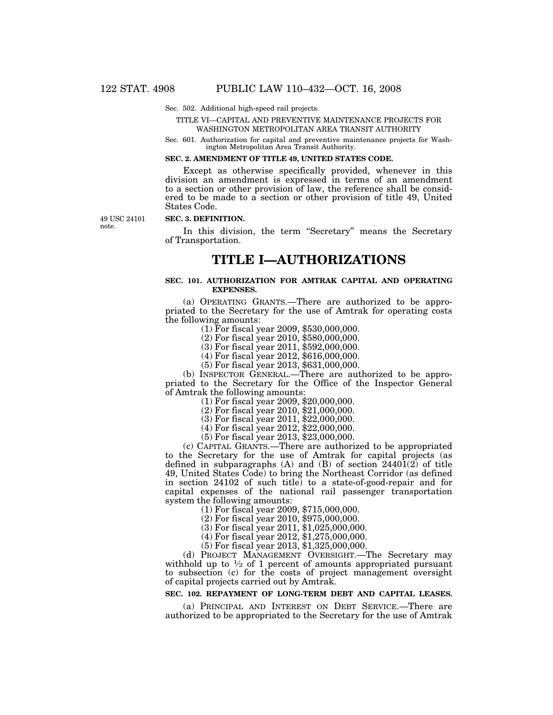#### Sec. 502. Additional high-speed rail projects.

#### TITLE VI—CAPITAL AND PREVENTIVE MAINTENANCE PROJECTS FOR WASHINGTON METROPOLITAN AREA TRANSIT AUTHORITY

Sec. 601. Authorization for capital and preventive maintenance projects for Washington Metropolitan Area Transit Authority.

#### **SEC. 2. AMENDMENT OF TITLE 49, UNITED STATES CODE.**

Except as otherwise specifically provided, whenever in this division an amendment is expressed in terms of an amendment to a section or other provision of law, the reference shall be considered to be made to a section or other provision of title 49, United States Code.

49 USC 24101 note.

## **SEC. 3. DEFINITION.**

In this division, the term "Secretary" means the Secretary of Transportation.

## **TITLE I—AUTHORIZATIONS**

#### **SEC. 101. AUTHORIZATION FOR AMTRAK CAPITAL AND OPERATING EXPENSES.**

(a) OPERATING GRANTS.—There are authorized to be appropriated to the Secretary for the use of Amtrak for operating costs the following amounts:  $(1)$  For fiscal year 2009, \$530,000,000.

(2) For fiscal year 2010, \$580,000,000.

(3) For fiscal year 2011, \$592,000,000.

(4) For fiscal year 2012, \$616,000,000.

(5) For fiscal year 2013, \$631,000,000.

(b) INSPECTOR GENERAL.—There are authorized to be appropriated to the Secretary for the Office of the Inspector General of Amtrak the following amounts:

(1) For fiscal year 2009, \$20,000,000.

(2) For fiscal year 2010, \$21,000,000.

(3) For fiscal year 2011, \$22,000,000.

(4) For fiscal year 2012, \$22,000,000.

(5) For fiscal year 2013, \$23,000,000.

(c) CAPITAL GRANTS.—There are authorized to be appropriated to the Secretary for the use of Amtrak for capital projects (as defined in subparagraphs (A) and (B) of section  $24401(2)$  of title 49, United States Code) to bring the Northeast Corridor (as defined in section 24102 of such title) to a state-of-good-repair and for capital expenses of the national rail passenger transportation

 $(1)$  For fiscal year 2009, \$715,000,000.

(2) For fiscal year 2010, \$975,000,000.

 $(3)$  For fiscal year 2011, \$1,025,000,000.

(4) For fiscal year 2012, \$1,275,000,000.

(5) For fiscal year 2013, \$1,325,000,000.

(d) PROJECT MANAGEMENT OVERSIGHT.—The Secretary may withhold up to  $\frac{1}{2}$  of 1 percent of amounts appropriated pursuant to subsection (c) for the costs of project management oversight of capital projects carried out by Amtrak.

## **SEC. 102. REPAYMENT OF LONG-TERM DEBT AND CAPITAL LEASES.**

(a) PRINCIPAL AND INTEREST ON DEBT SERVICE.—There are authorized to be appropriated to the Secretary for the use of Amtrak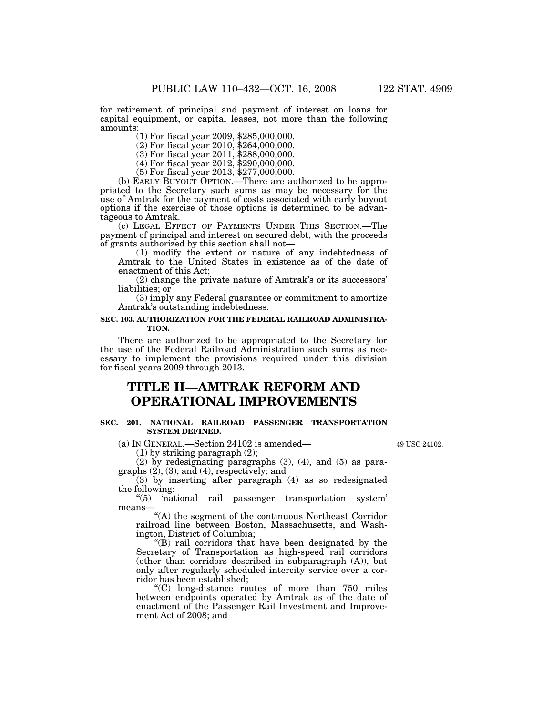for retirement of principal and payment of interest on loans for capital equipment, or capital leases, not more than the following amounts:

(1) For fiscal year 2009, \$285,000,000.

(2) For fiscal year 2010, \$264,000,000.

(3) For fiscal year 2011, \$288,000,000.

(4) For fiscal year 2012, \$290,000,000.

(5) For fiscal year 2013, \$277,000,000.

(b) EARLY BUYOUT OPTION.—There are authorized to be appropriated to the Secretary such sums as may be necessary for the use of Amtrak for the payment of costs associated with early buyout options if the exercise of those options is determined to be advantageous to Amtrak.

(c) LEGAL EFFECT OF PAYMENTS UNDER THIS SECTION.—The payment of principal and interest on secured debt, with the proceeds of grants authorized by this section shall not—

(1) modify the extent or nature of any indebtedness of Amtrak to the United States in existence as of the date of enactment of this Act;

(2) change the private nature of Amtrak's or its successors' liabilities; or

(3) imply any Federal guarantee or commitment to amortize Amtrak's outstanding indebtedness.

#### **SEC. 103. AUTHORIZATION FOR THE FEDERAL RAILROAD ADMINISTRA-TION.**

There are authorized to be appropriated to the Secretary for the use of the Federal Railroad Administration such sums as necessary to implement the provisions required under this division for fiscal years 2009 through 2013.

# **TITLE II—AMTRAK REFORM AND OPERATIONAL IMPROVEMENTS**

#### **SEC. 201. NATIONAL RAILROAD PASSENGER TRANSPORTATION SYSTEM DEFINED.**

(a) IN GENERAL.—Section 24102 is amended—

(1) by striking paragraph (2);

(2) by redesignating paragraphs (3), (4), and (5) as paragraphs  $(2)$ ,  $(3)$ , and  $(4)$ , respectively; and

(3) by inserting after paragraph (4) as so redesignated the following:<br>" $(5)$  'nat

'national rail passenger transportation system' means—

''(A) the segment of the continuous Northeast Corridor railroad line between Boston, Massachusetts, and Washington, District of Columbia;

''(B) rail corridors that have been designated by the Secretary of Transportation as high-speed rail corridors (other than corridors described in subparagraph (A)), but only after regularly scheduled intercity service over a corridor has been established;

''(C) long-distance routes of more than 750 miles between endpoints operated by Amtrak as of the date of enactment of the Passenger Rail Investment and Improvement Act of 2008; and

49 USC 24102.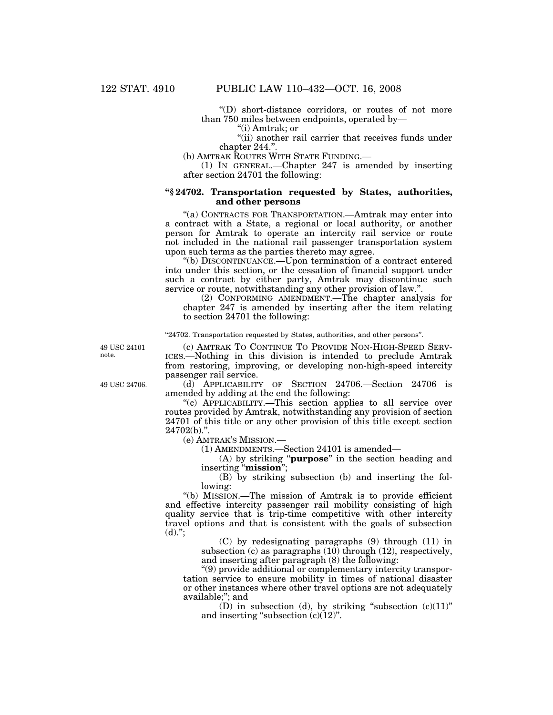''(D) short-distance corridors, or routes of not more than 750 miles between endpoints, operated by—

''(i) Amtrak; or

"(ii) another rail carrier that receives funds under chapter 244."

(b) AMTRAK ROUTES WITH STATE FUNDING.

(1) IN GENERAL.—Chapter 247 is amended by inserting after section 24701 the following:

### **''§ 24702. Transportation requested by States, authorities, and other persons**

''(a) CONTRACTS FOR TRANSPORTATION.—Amtrak may enter into a contract with a State, a regional or local authority, or another person for Amtrak to operate an intercity rail service or route not included in the national rail passenger transportation system upon such terms as the parties thereto may agree.

''(b) DISCONTINUANCE.—Upon termination of a contract entered into under this section, or the cessation of financial support under such a contract by either party, Amtrak may discontinue such service or route, notwithstanding any other provision of law.''.

(2) CONFORMING AMENDMENT.—The chapter analysis for chapter 247 is amended by inserting after the item relating to section 24701 the following:

"24702. Transportation requested by States, authorities, and other persons".

49 USC 24101 note.

(c) AMTRAK TO CONTINUE TO PROVIDE NON-HIGH-SPEED SERV-ICES.—Nothing in this division is intended to preclude Amtrak from restoring, improving, or developing non-high-speed intercity passenger rail service.

(d) APPLICABILITY OF SECTION 24706.—Section 24706 is amended by adding at the end the following:

''(c) APPLICABILITY.—This section applies to all service over routes provided by Amtrak, notwithstanding any provision of section 24701 of this title or any other provision of this title except section  $24702(b)$ .".

(e) AMTRAK'S MISSION.—

(1) AMENDMENTS.—Section 24101 is amended—

(A) by striking ''**purpose**'' in the section heading and inserting ''**mission**'';

(B) by striking subsection (b) and inserting the following:

''(b) MISSION.—The mission of Amtrak is to provide efficient and effective intercity passenger rail mobility consisting of high quality service that is trip-time competitive with other intercity travel options and that is consistent with the goals of subsection  $(d)$ .";

> (C) by redesignating paragraphs (9) through (11) in subsection (c) as paragraphs (10) through (12), respectively, and inserting after paragraph (8) the following:

''(9) provide additional or complementary intercity transportation service to ensure mobility in times of national disaster or other instances where other travel options are not adequately available;''; and

(D) in subsection (d), by striking "subsection  $(c)(11)$ " and inserting "subsection  $(c)(12)$ ".

49 USC 24706.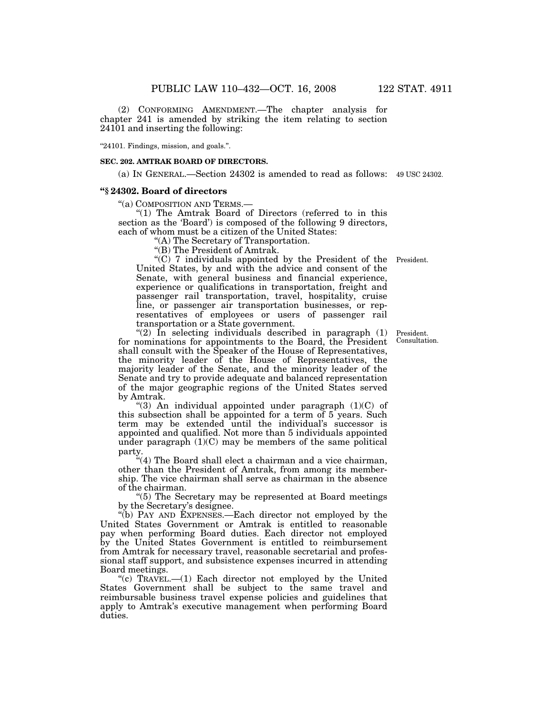(2) CONFORMING AMENDMENT.—The chapter analysis for chapter 241 is amended by striking the item relating to section 24101 and inserting the following:

''24101. Findings, mission, and goals.''.

#### **SEC. 202. AMTRAK BOARD OF DIRECTORS.**

(a) IN GENERAL.—Section 24302 is amended to read as follows: 49 USC 24302.

## **''§ 24302. Board of directors**

''(a) COMPOSITION AND TERMS.—

''(1) The Amtrak Board of Directors (referred to in this section as the 'Board') is composed of the following 9 directors, each of whom must be a citizen of the United States:

''(A) The Secretary of Transportation.

''(B) The President of Amtrak.

''(C) 7 individuals appointed by the President of the President. United States, by and with the advice and consent of the Senate, with general business and financial experience, experience or qualifications in transportation, freight and passenger rail transportation, travel, hospitality, cruise line, or passenger air transportation businesses, or representatives of employees or users of passenger rail transportation or a State government.

"(2) In selecting individuals described in paragraph  $(1)$ for nominations for appointments to the Board, the President shall consult with the Speaker of the House of Representatives, the minority leader of the House of Representatives, the majority leader of the Senate, and the minority leader of the Senate and try to provide adequate and balanced representation of the major geographic regions of the United States served by Amtrak.

''(3) An individual appointed under paragraph (1)(C) of this subsection shall be appointed for a term of 5 years. Such term may be extended until the individual's successor is appointed and qualified. Not more than 5 individuals appointed under paragraph  $(1)(C)$  may be members of the same political party.

''(4) The Board shall elect a chairman and a vice chairman, other than the President of Amtrak, from among its membership. The vice chairman shall serve as chairman in the absence of the chairman.

''(5) The Secretary may be represented at Board meetings by the Secretary's designee.

''(b) PAY AND EXPENSES.—Each director not employed by the United States Government or Amtrak is entitled to reasonable pay when performing Board duties. Each director not employed by the United States Government is entitled to reimbursement from Amtrak for necessary travel, reasonable secretarial and professional staff support, and subsistence expenses incurred in attending Board meetings.

"(c)  $\text{Tr}_2(-1)$  Each director not employed by the United States Government shall be subject to the same travel and reimbursable business travel expense policies and guidelines that apply to Amtrak's executive management when performing Board duties.

President. Consultation.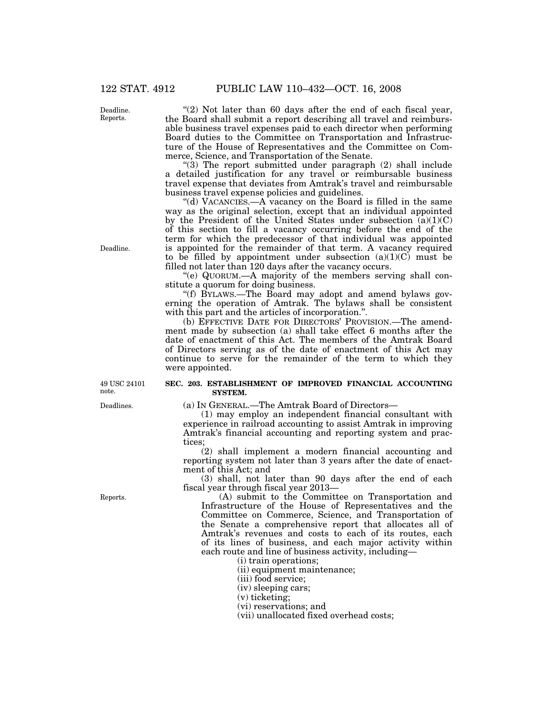" $(2)$  Not later than 60 days after the end of each fiscal year, the Board shall submit a report describing all travel and reimbursable business travel expenses paid to each director when performing Board duties to the Committee on Transportation and Infrastructure of the House of Representatives and the Committee on Commerce, Science, and Transportation of the Senate.

" $(3)$  The report submitted under paragraph  $(2)$  shall include a detailed justification for any travel or reimbursable business travel expense that deviates from Amtrak's travel and reimbursable business travel expense policies and guidelines.

"(d) VACANCIES.—A vacancy on the Board is filled in the same way as the original selection, except that an individual appointed by the President of the United States under subsection  $(a)(1)(C)$ of this section to fill a vacancy occurring before the end of the term for which the predecessor of that individual was appointed is appointed for the remainder of that term. A vacancy required to be filled by appointment under subsection  $(a)(1)(C)$  must be filled not later than 120 days after the vacancy occurs.

''(e) QUORUM.—A majority of the members serving shall constitute a quorum for doing business.

''(f) BYLAWS.—The Board may adopt and amend bylaws governing the operation of Amtrak. The bylaws shall be consistent with this part and the articles of incorporation.''.

(b) EFFECTIVE DATE FOR DIRECTORS' PROVISION.—The amendment made by subsection (a) shall take effect 6 months after the date of enactment of this Act. The members of the Amtrak Board of Directors serving as of the date of enactment of this Act may continue to serve for the remainder of the term to which they were appointed.

### **SEC. 203. ESTABLISHMENT OF IMPROVED FINANCIAL ACCOUNTING SYSTEM.**

(a) IN GENERAL.—The Amtrak Board of Directors—

(1) may employ an independent financial consultant with experience in railroad accounting to assist Amtrak in improving Amtrak's financial accounting and reporting system and practices;

(2) shall implement a modern financial accounting and reporting system not later than 3 years after the date of enactment of this Act; and

(3) shall, not later than 90 days after the end of each fiscal year through fiscal year 2013—

(A) submit to the Committee on Transportation and Infrastructure of the House of Representatives and the Committee on Commerce, Science, and Transportation of the Senate a comprehensive report that allocates all of Amtrak's revenues and costs to each of its routes, each of its lines of business, and each major activity within each route and line of business activity, including—

(i) train operations;

(ii) equipment maintenance;

- (iii) food service;
- (iv) sleeping cars;
- (v) ticketing;
- (vi) reservations; and
- (vii) unallocated fixed overhead costs;

Deadline. Reports.

Deadline.

49 USC 24101 note.

Deadlines.

Reports.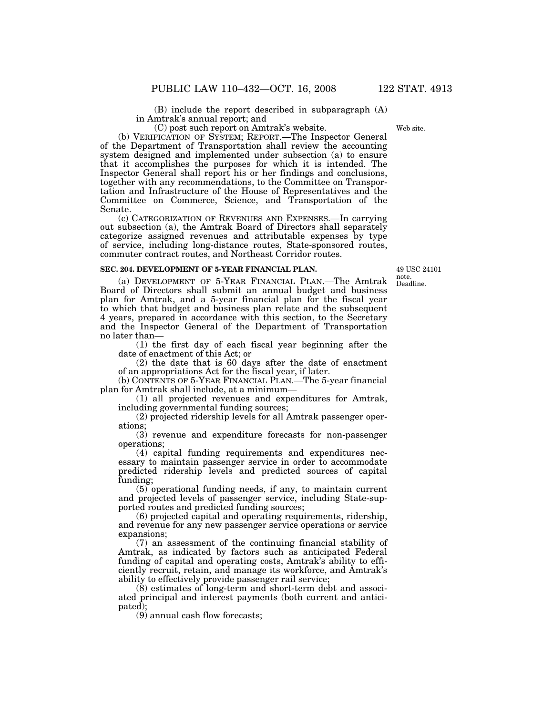(B) include the report described in subparagraph (A) in Amtrak's annual report; and

(C) post such report on Amtrak's website.

(b) VERIFICATION OF SYSTEM; REPORT.—The Inspector General of the Department of Transportation shall review the accounting system designed and implemented under subsection (a) to ensure that it accomplishes the purposes for which it is intended. The Inspector General shall report his or her findings and conclusions, together with any recommendations, to the Committee on Transportation and Infrastructure of the House of Representatives and the Committee on Commerce, Science, and Transportation of the Senate.

(c) CATEGORIZATION OF REVENUES AND EXPENSES.—In carrying out subsection (a), the Amtrak Board of Directors shall separately categorize assigned revenues and attributable expenses by type of service, including long-distance routes, State-sponsored routes, commuter contract routes, and Northeast Corridor routes.

#### **SEC. 204. DEVELOPMENT OF 5-YEAR FINANCIAL PLAN.**

(a) DEVELOPMENT OF 5-YEAR FINANCIAL PLAN.—The Amtrak Board of Directors shall submit an annual budget and business plan for Amtrak, and a 5-year financial plan for the fiscal year to which that budget and business plan relate and the subsequent 4 years, prepared in accordance with this section, to the Secretary and the Inspector General of the Department of Transportation no later than—

(1) the first day of each fiscal year beginning after the date of enactment of this Act; or

(2) the date that is 60 days after the date of enactment of an appropriations Act for the fiscal year, if later.

(b) CONTENTS OF 5-YEAR FINANCIAL PLAN.—The 5-year financial plan for Amtrak shall include, at a minimum—

(1) all projected revenues and expenditures for Amtrak, including governmental funding sources;

(2) projected ridership levels for all Amtrak passenger operations;

(3) revenue and expenditure forecasts for non-passenger operations;

(4) capital funding requirements and expenditures necessary to maintain passenger service in order to accommodate predicted ridership levels and predicted sources of capital funding;

(5) operational funding needs, if any, to maintain current and projected levels of passenger service, including State-supported routes and predicted funding sources;

(6) projected capital and operating requirements, ridership, and revenue for any new passenger service operations or service expansions;

(7) an assessment of the continuing financial stability of Amtrak, as indicated by factors such as anticipated Federal funding of capital and operating costs, Amtrak's ability to efficiently recruit, retain, and manage its workforce, and Amtrak's ability to effectively provide passenger rail service;

(8) estimates of long-term and short-term debt and associated principal and interest payments (both current and anticipated);

(9) annual cash flow forecasts;

Deadline. 49 USC 24101 note.

Web site.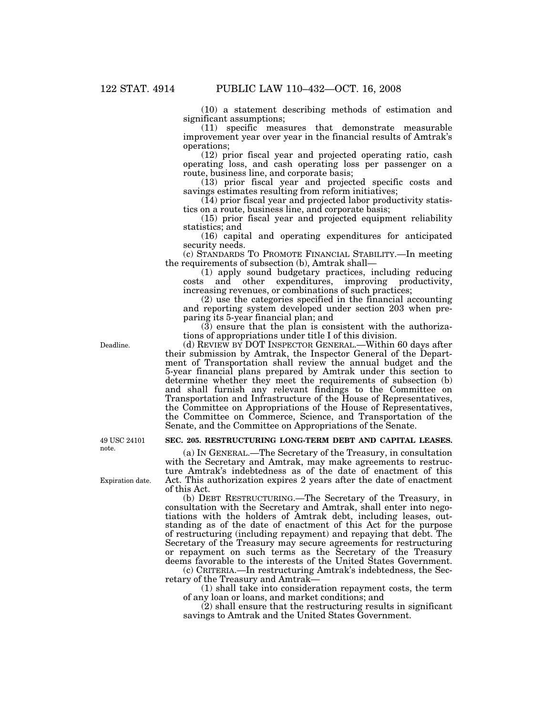(10) a statement describing methods of estimation and significant assumptions;

(11) specific measures that demonstrate measurable improvement year over year in the financial results of Amtrak's operations;

(12) prior fiscal year and projected operating ratio, cash operating loss, and cash operating loss per passenger on a route, business line, and corporate basis;

(13) prior fiscal year and projected specific costs and savings estimates resulting from reform initiatives;

 $(14)$  prior fiscal year and projected labor productivity statistics on a route, business line, and corporate basis;

(15) prior fiscal year and projected equipment reliability statistics; and

(16) capital and operating expenditures for anticipated security needs.

(c) STANDARDS TO PROMOTE FINANCIAL STABILITY.—In meeting the requirements of subsection (b), Amtrak shall—

(1) apply sound budgetary practices, including reducing costs and other expenditures, improving productivity, increasing revenues, or combinations of such practices;

(2) use the categories specified in the financial accounting and reporting system developed under section 203 when preparing its 5-year financial plan; and

 $(3)$  ensure that the plan is consistent with the authorizations of appropriations under title I of this division.

(d) REVIEW BY DOT INSPECTOR GENERAL.—Within 60 days after their submission by Amtrak, the Inspector General of the Department of Transportation shall review the annual budget and the 5-year financial plans prepared by Amtrak under this section to determine whether they meet the requirements of subsection (b) and shall furnish any relevant findings to the Committee on Transportation and Infrastructure of the House of Representatives, the Committee on Appropriations of the House of Representatives, the Committee on Commerce, Science, and Transportation of the Senate, and the Committee on Appropriations of the Senate.

### **SEC. 205. RESTRUCTURING LONG-TERM DEBT AND CAPITAL LEASES.**

(a) IN GENERAL.—The Secretary of the Treasury, in consultation with the Secretary and Amtrak, may make agreements to restructure Amtrak's indebtedness as of the date of enactment of this Act. This authorization expires 2 years after the date of enactment of this Act.

(b) DEBT RESTRUCTURING.—The Secretary of the Treasury, in consultation with the Secretary and Amtrak, shall enter into negotiations with the holders of Amtrak debt, including leases, outstanding as of the date of enactment of this Act for the purpose of restructuring (including repayment) and repaying that debt. The Secretary of the Treasury may secure agreements for restructuring or repayment on such terms as the Secretary of the Treasury deems favorable to the interests of the United States Government.

(c) CRITERIA.—In restructuring Amtrak's indebtedness, the Secretary of the Treasury and Amtrak—

(1) shall take into consideration repayment costs, the term of any loan or loans, and market conditions; and

(2) shall ensure that the restructuring results in significant savings to Amtrak and the United States Government.

49 USC 24101 note.

Expiration date.

Deadline.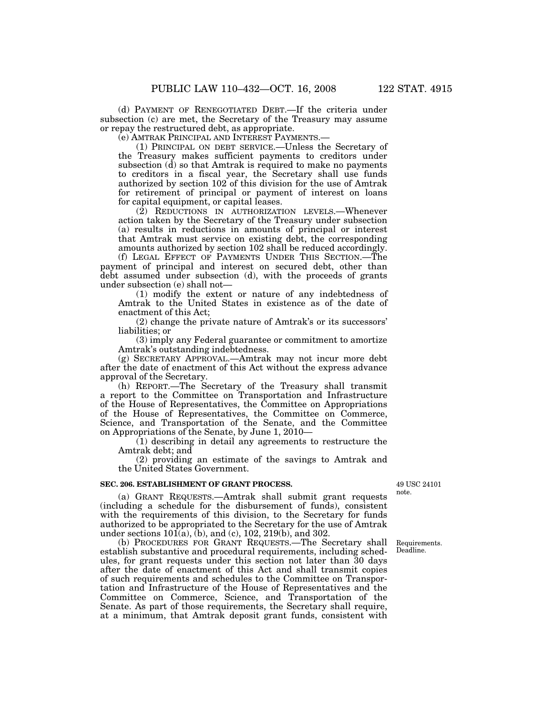(d) PAYMENT OF RENEGOTIATED DEBT.—If the criteria under subsection (c) are met, the Secretary of the Treasury may assume or repay the restructured debt, as appropriate.

(e) AMTRAK PRINCIPAL AND INTEREST PAYMENTS.—

(1) PRINCIPAL ON DEBT SERVICE.—Unless the Secretary of the Treasury makes sufficient payments to creditors under subsection  $(d)$  so that Amtrak is required to make no payments to creditors in a fiscal year, the Secretary shall use funds authorized by section 102 of this division for the use of Amtrak for retirement of principal or payment of interest on loans for capital equipment, or capital leases.

(2) REDUCTIONS IN AUTHORIZATION LEVELS.—Whenever action taken by the Secretary of the Treasury under subsection (a) results in reductions in amounts of principal or interest that Amtrak must service on existing debt, the corresponding amounts authorized by section 102 shall be reduced accordingly.

(f) LEGAL EFFECT OF PAYMENTS UNDER THIS SECTION.—The payment of principal and interest on secured debt, other than debt assumed under subsection (d), with the proceeds of grants under subsection (e) shall not—

(1) modify the extent or nature of any indebtedness of Amtrak to the United States in existence as of the date of enactment of this Act;

(2) change the private nature of Amtrak's or its successors' liabilities; or

(3) imply any Federal guarantee or commitment to amortize Amtrak's outstanding indebtedness.

(g) SECRETARY APPROVAL.—Amtrak may not incur more debt after the date of enactment of this Act without the express advance approval of the Secretary.

(h) REPORT.—The Secretary of the Treasury shall transmit a report to the Committee on Transportation and Infrastructure of the House of Representatives, the Committee on Appropriations of the House of Representatives, the Committee on Commerce, Science, and Transportation of the Senate, and the Committee on Appropriations of the Senate, by June 1, 2010—

(1) describing in detail any agreements to restructure the Amtrak debt; and

(2) providing an estimate of the savings to Amtrak and the United States Government.

#### **SEC. 206. ESTABLISHMENT OF GRANT PROCESS.**

(a) GRANT REQUESTS.—Amtrak shall submit grant requests (including a schedule for the disbursement of funds), consistent with the requirements of this division, to the Secretary for funds authorized to be appropriated to the Secretary for the use of Amtrak under sections 101(a), (b), and (c), 102, 219(b), and 302.

(b) PROCEDURES FOR GRANT REQUESTS.—The Secretary shall establish substantive and procedural requirements, including schedules, for grant requests under this section not later than 30 days after the date of enactment of this Act and shall transmit copies of such requirements and schedules to the Committee on Transportation and Infrastructure of the House of Representatives and the Committee on Commerce, Science, and Transportation of the Senate. As part of those requirements, the Secretary shall require, at a minimum, that Amtrak deposit grant funds, consistent with

49 USC 24101 note.

Requirements. Deadline.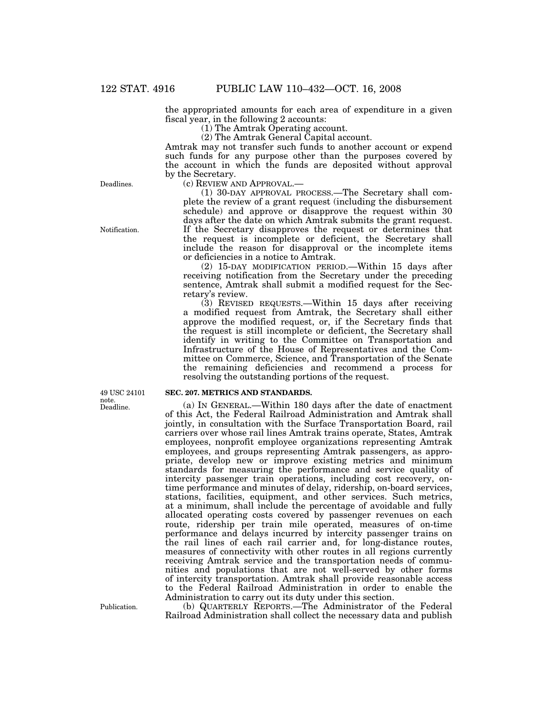the appropriated amounts for each area of expenditure in a given fiscal year, in the following 2 accounts:

(1) The Amtrak Operating account.

(2) The Amtrak General Capital account.

Amtrak may not transfer such funds to another account or expend such funds for any purpose other than the purposes covered by the account in which the funds are deposited without approval by the Secretary.

(c) REVIEW AND APPROVAL.—

(1) 30-DAY APPROVAL PROCESS.—The Secretary shall complete the review of a grant request (including the disbursement schedule) and approve or disapprove the request within 30 days after the date on which Amtrak submits the grant request. If the Secretary disapproves the request or determines that the request is incomplete or deficient, the Secretary shall include the reason for disapproval or the incomplete items or deficiencies in a notice to Amtrak.

(2) 15-DAY MODIFICATION PERIOD.—Within 15 days after receiving notification from the Secretary under the preceding sentence, Amtrak shall submit a modified request for the Secretary's review.

(3) REVISED REQUESTS.—Within 15 days after receiving a modified request from Amtrak, the Secretary shall either approve the modified request, or, if the Secretary finds that the request is still incomplete or deficient, the Secretary shall identify in writing to the Committee on Transportation and Infrastructure of the House of Representatives and the Committee on Commerce, Science, and Transportation of the Senate the remaining deficiencies and recommend a process for resolving the outstanding portions of the request.

### **SEC. 207. METRICS AND STANDARDS.**

(a) IN GENERAL.—Within 180 days after the date of enactment of this Act, the Federal Railroad Administration and Amtrak shall jointly, in consultation with the Surface Transportation Board, rail carriers over whose rail lines Amtrak trains operate, States, Amtrak employees, nonprofit employee organizations representing Amtrak employees, and groups representing Amtrak passengers, as appropriate, develop new or improve existing metrics and minimum standards for measuring the performance and service quality of intercity passenger train operations, including cost recovery, ontime performance and minutes of delay, ridership, on-board services, stations, facilities, equipment, and other services. Such metrics, at a minimum, shall include the percentage of avoidable and fully allocated operating costs covered by passenger revenues on each route, ridership per train mile operated, measures of on-time performance and delays incurred by intercity passenger trains on the rail lines of each rail carrier and, for long-distance routes, measures of connectivity with other routes in all regions currently receiving Amtrak service and the transportation needs of communities and populations that are not well-served by other forms of intercity transportation. Amtrak shall provide reasonable access to the Federal Railroad Administration in order to enable the Administration to carry out its duty under this section.

(b) QUARTERLY REPORTS.—The Administrator of the Federal Railroad Administration shall collect the necessary data and publish

Deadlines.

Notification.

note.<br>Deadline. 49 USC 24101

Publication.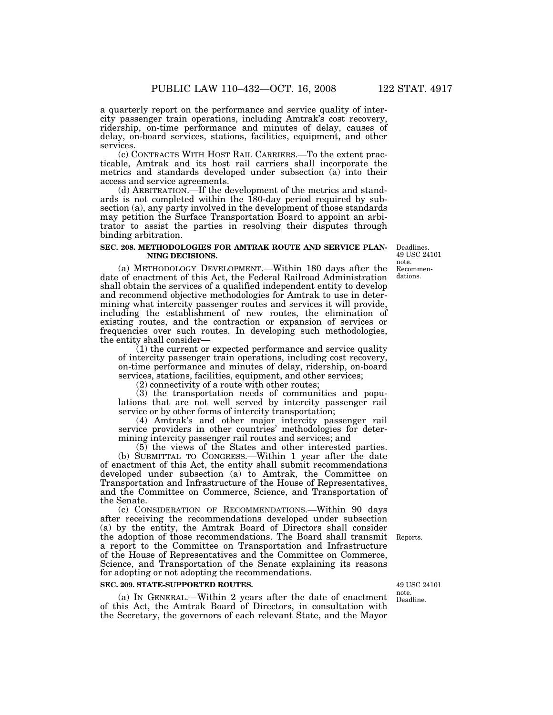a quarterly report on the performance and service quality of intercity passenger train operations, including Amtrak's cost recovery, ridership, on-time performance and minutes of delay, causes of delay, on-board services, stations, facilities, equipment, and other services.

(c) CONTRACTS WITH HOST RAIL CARRIERS.—To the extent practicable, Amtrak and its host rail carriers shall incorporate the metrics and standards developed under subsection (a) into their access and service agreements.

(d) ARBITRATION.—If the development of the metrics and standards is not completed within the 180-day period required by subsection (a), any party involved in the development of those standards may petition the Surface Transportation Board to appoint an arbitrator to assist the parties in resolving their disputes through binding arbitration.

#### **SEC. 208. METHODOLOGIES FOR AMTRAK ROUTE AND SERVICE PLAN-NING DECISIONS.**

(a) METHODOLOGY DEVELOPMENT.—Within 180 days after the date of enactment of this Act, the Federal Railroad Administration shall obtain the services of a qualified independent entity to develop and recommend objective methodologies for Amtrak to use in determining what intercity passenger routes and services it will provide, including the establishment of new routes, the elimination of existing routes, and the contraction or expansion of services or frequencies over such routes. In developing such methodologies, the entity shall consider—

(1) the current or expected performance and service quality of intercity passenger train operations, including cost recovery, on-time performance and minutes of delay, ridership, on-board services, stations, facilities, equipment, and other services;

(2) connectivity of a route with other routes;

(3) the transportation needs of communities and populations that are not well served by intercity passenger rail service or by other forms of intercity transportation;

(4) Amtrak's and other major intercity passenger rail service providers in other countries' methodologies for determining intercity passenger rail routes and services; and

(5) the views of the States and other interested parties. (b) SUBMITTAL TO CONGRESS.—Within 1 year after the date of enactment of this Act, the entity shall submit recommendations developed under subsection (a) to Amtrak, the Committee on Transportation and Infrastructure of the House of Representatives, and the Committee on Commerce, Science, and Transportation of the Senate.

(c) CONSIDERATION OF RECOMMENDATIONS.—Within 90 days after receiving the recommendations developed under subsection (a) by the entity, the Amtrak Board of Directors shall consider the adoption of those recommendations. The Board shall transmit Reports. a report to the Committee on Transportation and Infrastructure of the House of Representatives and the Committee on Commerce, Science, and Transportation of the Senate explaining its reasons for adopting or not adopting the recommendations.

#### **SEC. 209. STATE-SUPPORTED ROUTES.**

(a) IN GENERAL.—Within 2 years after the date of enactment of this Act, the Amtrak Board of Directors, in consultation with the Secretary, the governors of each relevant State, and the Mayor

Deadline. 49 USC 24101 note.

Recommendations. Deadlines. 49 USC 24101 note.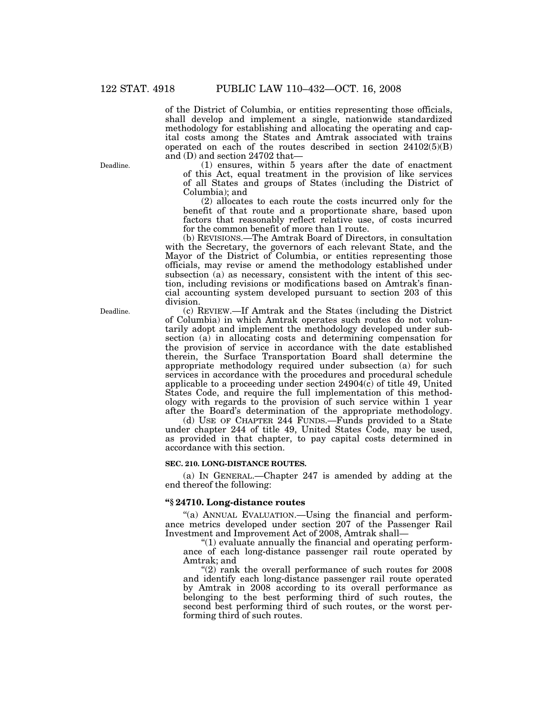of the District of Columbia, or entities representing those officials, shall develop and implement a single, nationwide standardized methodology for establishing and allocating the operating and capital costs among the States and Amtrak associated with trains operated on each of the routes described in section  $24102(5)(B)$ and (D) and section 24702 that—

(1) ensures, within 5 years after the date of enactment of this Act, equal treatment in the provision of like services of all States and groups of States (including the District of Columbia); and

(2) allocates to each route the costs incurred only for the benefit of that route and a proportionate share, based upon factors that reasonably reflect relative use, of costs incurred for the common benefit of more than 1 route.

(b) REVISIONS.—The Amtrak Board of Directors, in consultation with the Secretary, the governors of each relevant State, and the Mayor of the District of Columbia, or entities representing those officials, may revise or amend the methodology established under subsection (a) as necessary, consistent with the intent of this section, including revisions or modifications based on Amtrak's financial accounting system developed pursuant to section 203 of this division.

(c) REVIEW.—If Amtrak and the States (including the District of Columbia) in which Amtrak operates such routes do not voluntarily adopt and implement the methodology developed under subsection (a) in allocating costs and determining compensation for the provision of service in accordance with the date established therein, the Surface Transportation Board shall determine the appropriate methodology required under subsection (a) for such services in accordance with the procedures and procedural schedule applicable to a proceeding under section  $24904(\overline{c})$  of title 49, United States Code, and require the full implementation of this methodology with regards to the provision of such service within 1 year after the Board's determination of the appropriate methodology.

(d) USE OF CHAPTER 244 FUNDS.—Funds provided to a State under chapter 244 of title 49, United States Code, may be used, as provided in that chapter, to pay capital costs determined in accordance with this section.

#### **SEC. 210. LONG-DISTANCE ROUTES.**

(a) IN GENERAL.—Chapter 247 is amended by adding at the end thereof the following:

#### **''§ 24710. Long-distance routes**

"(a) ANNUAL EVALUATION.—Using the financial and performance metrics developed under section 207 of the Passenger Rail Investment and Improvement Act of 2008, Amtrak shall—

 $''(1)$  evaluate annually the financial and operating performance of each long-distance passenger rail route operated by Amtrak; and

 $"(2)$  rank the overall performance of such routes for  $2008$ and identify each long-distance passenger rail route operated by Amtrak in 2008 according to its overall performance as belonging to the best performing third of such routes, the second best performing third of such routes, or the worst performing third of such routes.

Deadline.

Deadline.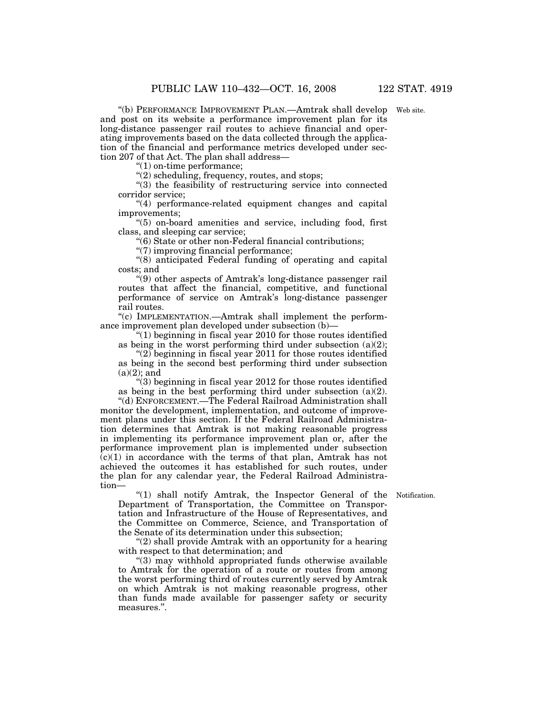''(b) PERFORMANCE IMPROVEMENT PLAN.—Amtrak shall develop Web site. and post on its website a performance improvement plan for its long-distance passenger rail routes to achieve financial and operating improvements based on the data collected through the application of the financial and performance metrics developed under section 207 of that Act. The plan shall address—

''(1) on-time performance;

''(2) scheduling, frequency, routes, and stops;

''(3) the feasibility of restructuring service into connected corridor service;

''(4) performance-related equipment changes and capital improvements;

''(5) on-board amenities and service, including food, first class, and sleeping car service;

''(6) State or other non-Federal financial contributions;

''(7) improving financial performance;

''(8) anticipated Federal funding of operating and capital costs; and

''(9) other aspects of Amtrak's long-distance passenger rail routes that affect the financial, competitive, and functional performance of service on Amtrak's long-distance passenger rail routes.

''(c) IMPLEMENTATION.—Amtrak shall implement the performance improvement plan developed under subsection (b)—

" $(1)$  beginning in fiscal year 2010 for those routes identified as being in the worst performing third under subsection (a)(2);

" $(2)$  beginning in fiscal year 2011 for those routes identified as being in the second best performing third under subsection  $(a)(2)$ ; and

''(3) beginning in fiscal year 2012 for those routes identified as being in the best performing third under subsection (a)(2).

''(d) ENFORCEMENT.—The Federal Railroad Administration shall monitor the development, implementation, and outcome of improvement plans under this section. If the Federal Railroad Administration determines that Amtrak is not making reasonable progress in implementing its performance improvement plan or, after the performance improvement plan is implemented under subsection  $(c)(1)$  in accordance with the terms of that plan, Amtrak has not achieved the outcomes it has established for such routes, under the plan for any calendar year, the Federal Railroad Administration—

"(1) shall notify Amtrak, the Inspector General of the Notification. Department of Transportation, the Committee on Transportation and Infrastructure of the House of Representatives, and the Committee on Commerce, Science, and Transportation of the Senate of its determination under this subsection;

 $''(2)$  shall provide Amtrak with an opportunity for a hearing with respect to that determination; and

''(3) may withhold appropriated funds otherwise available to Amtrak for the operation of a route or routes from among the worst performing third of routes currently served by Amtrak on which Amtrak is not making reasonable progress, other than funds made available for passenger safety or security measures.''.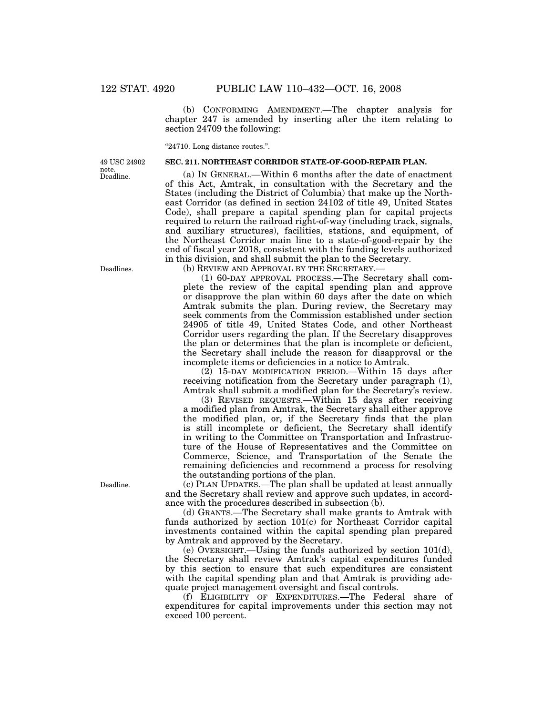(b) CONFORMING AMENDMENT.—The chapter analysis for chapter 247 is amended by inserting after the item relating to section 24709 the following:

''24710. Long distance routes.''.

#### **SEC. 211. NORTHEAST CORRIDOR STATE-OF-GOOD-REPAIR PLAN.**

Deadline. 49 USC 24902 note.

> States (including the District of Columbia) that make up the Northeast Corridor (as defined in section 24102 of title 49, United States Code), shall prepare a capital spending plan for capital projects required to return the railroad right-of-way (including track, signals, and auxiliary structures), facilities, stations, and equipment, of the Northeast Corridor main line to a state-of-good-repair by the end of fiscal year 2018, consistent with the funding levels authorized in this division, and shall submit the plan to the Secretary. (b) REVIEW AND APPROVAL BY THE SECRETARY.—

(a) IN GENERAL.—Within 6 months after the date of enactment of this Act, Amtrak, in consultation with the Secretary and the

(1) 60-DAY APPROVAL PROCESS.—The Secretary shall complete the review of the capital spending plan and approve or disapprove the plan within 60 days after the date on which Amtrak submits the plan. During review, the Secretary may seek comments from the Commission established under section 24905 of title 49, United States Code, and other Northeast Corridor users regarding the plan. If the Secretary disapproves the plan or determines that the plan is incomplete or deficient, the Secretary shall include the reason for disapproval or the incomplete items or deficiencies in a notice to Amtrak.

(2) 15-DAY MODIFICATION PERIOD.—Within 15 days after receiving notification from the Secretary under paragraph (1), Amtrak shall submit a modified plan for the Secretary's review.

(3) REVISED REQUESTS.—Within 15 days after receiving a modified plan from Amtrak, the Secretary shall either approve the modified plan, or, if the Secretary finds that the plan is still incomplete or deficient, the Secretary shall identify in writing to the Committee on Transportation and Infrastructure of the House of Representatives and the Committee on Commerce, Science, and Transportation of the Senate the remaining deficiencies and recommend a process for resolving the outstanding portions of the plan.

(c) PLAN UPDATES.—The plan shall be updated at least annually and the Secretary shall review and approve such updates, in accordance with the procedures described in subsection (b).

(d) GRANTS.—The Secretary shall make grants to Amtrak with funds authorized by section 101(c) for Northeast Corridor capital investments contained within the capital spending plan prepared by Amtrak and approved by the Secretary.

(e) OVERSIGHT.—Using the funds authorized by section 101(d), the Secretary shall review Amtrak's capital expenditures funded by this section to ensure that such expenditures are consistent with the capital spending plan and that Amtrak is providing adequate project management oversight and fiscal controls.

(f) ELIGIBILITY OF EXPENDITURES.—The Federal share of expenditures for capital improvements under this section may not exceed 100 percent.

Deadlines.

Deadline.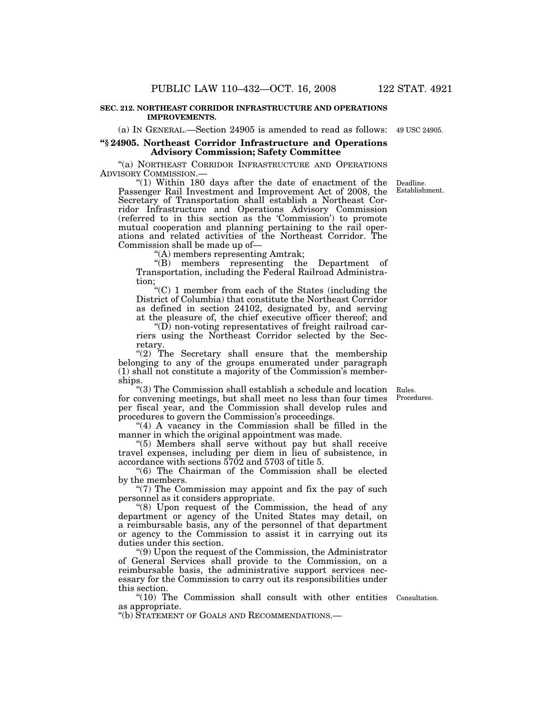#### **SEC. 212. NORTHEAST CORRIDOR INFRASTRUCTURE AND OPERATIONS IMPROVEMENTS.**

(a) IN GENERAL.—Section 24905 is amended to read as follows: 49 USC 24905.

# **''§ 24905. Northeast Corridor Infrastructure and Operations Advisory Commission; Safety Committee**

''(a) NORTHEAST CORRIDOR INFRASTRUCTURE AND OPERATIONS

"(1) Within 180 days after the date of enactment of the Passenger Rail Investment and Improvement Act of 2008, the Secretary of Transportation shall establish a Northeast Corridor Infrastructure and Operations Advisory Commission (referred to in this section as the 'Commission') to promote mutual cooperation and planning pertaining to the rail operations and related activities of the Northeast Corridor. The Commission shall be made up of—

''(A) members representing Amtrak;

''(B) members representing the Department of Transportation, including the Federal Railroad Administration;

''(C) 1 member from each of the States (including the District of Columbia) that constitute the Northeast Corridor as defined in section 24102, designated by, and serving at the pleasure of, the chief executive officer thereof; and

 $\mathrm{``(D)}$  non-voting representatives of freight railroad carriers using the Northeast Corridor selected by the Secretary.

" $(2)$  The Secretary shall ensure that the membership belonging to any of the groups enumerated under paragraph (1) shall not constitute a majority of the Commission's memberships.

''(3) The Commission shall establish a schedule and location for convening meetings, but shall meet no less than four times per fiscal year, and the Commission shall develop rules and procedures to govern the Commission's proceedings.

"(4) A vacancy in the Commission shall be filled in the manner in which the original appointment was made.

''(5) Members shall serve without pay but shall receive travel expenses, including per diem in lieu of subsistence, in accordance with sections 5702 and 5703 of title 5.

''(6) The Chairman of the Commission shall be elected by the members.

" $(7)$  The Commission may appoint and fix the pay of such personnel as it considers appropriate.

''(8) Upon request of the Commission, the head of any department or agency of the United States may detail, on a reimbursable basis, any of the personnel of that department or agency to the Commission to assist it in carrying out its duties under this section.

''(9) Upon the request of the Commission, the Administrator of General Services shall provide to the Commission, on a reimbursable basis, the administrative support services necessary for the Commission to carry out its responsibilities under this section.

"(10) The Commission shall consult with other entities Consultation. as appropriate.

''(b) STATEMENT OF GOALS AND RECOMMENDATIONS.—

Rules. Procedures.

Deadline. Establishment.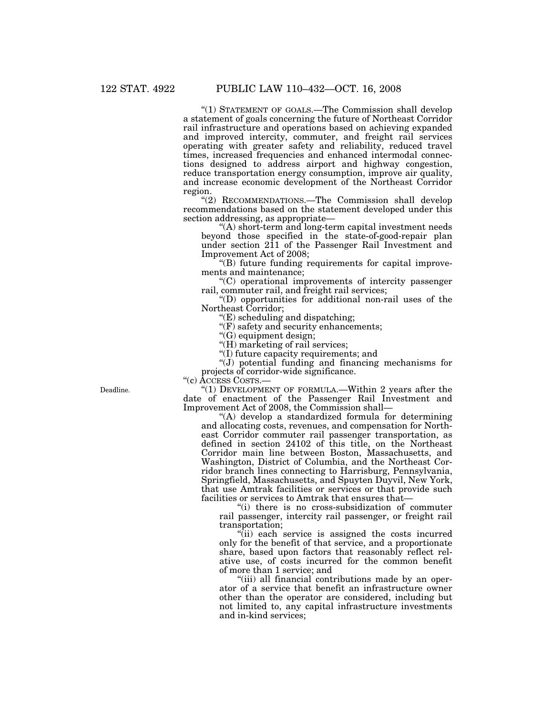"(1) STATEMENT OF GOALS.—The Commission shall develop a statement of goals concerning the future of Northeast Corridor rail infrastructure and operations based on achieving expanded and improved intercity, commuter, and freight rail services operating with greater safety and reliability, reduced travel times, increased frequencies and enhanced intermodal connections designed to address airport and highway congestion, reduce transportation energy consumption, improve air quality, and increase economic development of the Northeast Corridor region.

''(2) RECOMMENDATIONS.—The Commission shall develop recommendations based on the statement developed under this section addressing, as appropriate—

''(A) short-term and long-term capital investment needs beyond those specified in the state-of-good-repair plan under section 211 of the Passenger Rail Investment and Improvement Act of 2008;

''(B) future funding requirements for capital improvements and maintenance;

''(C) operational improvements of intercity passenger rail, commuter rail, and freight rail services;

''(D) opportunities for additional non-rail uses of the Northeast Corridor;

''(E) scheduling and dispatching;

''(F) safety and security enhancements;

''(G) equipment design;

"(H) marketing of rail services;

''(I) future capacity requirements; and

''(J) potential funding and financing mechanisms for projects of corridor-wide significance.

''(c) ACCESS COSTS.—

" $(1)$  DEVELOPMENT OF FORMULA.—Within 2 years after the date of enactment of the Passenger Rail Investment and Improvement Act of 2008, the Commission shall—

''(A) develop a standardized formula for determining and allocating costs, revenues, and compensation for Northeast Corridor commuter rail passenger transportation, as defined in section 24102 of this title, on the Northeast Corridor main line between Boston, Massachusetts, and Washington, District of Columbia, and the Northeast Corridor branch lines connecting to Harrisburg, Pennsylvania, Springfield, Massachusetts, and Spuyten Duyvil, New York, that use Amtrak facilities or services or that provide such facilities or services to Amtrak that ensures that—

''(i) there is no cross-subsidization of commuter rail passenger, intercity rail passenger, or freight rail transportation;

''(ii) each service is assigned the costs incurred only for the benefit of that service, and a proportionate share, based upon factors that reasonably reflect relative use, of costs incurred for the common benefit of more than 1 service; and

''(iii) all financial contributions made by an operator of a service that benefit an infrastructure owner other than the operator are considered, including but not limited to, any capital infrastructure investments and in-kind services;

Deadline.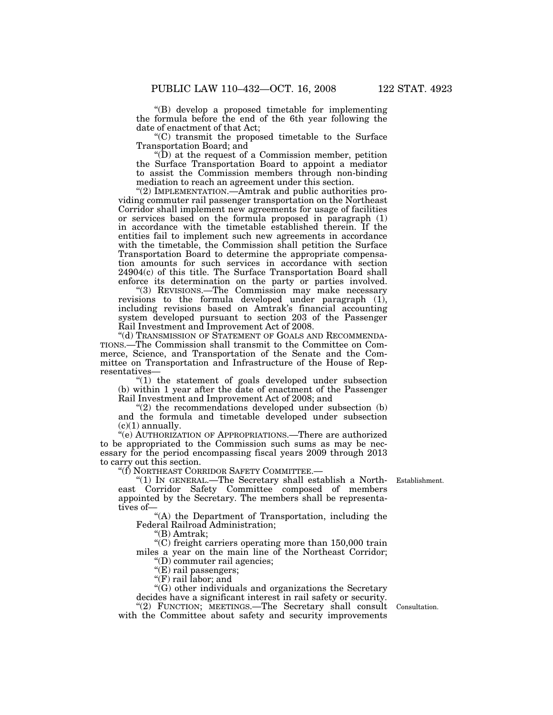''(B) develop a proposed timetable for implementing the formula before the end of the 6th year following the date of enactment of that Act;

''(C) transmit the proposed timetable to the Surface Transportation Board; and

 $\mathrm{``(D)}$  at the request of a Commission member, petition the Surface Transportation Board to appoint a mediator to assist the Commission members through non-binding mediation to reach an agreement under this section.

''(2) IMPLEMENTATION.—Amtrak and public authorities providing commuter rail passenger transportation on the Northeast Corridor shall implement new agreements for usage of facilities or services based on the formula proposed in paragraph (1) in accordance with the timetable established therein. If the entities fail to implement such new agreements in accordance with the timetable, the Commission shall petition the Surface Transportation Board to determine the appropriate compensation amounts for such services in accordance with section 24904(c) of this title. The Surface Transportation Board shall enforce its determination on the party or parties involved.

''(3) REVISIONS.—The Commission may make necessary revisions to the formula developed under paragraph (1), including revisions based on Amtrak's financial accounting system developed pursuant to section 203 of the Passenger Rail Investment and Improvement Act of 2008.

''(d) TRANSMISSION OF STATEMENT OF GOALS AND RECOMMENDA-TIONS.—The Commission shall transmit to the Committee on Commerce, Science, and Transportation of the Senate and the Committee on Transportation and Infrastructure of the House of Representatives—

''(1) the statement of goals developed under subsection (b) within 1 year after the date of enactment of the Passenger Rail Investment and Improvement Act of 2008; and

 $''(2)$  the recommendations developed under subsection (b) and the formula and timetable developed under subsection  $(c)(1)$  annually.

''(e) AUTHORIZATION OF APPROPRIATIONS.—There are authorized to be appropriated to the Commission such sums as may be necessary for the period encompassing fiscal years 2009 through 2013 to carry out this section.

''(f) NORTHEAST CORRIDOR SAFETY COMMITTEE.—

''(1) IN GENERAL.—The Secretary shall establish a North-Establishment. east Corridor Safety Committee composed of members appointed by the Secretary. The members shall be representatives of—

"(A) the Department of Transportation, including the Federal Railroad Administration;

''(B) Amtrak;

''(C) freight carriers operating more than 150,000 train miles a year on the main line of the Northeast Corridor; ''(D) commuter rail agencies;

"(E) rail passengers;

''(F) rail labor; and

"(G) other individuals and organizations the Secretary decides have a significant interest in rail safety or security.

"(2) FUNCTION; MEETINGS.—The Secretary shall consult Consultation. with the Committee about safety and security improvements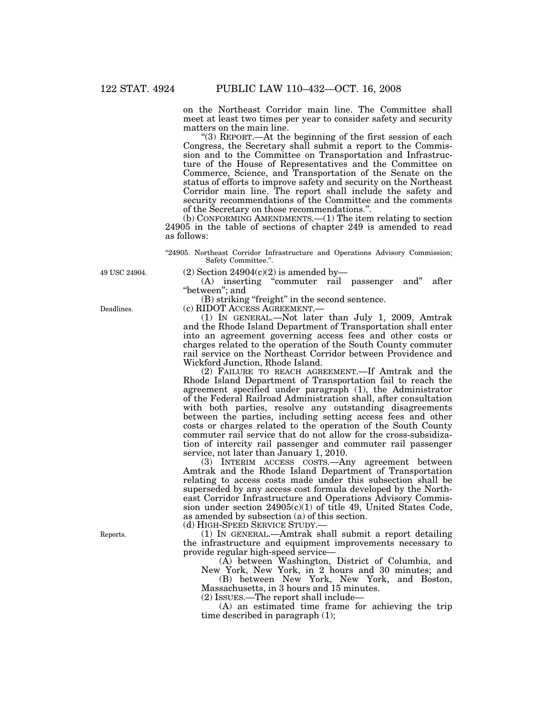on the Northeast Corridor main line. The Committee shall meet at least two times per year to consider safety and security matters on the main line.

''(3) REPORT.—At the beginning of the first session of each Congress, the Secretary shall submit a report to the Commission and to the Committee on Transportation and Infrastructure of the House of Representatives and the Committee on Commerce, Science, and Transportation of the Senate on the status of efforts to improve safety and security on the Northeast Corridor main line. The report shall include the safety and security recommendations of the Committee and the comments of the Secretary on those recommendations.''.

(b) CONFORMING AMENDMENTS.—(1) The item relating to section 24905 in the table of sections of chapter 249 is amended to read as follows:

''24905. Northeast Corridor Infrastructure and Operations Advisory Commission; Safety Committee.''.

49 USC 24904.

(2) Section  $24904(c)(2)$  is amended by—

(A) inserting ''commuter rail passenger and'' after "between"; and

(B) striking ''freight'' in the second sentence.

(c) RIDOT ACCESS AGREEMENT.—

(1) IN GENERAL.—Not later than July 1, 2009, Amtrak and the Rhode Island Department of Transportation shall enter into an agreement governing access fees and other costs or charges related to the operation of the South County commuter rail service on the Northeast Corridor between Providence and Wickford Junction, Rhode Island.

(2) FAILURE TO REACH AGREEMENT.—If Amtrak and the Rhode Island Department of Transportation fail to reach the agreement specified under paragraph (1), the Administrator of the Federal Railroad Administration shall, after consultation with both parties, resolve any outstanding disagreements between the parties, including setting access fees and other costs or charges related to the operation of the South County commuter rail service that do not allow for the cross-subsidization of intercity rail passenger and commuter rail passenger service, not later than January 1, 2010.

(3) INTERIM ACCESS COSTS.—Any agreement between Amtrak and the Rhode Island Department of Transportation relating to access costs made under this subsection shall be superseded by any access cost formula developed by the Northeast Corridor Infrastructure and Operations Advisory Commission under section 24905(c)(1) of title 49, United States Code, as amended by subsection (a) of this section.

(d) HIGH-SPEED SERVICE STUDY.—

(1) IN GENERAL.—Amtrak shall submit a report detailing the infrastructure and equipment improvements necessary to provide regular high-speed service—

(A) between Washington, District of Columbia, and New York, New York, in 2 hours and 30 minutes; and

(B) between New York, New York, and Boston, Massachusetts, in 3 hours and 15 minutes.

(2) ISSUES.—The report shall include—

(A) an estimated time frame for achieving the trip time described in paragraph (1);

Deadlines.

Reports.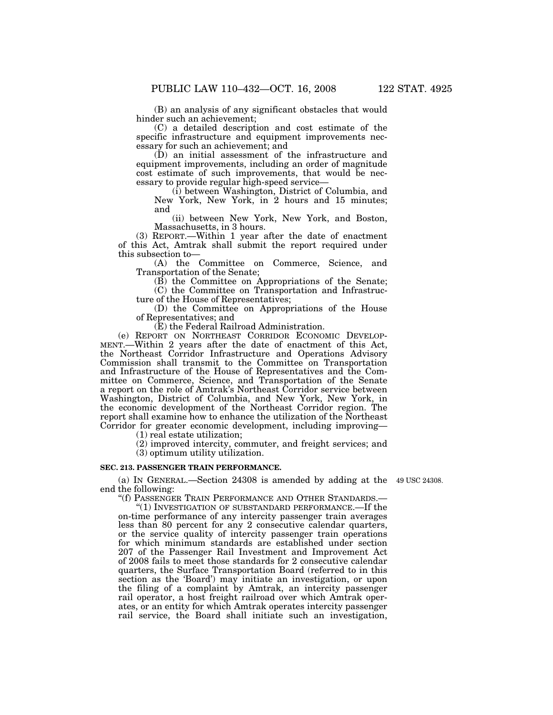(B) an analysis of any significant obstacles that would hinder such an achievement;

(C) a detailed description and cost estimate of the specific infrastructure and equipment improvements necessary for such an achievement; and

(D) an initial assessment of the infrastructure and equipment improvements, including an order of magnitude cost estimate of such improvements, that would be necessary to provide regular high-speed service—

(i) between Washington, District of Columbia, and New York, New York, in 2 hours and 15 minutes; and

(ii) between New York, New York, and Boston, Massachusetts, in 3 hours.

(3) REPORT.—Within 1 year after the date of enactment of this Act, Amtrak shall submit the report required under this subsection to—

(A) the Committee on Commerce, Science, and Transportation of the Senate;

(B) the Committee on Appropriations of the Senate;

(C) the Committee on Transportation and Infrastructure of the House of Representatives;

(D) the Committee on Appropriations of the House of Representatives; and

(E) the Federal Railroad Administration.

(e) REPORT ON NORTHEAST CORRIDOR ECONOMIC DEVELOP-MENT.—Within 2 years after the date of enactment of this Act, the Northeast Corridor Infrastructure and Operations Advisory Commission shall transmit to the Committee on Transportation and Infrastructure of the House of Representatives and the Committee on Commerce, Science, and Transportation of the Senate a report on the role of Amtrak's Northeast Corridor service between Washington, District of Columbia, and New York, New York, in the economic development of the Northeast Corridor region. The report shall examine how to enhance the utilization of the Northeast Corridor for greater economic development, including improving—

(1) real estate utilization;

(2) improved intercity, commuter, and freight services; and

(3) optimum utility utilization.

# **SEC. 213. PASSENGER TRAIN PERFORMANCE.**

(a) IN GENERAL.—Section 24308 is amended by adding at the 49 USC 24308. end the following:

''(f) PASSENGER TRAIN PERFORMANCE AND OTHER STANDARDS.—

''(1) INVESTIGATION OF SUBSTANDARD PERFORMANCE.—If the on-time performance of any intercity passenger train averages less than 80 percent for any 2 consecutive calendar quarters, or the service quality of intercity passenger train operations for which minimum standards are established under section 207 of the Passenger Rail Investment and Improvement Act of 2008 fails to meet those standards for 2 consecutive calendar quarters, the Surface Transportation Board (referred to in this section as the 'Board') may initiate an investigation, or upon the filing of a complaint by Amtrak, an intercity passenger rail operator, a host freight railroad over which Amtrak operates, or an entity for which Amtrak operates intercity passenger rail service, the Board shall initiate such an investigation,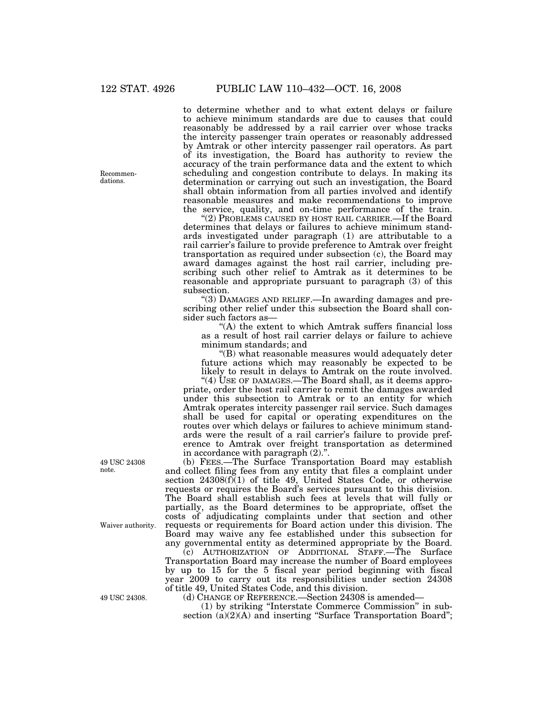to determine whether and to what extent delays or failure to achieve minimum standards are due to causes that could reasonably be addressed by a rail carrier over whose tracks the intercity passenger train operates or reasonably addressed by Amtrak or other intercity passenger rail operators. As part of its investigation, the Board has authority to review the accuracy of the train performance data and the extent to which scheduling and congestion contribute to delays. In making its determination or carrying out such an investigation, the Board shall obtain information from all parties involved and identify reasonable measures and make recommendations to improve the service, quality, and on-time performance of the train.

''(2) PROBLEMS CAUSED BY HOST RAIL CARRIER.—If the Board determines that delays or failures to achieve minimum standards investigated under paragraph (1) are attributable to a rail carrier's failure to provide preference to Amtrak over freight transportation as required under subsection (c), the Board may award damages against the host rail carrier, including prescribing such other relief to Amtrak as it determines to be reasonable and appropriate pursuant to paragraph (3) of this subsection.

''(3) DAMAGES AND RELIEF.—In awarding damages and prescribing other relief under this subsection the Board shall consider such factors as—

"(A) the extent to which Amtrak suffers financial loss as a result of host rail carrier delays or failure to achieve minimum standards; and

''(B) what reasonable measures would adequately deter future actions which may reasonably be expected to be likely to result in delays to Amtrak on the route involved.

"(4) USE OF DAMAGES.—The Board shall, as it deems appropriate, order the host rail carrier to remit the damages awarded under this subsection to Amtrak or to an entity for which Amtrak operates intercity passenger rail service. Such damages shall be used for capital or operating expenditures on the routes over which delays or failures to achieve minimum standards were the result of a rail carrier's failure to provide preference to Amtrak over freight transportation as determined in accordance with paragraph (2).''.

(b) FEES.—The Surface Transportation Board may establish and collect filing fees from any entity that files a complaint under section 24308(f)(1) of title 49, United States Code, or otherwise requests or requires the Board's services pursuant to this division. The Board shall establish such fees at levels that will fully or partially, as the Board determines to be appropriate, offset the costs of adjudicating complaints under that section and other requests or requirements for Board action under this division. The Board may waive any fee established under this subsection for any governmental entity as determined appropriate by the Board.

(c) AUTHORIZATION OF ADDITIONAL STAFF.—The Surface Transportation Board may increase the number of Board employees by up to 15 for the 5 fiscal year period beginning with fiscal year 2009 to carry out its responsibilities under section 24308 of title 49, United States Code, and this division.

(d) CHANGE OF REFERENCE.—Section 24308 is amended—

(1) by striking ''Interstate Commerce Commission'' in subsection (a)(2)(A) and inserting "Surface Transportation Board";

Recommendations.

49 USC 24308 note.

Waiver authority.

49 USC 24308.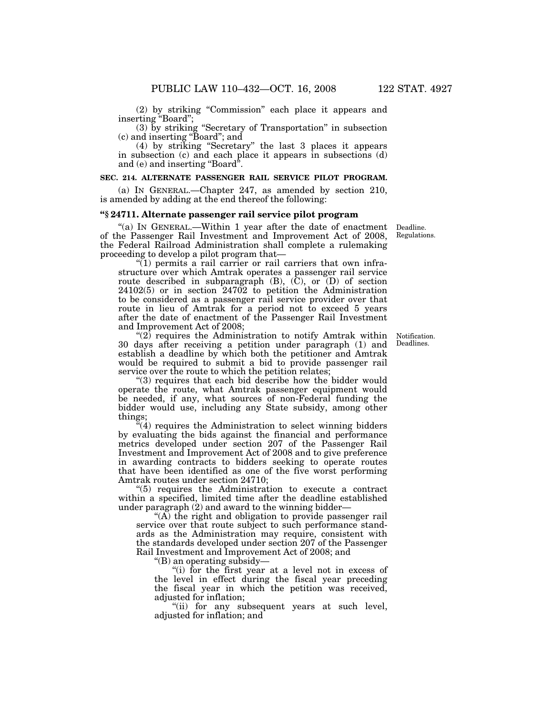(2) by striking ''Commission'' each place it appears and inserting ''Board'';

(3) by striking ''Secretary of Transportation'' in subsection (c) and inserting ''Board''; and

(4) by striking ''Secretary'' the last 3 places it appears in subsection (c) and each place it appears in subsections (d) and (e) and inserting "Board".

#### **SEC. 214. ALTERNATE PASSENGER RAIL SERVICE PILOT PROGRAM.**

(a) IN GENERAL.—Chapter 247, as amended by section 210, is amended by adding at the end thereof the following:

## **''§ 24711. Alternate passenger rail service pilot program**

"(a) IN GENERAL.—Within 1 year after the date of enactment of the Passenger Rail Investment and Improvement Act of 2008, the Federal Railroad Administration shall complete a rulemaking proceeding to develop a pilot program that—

 $\sqrt[n]{(1)}$  permits a rail carrier or rail carriers that own infrastructure over which Amtrak operates a passenger rail service route described in subparagraph (B), (C), or (D) of section 24102(5) or in section 24702 to petition the Administration to be considered as a passenger rail service provider over that route in lieu of Amtrak for a period not to exceed 5 years after the date of enactment of the Passenger Rail Investment and Improvement Act of 2008;

''(2) requires the Administration to notify Amtrak within 30 days after receiving a petition under paragraph (1) and establish a deadline by which both the petitioner and Amtrak would be required to submit a bid to provide passenger rail service over the route to which the petition relates;

''(3) requires that each bid describe how the bidder would operate the route, what Amtrak passenger equipment would be needed, if any, what sources of non-Federal funding the bidder would use, including any State subsidy, among other things;

 $\sqrt{4}$  requires the Administration to select winning bidders by evaluating the bids against the financial and performance metrics developed under section 207 of the Passenger Rail Investment and Improvement Act of 2008 and to give preference in awarding contracts to bidders seeking to operate routes that have been identified as one of the five worst performing Amtrak routes under section 24710;

''(5) requires the Administration to execute a contract within a specified, limited time after the deadline established under paragraph (2) and award to the winning bidder—

"(A) the right and obligation to provide passenger rail service over that route subject to such performance standards as the Administration may require, consistent with the standards developed under section 207 of the Passenger Rail Investment and Improvement Act of 2008; and

''(B) an operating subsidy—

"(i) for the first year at a level not in excess of the level in effect during the fiscal year preceding the fiscal year in which the petition was received, adjusted for inflation;

"(ii) for any subsequent years at such level, adjusted for inflation; and

Notification. Deadlines.

Deadline. Regulations.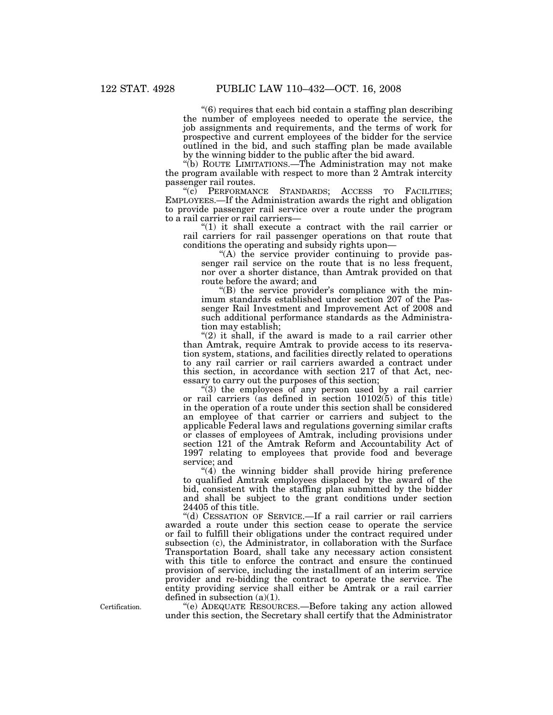''(6) requires that each bid contain a staffing plan describing the number of employees needed to operate the service, the job assignments and requirements, and the terms of work for prospective and current employees of the bidder for the service outlined in the bid, and such staffing plan be made available by the winning bidder to the public after the bid award.

''(b) ROUTE LIMITATIONS.—The Administration may not make the program available with respect to more than 2 Amtrak intercity passenger rail routes.

''(c) PERFORMANCE STANDARDS; ACCESS TO FACILITIES; EMPLOYEES.—If the Administration awards the right and obligation to provide passenger rail service over a route under the program to a rail carrier or rail carriers—

" $(1)$  it shall execute a contract with the rail carrier or rail carriers for rail passenger operations on that route that conditions the operating and subsidy rights upon—

''(A) the service provider continuing to provide passenger rail service on the route that is no less frequent, nor over a shorter distance, than Amtrak provided on that route before the award; and

''(B) the service provider's compliance with the minimum standards established under section 207 of the Passenger Rail Investment and Improvement Act of 2008 and such additional performance standards as the Administration may establish;

" $(2)$  it shall, if the award is made to a rail carrier other than Amtrak, require Amtrak to provide access to its reservation system, stations, and facilities directly related to operations to any rail carrier or rail carriers awarded a contract under this section, in accordance with section 217 of that Act, necessary to carry out the purposes of this section;

"(3) the employees of any person used by a rail carrier or rail carriers (as defined in section 10102(5) of this title) in the operation of a route under this section shall be considered an employee of that carrier or carriers and subject to the applicable Federal laws and regulations governing similar crafts or classes of employees of Amtrak, including provisions under section 121 of the Amtrak Reform and Accountability Act of 1997 relating to employees that provide food and beverage service; and

 $''(4)$  the winning bidder shall provide hiring preference to qualified Amtrak employees displaced by the award of the bid, consistent with the staffing plan submitted by the bidder and shall be subject to the grant conditions under section 24405 of this title.

''(d) CESSATION OF SERVICE.—If a rail carrier or rail carriers awarded a route under this section cease to operate the service or fail to fulfill their obligations under the contract required under subsection (c), the Administrator, in collaboration with the Surface Transportation Board, shall take any necessary action consistent with this title to enforce the contract and ensure the continued provision of service, including the installment of an interim service provider and re-bidding the contract to operate the service. The entity providing service shall either be Amtrak or a rail carrier defined in subsection (a)(1).

''(e) ADEQUATE RESOURCES.—Before taking any action allowed under this section, the Secretary shall certify that the Administrator

Certification.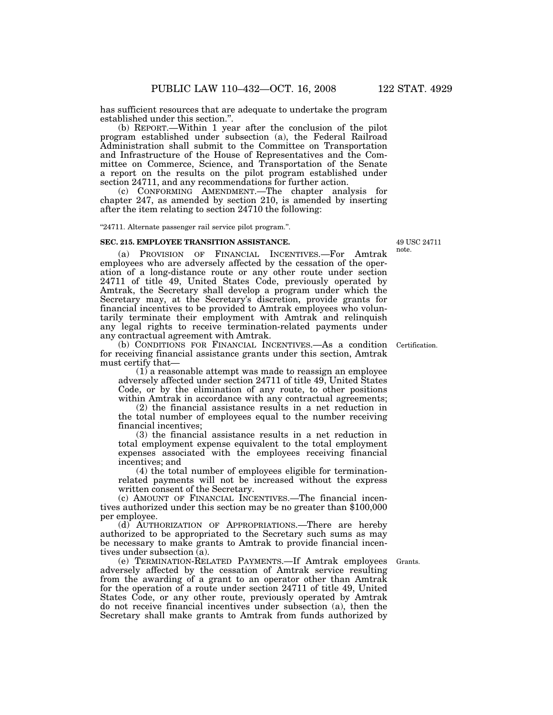has sufficient resources that are adequate to undertake the program established under this section.''.

(b) REPORT.—Within 1 year after the conclusion of the pilot program established under subsection (a), the Federal Railroad Administration shall submit to the Committee on Transportation and Infrastructure of the House of Representatives and the Committee on Commerce, Science, and Transportation of the Senate a report on the results on the pilot program established under section 24711, and any recommendations for further action.

(c) CONFORMING AMENDMENT.—The chapter analysis for chapter 247, as amended by section 210, is amended by inserting after the item relating to section 24710 the following:

''24711. Alternate passenger rail service pilot program.''.

#### **SEC. 215. EMPLOYEE TRANSITION ASSISTANCE.**

(a) PROVISION OF FINANCIAL INCENTIVES.—For Amtrak employees who are adversely affected by the cessation of the operation of a long-distance route or any other route under section 24711 of title 49, United States Code, previously operated by Amtrak, the Secretary shall develop a program under which the Secretary may, at the Secretary's discretion, provide grants for financial incentives to be provided to Amtrak employees who voluntarily terminate their employment with Amtrak and relinquish any legal rights to receive termination-related payments under any contractual agreement with Amtrak.

(b) CONDITIONS FOR FINANCIAL INCENTIVES.—As a condition Certification. for receiving financial assistance grants under this section, Amtrak must certify that—

(1) a reasonable attempt was made to reassign an employee adversely affected under section 24711 of title 49, United States Code, or by the elimination of any route, to other positions within Amtrak in accordance with any contractual agreements;

(2) the financial assistance results in a net reduction in the total number of employees equal to the number receiving financial incentives;

(3) the financial assistance results in a net reduction in total employment expense equivalent to the total employment expenses associated with the employees receiving financial incentives; and

(4) the total number of employees eligible for terminationrelated payments will not be increased without the express written consent of the Secretary.

(c) AMOUNT OF FINANCIAL INCENTIVES.—The financial incentives authorized under this section may be no greater than \$100,000 per employee.

(d) AUTHORIZATION OF APPROPRIATIONS.—There are hereby authorized to be appropriated to the Secretary such sums as may be necessary to make grants to Amtrak to provide financial incentives under subsection (a).

(e) TERMINATION-RELATED PAYMENTS.—If Amtrak employees Grants. adversely affected by the cessation of Amtrak service resulting from the awarding of a grant to an operator other than Amtrak for the operation of a route under section 24711 of title 49, United States Code, or any other route, previously operated by Amtrak do not receive financial incentives under subsection (a), then the Secretary shall make grants to Amtrak from funds authorized by

49 USC 24711 note.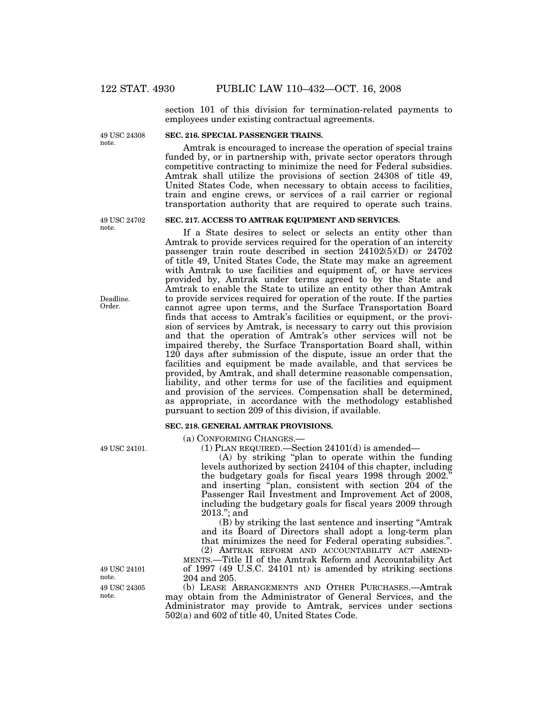section 101 of this division for termination-related payments to employees under existing contractual agreements.

49 USC 24308 note.

## **SEC. 216. SPECIAL PASSENGER TRAINS.**

Amtrak is encouraged to increase the operation of special trains funded by, or in partnership with, private sector operators through competitive contracting to minimize the need for Federal subsidies. Amtrak shall utilize the provisions of section 24308 of title 49, United States Code, when necessary to obtain access to facilities, train and engine crews, or services of a rail carrier or regional transportation authority that are required to operate such trains.

If a State desires to select or selects an entity other than Amtrak to provide services required for the operation of an intercity passenger train route described in section 24102(5)(D) or 24702 of title 49, United States Code, the State may make an agreement with Amtrak to use facilities and equipment of, or have services provided by, Amtrak under terms agreed to by the State and Amtrak to enable the State to utilize an entity other than Amtrak to provide services required for operation of the route. If the parties cannot agree upon terms, and the Surface Transportation Board finds that access to Amtrak's facilities or equipment, or the provision of services by Amtrak, is necessary to carry out this provision and that the operation of Amtrak's other services will not be impaired thereby, the Surface Transportation Board shall, within 120 days after submission of the dispute, issue an order that the facilities and equipment be made available, and that services be

**SEC. 217. ACCESS TO AMTRAK EQUIPMENT AND SERVICES.** 

49 USC 24702 note.

#### Deadline. Order.

provided, by Amtrak, and shall determine reasonable compensation, liability, and other terms for use of the facilities and equipment and provision of the services. Compensation shall be determined, as appropriate, in accordance with the methodology established pursuant to section 209 of this division, if available.

#### **SEC. 218. GENERAL AMTRAK PROVISIONS.**

(a) CONFORMING CHANGES.—

(1) PLAN REQUIRED.—Section 24101(d) is amended—

(A) by striking ''plan to operate within the funding levels authorized by section 24104 of this chapter, including the budgetary goals for fiscal years 1998 through 2002.'' and inserting ''plan, consistent with section 204 of the Passenger Rail Investment and Improvement Act of 2008, including the budgetary goals for fiscal years 2009 through  $2013$ .": and

(B) by striking the last sentence and inserting ''Amtrak and its Board of Directors shall adopt a long-term plan that minimizes the need for Federal operating subsidies.''. (2) AMTRAK REFORM AND ACCOUNTABILITY ACT AMEND-

MENTS.—Title II of the Amtrak Reform and Accountability Act of 1997 (49 U.S.C. 24101 nt) is amended by striking sections 204 and 205.

(b) LEASE ARRANGEMENTS AND OTHER PURCHASES.—Amtrak may obtain from the Administrator of General Services, and the Administrator may provide to Amtrak, services under sections 502(a) and 602 of title 40, United States Code.

49 USC 24101.

49 USC 24305 note. 49 USC 24101 note.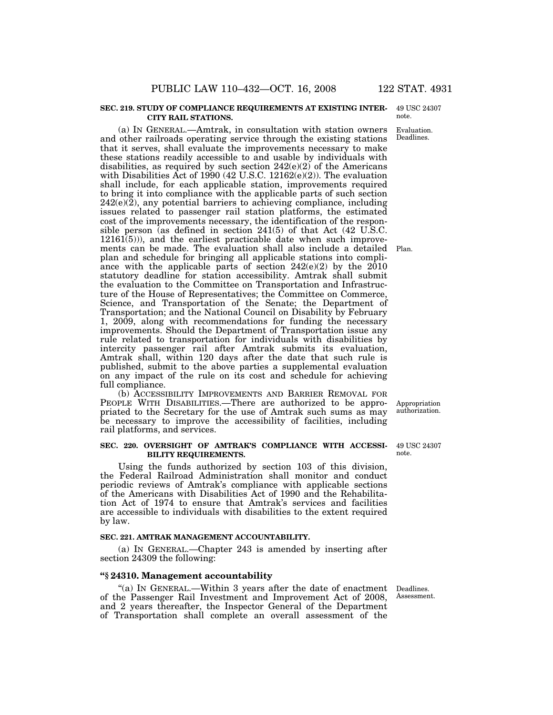#### **SEC. 219. STUDY OF COMPLIANCE REQUIREMENTS AT EXISTING INTER-CITY RAIL STATIONS.**

(a) IN GENERAL.—Amtrak, in consultation with station owners and other railroads operating service through the existing stations that it serves, shall evaluate the improvements necessary to make these stations readily accessible to and usable by individuals with disabilities, as required by such section  $242(e)(2)$  of the Americans with Disabilities Act of 1990 (42 U.S.C. 12162(e)(2)). The evaluation shall include, for each applicable station, improvements required to bring it into compliance with the applicable parts of such section  $242(e)(2)$ , any potential barriers to achieving compliance, including issues related to passenger rail station platforms, the estimated cost of the improvements necessary, the identification of the responsible person (as defined in section 241(5) of that Act (42 U.S.C.  $12161(5)$ ), and the earliest practicable date when such improvements can be made. The evaluation shall also include a detailed Plan. plan and schedule for bringing all applicable stations into compliance with the applicable parts of section 242(e)(2) by the 2010 statutory deadline for station accessibility. Amtrak shall submit the evaluation to the Committee on Transportation and Infrastructure of the House of Representatives; the Committee on Commerce, Science, and Transportation of the Senate; the Department of Transportation; and the National Council on Disability by February 1, 2009, along with recommendations for funding the necessary improvements. Should the Department of Transportation issue any rule related to transportation for individuals with disabilities by intercity passenger rail after Amtrak submits its evaluation, Amtrak shall, within 120 days after the date that such rule is published, submit to the above parties a supplemental evaluation on any impact of the rule on its cost and schedule for achieving full compliance.

(b) ACCESSIBILITY IMPROVEMENTS AND BARRIER REMOVAL FOR PEOPLE WITH DISABILITIES.—There are authorized to be appropriated to the Secretary for the use of Amtrak such sums as may be necessary to improve the accessibility of facilities, including rail platforms, and services.

#### **SEC. 220. OVERSIGHT OF AMTRAK'S COMPLIANCE WITH ACCESSI-BILITY REQUIREMENTS.**

Using the funds authorized by section 103 of this division, the Federal Railroad Administration shall monitor and conduct periodic reviews of Amtrak's compliance with applicable sections of the Americans with Disabilities Act of 1990 and the Rehabilitation Act of 1974 to ensure that Amtrak's services and facilities are accessible to individuals with disabilities to the extent required by law.

## **SEC. 221. AMTRAK MANAGEMENT ACCOUNTABILITY.**

(a) IN GENERAL.—Chapter 243 is amended by inserting after section 24309 the following:

#### **''§ 24310. Management accountability**

"(a) In GENERAL.—Within 3 years after the date of enactment Deadlines. of the Passenger Rail Investment and Improvement Act of 2008, and 2 years thereafter, the Inspector General of the Department of Transportation shall complete an overall assessment of the

Assessment.

49 USC 24307

note.

Appropriation authorization.

49 USC 24307 note.

Evaluation. Deadlines.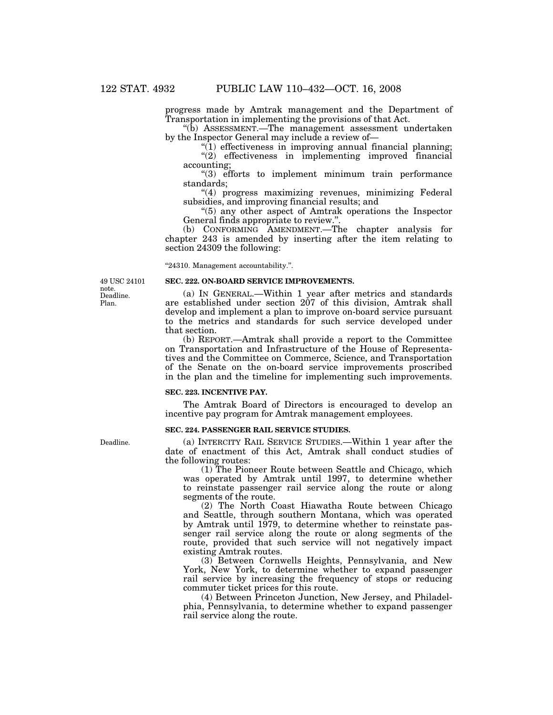progress made by Amtrak management and the Department of Transportation in implementing the provisions of that Act.

''(b) ASSESSMENT.—The management assessment undertaken by the Inspector General may include a review of—

 $\sqrt[n]{(1)}$  effectiveness in improving annual financial planning; ''(2) effectiveness in implementing improved financial

accounting;

''(3) efforts to implement minimum train performance standards;

''(4) progress maximizing revenues, minimizing Federal subsidies, and improving financial results; and

''(5) any other aspect of Amtrak operations the Inspector General finds appropriate to review.''.

(b) CONFORMING AMENDMENT.—The chapter analysis for chapter 243 is amended by inserting after the item relating to section 24309 the following:

''24310. Management accountability.''.

Deadline. Plan. 49 USC 24101 note.

#### **SEC. 222. ON-BOARD SERVICE IMPROVEMENTS.**

(a) IN GENERAL.—Within 1 year after metrics and standards are established under section 207 of this division, Amtrak shall develop and implement a plan to improve on-board service pursuant to the metrics and standards for such service developed under that section.

(b) REPORT.—Amtrak shall provide a report to the Committee on Transportation and Infrastructure of the House of Representatives and the Committee on Commerce, Science, and Transportation of the Senate on the on-board service improvements proscribed in the plan and the timeline for implementing such improvements.

## **SEC. 223. INCENTIVE PAY.**

The Amtrak Board of Directors is encouraged to develop an incentive pay program for Amtrak management employees.

#### **SEC. 224. PASSENGER RAIL SERVICE STUDIES.**

(a) INTERCITY RAIL SERVICE STUDIES.—Within 1 year after the date of enactment of this Act, Amtrak shall conduct studies of the following routes:

(1) The Pioneer Route between Seattle and Chicago, which was operated by Amtrak until 1997, to determine whether to reinstate passenger rail service along the route or along segments of the route.

(2) The North Coast Hiawatha Route between Chicago and Seattle, through southern Montana, which was operated by Amtrak until 1979, to determine whether to reinstate passenger rail service along the route or along segments of the route, provided that such service will not negatively impact existing Amtrak routes.

(3) Between Cornwells Heights, Pennsylvania, and New York, New York, to determine whether to expand passenger rail service by increasing the frequency of stops or reducing commuter ticket prices for this route.

(4) Between Princeton Junction, New Jersey, and Philadelphia, Pennsylvania, to determine whether to expand passenger rail service along the route.

Deadline.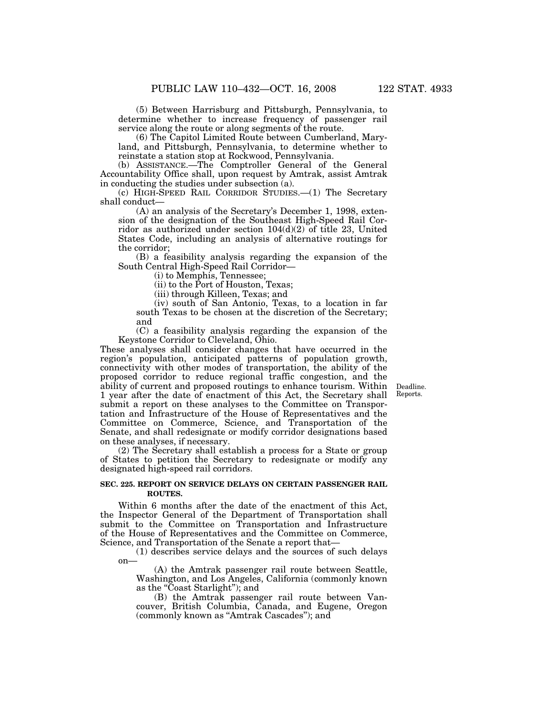(5) Between Harrisburg and Pittsburgh, Pennsylvania, to determine whether to increase frequency of passenger rail service along the route or along segments of the route.

(6) The Capitol Limited Route between Cumberland, Maryland, and Pittsburgh, Pennsylvania, to determine whether to reinstate a station stop at Rockwood, Pennsylvania.

(b) ASSISTANCE.—The Comptroller General of the General Accountability Office shall, upon request by Amtrak, assist Amtrak in conducting the studies under subsection (a).

(c) HIGH-SPEED RAIL CORRIDOR STUDIES.—(1) The Secretary shall conduct—

(A) an analysis of the Secretary's December 1, 1998, extension of the designation of the Southeast High-Speed Rail Corridor as authorized under section  $104(d)(2)$  of title 23, United States Code, including an analysis of alternative routings for the corridor;

(B) a feasibility analysis regarding the expansion of the South Central High-Speed Rail Corridor—

(i) to Memphis, Tennessee;

(ii) to the Port of Houston, Texas;

(iii) through Killeen, Texas; and

(iv) south of San Antonio, Texas, to a location in far south Texas to be chosen at the discretion of the Secretary; and

(C) a feasibility analysis regarding the expansion of the Keystone Corridor to Cleveland, Ohio.

These analyses shall consider changes that have occurred in the region's population, anticipated patterns of population growth, connectivity with other modes of transportation, the ability of the proposed corridor to reduce regional traffic congestion, and the ability of current and proposed routings to enhance tourism. Within 1 year after the date of enactment of this Act, the Secretary shall submit a report on these analyses to the Committee on Transportation and Infrastructure of the House of Representatives and the Committee on Commerce, Science, and Transportation of the Senate, and shall redesignate or modify corridor designations based on these analyses, if necessary.

(2) The Secretary shall establish a process for a State or group of States to petition the Secretary to redesignate or modify any designated high-speed rail corridors.

#### **SEC. 225. REPORT ON SERVICE DELAYS ON CERTAIN PASSENGER RAIL ROUTES.**

Within 6 months after the date of the enactment of this Act, the Inspector General of the Department of Transportation shall submit to the Committee on Transportation and Infrastructure of the House of Representatives and the Committee on Commerce, Science, and Transportation of the Senate a report that—

(1) describes service delays and the sources of such delays on—

(A) the Amtrak passenger rail route between Seattle, Washington, and Los Angeles, California (commonly known as the "Coast Starlight"); and

(B) the Amtrak passenger rail route between Vancouver, British Columbia, Canada, and Eugene, Oregon (commonly known as ''Amtrak Cascades''); and

Deadline. Reports.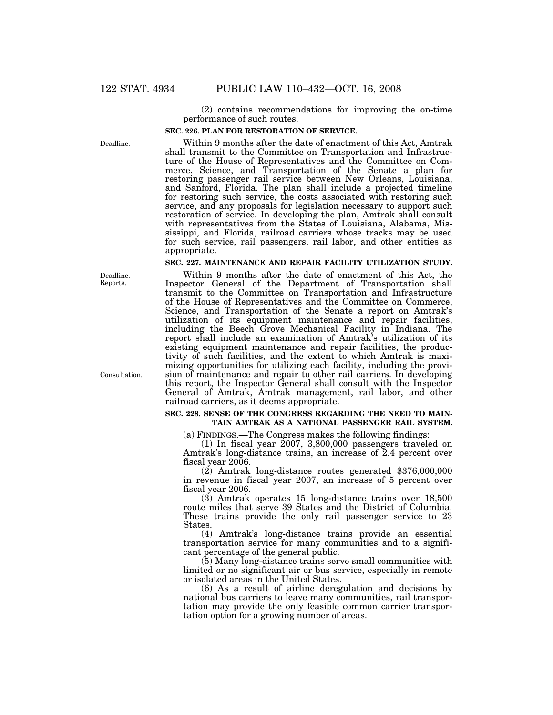(2) contains recommendations for improving the on-time performance of such routes.

#### **SEC. 226. PLAN FOR RESTORATION OF SERVICE.**

Within 9 months after the date of enactment of this Act, Amtrak shall transmit to the Committee on Transportation and Infrastructure of the House of Representatives and the Committee on Commerce, Science, and Transportation of the Senate a plan for restoring passenger rail service between New Orleans, Louisiana, and Sanford, Florida. The plan shall include a projected timeline for restoring such service, the costs associated with restoring such service, and any proposals for legislation necessary to support such restoration of service. In developing the plan, Amtrak shall consult with representatives from the States of Louisiana, Alabama, Mississippi, and Florida, railroad carriers whose tracks may be used for such service, rail passengers, rail labor, and other entities as appropriate.

## **SEC. 227. MAINTENANCE AND REPAIR FACILITY UTILIZATION STUDY.**

Within 9 months after the date of enactment of this Act, the Inspector General of the Department of Transportation shall transmit to the Committee on Transportation and Infrastructure of the House of Representatives and the Committee on Commerce, Science, and Transportation of the Senate a report on Amtrak's utilization of its equipment maintenance and repair facilities, including the Beech Grove Mechanical Facility in Indiana. The report shall include an examination of Amtrak's utilization of its existing equipment maintenance and repair facilities, the productivity of such facilities, and the extent to which Amtrak is maximizing opportunities for utilizing each facility, including the provision of maintenance and repair to other rail carriers. In developing this report, the Inspector General shall consult with the Inspector General of Amtrak, Amtrak management, rail labor, and other railroad carriers, as it deems appropriate.

## **SEC. 228. SENSE OF THE CONGRESS REGARDING THE NEED TO MAIN-TAIN AMTRAK AS A NATIONAL PASSENGER RAIL SYSTEM.**

(a) FINDINGS.—The Congress makes the following findings:

(1) In fiscal year 2007, 3,800,000 passengers traveled on Amtrak's long-distance trains, an increase of 2.4 percent over fiscal year 2006.

(2) Amtrak long-distance routes generated \$376,000,000 in revenue in fiscal year 2007, an increase of 5 percent over fiscal year 2006.

(3) Amtrak operates 15 long-distance trains over 18,500 route miles that serve 39 States and the District of Columbia. These trains provide the only rail passenger service to 23 States.

(4) Amtrak's long-distance trains provide an essential transportation service for many communities and to a significant percentage of the general public.

(5) Many long-distance trains serve small communities with limited or no significant air or bus service, especially in remote or isolated areas in the United States.

(6) As a result of airline deregulation and decisions by national bus carriers to leave many communities, rail transportation may provide the only feasible common carrier transportation option for a growing number of areas.

Deadline. Reports.

Deadline.

Consultation.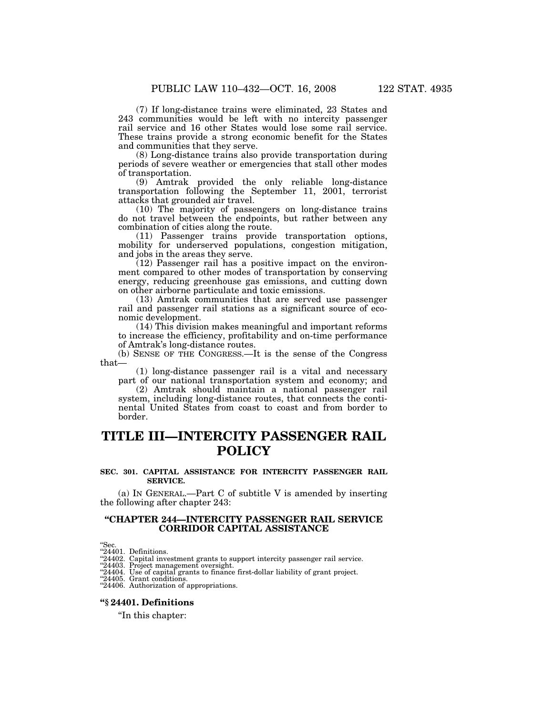(7) If long-distance trains were eliminated, 23 States and 243 communities would be left with no intercity passenger rail service and 16 other States would lose some rail service. These trains provide a strong economic benefit for the States and communities that they serve.

(8) Long-distance trains also provide transportation during periods of severe weather or emergencies that stall other modes of transportation.

(9) Amtrak provided the only reliable long-distance transportation following the September 11, 2001, terrorist attacks that grounded air travel.

(10) The majority of passengers on long-distance trains do not travel between the endpoints, but rather between any combination of cities along the route.

(11) Passenger trains provide transportation options, mobility for underserved populations, congestion mitigation, and jobs in the areas they serve.

(12) Passenger rail has a positive impact on the environment compared to other modes of transportation by conserving energy, reducing greenhouse gas emissions, and cutting down on other airborne particulate and toxic emissions.

(13) Amtrak communities that are served use passenger rail and passenger rail stations as a significant source of economic development.

(14) This division makes meaningful and important reforms to increase the efficiency, profitability and on-time performance of Amtrak's long-distance routes.

(b) SENSE OF THE CONGRESS.—It is the sense of the Congress that—

(1) long-distance passenger rail is a vital and necessary part of our national transportation system and economy; and

(2) Amtrak should maintain a national passenger rail system, including long-distance routes, that connects the continental United States from coast to coast and from border to border.

# **TITLE III—INTERCITY PASSENGER RAIL POLICY**

#### **SEC. 301. CAPITAL ASSISTANCE FOR INTERCITY PASSENGER RAIL SERVICE.**

(a) IN GENERAL.—Part C of subtitle V is amended by inserting the following after chapter 243:

## **''CHAPTER 244—INTERCITY PASSENGER RAIL SERVICE CORRIDOR CAPITAL ASSISTANCE**

"Sec.<br>"24401. Definitions.<br>"24402. Capital investment grants to support intercity passenger rail service.<br>"24403. Project management oversight.<br>"24404. Use of capital grants to finance first-dollar liability of grant proje

''24406. Authorization of appropriations.

## **''§ 24401. Definitions**

''In this chapter: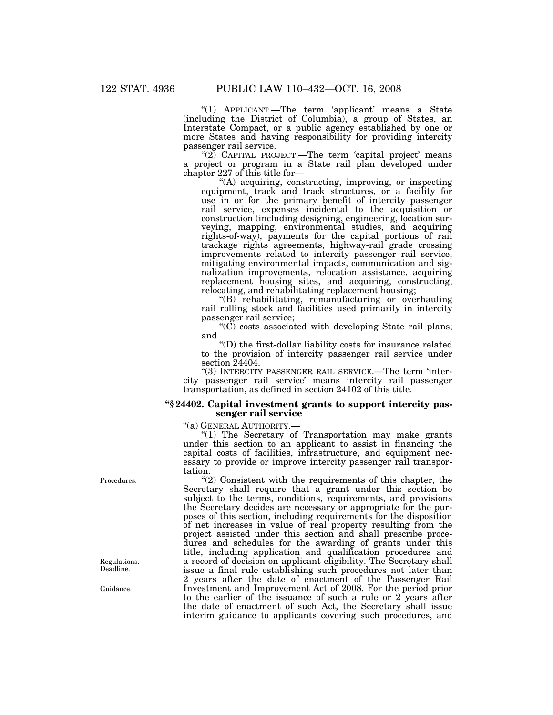"(1) APPLICANT.—The term 'applicant' means a State (including the District of Columbia), a group of States, an Interstate Compact, or a public agency established by one or more States and having responsibility for providing intercity passenger rail service.

" $(2)$  CAPITAL PROJECT.—The term 'capital project' means a project or program in a State rail plan developed under chapter 227 of this title for—

"(A) acquiring, constructing, improving, or inspecting equipment, track and track structures, or a facility for use in or for the primary benefit of intercity passenger rail service, expenses incidental to the acquisition or construction (including designing, engineering, location surveying, mapping, environmental studies, and acquiring rights-of-way), payments for the capital portions of rail trackage rights agreements, highway-rail grade crossing improvements related to intercity passenger rail service, mitigating environmental impacts, communication and signalization improvements, relocation assistance, acquiring replacement housing sites, and acquiring, constructing, relocating, and rehabilitating replacement housing;

''(B) rehabilitating, remanufacturing or overhauling rail rolling stock and facilities used primarily in intercity passenger rail service;

 $\mathcal{C}(\widetilde{C})$  costs associated with developing State rail plans; and

''(D) the first-dollar liability costs for insurance related to the provision of intercity passenger rail service under section 24404.

''(3) INTERCITY PASSENGER RAIL SERVICE.—The term 'intercity passenger rail service' means intercity rail passenger transportation, as defined in section 24102 of this title.

## **''§ 24402. Capital investment grants to support intercity passenger rail service**

''(a) GENERAL AUTHORITY.—

"(1) The Secretary of Transportation may make grants under this section to an applicant to assist in financing the capital costs of facilities, infrastructure, and equipment necessary to provide or improve intercity passenger rail transportation.

''(2) Consistent with the requirements of this chapter, the Secretary shall require that a grant under this section be subject to the terms, conditions, requirements, and provisions the Secretary decides are necessary or appropriate for the purposes of this section, including requirements for the disposition of net increases in value of real property resulting from the project assisted under this section and shall prescribe procedures and schedules for the awarding of grants under this title, including application and qualification procedures and a record of decision on applicant eligibility. The Secretary shall issue a final rule establishing such procedures not later than 2 years after the date of enactment of the Passenger Rail Investment and Improvement Act of 2008. For the period prior to the earlier of the issuance of such a rule or 2 years after the date of enactment of such Act, the Secretary shall issue interim guidance to applicants covering such procedures, and

Procedures.

Regulations. Deadline.

Guidance.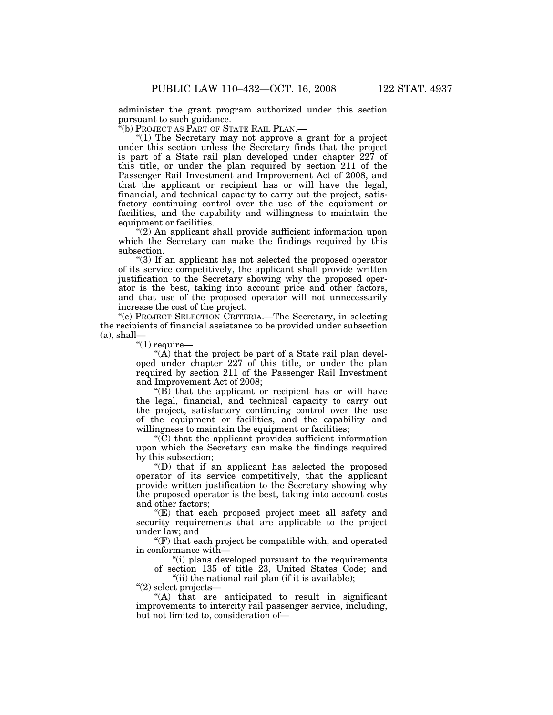administer the grant program authorized under this section pursuant to such guidance.

''(b) PROJECT AS PART OF STATE RAIL PLAN.—

" $(1)$  The Secretary may not approve a grant for a project under this section unless the Secretary finds that the project is part of a State rail plan developed under chapter 227 of this title, or under the plan required by section 211 of the Passenger Rail Investment and Improvement Act of 2008, and that the applicant or recipient has or will have the legal, financial, and technical capacity to carry out the project, satisfactory continuing control over the use of the equipment or facilities, and the capability and willingness to maintain the equipment or facilities.

"(2) An applicant shall provide sufficient information upon which the Secretary can make the findings required by this subsection.

''(3) If an applicant has not selected the proposed operator of its service competitively, the applicant shall provide written justification to the Secretary showing why the proposed operator is the best, taking into account price and other factors, and that use of the proposed operator will not unnecessarily increase the cost of the project.

''(c) PROJECT SELECTION CRITERIA.—The Secretary, in selecting the recipients of financial assistance to be provided under subsection  $(a)$ , shall—

" $(1)$  require—

"( $\overline{A}$ ) that the project be part of a State rail plan developed under chapter 227 of this title, or under the plan required by section 211 of the Passenger Rail Investment and Improvement Act of 2008;

 $\mathrm{``(B)}$  that the applicant or recipient has or will have the legal, financial, and technical capacity to carry out the project, satisfactory continuing control over the use of the equipment or facilities, and the capability and willingness to maintain the equipment or facilities;

''(C) that the applicant provides sufficient information upon which the Secretary can make the findings required by this subsection;

''(D) that if an applicant has selected the proposed operator of its service competitively, that the applicant provide written justification to the Secretary showing why the proposed operator is the best, taking into account costs and other factors;

''(E) that each proposed project meet all safety and security requirements that are applicable to the project under law; and

 $f(F)$  that each project be compatible with, and operated in conformance with—

''(i) plans developed pursuant to the requirements of section 135 of title 23, United States Code; and

"(ii) the national rail plan (if it is available);

''(2) select projects—

''(A) that are anticipated to result in significant improvements to intercity rail passenger service, including, but not limited to, consideration of—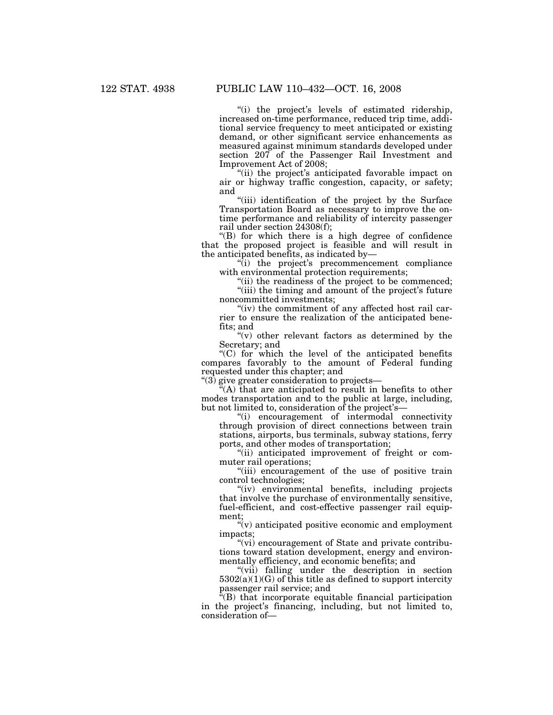"(i) the project's levels of estimated ridership, increased on-time performance, reduced trip time, additional service frequency to meet anticipated or existing demand, or other significant service enhancements as measured against minimum standards developed under section 207 of the Passenger Rail Investment and Improvement Act of 2008;

"(ii) the project's anticipated favorable impact on air or highway traffic congestion, capacity, or safety; and

"(iii) identification of the project by the Surface Transportation Board as necessary to improve the ontime performance and reliability of intercity passenger rail under section 24308(f);

 $'(B)$  for which there is a high degree of confidence that the proposed project is feasible and will result in the anticipated benefits, as indicated by—

''(i) the project's precommencement compliance with environmental protection requirements;

"(ii) the readiness of the project to be commenced; "(iii) the timing and amount of the project's future

noncommitted investments; "(iv) the commitment of any affected host rail car-

rier to ensure the realization of the anticipated benefits; and

"(v) other relevant factors as determined by the Secretary; and

''(C) for which the level of the anticipated benefits compares favorably to the amount of Federal funding requested under this chapter; and

''(3) give greater consideration to projects—

 $\tilde{f}(A)$  that are anticipated to result in benefits to other modes transportation and to the public at large, including, but not limited to, consideration of the project's—

''(i) encouragement of intermodal connectivity through provision of direct connections between train stations, airports, bus terminals, subway stations, ferry ports, and other modes of transportation;

''(ii) anticipated improvement of freight or commuter rail operations;

"(iii) encouragement of the use of positive train control technologies;

"(iv) environmental benefits, including projects that involve the purchase of environmentally sensitive, fuel-efficient, and cost-effective passenger rail equipment;

''(v) anticipated positive economic and employment impacts;

''(vi) encouragement of State and private contributions toward station development, energy and environmentally efficiency, and economic benefits; and

"(vii) falling under the description in section  $5302(a)(1)(G)$  of this title as defined to support intercity passenger rail service; and

''(B) that incorporate equitable financial participation in the project's financing, including, but not limited to, consideration of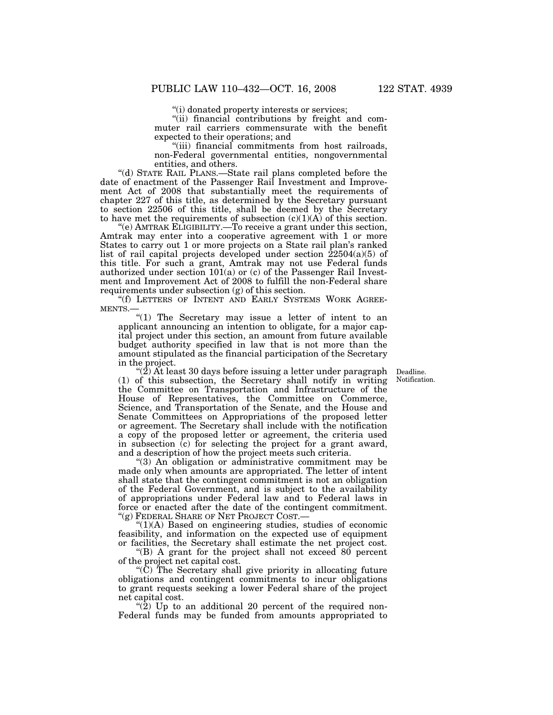''(i) donated property interests or services;

"(ii) financial contributions by freight and commuter rail carriers commensurate with the benefit expected to their operations; and

''(iii) financial commitments from host railroads, non-Federal governmental entities, nongovernmental entities, and others.

''(d) STATE RAIL PLANS.—State rail plans completed before the date of enactment of the Passenger Rail Investment and Improvement Act of 2008 that substantially meet the requirements of chapter 227 of this title, as determined by the Secretary pursuant to section 22506 of this title, shall be deemed by the Secretary to have met the requirements of subsection  $(c)(1)(A)$  of this section.

''(e) AMTRAK ELIGIBILITY.—To receive a grant under this section, Amtrak may enter into a cooperative agreement with 1 or more States to carry out 1 or more projects on a State rail plan's ranked list of rail capital projects developed under section  $\overline{2}2504(a)(5)$  of this title. For such a grant, Amtrak may not use Federal funds authorized under section  $101(a)$  or (c) of the Passenger Rail Investment and Improvement Act of 2008 to fulfill the non-Federal share requirements under subsection (g) of this section.

''(f) LETTERS OF INTENT AND EARLY SYSTEMS WORK AGREE-MENTS.

"(1) The Secretary may issue a letter of intent to an applicant announcing an intention to obligate, for a major capital project under this section, an amount from future available budget authority specified in law that is not more than the amount stipulated as the financial participation of the Secretary in the project.

> Deadline. Notification.

" $(2)$  At least 30 days before issuing a letter under paragraph (1) of this subsection, the Secretary shall notify in writing the Committee on Transportation and Infrastructure of the House of Representatives, the Committee on Commerce, Science, and Transportation of the Senate, and the House and Senate Committees on Appropriations of the proposed letter or agreement. The Secretary shall include with the notification a copy of the proposed letter or agreement, the criteria used in subsection (c) for selecting the project for a grant award, and a description of how the project meets such criteria.

''(3) An obligation or administrative commitment may be made only when amounts are appropriated. The letter of intent shall state that the contingent commitment is not an obligation of the Federal Government, and is subject to the availability of appropriations under Federal law and to Federal laws in force or enacted after the date of the contingent commitment. ''(g) FEDERAL SHARE OF NET PROJECT COST.—

''(1)(A) Based on engineering studies, studies of economic feasibility, and information on the expected use of equipment or facilities, the Secretary shall estimate the net project cost.

''(B) A grant for the project shall not exceed 80 percent of the project net capital cost.

''(C) The Secretary shall give priority in allocating future obligations and contingent commitments to incur obligations to grant requests seeking a lower Federal share of the project net capital cost.

"(2) Up to an additional 20 percent of the required non-Federal funds may be funded from amounts appropriated to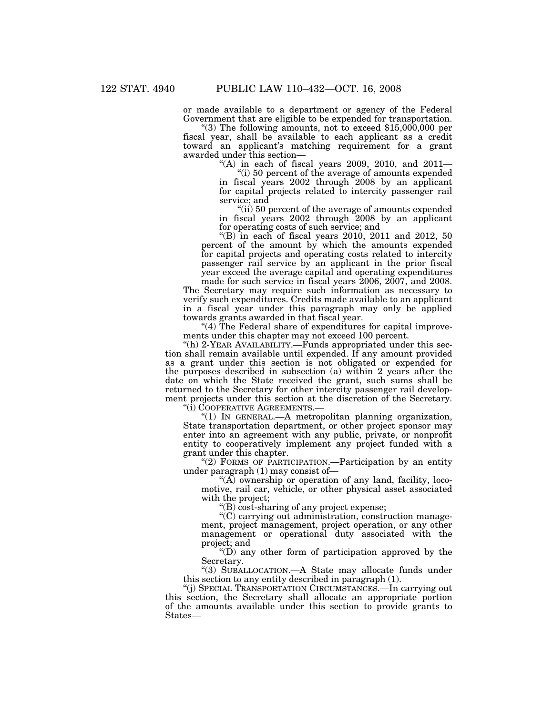or made available to a department or agency of the Federal Government that are eligible to be expended for transportation. ''(3) The following amounts, not to exceed \$15,000,000 per

fiscal year, shall be available to each applicant as a credit toward an applicant's matching requirement for a grant awarded under this section—

"(A) in each of fiscal years  $2009$ ,  $2010$ , and  $2011-$ 

''(i) 50 percent of the average of amounts expended in fiscal years 2002 through 2008 by an applicant for capital projects related to intercity passenger rail service; and

"(ii) 50 percent of the average of amounts expended in fiscal years 2002 through 2008 by an applicant for operating costs of such service; and

"(B) in each of fiscal years  $2010$ ,  $2011$  and  $2012$ ,  $50$ percent of the amount by which the amounts expended for capital projects and operating costs related to intercity passenger rail service by an applicant in the prior fiscal year exceed the average capital and operating expenditures made for such service in fiscal years 2006, 2007, and 2008.

The Secretary may require such information as necessary to verify such expenditures. Credits made available to an applicant in a fiscal year under this paragraph may only be applied towards grants awarded in that fiscal year.

"(4) The Federal share of expenditures for capital improvements under this chapter may not exceed 100 percent.

"(h) 2-YEAR AVAILABILITY.—Funds appropriated under this section shall remain available until expended. If any amount provided as a grant under this section is not obligated or expended for the purposes described in subsection (a) within 2 years after the date on which the State received the grant, such sums shall be returned to the Secretary for other intercity passenger rail development projects under this section at the discretion of the Secretary.

''(i) COOPERATIVE AGREEMENTS.—

''(1) IN GENERAL.—A metropolitan planning organization, State transportation department, or other project sponsor may enter into an agreement with any public, private, or nonprofit entity to cooperatively implement any project funded with a grant under this chapter.

"(2) FORMS OF PARTICIPATION.—Participation by an entity under paragraph (1) may consist of—

" $(A)$  ownership or operation of any land, facility, locomotive, rail car, vehicle, or other physical asset associated with the project;

''(B) cost-sharing of any project expense;

''(C) carrying out administration, construction management, project management, project operation, or any other management or operational duty associated with the project; and

" $(D)$  any other form of participation approved by the Secretary.

''(3) SUBALLOCATION.—A State may allocate funds under this section to any entity described in paragraph (1).

''(j) SPECIAL TRANSPORTATION CIRCUMSTANCES.—In carrying out this section, the Secretary shall allocate an appropriate portion of the amounts available under this section to provide grants to States—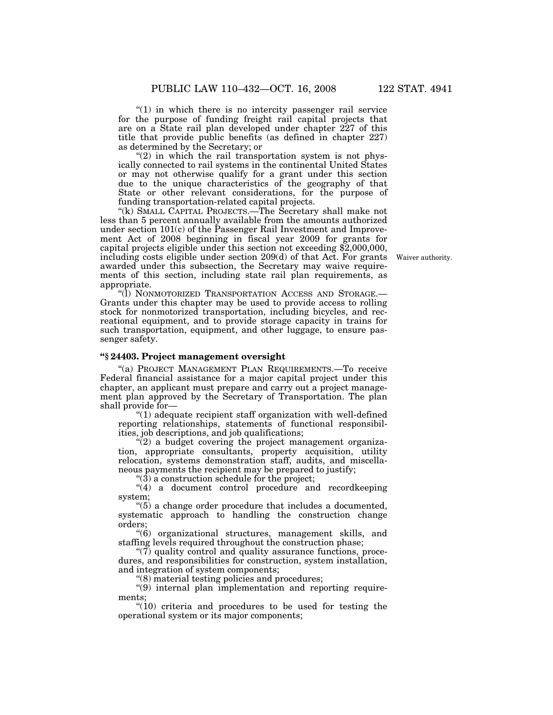" $(1)$  in which there is no intercity passenger rail service for the purpose of funding freight rail capital projects that are on a State rail plan developed under chapter 227 of this title that provide public benefits (as defined in chapter 227) as determined by the Secretary; or

" $(2)$  in which the rail transportation system is not physically connected to rail systems in the continental United States or may not otherwise qualify for a grant under this section due to the unique characteristics of the geography of that State or other relevant considerations, for the purpose of funding transportation-related capital projects.

"(k) SMALL CAPITAL PROJECTS.—The Secretary shall make not less than 5 percent annually available from the amounts authorized under section 101(c) of the Passenger Rail Investment and Improvement Act of 2008 beginning in fiscal year 2009 for grants for capital projects eligible under this section not exceeding \$2,000,000, including costs eligible under section 209(d) of that Act. For grants awarded under this subsection, the Secretary may waive requirements of this section, including state rail plan requirements, as appropriate.

"(I) NONMOTORIZED TRANSPORTATION ACCESS AND STORAGE.-Grants under this chapter may be used to provide access to rolling stock for nonmotorized transportation, including bicycles, and recreational equipment, and to provide storage capacity in trains for such transportation, equipment, and other luggage, to ensure passenger safety.

# **''§ 24403. Project management oversight**

''(a) PROJECT MANAGEMENT PLAN REQUIREMENTS.—To receive Federal financial assistance for a major capital project under this chapter, an applicant must prepare and carry out a project management plan approved by the Secretary of Transportation. The plan shall provide for—

 $(1)$  adequate recipient staff organization with well-defined reporting relationships, statements of functional responsibilities, job descriptions, and job qualifications;

" $(2)$  a budget covering the project management organization, appropriate consultants, property acquisition, utility relocation, systems demonstration staff, audits, and miscellaneous payments the recipient may be prepared to justify;

 $\degree$ (3) a construction schedule for the project;

"(4) a document control procedure and recordkeeping system;

''(5) a change order procedure that includes a documented, systematic approach to handling the construction change orders;

''(6) organizational structures, management skills, and staffing levels required throughout the construction phase;

 $\degree$ (7) quality control and quality assurance functions, procedures, and responsibilities for construction, system installation, and integration of system components;

''(8) material testing policies and procedures;

''(9) internal plan implementation and reporting requirements;

" $(10)$  criteria and procedures to be used for testing the operational system or its major components;

Waiver authority.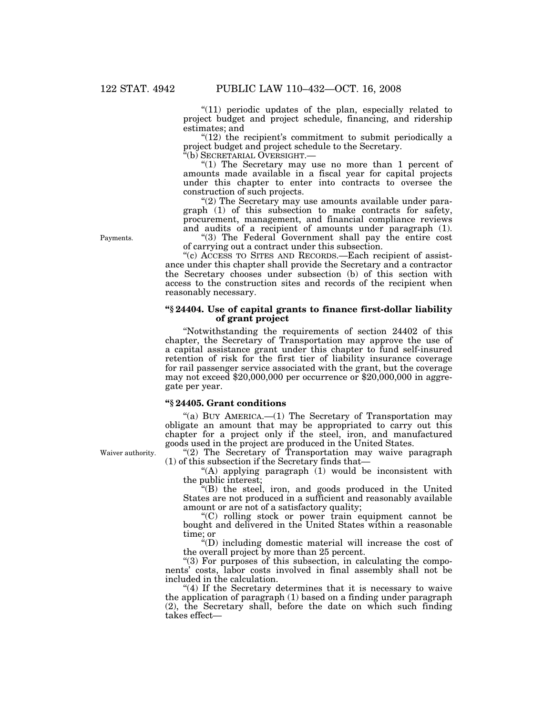"(11) periodic updates of the plan, especially related to project budget and project schedule, financing, and ridership estimates; and

"(12) the recipient's commitment to submit periodically a project budget and project schedule to the Secretary.

''(b) SECRETARIAL OVERSIGHT.—

"(1) The Secretary may use no more than 1 percent of amounts made available in a fiscal year for capital projects under this chapter to enter into contracts to oversee the construction of such projects.

"(2) The Secretary may use amounts available under paragraph (1) of this subsection to make contracts for safety, procurement, management, and financial compliance reviews and audits of a recipient of amounts under paragraph (1).

"(3) The Federal Government shall pay the entire cost of carrying out a contract under this subsection.

''(c) ACCESS TO SITES AND RECORDS.—Each recipient of assistance under this chapter shall provide the Secretary and a contractor the Secretary chooses under subsection (b) of this section with access to the construction sites and records of the recipient when reasonably necessary.

## **''§ 24404. Use of capital grants to finance first-dollar liability of grant project**

''Notwithstanding the requirements of section 24402 of this chapter, the Secretary of Transportation may approve the use of a capital assistance grant under this chapter to fund self-insured retention of risk for the first tier of liability insurance coverage for rail passenger service associated with the grant, but the coverage may not exceed \$20,000,000 per occurrence or \$20,000,000 in aggregate per year.

## **''§ 24405. Grant conditions**

"(a) BUY AMERICA.—(1) The Secretary of Transportation may obligate an amount that may be appropriated to carry out this chapter for a project only if the steel, iron, and manufactured goods used in the project are produced in the United States.

"(2) The Secretary of Transportation may waive paragraph (1) of this subsection if the Secretary finds that—

"(A) applying paragraph (1) would be inconsistent with the public interest;

''(B) the steel, iron, and goods produced in the United States are not produced in a sufficient and reasonably available amount or are not of a satisfactory quality;

''(C) rolling stock or power train equipment cannot be bought and delivered in the United States within a reasonable time; or

''(D) including domestic material will increase the cost of the overall project by more than 25 percent.

"(3) For purposes of this subsection, in calculating the components' costs, labor costs involved in final assembly shall not be included in the calculation.

 $''(4)$  If the Secretary determines that it is necessary to waive the application of paragraph (1) based on a finding under paragraph (2), the Secretary shall, before the date on which such finding takes effect—

Waiver authority.

Payments.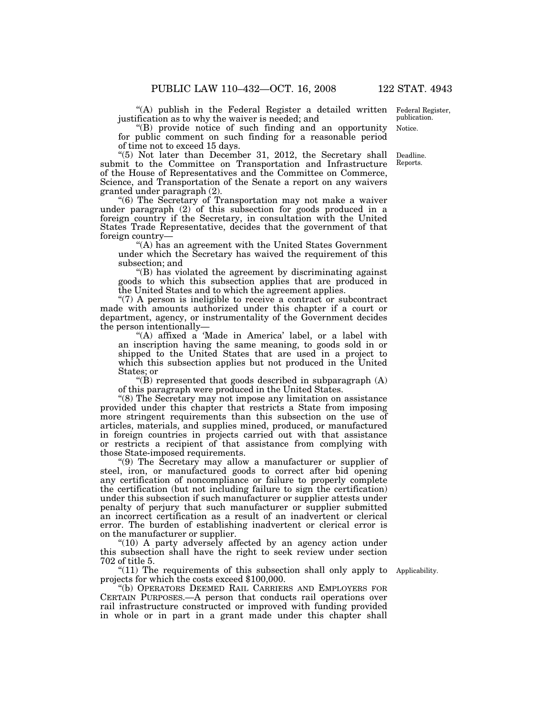"(A) publish in the Federal Register a detailed written Federal Register, justification as to why the waiver is needed; and

''(B) provide notice of such finding and an opportunity for public comment on such finding for a reasonable period of time not to exceed 15 days.

''(5) Not later than December 31, 2012, the Secretary shall submit to the Committee on Transportation and Infrastructure of the House of Representatives and the Committee on Commerce, Science, and Transportation of the Senate a report on any waivers granted under paragraph (2).

''(6) The Secretary of Transportation may not make a waiver under paragraph (2) of this subsection for goods produced in a foreign country if the Secretary, in consultation with the United States Trade Representative, decides that the government of that foreign country—

''(A) has an agreement with the United States Government under which the Secretary has waived the requirement of this subsection; and

''(B) has violated the agreement by discriminating against goods to which this subsection applies that are produced in the United States and to which the agreement applies.

" $(7)$  A person is ineligible to receive a contract or subcontract made with amounts authorized under this chapter if a court or department, agency, or instrumentality of the Government decides the person intentionally—

"(A) affixed a 'Made in America' label, or a label with an inscription having the same meaning, to goods sold in or shipped to the United States that are used in a project to which this subsection applies but not produced in the United States; or

"(B) represented that goods described in subparagraph  $(A)$ of this paragraph were produced in the United States.

''(8) The Secretary may not impose any limitation on assistance provided under this chapter that restricts a State from imposing more stringent requirements than this subsection on the use of articles, materials, and supplies mined, produced, or manufactured in foreign countries in projects carried out with that assistance or restricts a recipient of that assistance from complying with those State-imposed requirements.

''(9) The Secretary may allow a manufacturer or supplier of steel, iron, or manufactured goods to correct after bid opening any certification of noncompliance or failure to properly complete the certification (but not including failure to sign the certification) under this subsection if such manufacturer or supplier attests under penalty of perjury that such manufacturer or supplier submitted an incorrect certification as a result of an inadvertent or clerical error. The burden of establishing inadvertent or clerical error is on the manufacturer or supplier.

"(10) A party adversely affected by an agency action under this subsection shall have the right to seek review under section 702 of title 5.

 $\degree$ (11) The requirements of this subsection shall only apply to Applicability. projects for which the costs exceed \$100,000.

''(b) OPERATORS DEEMED RAIL CARRIERS AND EMPLOYERS FOR CERTAIN PURPOSES.—A person that conducts rail operations over rail infrastructure constructed or improved with funding provided in whole or in part in a grant made under this chapter shall

Notice. publication.

Deadline. Reports.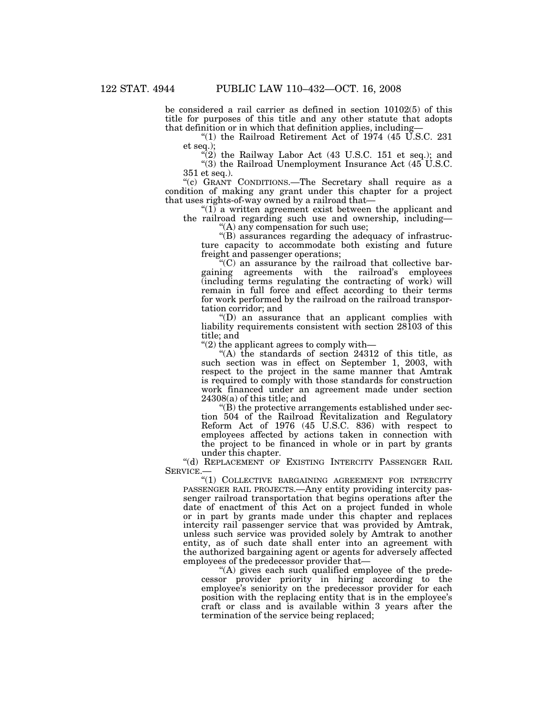be considered a rail carrier as defined in section 10102(5) of this title for purposes of this title and any other statute that adopts that definition or in which that definition applies, including—

"(1) the Railroad Retirement Act of  $1974$  (45 U.S.C. 231) et seq.);

 $\sqrt[n]{(2)}$  the Railway Labor Act (43 U.S.C. 151 et seq.); and "(3) the Railroad Unemployment Insurance Act (45 U.S.C. 351 et seq.).

"(c) GRANT CONDITIONS.—The Secretary shall require as a condition of making any grant under this chapter for a project that uses rights-of-way owned by a railroad that—

 $''(1)$  a written agreement exist between the applicant and the railroad regarding such use and ownership, including— "(A) any compensation for such use;

''(B) assurances regarding the adequacy of infrastructure capacity to accommodate both existing and future freight and passenger operations;

''(C) an assurance by the railroad that collective bargaining agreements with the railroad's employees (including terms regulating the contracting of work) will remain in full force and effect according to their terms for work performed by the railroad on the railroad transportation corridor; and

''(D) an assurance that an applicant complies with liability requirements consistent with section 28103 of this title; and

''(2) the applicant agrees to comply with—

''(A) the standards of section 24312 of this title, as such section was in effect on September 1, 2003, with respect to the project in the same manner that Amtrak is required to comply with those standards for construction work financed under an agreement made under section 24308(a) of this title; and

''(B) the protective arrangements established under section 504 of the Railroad Revitalization and Regulatory Reform Act of 1976 (45 U.S.C. 836) with respect to employees affected by actions taken in connection with the project to be financed in whole or in part by grants under this chapter.

"(d) REPLACEMENT OF EXISTING INTERCITY PASSENGER RAIL SERVICE.

"(1) COLLECTIVE BARGAINING AGREEMENT FOR INTERCITY PASSENGER RAIL PROJECTS.—Any entity providing intercity passenger railroad transportation that begins operations after the date of enactment of this Act on a project funded in whole or in part by grants made under this chapter and replaces intercity rail passenger service that was provided by Amtrak, unless such service was provided solely by Amtrak to another entity, as of such date shall enter into an agreement with the authorized bargaining agent or agents for adversely affected employees of the predecessor provider that—

"(A) gives each such qualified employee of the predecessor provider priority in hiring according to the employee's seniority on the predecessor provider for each position with the replacing entity that is in the employee's craft or class and is available within 3 years after the termination of the service being replaced;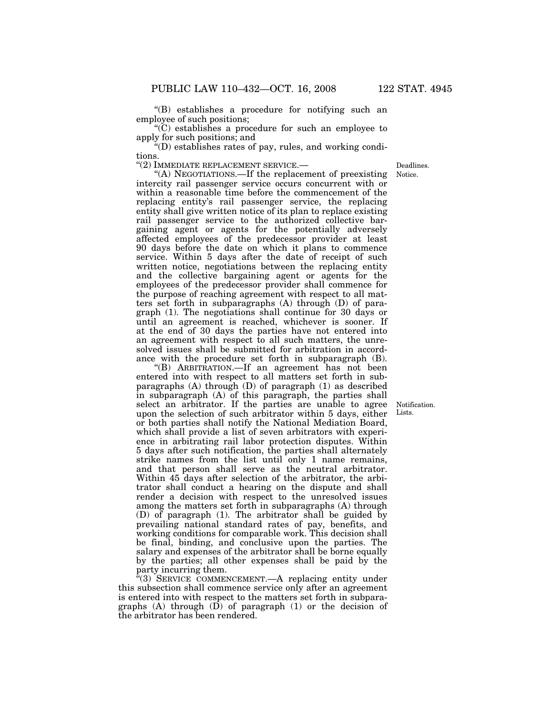''(B) establishes a procedure for notifying such an employee of such positions;

 $(C)$  establishes a procedure for such an employee to apply for such positions; and

''(D) establishes rates of pay, rules, and working conditions.

''(2) IMMEDIATE REPLACEMENT SERVICE.—

''(A) NEGOTIATIONS.—If the replacement of preexisting intercity rail passenger service occurs concurrent with or within a reasonable time before the commencement of the replacing entity's rail passenger service, the replacing entity shall give written notice of its plan to replace existing rail passenger service to the authorized collective bargaining agent or agents for the potentially adversely affected employees of the predecessor provider at least 90 days before the date on which it plans to commence service. Within 5 days after the date of receipt of such written notice, negotiations between the replacing entity and the collective bargaining agent or agents for the employees of the predecessor provider shall commence for the purpose of reaching agreement with respect to all matters set forth in subparagraphs (A) through (D) of paragraph (1). The negotiations shall continue for 30 days or until an agreement is reached, whichever is sooner. If at the end of 30 days the parties have not entered into an agreement with respect to all such matters, the unresolved issues shall be submitted for arbitration in accordance with the procedure set forth in subparagraph (B).

''(B) ARBITRATION.—If an agreement has not been entered into with respect to all matters set forth in subparagraphs (A) through (D) of paragraph (1) as described in subparagraph (A) of this paragraph, the parties shall select an arbitrator. If the parties are unable to agree upon the selection of such arbitrator within 5 days, either or both parties shall notify the National Mediation Board, which shall provide a list of seven arbitrators with experience in arbitrating rail labor protection disputes. Within 5 days after such notification, the parties shall alternately strike names from the list until only 1 name remains, and that person shall serve as the neutral arbitrator. Within 45 days after selection of the arbitrator, the arbitrator shall conduct a hearing on the dispute and shall render a decision with respect to the unresolved issues among the matters set forth in subparagraphs (A) through (D) of paragraph (1). The arbitrator shall be guided by prevailing national standard rates of pay, benefits, and working conditions for comparable work. This decision shall be final, binding, and conclusive upon the parties. The salary and expenses of the arbitrator shall be borne equally by the parties; all other expenses shall be paid by the party incurring them.

''(3) SERVICE COMMENCEMENT.—A replacing entity under this subsection shall commence service only after an agreement is entered into with respect to the matters set forth in subparagraphs  $(A)$  through  $(D)$  of paragraph  $(1)$  or the decision of the arbitrator has been rendered.

Notification. Lists.

Notice. Deadlines.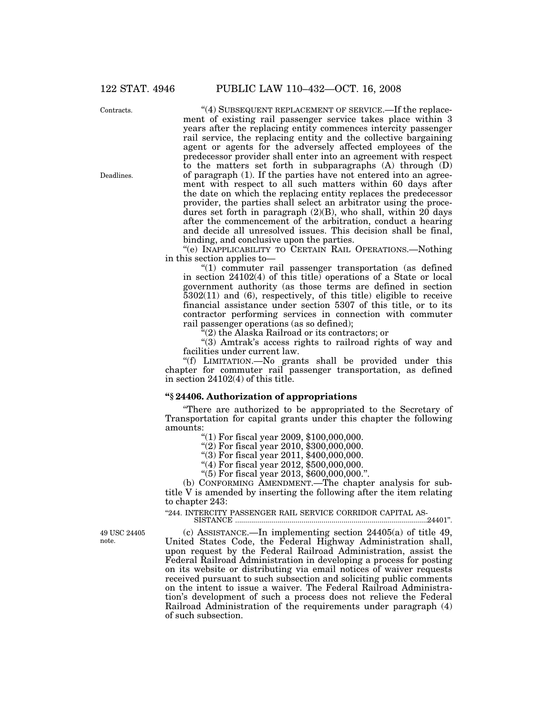Contracts.

Deadlines.

"(4) SUBSEQUENT REPLACEMENT OF SERVICE.—If the replacement of existing rail passenger service takes place within 3 years after the replacing entity commences intercity passenger rail service, the replacing entity and the collective bargaining agent or agents for the adversely affected employees of the predecessor provider shall enter into an agreement with respect to the matters set forth in subparagraphs (A) through (D) of paragraph (1). If the parties have not entered into an agreement with respect to all such matters within 60 days after the date on which the replacing entity replaces the predecessor provider, the parties shall select an arbitrator using the procedures set forth in paragraph  $(2)(B)$ , who shall, within 20 days after the commencement of the arbitration, conduct a hearing and decide all unresolved issues. This decision shall be final, binding, and conclusive upon the parties.

''(e) INAPPLICABILITY TO CERTAIN RAIL OPERATIONS.—Nothing in this section applies to—

"(1) commuter rail passenger transportation (as defined in section 24102(4) of this title) operations of a State or local government authority (as those terms are defined in section 5302(11) and (6), respectively, of this title) eligible to receive financial assistance under section 5307 of this title, or to its contractor performing services in connection with commuter rail passenger operations (as so defined);

''(2) the Alaska Railroad or its contractors; or

"(3) Amtrak's access rights to railroad rights of way and facilities under current law.

''(f) LIMITATION.—No grants shall be provided under this chapter for commuter rail passenger transportation, as defined in section 24102(4) of this title.

## **''§ 24406. Authorization of appropriations**

''There are authorized to be appropriated to the Secretary of Transportation for capital grants under this chapter the following amounts:

''(1) For fiscal year 2009, \$100,000,000.

''(2) For fiscal year 2010, \$300,000,000.

"(3) For fiscal year 2011, \$400,000,000.

''(4) For fiscal year 2012, \$500,000,000.

''(5) For fiscal year 2013, \$600,000,000.''.

(b) CONFORMING AMENDMENT.—The chapter analysis for subtitle V is amended by inserting the following after the item relating to chapter 243:

"244. INTERCITY PASSENGER RAIL SERVICE CORRIDOR CAPITAL AS-

SISTANCE ................................................................................................24401''.

(c) ASSISTANCE.—In implementing section 24405(a) of title 49, United States Code, the Federal Highway Administration shall, upon request by the Federal Railroad Administration, assist the Federal Railroad Administration in developing a process for posting on its website or distributing via email notices of waiver requests received pursuant to such subsection and soliciting public comments on the intent to issue a waiver. The Federal Railroad Administration's development of such a process does not relieve the Federal Railroad Administration of the requirements under paragraph (4) of such subsection.

49 USC 24405 note.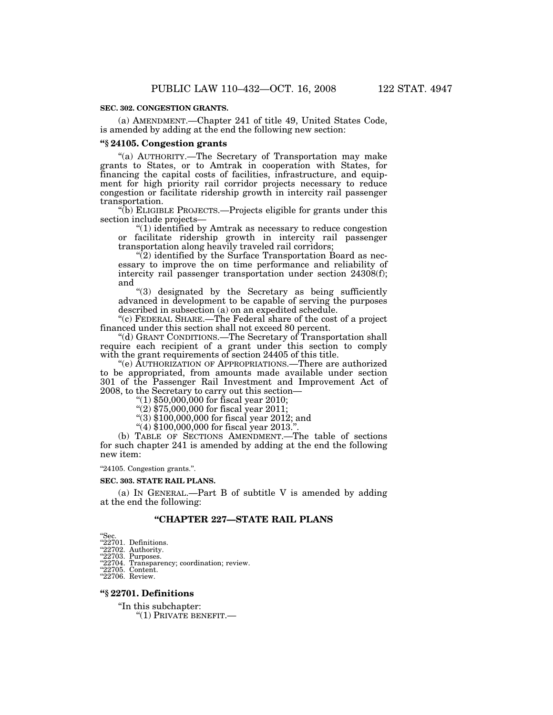#### **SEC. 302. CONGESTION GRANTS.**

(a) AMENDMENT.—Chapter 241 of title 49, United States Code, is amended by adding at the end the following new section:

## **''§ 24105. Congestion grants**

''(a) AUTHORITY.—The Secretary of Transportation may make grants to States, or to Amtrak in cooperation with States, for financing the capital costs of facilities, infrastructure, and equipment for high priority rail corridor projects necessary to reduce congestion or facilitate ridership growth in intercity rail passenger transportation.

''(b) ELIGIBLE PROJECTS.—Projects eligible for grants under this section include projects—

''(1) identified by Amtrak as necessary to reduce congestion or facilitate ridership growth in intercity rail passenger transportation along heavily traveled rail corridors;

 $\sqrt{\ }$ (2) identified by the Surface Transportation Board as necessary to improve the on time performance and reliability of intercity rail passenger transportation under section 24308(f); and

''(3) designated by the Secretary as being sufficiently advanced in development to be capable of serving the purposes described in subsection (a) on an expedited schedule.

''(c) FEDERAL SHARE.—The Federal share of the cost of a project financed under this section shall not exceed 80 percent.

''(d) GRANT CONDITIONS.—The Secretary of Transportation shall require each recipient of a grant under this section to comply with the grant requirements of section 24405 of this title.

''(e) AUTHORIZATION OF APPROPRIATIONS.—There are authorized to be appropriated, from amounts made available under section 301 of the Passenger Rail Investment and Improvement Act of 2008, to the Secretary to carry out this section—

''(1) \$50,000,000 for fiscal year 2010;

''(2) \$75,000,000 for fiscal year 2011;

''(3) \$100,000,000 for fiscal year 2012; and

''(4) \$100,000,000 for fiscal year 2013.''.

(b) TABLE OF SECTIONS AMENDMENT.—The table of sections for such chapter 241 is amended by adding at the end the following new item:

''24105. Congestion grants.''.

#### **SEC. 303. STATE RAIL PLANS.**

(a) IN GENERAL.—Part B of subtitle V is amended by adding at the end the following:

## **''CHAPTER 227—STATE RAIL PLANS**

- "Sec.<br>"22701. Definitions.<br>"22702. Authority.<br>"22703. Purposes.
- 

"22704. Transparency; coordination; review.<br>"22705. Content.

"22706. Review.

#### **''§ 22701. Definitions**

''In this subchapter: ''(1) PRIVATE BENEFIT.—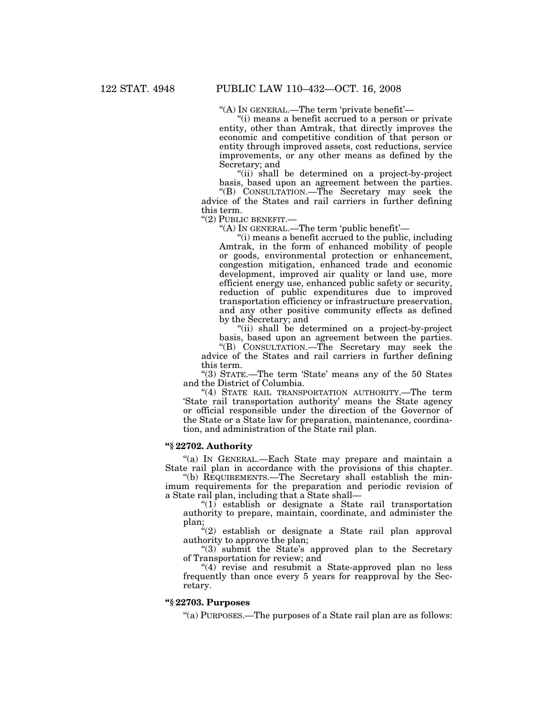''(A) IN GENERAL.—The term 'private benefit'—

''(i) means a benefit accrued to a person or private entity, other than Amtrak, that directly improves the economic and competitive condition of that person or entity through improved assets, cost reductions, service improvements, or any other means as defined by the Secretary; and

"(ii) shall be determined on a project-by-project" basis, based upon an agreement between the parties.

''(B) CONSULTATION.—The Secretary may seek the advice of the States and rail carriers in further defining this term.

''(2) PUBLIC BENEFIT.—

"(A) IN GENERAL.—The term 'public benefit'—

''(i) means a benefit accrued to the public, including Amtrak, in the form of enhanced mobility of people or goods, environmental protection or enhancement, congestion mitigation, enhanced trade and economic development, improved air quality or land use, more efficient energy use, enhanced public safety or security, reduction of public expenditures due to improved transportation efficiency or infrastructure preservation, and any other positive community effects as defined by the Secretary; and

"(ii) shall be determined on a project-by-project basis, based upon an agreement between the parties.

''(B) CONSULTATION.—The Secretary may seek the advice of the States and rail carriers in further defining this term.

''(3) STATE.—The term 'State' means any of the 50 States and the District of Columbia.

"(4) STATE RAIL TRANSPORTATION AUTHORITY.—The term 'State rail transportation authority' means the State agency or official responsible under the direction of the Governor of the State or a State law for preparation, maintenance, coordination, and administration of the State rail plan.

# **''§ 22702. Authority**

''(a) IN GENERAL.—Each State may prepare and maintain a State rail plan in accordance with the provisions of this chapter.

''(b) REQUIREMENTS.—The Secretary shall establish the minimum requirements for the preparation and periodic revision of a State rail plan, including that a State shall—

 $(1)$  establish or designate a State rail transportation authority to prepare, maintain, coordinate, and administer the plan;

"(2) establish or designate a State rail plan approval authority to approve the plan;

''(3) submit the State's approved plan to the Secretary of Transportation for review; and

" $(4)$  revise and resubmit a State-approved plan no less frequently than once every 5 years for reapproval by the Secretary.

## **''§ 22703. Purposes**

''(a) PURPOSES.—The purposes of a State rail plan are as follows: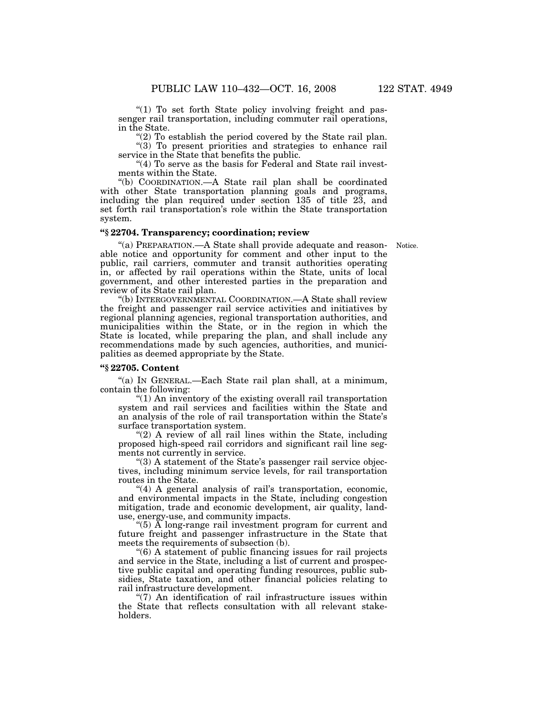"(1) To set forth State policy involving freight and passenger rail transportation, including commuter rail operations, in the State.

"(2) To establish the period covered by the State rail plan.

 $'(3)$  To present priorities and strategies to enhance rail service in the State that benefits the public.

"(4) To serve as the basis for Federal and State rail investments within the State.

''(b) COORDINATION.—A State rail plan shall be coordinated with other State transportation planning goals and programs, including the plan required under section 135 of title 23, and set forth rail transportation's role within the State transportation system.

# **''§ 22704. Transparency; coordination; review**

Notice.

''(a) PREPARATION.—A State shall provide adequate and reasonable notice and opportunity for comment and other input to the public, rail carriers, commuter and transit authorities operating in, or affected by rail operations within the State, units of local government, and other interested parties in the preparation and review of its State rail plan.

''(b) INTERGOVERNMENTAL COORDINATION.—A State shall review the freight and passenger rail service activities and initiatives by regional planning agencies, regional transportation authorities, and municipalities within the State, or in the region in which the State is located, while preparing the plan, and shall include any recommendations made by such agencies, authorities, and municipalities as deemed appropriate by the State.

# **''§ 22705. Content**

''(a) IN GENERAL.—Each State rail plan shall, at a minimum, contain the following:

''(1) An inventory of the existing overall rail transportation system and rail services and facilities within the State and an analysis of the role of rail transportation within the State's surface transportation system.

" $(2)$  A review of all rail lines within the State, including proposed high-speed rail corridors and significant rail line segments not currently in service.

"(3) A statement of the State's passenger rail service objectives, including minimum service levels, for rail transportation routes in the State.

"(4) A general analysis of rail's transportation, economic, and environmental impacts in the State, including congestion mitigation, trade and economic development, air quality, landuse, energy-use, and community impacts.

''(5) A long-range rail investment program for current and future freight and passenger infrastructure in the State that meets the requirements of subsection (b).

''(6) A statement of public financing issues for rail projects and service in the State, including a list of current and prospective public capital and operating funding resources, public subsidies, State taxation, and other financial policies relating to rail infrastructure development.

" $(7)$  An identification of rail infrastructure issues within the State that reflects consultation with all relevant stakeholders.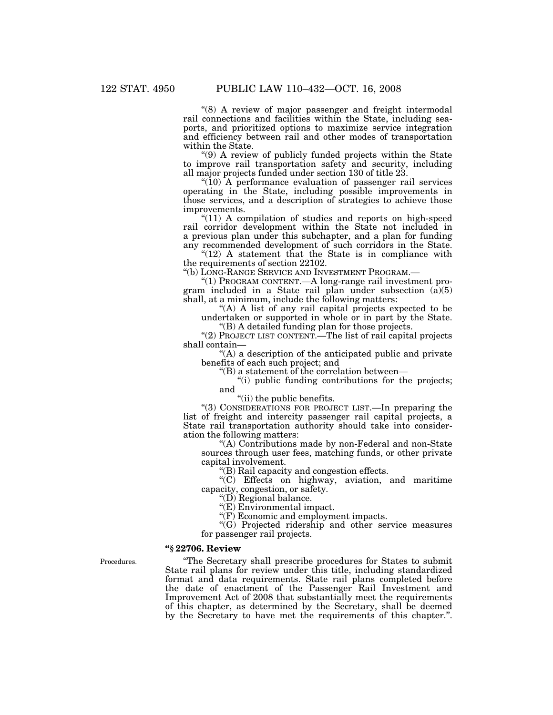"(8) A review of major passenger and freight intermodal rail connections and facilities within the State, including seaports, and prioritized options to maximize service integration and efficiency between rail and other modes of transportation within the State.

''(9) A review of publicly funded projects within the State to improve rail transportation safety and security, including all major projects funded under section 130 of title 23.

" $(10)$  A performance evaluation of passenger rail services operating in the State, including possible improvements in those services, and a description of strategies to achieve those improvements.

"(11) A compilation of studies and reports on high-speed rail corridor development within the State not included in a previous plan under this subchapter, and a plan for funding any recommended development of such corridors in the State.

" $(12)$  A statement that the State is in compliance with the requirements of section 22102.

''(b) LONG-RANGE SERVICE AND INVESTMENT PROGRAM.—

''(1) PROGRAM CONTENT.—A long-range rail investment program included in a State rail plan under subsection (a)(5) shall, at a minimum, include the following matters:

"(A) A list of any rail capital projects expected to be undertaken or supported in whole or in part by the State. ''(B) A detailed funding plan for those projects.

''(2) PROJECT LIST CONTENT.—The list of rail capital projects shall contain—

''(A) a description of the anticipated public and private benefits of each such project; and

''(B) a statement of the correlation between—

''(i) public funding contributions for the projects; and

"(ii) the public benefits.

''(3) CONSIDERATIONS FOR PROJECT LIST.—In preparing the list of freight and intercity passenger rail capital projects, a State rail transportation authority should take into consideration the following matters:

''(A) Contributions made by non-Federal and non-State sources through user fees, matching funds, or other private capital involvement.

''(B) Rail capacity and congestion effects.

''(C) Effects on highway, aviation, and maritime capacity, congestion, or safety.

''(D) Regional balance.

"(E) Environmental impact.

"(F) Economic and employment impacts.

''(G) Projected ridership and other service measures for passenger rail projects.

## **''§ 22706. Review**

Procedures.

''The Secretary shall prescribe procedures for States to submit State rail plans for review under this title, including standardized format and data requirements. State rail plans completed before the date of enactment of the Passenger Rail Investment and Improvement Act of 2008 that substantially meet the requirements of this chapter, as determined by the Secretary, shall be deemed by the Secretary to have met the requirements of this chapter.''.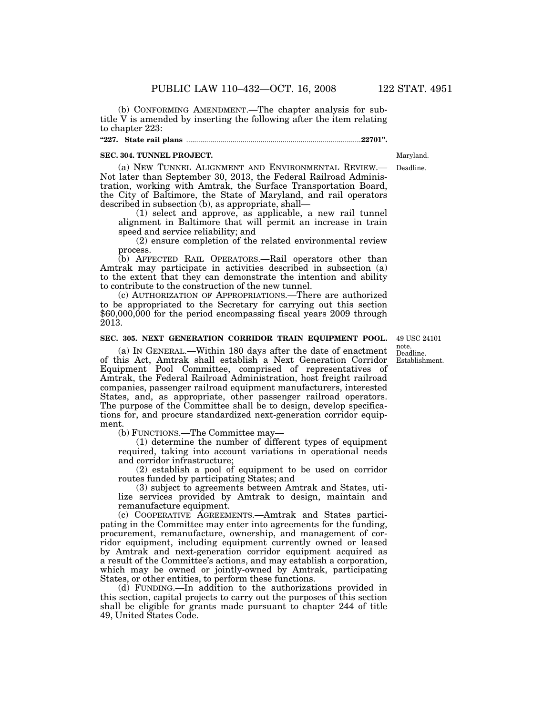(b) CONFORMING AMENDMENT.—The chapter analysis for subtitle V is amended by inserting the following after the item relating to chapter 223:

#### **''227. State rail plans** ........................................................................................**22701''.**

#### **SEC. 304. TUNNEL PROJECT.**

(a) NEW TUNNEL ALIGNMENT AND ENVIRONMENTAL REVIEW.— Not later than September 30, 2013, the Federal Railroad Administration, working with Amtrak, the Surface Transportation Board, the City of Baltimore, the State of Maryland, and rail operators described in subsection (b), as appropriate, shall—

(1) select and approve, as applicable, a new rail tunnel alignment in Baltimore that will permit an increase in train speed and service reliability; and

(2) ensure completion of the related environmental review process.

(b) AFFECTED RAIL OPERATORS.—Rail operators other than Amtrak may participate in activities described in subsection (a) to the extent that they can demonstrate the intention and ability to contribute to the construction of the new tunnel.

(c) AUTHORIZATION OF APPROPRIATIONS.—There are authorized to be appropriated to the Secretary for carrying out this section \$60,000,000 for the period encompassing fiscal years 2009 through 2013.

# **SEC. 305. NEXT GENERATION CORRIDOR TRAIN EQUIPMENT POOL.**

(a) IN GENERAL.—Within 180 days after the date of enactment of this Act, Amtrak shall establish a Next Generation Corridor Equipment Pool Committee, comprised of representatives of Amtrak, the Federal Railroad Administration, host freight railroad companies, passenger railroad equipment manufacturers, interested States, and, as appropriate, other passenger railroad operators. The purpose of the Committee shall be to design, develop specifications for, and procure standardized next-generation corridor equipment.

(b) FUNCTIONS.—The Committee may—

(1) determine the number of different types of equipment required, taking into account variations in operational needs and corridor infrastructure;

(2) establish a pool of equipment to be used on corridor routes funded by participating States; and

(3) subject to agreements between Amtrak and States, utilize services provided by Amtrak to design, maintain and remanufacture equipment.

(c) COOPERATIVE AGREEMENTS.—Amtrak and States participating in the Committee may enter into agreements for the funding, procurement, remanufacture, ownership, and management of corridor equipment, including equipment currently owned or leased by Amtrak and next-generation corridor equipment acquired as a result of the Committee's actions, and may establish a corporation, which may be owned or jointly-owned by Amtrak, participating States, or other entities, to perform these functions.

(d) FUNDING.—In addition to the authorizations provided in this section, capital projects to carry out the purposes of this section shall be eligible for grants made pursuant to chapter 244 of title 49, United States Code.

Deadline. Establishment. 49 USC 24101 note.

Deadline.

Maryland.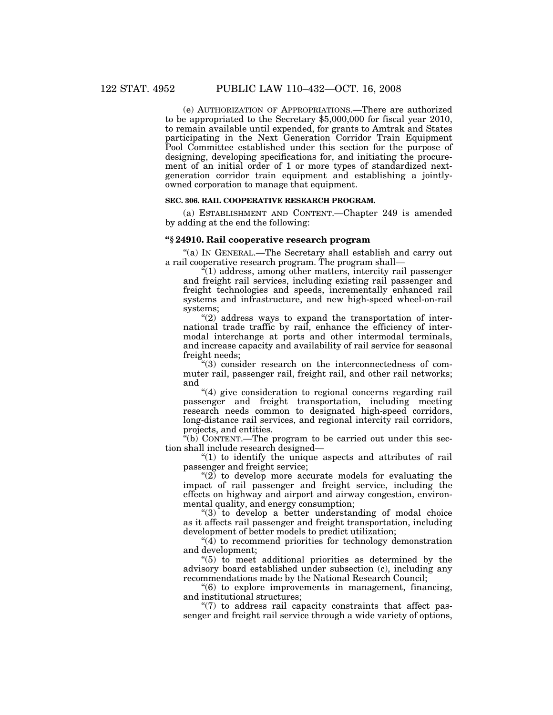(e) AUTHORIZATION OF APPROPRIATIONS.—There are authorized to be appropriated to the Secretary \$5,000,000 for fiscal year 2010, to remain available until expended, for grants to Amtrak and States participating in the Next Generation Corridor Train Equipment Pool Committee established under this section for the purpose of designing, developing specifications for, and initiating the procurement of an initial order of 1 or more types of standardized nextgeneration corridor train equipment and establishing a jointlyowned corporation to manage that equipment.

#### **SEC. 306. RAIL COOPERATIVE RESEARCH PROGRAM.**

(a) ESTABLISHMENT AND CONTENT.—Chapter 249 is amended by adding at the end the following:

## **''§ 24910. Rail cooperative research program**

"(a) IN GENERAL.—The Secretary shall establish and carry out a rail cooperative research program. The program shall—

 $\cdot$ <sup> $\cdot$ </sup>(1) address, among other matters, intercity rail passenger and freight rail services, including existing rail passenger and freight technologies and speeds, incrementally enhanced rail systems and infrastructure, and new high-speed wheel-on-rail systems;

 $''(2)$  address ways to expand the transportation of international trade traffic by rail, enhance the efficiency of intermodal interchange at ports and other intermodal terminals, and increase capacity and availability of rail service for seasonal freight needs;

''(3) consider research on the interconnectedness of commuter rail, passenger rail, freight rail, and other rail networks; and

"(4) give consideration to regional concerns regarding rail passenger and freight transportation, including meeting research needs common to designated high-speed corridors, long-distance rail services, and regional intercity rail corridors, projects, and entities.

 $f(b)$  CONTENT.—The program to be carried out under this section shall include research designed—

 $''(1)$  to identify the unique aspects and attributes of rail passenger and freight service;

" $(2)$  to develop more accurate models for evaluating the impact of rail passenger and freight service, including the effects on highway and airport and airway congestion, environmental quality, and energy consumption;

''(3) to develop a better understanding of modal choice as it affects rail passenger and freight transportation, including development of better models to predict utilization;

''(4) to recommend priorities for technology demonstration and development;

''(5) to meet additional priorities as determined by the advisory board established under subsection (c), including any recommendations made by the National Research Council;

''(6) to explore improvements in management, financing, and institutional structures;

" $(7)$  to address rail capacity constraints that affect passenger and freight rail service through a wide variety of options,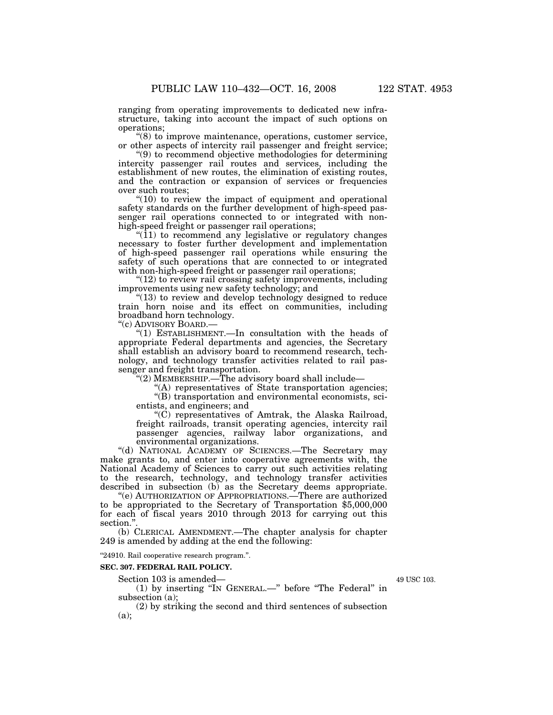ranging from operating improvements to dedicated new infrastructure, taking into account the impact of such options on operations;

 $\degree$ (8) to improve maintenance, operations, customer service, or other aspects of intercity rail passenger and freight service;

''(9) to recommend objective methodologies for determining intercity passenger rail routes and services, including the establishment of new routes, the elimination of existing routes, and the contraction or expansion of services or frequencies over such routes;

 $"(10)$  to review the impact of equipment and operational safety standards on the further development of high-speed passenger rail operations connected to or integrated with nonhigh-speed freight or passenger rail operations;

 $!(11)$  to recommend any legislative or regulatory changes necessary to foster further development and implementation of high-speed passenger rail operations while ensuring the safety of such operations that are connected to or integrated with non-high-speed freight or passenger rail operations;

 $"$ (12) to review rail crossing safety improvements, including improvements using new safety technology; and

"(13) to review and develop technology designed to reduce train horn noise and its effect on communities, including broadband horn technology.

''(c) ADVISORY BOARD.—

''(1) ESTABLISHMENT.—In consultation with the heads of appropriate Federal departments and agencies, the Secretary shall establish an advisory board to recommend research, technology, and technology transfer activities related to rail passenger and freight transportation.

''(2) MEMBERSHIP.—The advisory board shall include—

''(A) representatives of State transportation agencies;

''(B) transportation and environmental economists, scientists, and engineers; and

''(C) representatives of Amtrak, the Alaska Railroad, freight railroads, transit operating agencies, intercity rail passenger agencies, railway labor organizations, and environmental organizations.

''(d) NATIONAL ACADEMY OF SCIENCES.—The Secretary may make grants to, and enter into cooperative agreements with, the National Academy of Sciences to carry out such activities relating to the research, technology, and technology transfer activities described in subsection (b) as the Secretary deems appropriate.

''(e) AUTHORIZATION OF APPROPRIATIONS.—There are authorized to be appropriated to the Secretary of Transportation \$5,000,000 for each of fiscal years 2010 through 2013 for carrying out this section."

(b) CLERICAL AMENDMENT.—The chapter analysis for chapter 249 is amended by adding at the end the following:

''24910. Rail cooperative research program.''.

# **SEC. 307. FEDERAL RAIL POLICY.**

Section 103 is amended—

(1) by inserting ''IN GENERAL.—'' before ''The Federal'' in subsection (a);

(2) by striking the second and third sentences of subsection  $(a)$ :

49 USC 103.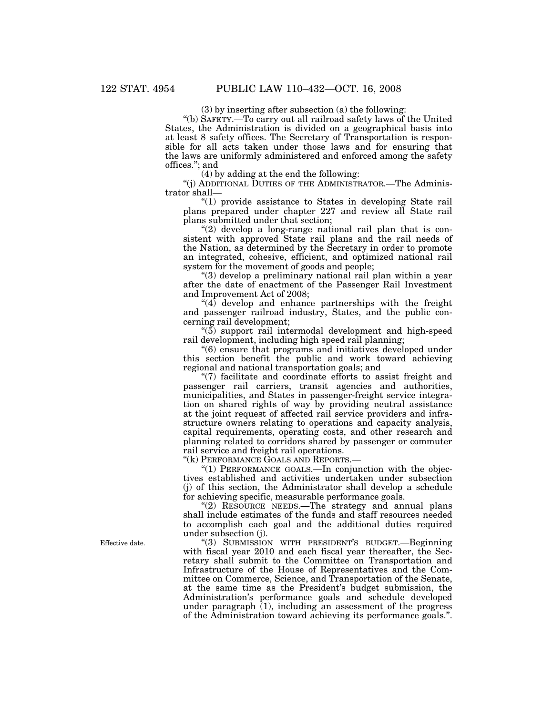(3) by inserting after subsection (a) the following:

''(b) SAFETY.—To carry out all railroad safety laws of the United States, the Administration is divided on a geographical basis into at least 8 safety offices. The Secretary of Transportation is responsible for all acts taken under those laws and for ensuring that the laws are uniformly administered and enforced among the safety offices.''; and

(4) by adding at the end the following:

''(j) ADDITIONAL DUTIES OF THE ADMINISTRATOR.—The Administrator shall—

''(1) provide assistance to States in developing State rail plans prepared under chapter 227 and review all State rail plans submitted under that section;

"(2) develop a long-range national rail plan that is consistent with approved State rail plans and the rail needs of the Nation, as determined by the Secretary in order to promote an integrated, cohesive, efficient, and optimized national rail system for the movement of goods and people;

''(3) develop a preliminary national rail plan within a year after the date of enactment of the Passenger Rail Investment and Improvement Act of 2008;

 $(4)$  develop and enhance partnerships with the freight and passenger railroad industry, States, and the public concerning rail development;

 $(5)$  support rail intermodal development and high-speed rail development, including high speed rail planning;

''(6) ensure that programs and initiatives developed under this section benefit the public and work toward achieving regional and national transportation goals; and

"(7) facilitate and coordinate efforts to assist freight and passenger rail carriers, transit agencies and authorities, municipalities, and States in passenger-freight service integration on shared rights of way by providing neutral assistance at the joint request of affected rail service providers and infrastructure owners relating to operations and capacity analysis, capital requirements, operating costs, and other research and planning related to corridors shared by passenger or commuter rail service and freight rail operations.

''(k) PERFORMANCE GOALS AND REPORTS.—

"(1) PERFORMANCE GOALS.—In conjunction with the objectives established and activities undertaken under subsection (j) of this section, the Administrator shall develop a schedule for achieving specific, measurable performance goals.

"(2) RESOURCE NEEDS.—The strategy and annual plans shall include estimates of the funds and staff resources needed to accomplish each goal and the additional duties required under subsection (j).

"(3) SUBMISSION WITH PRESIDENT'S BUDGET.—Beginning with fiscal year 2010 and each fiscal year thereafter, the Secretary shall submit to the Committee on Transportation and Infrastructure of the House of Representatives and the Committee on Commerce, Science, and Transportation of the Senate, at the same time as the President's budget submission, the Administration's performance goals and schedule developed under paragraph  $(1)$ , including an assessment of the progress of the Administration toward achieving its performance goals.''.

Effective date.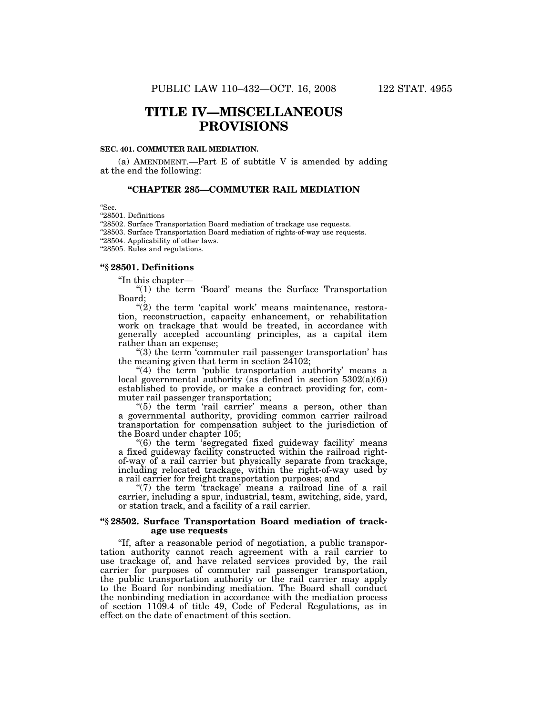## **TITLE IV—MISCELLANEOUS PROVISIONS**

#### **SEC. 401. COMMUTER RAIL MEDIATION.**

(a) AMENDMENT.—Part E of subtitle V is amended by adding at the end the following:

#### **''CHAPTER 285—COMMUTER RAIL MEDIATION**

''Sec.

''28501. Definitions

"28502. Surface Transportation Board mediation of trackage use requests.

 $\lq\lq 28503.$  Surface Transportation Board mediation of rights-of-way use requests.

''28504. Applicability of other laws.

''28505. Rules and regulations.

#### **''§ 28501. Definitions**

''In this chapter—

"(1) the term 'Board' means the Surface Transportation Board;

 $\degree$ (2) the term 'capital work' means maintenance, restoration, reconstruction, capacity enhancement, or rehabilitation work on trackage that would be treated, in accordance with generally accepted accounting principles, as a capital item rather than an expense;

 $(3)$  the term 'commuter rail passenger transportation' has the meaning given that term in section  $24102$ ;

"(4) the term 'public transportation authority' means a local governmental authority (as defined in section  $5302(a)(6)$ ) established to provide, or make a contract providing for, commuter rail passenger transportation;

" $(5)$  the term 'rail carrier' means a person, other than a governmental authority, providing common carrier railroad transportation for compensation subject to the jurisdiction of the Board under chapter 105;

'(6) the term 's egregated fixed guideway facility' means a fixed guideway facility constructed within the railroad rightof-way of a rail carrier but physically separate from trackage, including relocated trackage, within the right-of-way used by a rail carrier for freight transportation purposes; and

" $(7)$  the term 'trackage' means a railroad line of a rail carrier, including a spur, industrial, team, switching, side, yard, or station track, and a facility of a rail carrier.

#### **''§ 28502. Surface Transportation Board mediation of trackage use requests**

''If, after a reasonable period of negotiation, a public transportation authority cannot reach agreement with a rail carrier to use trackage of, and have related services provided by, the rail carrier for purposes of commuter rail passenger transportation, the public transportation authority or the rail carrier may apply to the Board for nonbinding mediation. The Board shall conduct the nonbinding mediation in accordance with the mediation process of section 1109.4 of title 49, Code of Federal Regulations, as in effect on the date of enactment of this section.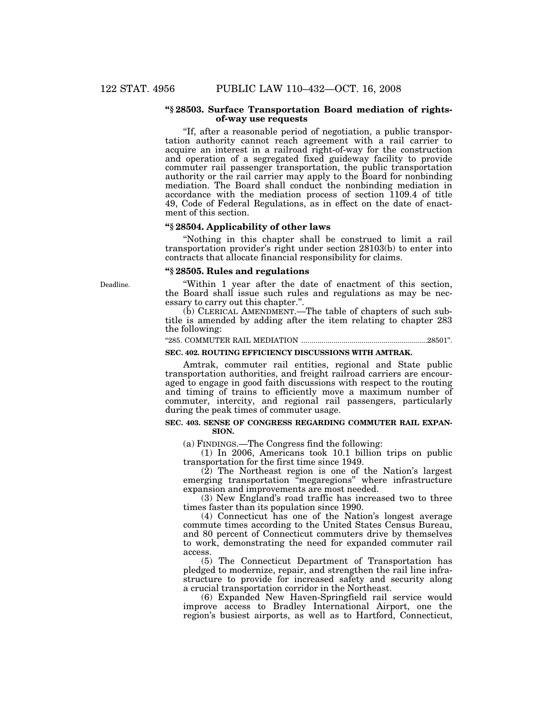#### **''§ 28503. Surface Transportation Board mediation of rightsof-way use requests**

''If, after a reasonable period of negotiation, a public transportation authority cannot reach agreement with a rail carrier to acquire an interest in a railroad right-of-way for the construction and operation of a segregated fixed guideway facility to provide commuter rail passenger transportation, the public transportation authority or the rail carrier may apply to the Board for nonbinding mediation. The Board shall conduct the nonbinding mediation in accordance with the mediation process of section 1109.4 of title 49, Code of Federal Regulations, as in effect on the date of enactment of this section.

#### **''§ 28504. Applicability of other laws**

''Nothing in this chapter shall be construed to limit a rail transportation provider's right under section 28103(b) to enter into contracts that allocate financial responsibility for claims.

#### **''§ 28505. Rules and regulations**

''Within 1 year after the date of enactment of this section, the Board shall issue such rules and regulations as may be necessary to carry out this chapter.''.

(b) CLERICAL AMENDMENT.—The table of chapters of such subtitle is amended by adding after the item relating to chapter 283 the following:

#### ''285. COMMUTER RAIL MEDIATION ...............................................................28501''.

#### **SEC. 402. ROUTING EFFICIENCY DISCUSSIONS WITH AMTRAK.**

Amtrak, commuter rail entities, regional and State public transportation authorities, and freight railroad carriers are encouraged to engage in good faith discussions with respect to the routing and timing of trains to efficiently move a maximum number of commuter, intercity, and regional rail passengers, particularly during the peak times of commuter usage.

#### **SEC. 403. SENSE OF CONGRESS REGARDING COMMUTER RAIL EXPAN-SION.**

(a) FINDINGS.—The Congress find the following:

(1) In 2006, Americans took 10.1 billion trips on public transportation for the first time since 1949.

(2) The Northeast region is one of the Nation's largest emerging transportation ''megaregions'' where infrastructure expansion and improvements are most needed.

(3) New England's road traffic has increased two to three times faster than its population since 1990.

(4) Connecticut has one of the Nation's longest average commute times according to the United States Census Bureau, and 80 percent of Connecticut commuters drive by themselves to work, demonstrating the need for expanded commuter rail access.

(5) The Connecticut Department of Transportation has pledged to modernize, repair, and strengthen the rail line infrastructure to provide for increased safety and security along a crucial transportation corridor in the Northeast.

(6) Expanded New Haven-Springfield rail service would improve access to Bradley International Airport, one the region's busiest airports, as well as to Hartford, Connecticut,

Deadline.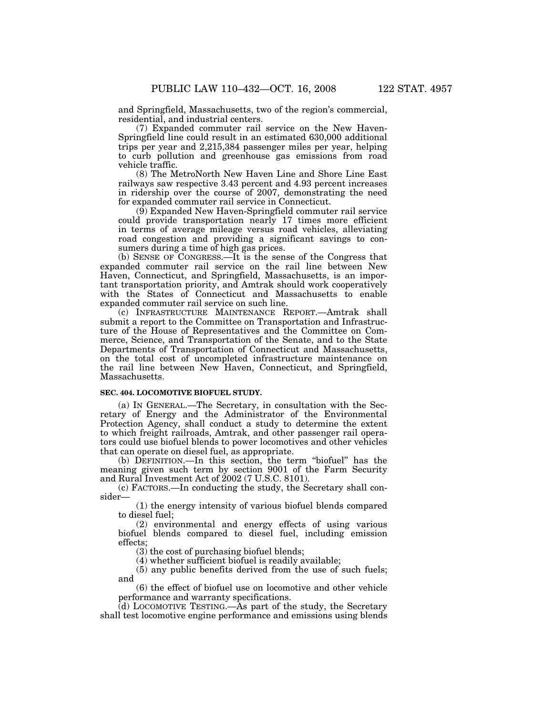and Springfield, Massachusetts, two of the region's commercial, residential, and industrial centers.

(7) Expanded commuter rail service on the New Haven-Springfield line could result in an estimated 630,000 additional trips per year and 2,215,384 passenger miles per year, helping to curb pollution and greenhouse gas emissions from road vehicle traffic.

(8) The MetroNorth New Haven Line and Shore Line East railways saw respective 3.43 percent and 4.93 percent increases in ridership over the course of 2007, demonstrating the need for expanded commuter rail service in Connecticut.

(9) Expanded New Haven-Springfield commuter rail service could provide transportation nearly 17 times more efficient in terms of average mileage versus road vehicles, alleviating road congestion and providing a significant savings to consumers during a time of high gas prices.

(b) SENSE OF CONGRESS.—It is the sense of the Congress that expanded commuter rail service on the rail line between New Haven, Connecticut, and Springfield, Massachusetts, is an important transportation priority, and Amtrak should work cooperatively with the States of Connecticut and Massachusetts to enable expanded commuter rail service on such line.

(c) INFRASTRUCTURE MAINTENANCE REPORT.—Amtrak shall submit a report to the Committee on Transportation and Infrastructure of the House of Representatives and the Committee on Commerce, Science, and Transportation of the Senate, and to the State Departments of Transportation of Connecticut and Massachusetts, on the total cost of uncompleted infrastructure maintenance on the rail line between New Haven, Connecticut, and Springfield, Massachusetts.

#### **SEC. 404. LOCOMOTIVE BIOFUEL STUDY.**

(a) IN GENERAL.—The Secretary, in consultation with the Secretary of Energy and the Administrator of the Environmental Protection Agency, shall conduct a study to determine the extent to which freight railroads, Amtrak, and other passenger rail operators could use biofuel blends to power locomotives and other vehicles that can operate on diesel fuel, as appropriate.

(b) DEFINITION.—In this section, the term ''biofuel'' has the meaning given such term by section 9001 of the Farm Security and Rural Investment Act of 2002 (7 U.S.C. 8101).

(c) FACTORS.—In conducting the study, the Secretary shall consider—

(1) the energy intensity of various biofuel blends compared to diesel fuel;

(2) environmental and energy effects of using various biofuel blends compared to diesel fuel, including emission effects;

(3) the cost of purchasing biofuel blends;

(4) whether sufficient biofuel is readily available;

(5) any public benefits derived from the use of such fuels; and

(6) the effect of biofuel use on locomotive and other vehicle performance and warranty specifications.

 $(d)$  LOCOMOTIVE TESTING.—As part of the study, the Secretary shall test locomotive engine performance and emissions using blends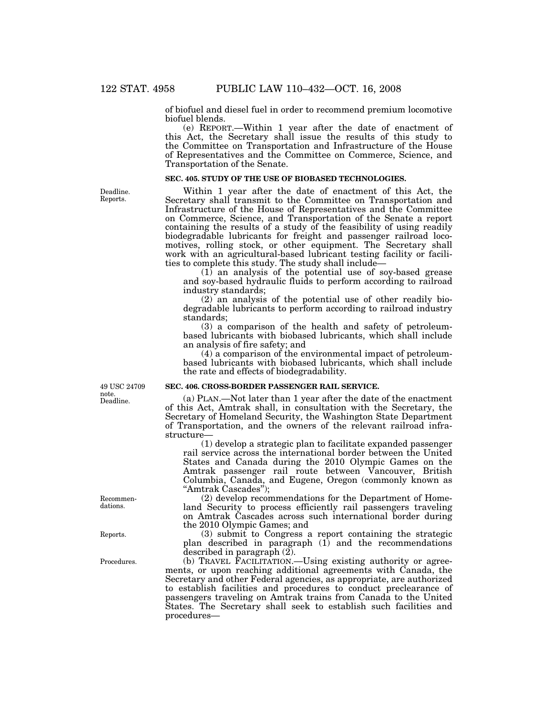of biofuel and diesel fuel in order to recommend premium locomotive biofuel blends.

(e) REPORT.—Within 1 year after the date of enactment of this Act, the Secretary shall issue the results of this study to the Committee on Transportation and Infrastructure of the House of Representatives and the Committee on Commerce, Science, and Transportation of the Senate.

#### **SEC. 405. STUDY OF THE USE OF BIOBASED TECHNOLOGIES.**

Within 1 year after the date of enactment of this Act, the Secretary shall transmit to the Committee on Transportation and Infrastructure of the House of Representatives and the Committee on Commerce, Science, and Transportation of the Senate a report containing the results of a study of the feasibility of using readily biodegradable lubricants for freight and passenger railroad locomotives, rolling stock, or other equipment. The Secretary shall work with an agricultural-based lubricant testing facility or facilities to complete this study. The study shall include—

(1) an analysis of the potential use of soy-based grease and soy-based hydraulic fluids to perform according to railroad industry standards;

(2) an analysis of the potential use of other readily biodegradable lubricants to perform according to railroad industry standards;

(3) a comparison of the health and safety of petroleumbased lubricants with biobased lubricants, which shall include an analysis of fire safety; and

(4) a comparison of the environmental impact of petroleumbased lubricants with biobased lubricants, which shall include the rate and effects of biodegradability.

#### **SEC. 406. CROSS-BORDER PASSENGER RAIL SERVICE.**

(a) PLAN.—Not later than 1 year after the date of the enactment of this Act, Amtrak shall, in consultation with the Secretary, the Secretary of Homeland Security, the Washington State Department of Transportation, and the owners of the relevant railroad infrastructure—

(1) develop a strategic plan to facilitate expanded passenger rail service across the international border between the United States and Canada during the 2010 Olympic Games on the Amtrak passenger rail route between Vancouver, British Columbia, Canada, and Eugene, Oregon (commonly known as ''Amtrak Cascades'');

(2) develop recommendations for the Department of Homeland Security to process efficiently rail passengers traveling on Amtrak Cascades across such international border during the 2010 Olympic Games; and

(3) submit to Congress a report containing the strategic plan described in paragraph (1) and the recommendations described in paragraph (2).

(b) TRAVEL FACILITATION.—Using existing authority or agreements, or upon reaching additional agreements with Canada, the Secretary and other Federal agencies, as appropriate, are authorized to establish facilities and procedures to conduct preclearance of passengers traveling on Amtrak trains from Canada to the United States. The Secretary shall seek to establish such facilities and procedures—

Deadline. Reports.

Deadline. 49 USC 24709 note.

Recommendations.

Reports.

Procedures.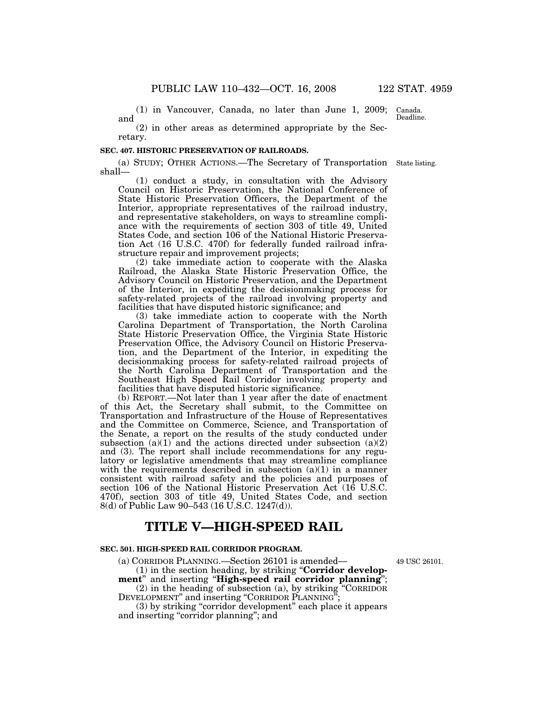(1) in Vancouver, Canada, no later than June 1, 2009; and

(2) in other areas as determined appropriate by the Secretary.

#### **SEC. 407. HISTORIC PRESERVATION OF RAILROADS.**

(a) STUDY; OTHER ACTIONS.—The Secretary of Transportation State listing. shall—

(1) conduct a study, in consultation with the Advisory Council on Historic Preservation, the National Conference of State Historic Preservation Officers, the Department of the Interior, appropriate representatives of the railroad industry, and representative stakeholders, on ways to streamline compliance with the requirements of section 303 of title 49, United States Code, and section 106 of the National Historic Preservation Act (16 U.S.C. 470f) for federally funded railroad infrastructure repair and improvement projects;

(2) take immediate action to cooperate with the Alaska Railroad, the Alaska State Historic Preservation Office, the Advisory Council on Historic Preservation, and the Department of the Interior, in expediting the decisionmaking process for safety-related projects of the railroad involving property and facilities that have disputed historic significance; and

(3) take immediate action to cooperate with the North Carolina Department of Transportation, the North Carolina State Historic Preservation Office, the Virginia State Historic Preservation Office, the Advisory Council on Historic Preservation, and the Department of the Interior, in expediting the decisionmaking process for safety-related railroad projects of the North Carolina Department of Transportation and the Southeast High Speed Rail Corridor involving property and facilities that have disputed historic significance.

(b) REPORT.—Not later than 1 year after the date of enactment of this Act, the Secretary shall submit, to the Committee on Transportation and Infrastructure of the House of Representatives and the Committee on Commerce, Science, and Transportation of the Senate, a report on the results of the study conducted under subsection  $(a)(1)$  and the actions directed under subsection  $(a)(2)$ and (3). The report shall include recommendations for any regulatory or legislative amendments that may streamline compliance with the requirements described in subsection  $(a)(1)$  in a manner consistent with railroad safety and the policies and purposes of section 106 of the National Historic Preservation Act (16 U.S.C. 470f), section 303 of title 49, United States Code, and section 8(d) of Public Law 90–543 (16 U.S.C. 1247(d)).

## **TITLE V—HIGH-SPEED RAIL**

#### **SEC. 501. HIGH-SPEED RAIL CORRIDOR PROGRAM.**

(a) CORRIDOR PLANNING.—Section 26101 is amended—

(1) in the section heading, by striking ''**Corridor development**'' and inserting ''**High-speed rail corridor planning**'';

(2) in the heading of subsection (a), by striking ''CORRIDOR DEVELOPMENT" and inserting "CORRIDOR PLANNING";

(3) by striking ''corridor development'' each place it appears and inserting "corridor planning"; and

49 USC 26101.

Canada. Deadline.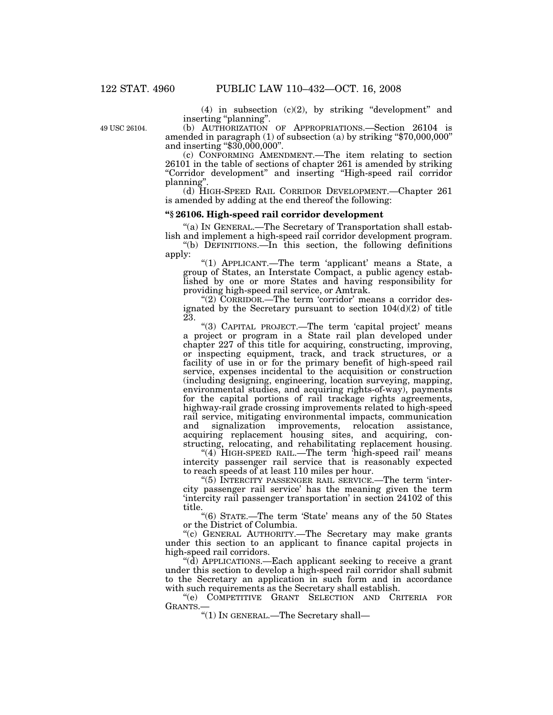(4) in subsection  $(c)(2)$ , by striking "development" and inserting ''planning''.

49 USC 26104.

(b) AUTHORIZATION OF APPROPRIATIONS.—Section 26104 is amended in paragraph (1) of subsection (a) by striking ''\$70,000,000'' and inserting ''\$30,000,000''.

(c) CONFORMING AMENDMENT.—The item relating to section 26101 in the table of sections of chapter 261 is amended by striking ''Corridor development'' and inserting ''High-speed rail corridor planning''.

(d) HIGH-SPEED RAIL CORRIDOR DEVELOPMENT.—Chapter 261 is amended by adding at the end thereof the following:

#### **''§ 26106. High-speed rail corridor development**

''(a) IN GENERAL.—The Secretary of Transportation shall establish and implement a high-speed rail corridor development program.

''(b) DEFINITIONS.—In this section, the following definitions apply:

"(1) APPLICANT.—The term 'applicant' means a State, a group of States, an Interstate Compact, a public agency established by one or more States and having responsibility for providing high-speed rail service, or Amtrak.

"(2) CORRIDOR.—The term 'corridor' means a corridor designated by the Secretary pursuant to section  $104(d)(2)$  of title 23.

"(3) CAPITAL PROJECT.—The term 'capital project' means a project or program in a State rail plan developed under chapter 227 of this title for acquiring, constructing, improving, or inspecting equipment, track, and track structures, or a facility of use in or for the primary benefit of high-speed rail service, expenses incidental to the acquisition or construction (including designing, engineering, location surveying, mapping, environmental studies, and acquiring rights-of-way), payments for the capital portions of rail trackage rights agreements, highway-rail grade crossing improvements related to high-speed rail service, mitigating environmental impacts, communication and signalization improvements, relocation assistance, acquiring replacement housing sites, and acquiring, constructing, relocating, and rehabilitating replacement housing.

"(4) HIGH-SPEED RAIL.—The term 'high-speed rail' means intercity passenger rail service that is reasonably expected to reach speeds of at least 110 miles per hour.

''(5) INTERCITY PASSENGER RAIL SERVICE.—The term 'intercity passenger rail service' has the meaning given the term 'intercity rail passenger transportation' in section 24102 of this title.

''(6) STATE.—The term 'State' means any of the 50 States or the District of Columbia.

''(c) GENERAL AUTHORITY.—The Secretary may make grants under this section to an applicant to finance capital projects in high-speed rail corridors.

''(d) APPLICATIONS.—Each applicant seeking to receive a grant under this section to develop a high-speed rail corridor shall submit to the Secretary an application in such form and in accordance with such requirements as the Secretary shall establish.

''(e) COMPETITIVE GRANT SELECTION AND CRITERIA FOR GRANTS.—

''(1) IN GENERAL.—The Secretary shall—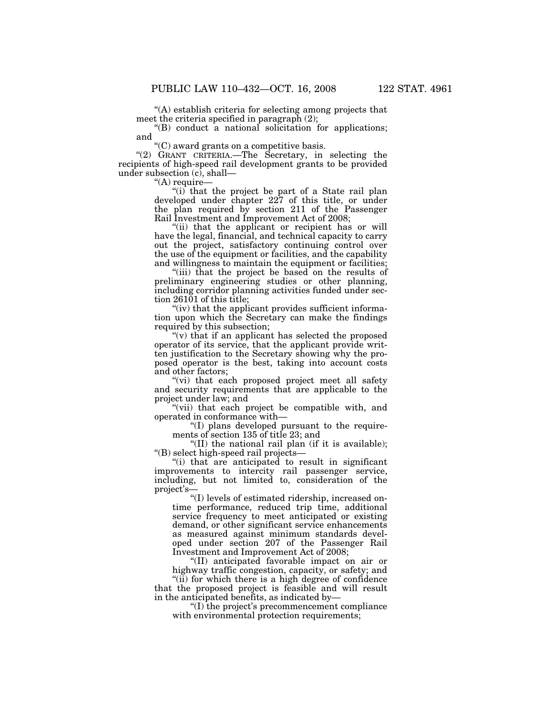''(A) establish criteria for selecting among projects that meet the criteria specified in paragraph (2);

"(B) conduct a national solicitation for applications; and

''(C) award grants on a competitive basis.

"(2) GRANT CRITERIA.—The Secretary, in selecting the recipients of high-speed rail development grants to be provided under subsection (c), shall—

"(A) require-

"(i) that the project be part of a State rail plan developed under chapter 227 of this title, or under the plan required by section 211 of the Passenger Rail Investment and Improvement Act of 2008;

"(ii) that the applicant or recipient has or will have the legal, financial, and technical capacity to carry out the project, satisfactory continuing control over the use of the equipment or facilities, and the capability and willingness to maintain the equipment or facilities;

"(iii) that the project be based on the results of preliminary engineering studies or other planning, including corridor planning activities funded under section 26101 of this title;

"(iv) that the applicant provides sufficient information upon which the Secretary can make the findings required by this subsection;

"(v) that if an applicant has selected the proposed operator of its service, that the applicant provide written justification to the Secretary showing why the proposed operator is the best, taking into account costs and other factors;

''(vi) that each proposed project meet all safety and security requirements that are applicable to the project under law; and

"(vii) that each project be compatible with, and operated in conformance with—

''(I) plans developed pursuant to the requirements of section 135 of title 23; and

"(II) the national rail plan (if it is available); ''(B) select high-speed rail projects—

''(i) that are anticipated to result in significant improvements to intercity rail passenger service, including, but not limited to, consideration of the project's—

''(I) levels of estimated ridership, increased ontime performance, reduced trip time, additional service frequency to meet anticipated or existing demand, or other significant service enhancements as measured against minimum standards developed under section 207 of the Passenger Rail Investment and Improvement Act of 2008;

''(II) anticipated favorable impact on air or highway traffic congestion, capacity, or safety; and "(ii) for which there is a high degree of confidence" that the proposed project is feasible and will result

in the anticipated benefits, as indicated by— ''(I) the project's precommencement compliance with environmental protection requirements;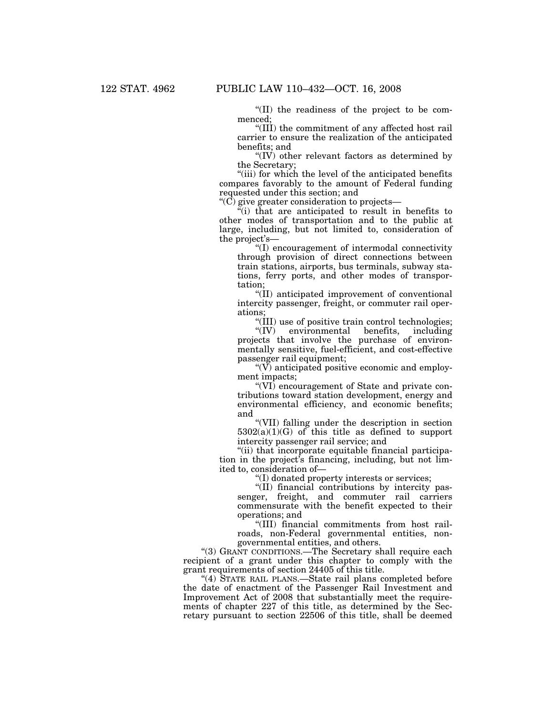''(II) the readiness of the project to be commenced;

''(III) the commitment of any affected host rail carrier to ensure the realization of the anticipated benefits; and

''(IV) other relevant factors as determined by the Secretary;

"(iii) for which the level of the anticipated benefits compares favorably to the amount of Federal funding requested under this section; and

''(C) give greater consideration to projects—

 $\tilde{f}(i)$  that are anticipated to result in benefits to other modes of transportation and to the public at large, including, but not limited to, consideration of the project's—

''(I) encouragement of intermodal connectivity through provision of direct connections between train stations, airports, bus terminals, subway stations, ferry ports, and other modes of transportation;

''(II) anticipated improvement of conventional intercity passenger, freight, or commuter rail operations;

 $\frac{1}{10}$  use of positive train control technologies;<br> $\frac{1}{10}$  environmental benefits, including

environmental benefits, including projects that involve the purchase of environmentally sensitive, fuel-efficient, and cost-effective passenger rail equipment;

 $\sqrt{\rm W}$  anticipated positive economic and employment impacts;

''(VI) encouragement of State and private contributions toward station development, energy and environmental efficiency, and economic benefits; and

''(VII) falling under the description in section  $5302(a)(1)(G)$  of this title as defined to support intercity passenger rail service; and

''(ii) that incorporate equitable financial participation in the project's financing, including, but not limited to, consideration of—

''(I) donated property interests or services;

''(II) financial contributions by intercity passenger, freight, and commuter rail carriers commensurate with the benefit expected to their operations; and

''(III) financial commitments from host railroads, non-Federal governmental entities, nongovernmental entities, and others.

"(3) GRANT CONDITIONS.—The Secretary shall require each recipient of a grant under this chapter to comply with the grant requirements of section 24405 of this title.

"(4) STATE RAIL PLANS.—State rail plans completed before the date of enactment of the Passenger Rail Investment and Improvement Act of 2008 that substantially meet the requirements of chapter 227 of this title, as determined by the Secretary pursuant to section 22506 of this title, shall be deemed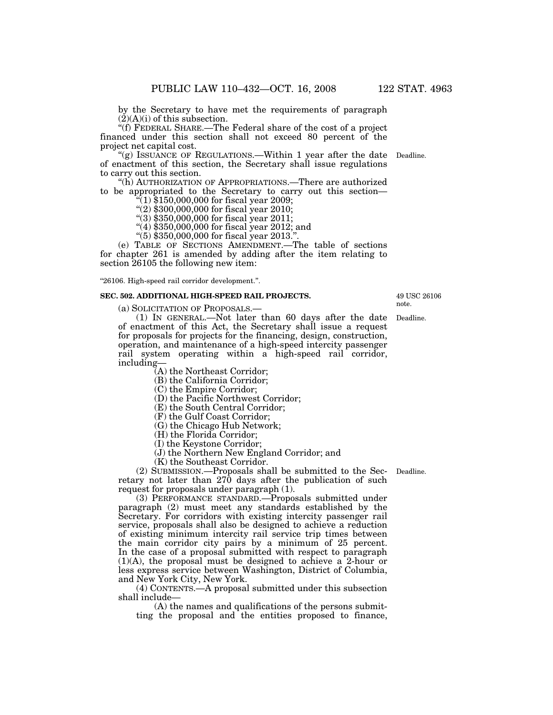by the Secretary to have met the requirements of paragraph  $(2)(A)(i)$  of this subsection.

''(f) FEDERAL SHARE.—The Federal share of the cost of a project financed under this section shall not exceed 80 percent of the project net capital cost.

"(g) ISSUANCE OF REGULATIONS.—Within 1 year after the date Deadline. of enactment of this section, the Secretary shall issue regulations to carry out this section.

''(h) AUTHORIZATION OF APPROPRIATIONS.—There are authorized to be appropriated to the Secretary to carry out this section— ''(1) \$150,000,000 for fiscal year 2009;

 $\sqrt[4]{(2)}$  \$300,000,000 for fiscal year 2010;

''(3) \$350,000,000 for fiscal year 2011;

 $(4)$ \$350,000,000 for fiscal year 2012; and

''(5) \$350,000,000 for fiscal year 2013.''.

(e) TABLE OF SECTIONS AMENDMENT.—The table of sections for chapter 261 is amended by adding after the item relating to section 26105 the following new item:

''26106. High-speed rail corridor development.''.

#### **SEC. 502. ADDITIONAL HIGH-SPEED RAIL PROJECTS.**

(a) SOLICITATION OF PROPOSALS.—

(1) IN GENERAL.—Not later than 60 days after the date of enactment of this Act, the Secretary shall issue a request for proposals for projects for the financing, design, construction, operation, and maintenance of a high-speed intercity passenger rail system operating within a high-speed rail corridor, including—

(A) the Northeast Corridor;

(B) the California Corridor;

(C) the Empire Corridor;

(D) the Pacific Northwest Corridor;

(E) the South Central Corridor;

(F) the Gulf Coast Corridor;

(G) the Chicago Hub Network;

(H) the Florida Corridor;

(I) the Keystone Corridor;

(J) the Northern New England Corridor; and

(K) the Southeast Corridor.

(2) SUBMISSION.—Proposals shall be submitted to the Sec-Deadline. retary not later than 270 days after the publication of such request for proposals under paragraph (1).

(3) PERFORMANCE STANDARD.—Proposals submitted under paragraph (2) must meet any standards established by the Secretary. For corridors with existing intercity passenger rail service, proposals shall also be designed to achieve a reduction of existing minimum intercity rail service trip times between the main corridor city pairs by a minimum of 25 percent. In the case of a proposal submitted with respect to paragraph  $(1)(A)$ , the proposal must be designed to achieve a 2-hour or less express service between Washington, District of Columbia, and New York City, New York.

(4) CONTENTS.—A proposal submitted under this subsection shall include—

(A) the names and qualifications of the persons submitting the proposal and the entities proposed to finance,

49 USC 26106 note.

Deadline.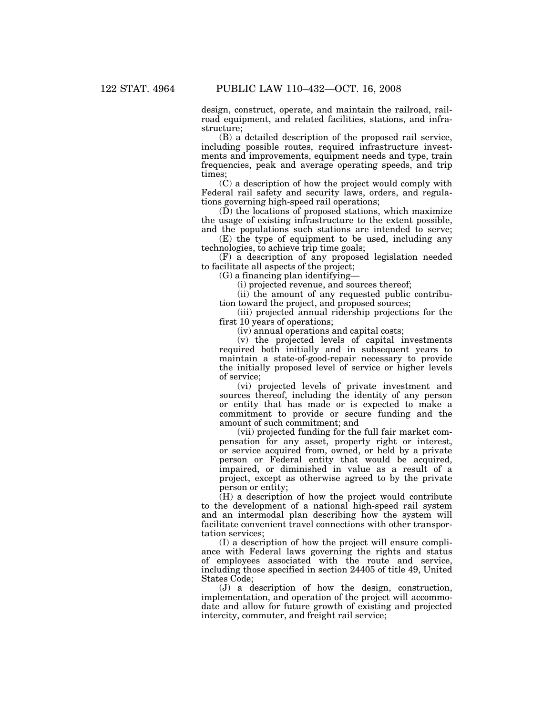design, construct, operate, and maintain the railroad, railroad equipment, and related facilities, stations, and infrastructure;

(B) a detailed description of the proposed rail service, including possible routes, required infrastructure investments and improvements, equipment needs and type, train frequencies, peak and average operating speeds, and trip times;

(C) a description of how the project would comply with Federal rail safety and security laws, orders, and regulations governing high-speed rail operations;

(D) the locations of proposed stations, which maximize the usage of existing infrastructure to the extent possible, and the populations such stations are intended to serve;

(E) the type of equipment to be used, including any technologies, to achieve trip time goals;

(F) a description of any proposed legislation needed to facilitate all aspects of the project;

(G) a financing plan identifying—

(i) projected revenue, and sources thereof;

(ii) the amount of any requested public contribution toward the project, and proposed sources;

(iii) projected annual ridership projections for the first 10 years of operations;

(iv) annual operations and capital costs;

(v) the projected levels of capital investments required both initially and in subsequent years to maintain a state-of-good-repair necessary to provide the initially proposed level of service or higher levels of service;

(vi) projected levels of private investment and sources thereof, including the identity of any person or entity that has made or is expected to make a commitment to provide or secure funding and the amount of such commitment; and

(vii) projected funding for the full fair market compensation for any asset, property right or interest, or service acquired from, owned, or held by a private person or Federal entity that would be acquired, impaired, or diminished in value as a result of a project, except as otherwise agreed to by the private person or entity;

(H) a description of how the project would contribute to the development of a national high-speed rail system and an intermodal plan describing how the system will facilitate convenient travel connections with other transportation services;

(I) a description of how the project will ensure compliance with Federal laws governing the rights and status of employees associated with the route and service, including those specified in section 24405 of title 49, United States Code;

(J) a description of how the design, construction, implementation, and operation of the project will accommodate and allow for future growth of existing and projected intercity, commuter, and freight rail service;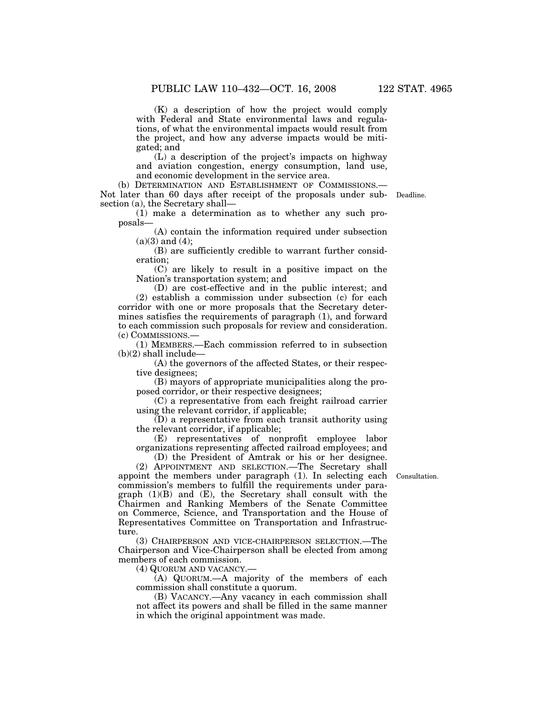(K) a description of how the project would comply with Federal and State environmental laws and regulations, of what the environmental impacts would result from the project, and how any adverse impacts would be mitigated; and

(L) a description of the project's impacts on highway and aviation congestion, energy consumption, land use, and economic development in the service area.

(b) DETERMINATION AND ESTABLISHMENT OF COMMISSIONS.— Not later than 60 days after receipt of the proposals under sub-Deadline. section (a), the Secretary shall—

(1) make a determination as to whether any such proposals—

(A) contain the information required under subsection  $(a)(3)$  and  $(4)$ ;

(B) are sufficiently credible to warrant further consideration;

(C) are likely to result in a positive impact on the Nation's transportation system; and

(D) are cost-effective and in the public interest; and (2) establish a commission under subsection (c) for each corridor with one or more proposals that the Secretary determines satisfies the requirements of paragraph (1), and forward to each commission such proposals for review and consideration. (c) COMMISSIONS.—

(1) MEMBERS.—Each commission referred to in subsection  $(b)(2)$  shall include—

(A) the governors of the affected States, or their respective designees;

(B) mayors of appropriate municipalities along the proposed corridor, or their respective designees;

(C) a representative from each freight railroad carrier using the relevant corridor, if applicable;

(D) a representative from each transit authority using the relevant corridor, if applicable;

(E) representatives of nonprofit employee labor organizations representing affected railroad employees; and (D) the President of Amtrak or his or her designee.

Consultation.

(2) APPOINTMENT AND SELECTION.—The Secretary shall appoint the members under paragraph (1). In selecting each commission's members to fulfill the requirements under paragraph  $(1)(B)$  and  $(E)$ , the Secretary shall consult with the Chairmen and Ranking Members of the Senate Committee on Commerce, Science, and Transportation and the House of Representatives Committee on Transportation and Infrastructure.

(3) CHAIRPERSON AND VICE-CHAIRPERSON SELECTION.—The Chairperson and Vice-Chairperson shall be elected from among members of each commission.

(4) QUORUM AND VACANCY.—

(A) QUORUM.—A majority of the members of each commission shall constitute a quorum.

(B) VACANCY.—Any vacancy in each commission shall not affect its powers and shall be filled in the same manner in which the original appointment was made.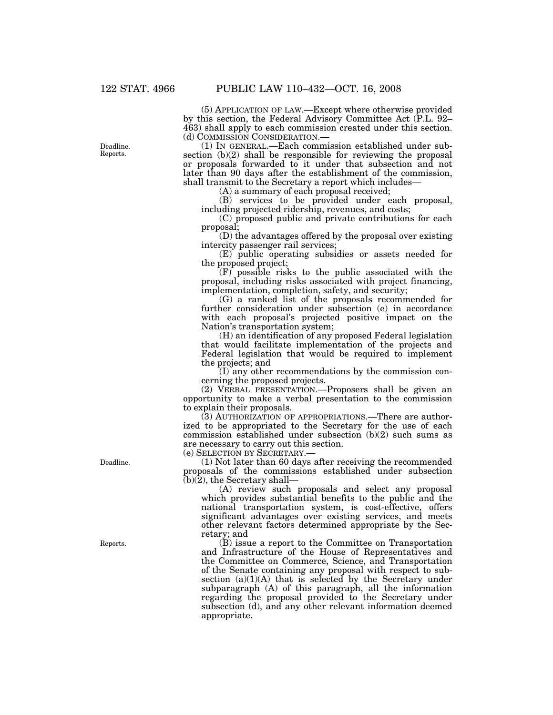(5) APPLICATION OF LAW.—Except where otherwise provided by this section, the Federal Advisory Committee Act (P.L. 92– 463) shall apply to each commission created under this section.

(d) COMMISSION CONSIDERATION.— (1) IN GENERAL.—Each commission established under subsection (b)(2) shall be responsible for reviewing the proposal or proposals forwarded to it under that subsection and not later than 90 days after the establishment of the commission, shall transmit to the Secretary a report which includes—

(A) a summary of each proposal received;

(B) services to be provided under each proposal, including projected ridership, revenues, and costs;

(C) proposed public and private contributions for each proposal;

(D) the advantages offered by the proposal over existing intercity passenger rail services;

(E) public operating subsidies or assets needed for the proposed project;

(F) possible risks to the public associated with the proposal, including risks associated with project financing, implementation, completion, safety, and security;

(G) a ranked list of the proposals recommended for further consideration under subsection (e) in accordance with each proposal's projected positive impact on the Nation's transportation system;

(H) an identification of any proposed Federal legislation that would facilitate implementation of the projects and Federal legislation that would be required to implement the projects; and

(I) any other recommendations by the commission concerning the proposed projects.

(2) VERBAL PRESENTATION.—Proposers shall be given an opportunity to make a verbal presentation to the commission to explain their proposals.

(3) AUTHORIZATION OF APPROPRIATIONS.—There are authorized to be appropriated to the Secretary for the use of each commission established under subsection (b)(2) such sums as are necessary to carry out this section.

(e) SELECTION BY SECRETARY.—

(1) Not later than 60 days after receiving the recommended proposals of the commissions established under subsection  $(b)(2)$ , the Secretary shall-

(A) review such proposals and select any proposal which provides substantial benefits to the public and the national transportation system, is cost-effective, offers significant advantages over existing services, and meets other relevant factors determined appropriate by the Secretary; and

(B) issue a report to the Committee on Transportation and Infrastructure of the House of Representatives and the Committee on Commerce, Science, and Transportation of the Senate containing any proposal with respect to subsection  $(a)(1)(A)$  that is selected by the Secretary under subparagraph (A) of this paragraph, all the information regarding the proposal provided to the Secretary under subsection (d), and any other relevant information deemed appropriate.

Deadline.

Reports.

Deadline. Reports.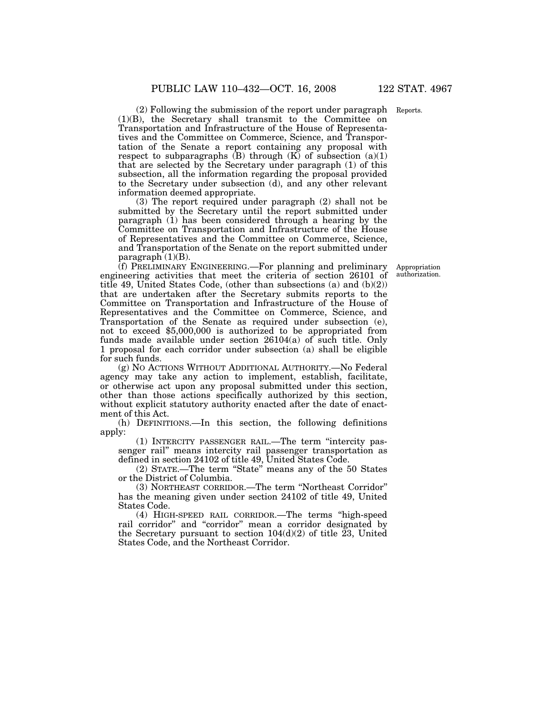(2) Following the submission of the report under paragraph Reports. (1)(B), the Secretary shall transmit to the Committee on Transportation and Infrastructure of the House of Representatives and the Committee on Commerce, Science, and Transportation of the Senate a report containing any proposal with respect to subparagraphs  $(B)$  through  $(K)$  of subsection  $(a)(1)$ that are selected by the Secretary under paragraph (1) of this subsection, all the information regarding the proposal provided to the Secretary under subsection (d), and any other relevant

information deemed appropriate. (3) The report required under paragraph (2) shall not be submitted by the Secretary until the report submitted under paragraph (1) has been considered through a hearing by the Committee on Transportation and Infrastructure of the House of Representatives and the Committee on Commerce, Science, and Transportation of the Senate on the report submitted under paragraph (1)(B).

(f) PRELIMINARY ENGINEERING.—For planning and preliminary engineering activities that meet the criteria of section 26101 of title 49, United States Code, (other than subsections (a) and (b)(2)) that are undertaken after the Secretary submits reports to the Committee on Transportation and Infrastructure of the House of Representatives and the Committee on Commerce, Science, and Transportation of the Senate as required under subsection (e), not to exceed \$5,000,000 is authorized to be appropriated from funds made available under section 26104(a) of such title. Only 1 proposal for each corridor under subsection (a) shall be eligible for such funds.

(g) NO ACTIONS WITHOUT ADDITIONAL AUTHORITY.—No Federal agency may take any action to implement, establish, facilitate, or otherwise act upon any proposal submitted under this section, other than those actions specifically authorized by this section, without explicit statutory authority enacted after the date of enactment of this Act.

(h) DEFINITIONS.—In this section, the following definitions apply:

(1) INTERCITY PASSENGER RAIL.—The term ''intercity passenger rail'' means intercity rail passenger transportation as defined in section 24102 of title 49, United States Code.

(2) STATE.—The term ''State'' means any of the 50 States or the District of Columbia.

(3) NORTHEAST CORRIDOR.—The term ''Northeast Corridor'' has the meaning given under section 24102 of title 49, United States Code.

(4) HIGH-SPEED RAIL CORRIDOR.—The terms ''high-speed rail corridor'' and ''corridor'' mean a corridor designated by the Secretary pursuant to section  $104(d)(2)$  of title 23, United States Code, and the Northeast Corridor.

Appropriation authorization.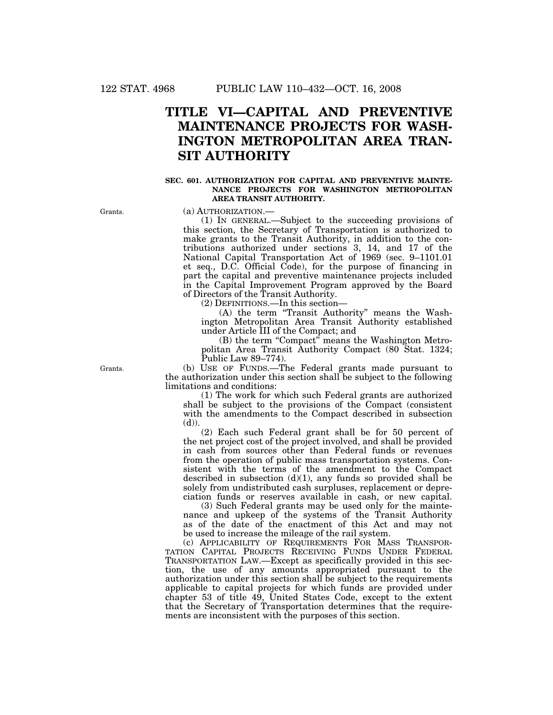# **TITLE VI—CAPITAL AND PREVENTIVE MAINTENANCE PROJECTS FOR WASH-INGTON METROPOLITAN AREA TRAN-SIT AUTHORITY**

### **SEC. 601. AUTHORIZATION FOR CAPITAL AND PREVENTIVE MAINTE-NANCE PROJECTS FOR WASHINGTON METROPOLITAN AREA TRANSIT AUTHORITY.**

Grants.

(a) AUTHORIZATION.—

(1) IN GENERAL.—Subject to the succeeding provisions of this section, the Secretary of Transportation is authorized to make grants to the Transit Authority, in addition to the contributions authorized under sections 3, 14, and 17 of the National Capital Transportation Act of 1969 (sec. 9–1101.01 et seq., D.C. Official Code), for the purpose of financing in part the capital and preventive maintenance projects included in the Capital Improvement Program approved by the Board of Directors of the Transit Authority.

(2) DEFINITIONS.—In this section—

(A) the term ''Transit Authority'' means the Washington Metropolitan Area Transit Authority established under Article III of the Compact; and

(B) the term "Compact" means the Washington Metropolitan Area Transit Authority Compact (80 Stat. 1324; Public Law 89–774).

(b) USE OF FUNDS.—The Federal grants made pursuant to the authorization under this section shall be subject to the following limitations and conditions:

(1) The work for which such Federal grants are authorized shall be subject to the provisions of the Compact (consistent with the amendments to the Compact described in subsection  $(d)$ ).

(2) Each such Federal grant shall be for 50 percent of the net project cost of the project involved, and shall be provided in cash from sources other than Federal funds or revenues from the operation of public mass transportation systems. Consistent with the terms of the amendment to the Compact described in subsection  $(d)(1)$ , any funds so provided shall be solely from undistributed cash surpluses, replacement or depreciation funds or reserves available in cash, or new capital.

(3) Such Federal grants may be used only for the maintenance and upkeep of the systems of the Transit Authority as of the date of the enactment of this Act and may not be used to increase the mileage of the rail system.

(c) APPLICABILITY OF REQUIREMENTS FOR MASS TRANSPOR-TATION CAPITAL PROJECTS RECEIVING FUNDS UNDER FEDERAL TRANSPORTATION LAW.—Except as specifically provided in this section, the use of any amounts appropriated pursuant to the authorization under this section shall be subject to the requirements applicable to capital projects for which funds are provided under chapter 53 of title 49, United States Code, except to the extent that the Secretary of Transportation determines that the requirements are inconsistent with the purposes of this section.

Grants.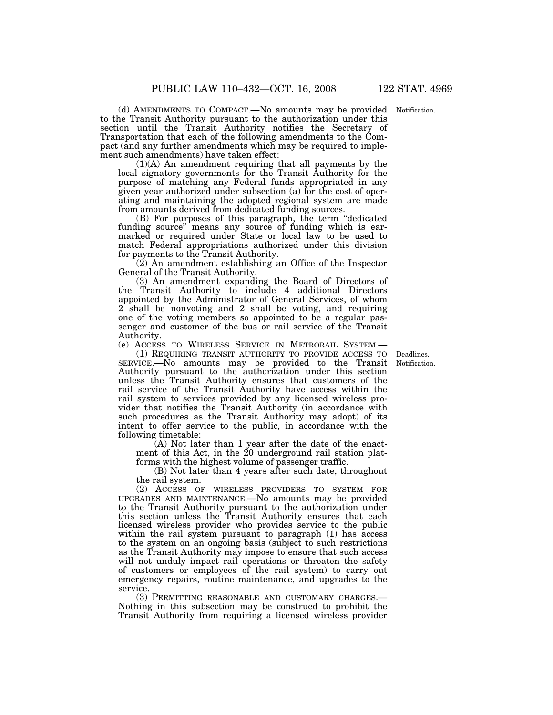(d) AMENDMENTS TO COMPACT.—No amounts may be provided Notification. to the Transit Authority pursuant to the authorization under this section until the Transit Authority notifies the Secretary of Transportation that each of the following amendments to the Compact (and any further amendments which may be required to implement such amendments) have taken effect:

(1)(A) An amendment requiring that all payments by the local signatory governments for the Transit Authority for the purpose of matching any Federal funds appropriated in any given year authorized under subsection (a) for the cost of operating and maintaining the adopted regional system are made from amounts derived from dedicated funding sources.

(B) For purposes of this paragraph, the term ''dedicated funding source'' means any source of funding which is earmarked or required under State or local law to be used to match Federal appropriations authorized under this division for payments to the Transit Authority.

(2) An amendment establishing an Office of the Inspector General of the Transit Authority.

(3) An amendment expanding the Board of Directors of the Transit Authority to include 4 additional Directors appointed by the Administrator of General Services, of whom 2 shall be nonvoting and 2 shall be voting, and requiring one of the voting members so appointed to be a regular passenger and customer of the bus or rail service of the Transit Authority.

(e) ACCESS TO WIRELESS SERVICE IN METRORAIL SYSTEM.—

(1) REQUIRING TRANSIT AUTHORITY TO PROVIDE ACCESS TO Deadlines. SERVICE.—No amounts may be provided to the Transit Authority pursuant to the authorization under this section unless the Transit Authority ensures that customers of the rail service of the Transit Authority have access within the rail system to services provided by any licensed wireless provider that notifies the Transit Authority (in accordance with such procedures as the Transit Authority may adopt) of its intent to offer service to the public, in accordance with the following timetable:

(A) Not later than 1 year after the date of the enactment of this Act, in the 20 underground rail station platforms with the highest volume of passenger traffic.

(B) Not later than 4 years after such date, throughout the rail system.

(2) ACCESS OF WIRELESS PROVIDERS TO SYSTEM FOR UPGRADES AND MAINTENANCE.—No amounts may be provided to the Transit Authority pursuant to the authorization under this section unless the Transit Authority ensures that each licensed wireless provider who provides service to the public within the rail system pursuant to paragraph (1) has access to the system on an ongoing basis (subject to such restrictions as the Transit Authority may impose to ensure that such access will not unduly impact rail operations or threaten the safety of customers or employees of the rail system) to carry out emergency repairs, routine maintenance, and upgrades to the service.

(3) PERMITTING REASONABLE AND CUSTOMARY CHARGES.— Nothing in this subsection may be construed to prohibit the Transit Authority from requiring a licensed wireless provider

Notification.